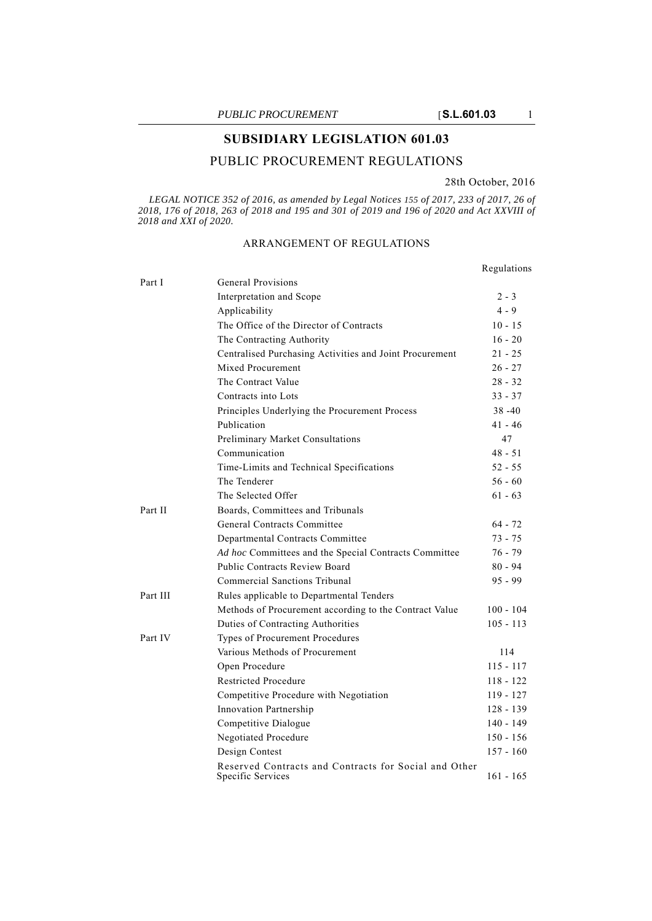# **SUBSIDIARY LEGISLATION 601.03**

## PUBLIC PROCUREMENT REGULATIONS

#### 28th October, 2016

Regulations

*LEGAL NOTICE 352 of 2016, as amended by Legal Notices 155 of 2017, 233 of 2017, 26 of 2018, 176 of 2018, 263 of 2018 and 195 and 301 of 2019 and 196 of 2020 and Act XXVIII of 2018 and XXI of 2020.*

## ARRANGEMENT OF REGULATIONS

Part I General Provisions Interpretation and Scope 2 - 3 Applicability 4 - 9 The Office of the Director of Contracts 10 - 15 The Contracting Authority 16 - 20 Centralised Purchasing Activities and Joint Procurement 21 - 25 Mixed Procurement 26 - 27 The Contract Value 28 - 32 Contracts into Lots 33 - 37 Principles Underlying the Procurement Process 38 -40 Publication 41 - 46 Preliminary Market Consultations 47 Communication 48 - 51 Time-Limits and Technical Specifications 52 - 55 The Tenderer 56 - 60 The Selected Offer 61 - 63 Part II Boards, Committees and Tribunals General Contracts Committee 64 - 72 Departmental Contracts Committee 73 - 75 Ad hoc Committees and the Special Contracts Committee 76 - 79 Public Contracts Review Board 80 - 94 Commercial Sanctions Tribunal 95 - 99 Part III Rules applicable to Departmental Tenders Methods of Procurement according to the Contract Value 100 - 104 Duties of Contracting Authorities 105 - 113 Part IV Types of Procurement Procedures Various Methods of Procurement 114 Open Procedure 115 - 117 Restricted Procedure 118 - 122 Competitive Procedure with Negotiation 119 - 127 Innovation Partnership 128 - 139 Competitive Dialogue 140 - 149 Negotiated Procedure 150 - 156 Design Contest 157 - 160 Reserved Contracts and Contracts for Social and Other Specific Services 161 - 165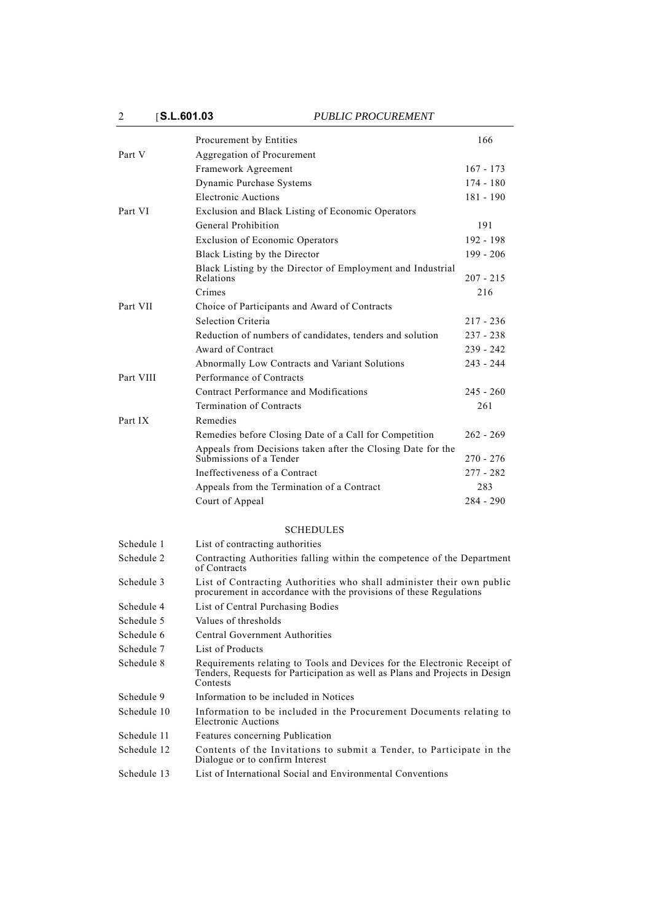2 [**S.L.601.03** *PUBLIC PROCUREMENT*

|             | Procurement by Entities                                                                                                                                             | 166         |
|-------------|---------------------------------------------------------------------------------------------------------------------------------------------------------------------|-------------|
| Part V      | Aggregation of Procurement                                                                                                                                          |             |
|             | Framework Agreement                                                                                                                                                 | $167 - 173$ |
|             | Dynamic Purchase Systems                                                                                                                                            | 174 - 180   |
|             | <b>Electronic Auctions</b>                                                                                                                                          | $181 - 190$ |
| Part VI     | Exclusion and Black Listing of Economic Operators                                                                                                                   |             |
|             | General Prohibition                                                                                                                                                 | 191         |
|             | Exclusion of Economic Operators                                                                                                                                     | 192 - 198   |
|             | Black Listing by the Director                                                                                                                                       | $199 - 206$ |
|             | Black Listing by the Director of Employment and Industrial<br>Relations                                                                                             | 207 - 215   |
|             | Crimes                                                                                                                                                              | 216         |
| Part VII    | Choice of Participants and Award of Contracts                                                                                                                       |             |
|             | Selection Criteria                                                                                                                                                  | 217 - 236   |
|             | Reduction of numbers of candidates, tenders and solution                                                                                                            | 237 - 238   |
|             | Award of Contract                                                                                                                                                   | 239 - 242   |
|             | Abnormally Low Contracts and Variant Solutions                                                                                                                      | 243 - 244   |
| Part VIII   | Performance of Contracts                                                                                                                                            |             |
|             | Contract Performance and Modifications                                                                                                                              | $245 - 260$ |
|             | Termination of Contracts                                                                                                                                            | 261         |
| Part IX     | Remedies                                                                                                                                                            |             |
|             | Remedies before Closing Date of a Call for Competition                                                                                                              | $262 - 269$ |
|             | Appeals from Decisions taken after the Closing Date for the<br>Submissions of a Tender                                                                              | 270 - 276   |
|             | Ineffectiveness of a Contract                                                                                                                                       | 277 - 282   |
|             | Appeals from the Termination of a Contract                                                                                                                          | 283         |
|             | Court of Appeal                                                                                                                                                     | $284 - 290$ |
|             | <b>SCHEDULES</b>                                                                                                                                                    |             |
| Schedule 1  | List of contracting authorities                                                                                                                                     |             |
| Schedule 2  | Contracting Authorities falling within the competence of the Department<br>of Contracts                                                                             |             |
| Schedule 3  | List of Contracting Authorities who shall administer their own public<br>procurement in accordance with the provisions of these Regulations                         |             |
| Schedule 4  | List of Central Purchasing Bodies                                                                                                                                   |             |
| Schedule 5  | Values of thresholds                                                                                                                                                |             |
| Schedule 6  | Central Government Authorities                                                                                                                                      |             |
| Schedule 7  | List of Products                                                                                                                                                    |             |
| Schedule 8  | Requirements relating to Tools and Devices for the Electronic Receipt of<br>Tenders, Requests for Participation as well as Plans and Projects in Design<br>Contests |             |
| Schedule 9  | Information to be included in Notices                                                                                                                               |             |
| Schedule 10 | Information to be included in the Procurement Documents relating to<br>Electronic Auctions                                                                          |             |
| Schedule 11 | Features concerning Publication                                                                                                                                     |             |
| Schedule 12 | Contents of the Invitations to submit a Tender, to Participate in the<br>Dialogue or to confirm Interest                                                            |             |
| Schedule 13 | List of International Social and Environmental Conventions                                                                                                          |             |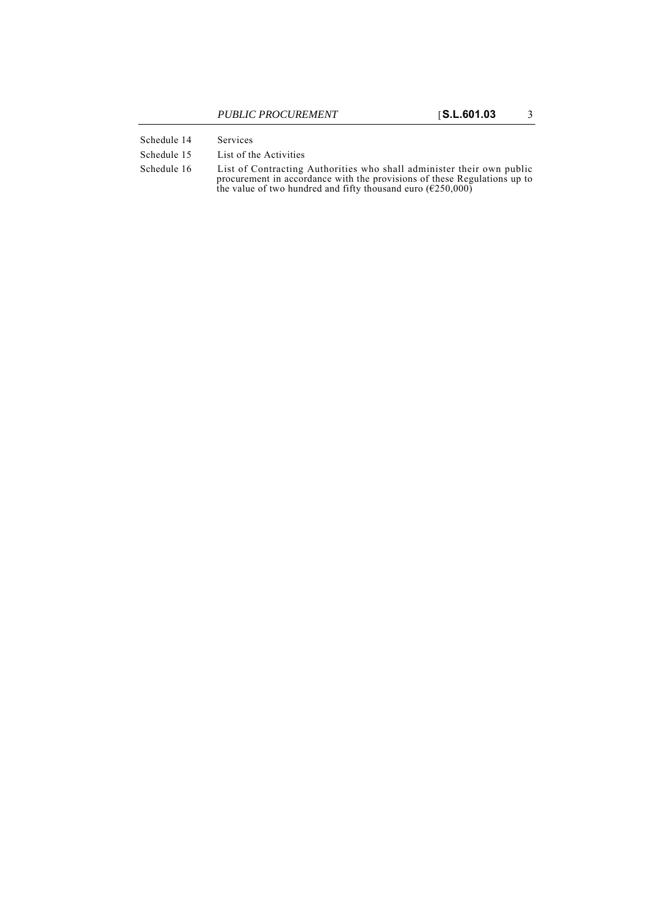- Schedule 14 Services
- Schedule 15 List of the Activities
- Schedule 16 List of Contracting Authorities who shall administer their own public procurement in accordance with the provisions of these Regulations up to the value of two hundred and fifty thousand euro ( $E250,000$ )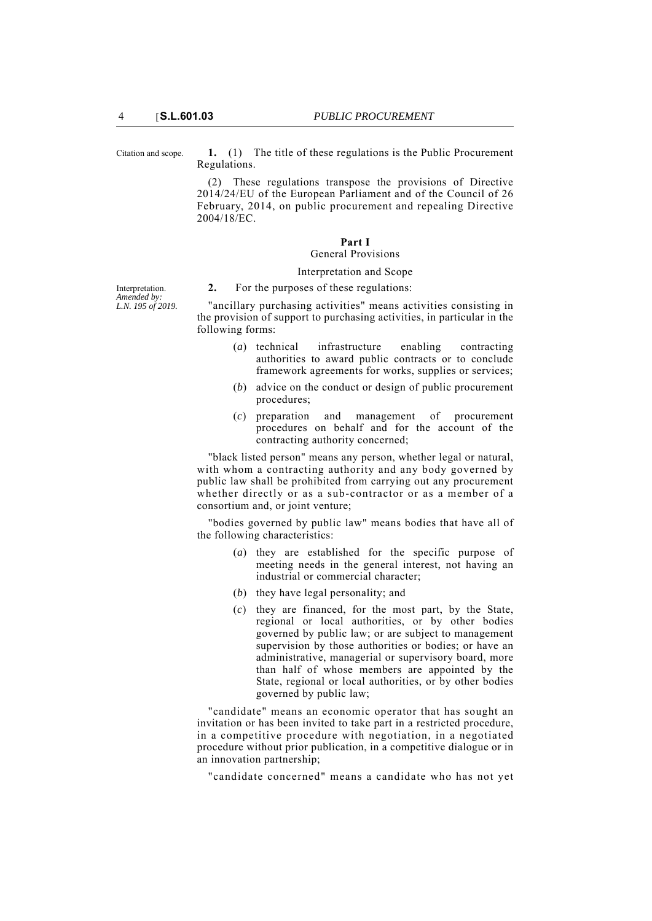Citation and scope. **1.** (1) The title of these regulations is the Public Procurement Regulations.

> (2) These regulations transpose the provisions of Directive 2014/24/EU of the European Parliament and of the Council of 26 February, 2014, on public procurement and repealing Directive 2004/18/EC.

### **Part I**

## General Provisions

## Interpretation and Scope

Interpretation. *Amended by: L.N. 195 of 2019.* **2.** For the purposes of these regulations:

"ancillary purchasing activities" means activities consisting in the provision of support to purchasing activities, in particular in the following forms:

- (*a*) technical infrastructure enabling contracting authorities to award public contracts or to conclude framework agreements for works, supplies or services;
- (*b*) advice on the conduct or design of public procurement procedures;
- (*c*) preparation and management of procurement procedures on behalf and for the account of the contracting authority concerned;

"black listed person" means any person, whether legal or natural, with whom a contracting authority and any body governed by public law shall be prohibited from carrying out any procurement whether directly or as a sub-contractor or as a member of a consortium and, or joint venture;

"bodies governed by public law" means bodies that have all of the following characteristics:

- (*a*) they are established for the specific purpose of meeting needs in the general interest, not having an industrial or commercial character;
- (*b*) they have legal personality; and
- (*c*) they are financed, for the most part, by the State, regional or local authorities, or by other bodies governed by public law; or are subject to management supervision by those authorities or bodies; or have an administrative, managerial or supervisory board, more than half of whose members are appointed by the State, regional or local authorities, or by other bodies governed by public law;

"candidate" means an economic operator that has sought an invitation or has been invited to take part in a restricted procedure, in a competitive procedure with negotiation, in a negotiated procedure without prior publication, in a competitive dialogue or in an innovation partnership;

"candidate concerned" means a candidate who has not yet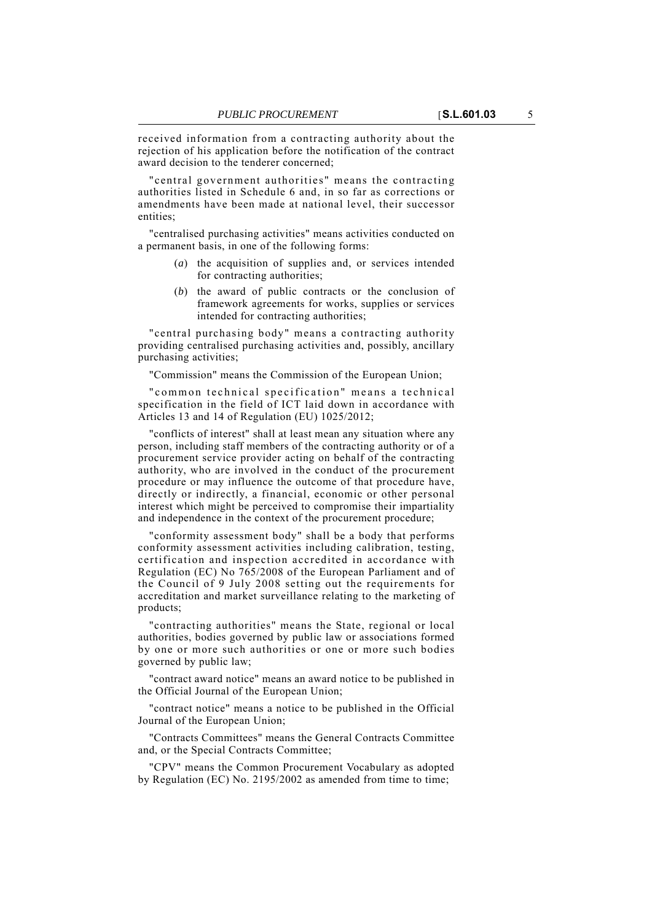received information from a contracting authority about the rejection of his application before the notification of the contract award decision to the tenderer concerned;

"central government authorities" means the contracting authorities listed in Schedule 6 and, in so far as corrections or amendments have been made at national level, their successor entities;

"centralised purchasing activities" means activities conducted on a permanent basis, in one of the following forms:

- (*a*) the acquisition of supplies and, or services intended for contracting authorities;
- (*b*) the award of public contracts or the conclusion of framework agreements for works, supplies or services intended for contracting authorities;

"central purchasing body" means a contracting authority providing centralised purchasing activities and, possibly, ancillary purchasing activities;

"Commission" means the Commission of the European Union;

"common technical specification" means a technical specification in the field of ICT laid down in accordance with Articles 13 and 14 of Regulation (EU) 1025/2012;

"conflicts of interest" shall at least mean any situation where any person, including staff members of the contracting authority or of a procurement service provider acting on behalf of the contracting authority, who are involved in the conduct of the procurement procedure or may influence the outcome of that procedure have, directly or indirectly, a financial, economic or other personal interest which might be perceived to compromise their impartiality and independence in the context of the procurement procedure;

"conformity assessment body" shall be a body that performs conformity assessment activities including calibration, testing, certification and inspection accredited in accordance with Regulation (EC) No 765/2008 of the European Parliament and of the Council of 9 July 2008 setting out the requirements for accreditation and market surveillance relating to the marketing of products;

"contracting authorities" means the State, regional or local authorities, bodies governed by public law or associations formed by one or more such authorities or one or more such bodies governed by public law;

"contract award notice" means an award notice to be published in the Official Journal of the European Union;

"contract notice" means a notice to be published in the Official Journal of the European Union;

"Contracts Committees" means the General Contracts Committee and, or the Special Contracts Committee;

"CPV" means the Common Procurement Vocabulary as adopted by Regulation (EC) No. 2195/2002 as amended from time to time;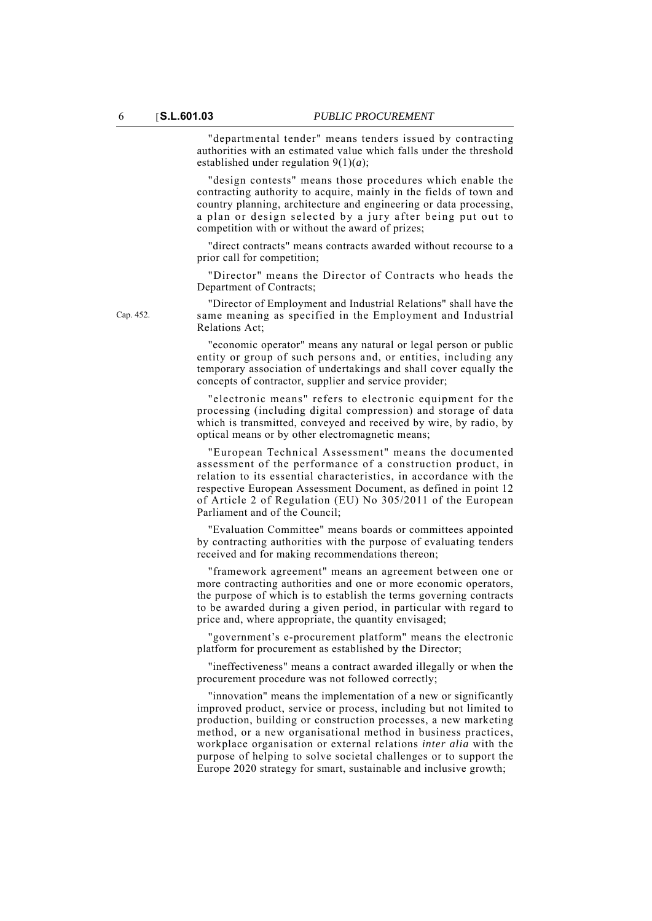"departmental tender" means tenders issued by contracting authorities with an estimated value which falls under the threshold established under regulation 9(1)(*a*);

"design contests" means those procedures which enable the contracting authority to acquire, mainly in the fields of town and country planning, architecture and engineering or data processing, a plan or design selected by a jury after being put out to competition with or without the award of prizes;

"direct contracts" means contracts awarded without recourse to a prior call for competition;

"Director" means the Director of Contracts who heads the Department of Contracts;

"Director of Employment and Industrial Relations" shall have the same meaning as specified in the Employment and Industrial Relations Act;

"economic operator" means any natural or legal person or public entity or group of such persons and, or entities, including any temporary association of undertakings and shall cover equally the concepts of contractor, supplier and service provider;

"electronic means" refers to electronic equipment for the processing (including digital compression) and storage of data which is transmitted, conveyed and received by wire, by radio, by optical means or by other electromagnetic means;

"European Technical Assessment" means the documented assessment of the performance of a construction product, in relation to its essential characteristics, in accordance with the respective European Assessment Document, as defined in point 12 of Article 2 of Regulation (EU) No 305/2011 of the European Parliament and of the Council;

"Evaluation Committee" means boards or committees appointed by contracting authorities with the purpose of evaluating tenders received and for making recommendations thereon;

"framework agreement" means an agreement between one or more contracting authorities and one or more economic operators, the purpose of which is to establish the terms governing contracts to be awarded during a given period, in particular with regard to price and, where appropriate, the quantity envisaged;

"government's e-procurement platform" means the electronic platform for procurement as established by the Director;

"ineffectiveness" means a contract awarded illegally or when the procurement procedure was not followed correctly;

"innovation" means the implementation of a new or significantly improved product, service or process, including but not limited to production, building or construction processes, a new marketing method, or a new organisational method in business practices, workplace organisation or external relations *inter alia* with the purpose of helping to solve societal challenges or to support the Europe 2020 strategy for smart, sustainable and inclusive growth;

Cap. 452.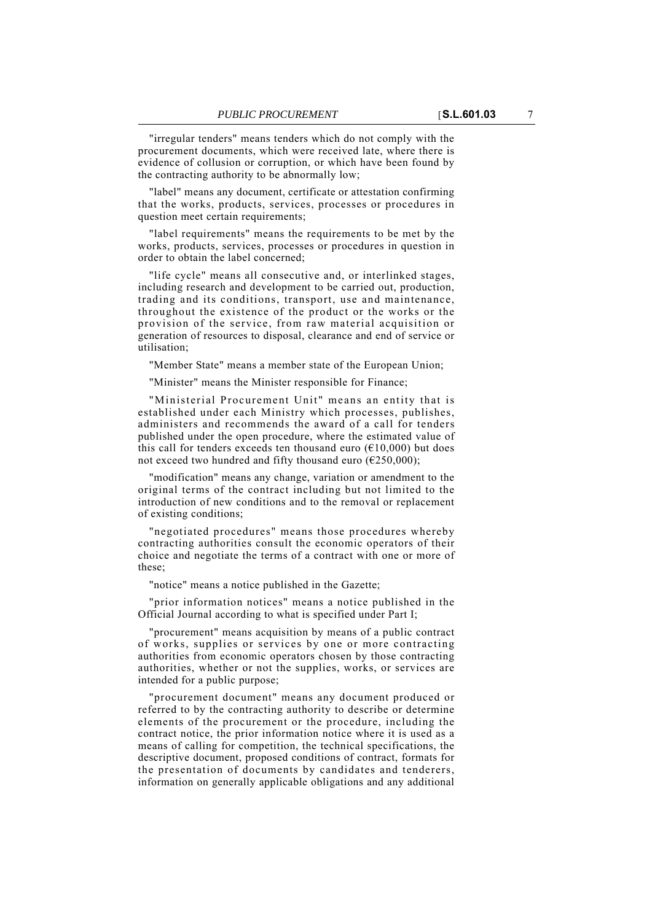"irregular tenders" means tenders which do not comply with the procurement documents, which were received late, where there is evidence of collusion or corruption, or which have been found by the contracting authority to be abnormally low;

"label" means any document, certificate or attestation confirming that the works, products, services, processes or procedures in question meet certain requirements;

"label requirements" means the requirements to be met by the works, products, services, processes or procedures in question in order to obtain the label concerned;

"life cycle" means all consecutive and, or interlinked stages, including research and development to be carried out, production, trading and its conditions, transport, use and maintenance, throughout the existence of the product or the works or the provision of the service, from raw material acquisition or generation of resources to disposal, clearance and end of service or utilisation;

"Member State" means a member state of the European Union;

"Minister" means the Minister responsible for Finance;

"Ministerial Procurement Unit" means an entity that is established under each Ministry which processes, publishes, administers and recommends the award of a call for tenders published under the open procedure, where the estimated value of this call for tenders exceeds ten thousand euro ( $€10,000$ ) but does not exceed two hundred and fifty thousand euro ( $\epsilon$ 250,000);

"modification" means any change, variation or amendment to the original terms of the contract including but not limited to the introduction of new conditions and to the removal or replacement of existing conditions;

"negotiated procedures" means those procedures whereby contracting authorities consult the economic operators of their choice and negotiate the terms of a contract with one or more of these;

"notice" means a notice published in the Gazette;

"prior information notices" means a notice published in the Official Journal according to what is specified under Part I;

"procurement" means acquisition by means of a public contract of works, supplies or services by one or more contracting authorities from economic operators chosen by those contracting authorities, whether or not the supplies, works, or services are intended for a public purpose;

"procurement document" means any document produced or referred to by the contracting authority to describe or determine elements of the procurement or the procedure, including the contract notice, the prior information notice where it is used as a means of calling for competition, the technical specifications, the descriptive document, proposed conditions of contract, formats for the presentation of documents by candidates and tenderers, information on generally applicable obligations and any additional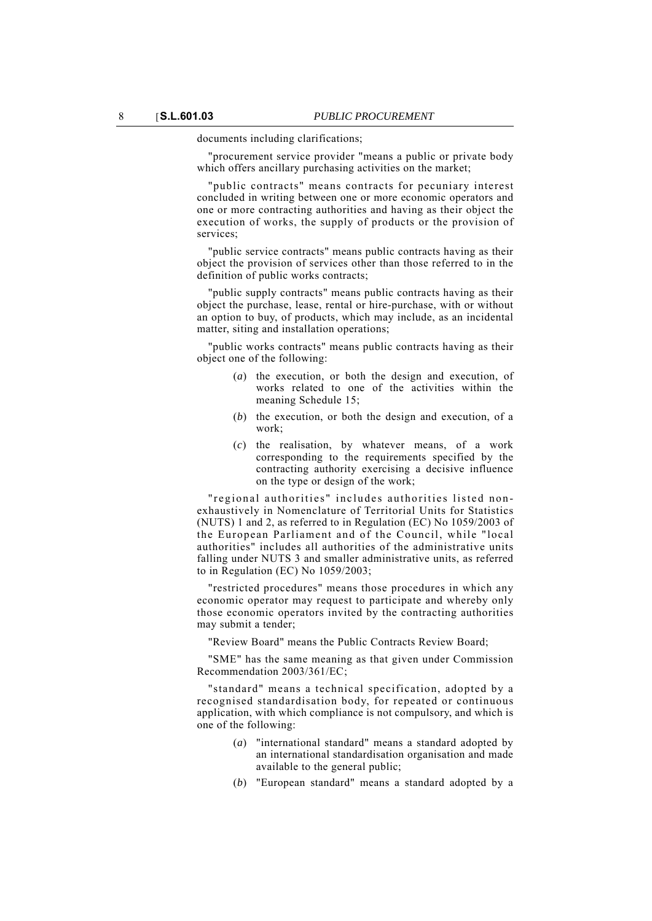documents including clarifications;

"procurement service provider "means a public or private body which offers ancillary purchasing activities on the market;

"public contracts" means contracts for pecuniary interest concluded in writing between one or more economic operators and one or more contracting authorities and having as their object the execution of works, the supply of products or the provision of services;

"public service contracts" means public contracts having as their object the provision of services other than those referred to in the definition of public works contracts;

"public supply contracts" means public contracts having as their object the purchase, lease, rental or hire-purchase, with or without an option to buy, of products, which may include, as an incidental matter, siting and installation operations;

"public works contracts" means public contracts having as their object one of the following:

- (*a*) the execution, or both the design and execution, of works related to one of the activities within the meaning Schedule 15;
- (*b*) the execution, or both the design and execution, of a work;
- (*c*) the realisation, by whatever means, of a work corresponding to the requirements specified by the contracting authority exercising a decisive influence on the type or design of the work;

"regional authorities" includes authorities listed nonexhaustively in Nomenclature of Territorial Units for Statistics (NUTS) 1 and 2, as referred to in Regulation (EC) No 1059/2003 of the European Parliament and of the Council, while "local authorities" includes all authorities of the administrative units falling under NUTS 3 and smaller administrative units, as referred to in Regulation (EC) No 1059/2003;

"restricted procedures" means those procedures in which any economic operator may request to participate and whereby only those economic operators invited by the contracting authorities may submit a tender;

"Review Board" means the Public Contracts Review Board;

"SME" has the same meaning as that given under Commission Recommendation 2003/361/EC;

"standard" means a technical specification, adopted by a recognised standardisation body, for repeated or continuous application, with which compliance is not compulsory, and which is one of the following:

- (*a*) "international standard" means a standard adopted by an international standardisation organisation and made available to the general public;
- (*b*) "European standard" means a standard adopted by a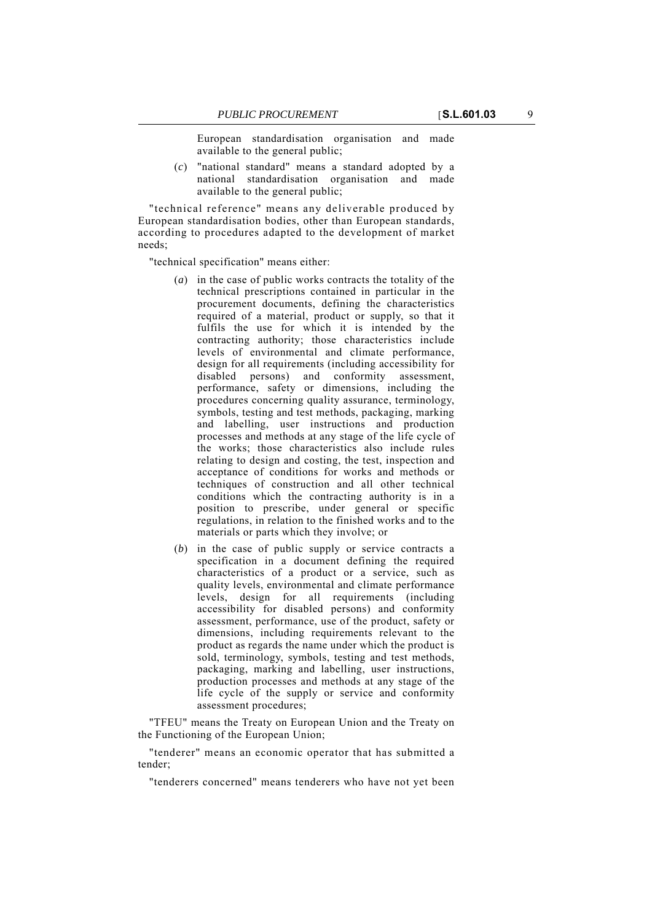European standardisation organisation and made available to the general public;

(*c*) "national standard" means a standard adopted by a national standardisation organisation and made available to the general public;

"technical reference" means any deliverable produced by European standardisation bodies, other than European standards, according to procedures adapted to the development of market needs;

"technical specification" means either:

- (*a*) in the case of public works contracts the totality of the technical prescriptions contained in particular in the procurement documents, defining the characteristics required of a material, product or supply, so that it fulfils the use for which it is intended by the contracting authority; those characteristics include levels of environmental and climate performance, design for all requirements (including accessibility for disabled persons) and conformity assessment, performance, safety or dimensions, including the procedures concerning quality assurance, terminology, symbols, testing and test methods, packaging, marking and labelling, user instructions and production processes and methods at any stage of the life cycle of the works; those characteristics also include rules relating to design and costing, the test, inspection and acceptance of conditions for works and methods or techniques of construction and all other technical conditions which the contracting authority is in a position to prescribe, under general or specific regulations, in relation to the finished works and to the materials or parts which they involve; or
- (*b*) in the case of public supply or service contracts a specification in a document defining the required characteristics of a product or a service, such as quality levels, environmental and climate performance levels, design for all requirements (including accessibility for disabled persons) and conformity assessment, performance, use of the product, safety or dimensions, including requirements relevant to the product as regards the name under which the product is sold, terminology, symbols, testing and test methods, packaging, marking and labelling, user instructions, production processes and methods at any stage of the life cycle of the supply or service and conformity assessment procedures;

"TFEU" means the Treaty on European Union and the Treaty on the Functioning of the European Union;

"tenderer" means an economic operator that has submitted a tender;

"tenderers concerned" means tenderers who have not yet been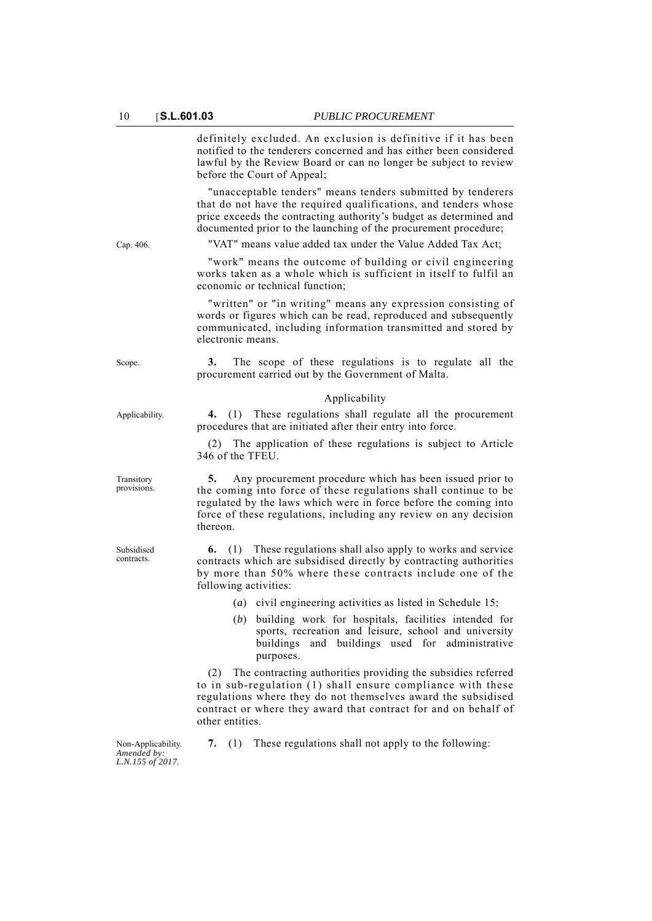definitely excluded. An exclusion is definitive if it has been notified to the tenderers concerned and has either been considered lawful by the Review Board or can no longer be subject to review before the Court of Appeal;

"unacceptable tenders" means tenders submitted by tenderers that do not have the required qualifications, and tenders whose price exceeds the contracting authority's budget as determined and documented prior to the launching of the procurement procedure;

Cap. 406. "VAT" means value added tax under the Value Added Tax Act;

"work" means the outcome of building or civil engineering works taken as a whole which is sufficient in itself to fulfil an economic or technical function;

"written" or "in writing" means any expression consisting of words or figures which can be read, reproduced and subsequently communicated, including information transmitted and stored by electronic means.

Scope. **3.** The scope of these regulations is to regulate all the procurement carried out by the Government of Malta.

#### Applicability

Applicability. **4.** (1) These regulations shall regulate all the procurement procedures that are initiated after their entry into force.

> (2) The application of these regulations is subject to Article 346 of the TFEU.

> **5.** Any procurement procedure which has been issued prior to the coming into force of these regulations shall continue to be regulated by the laws which were in force before the coming into force of these regulations, including any review on any decision thereon.

> **6.** (1) These regulations shall also apply to works and service contracts which are subsidised directly by contracting authorities by more than 50% where these contracts include one of the following activities:

- (*a*) civil engineering activities as listed in Schedule 15;
- (*b*) building work for hospitals, facilities intended for sports, recreation and leisure, school and university buildings and buildings used for administrative purposes.

(2) The contracting authorities providing the subsidies referred to in sub-regulation (1) shall ensure compliance with these regulations where they do not themselves award the subsidised contract or where they award that contract for and on behalf of other entities.

Non-Applicability. *Amended by: L.N.155 of 2017.*

**7.** (1) These regulations shall not apply to the following:

Transitory provisions.

Subsidised contracts.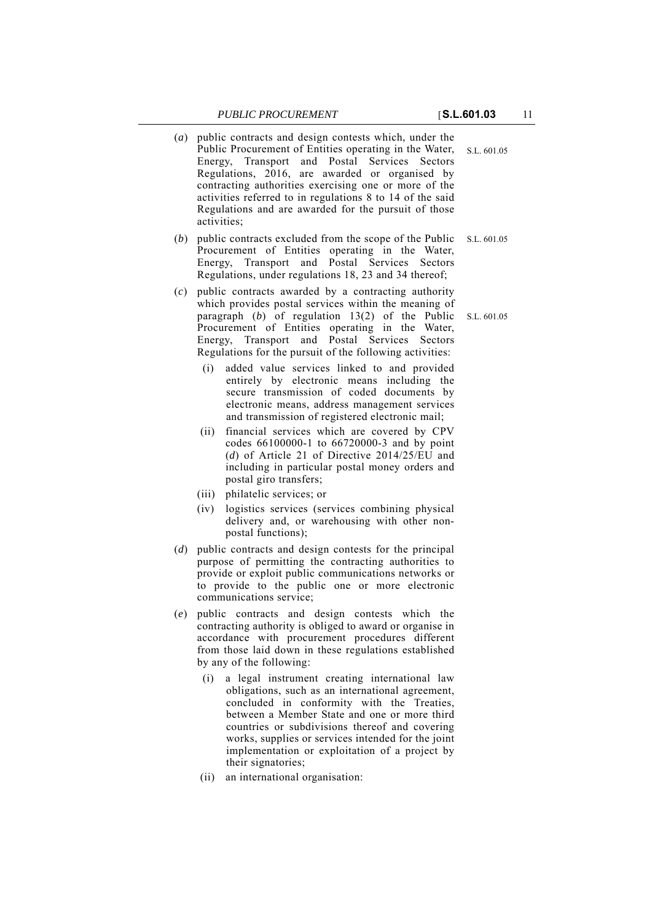- S.L. 601.05 (*a*) public contracts and design contests which, under the Public Procurement of Entities operating in the Water, Energy, Transport and Postal Services Sectors Regulations, 2016, are awarded or organised by contracting authorities exercising one or more of the activities referred to in regulations 8 to 14 of the said Regulations and are awarded for the pursuit of those activities;
- (*b*) public contracts excluded from the scope of the Public S.L. 601.05 Procurement of Entities operating in the Water, Energy, Transport and Postal Services Sectors Regulations, under regulations 18, 23 and 34 thereof;
- paragraph  $(b)$  of regulation  $13(2)$  of the Public S.L. 601.05 (*c*) public contracts awarded by a contracting authority which provides postal services within the meaning of Procurement of Entities operating in the Water, Energy, Transport and Postal Services Sectors Regulations for the pursuit of the following activities:
	- (i) added value services linked to and provided entirely by electronic means including the secure transmission of coded documents by electronic means, address management services and transmission of registered electronic mail;
	- (ii) financial services which are covered by CPV codes 66100000-1 to 66720000-3 and by point (*d*) of Article 21 of Directive 2014/25/EU and including in particular postal money orders and postal giro transfers;
	- (iii) philatelic services; or
	- (iv) logistics services (services combining physical delivery and, or warehousing with other nonpostal functions);
- (*d*) public contracts and design contests for the principal purpose of permitting the contracting authorities to provide or exploit public communications networks or to provide to the public one or more electronic communications service;
- (*e*) public contracts and design contests which the contracting authority is obliged to award or organise in accordance with procurement procedures different from those laid down in these regulations established by any of the following:
	- (i) a legal instrument creating international law obligations, such as an international agreement, concluded in conformity with the Treaties, between a Member State and one or more third countries or subdivisions thereof and covering works, supplies or services intended for the joint implementation or exploitation of a project by their signatories;
	- (ii) an international organisation: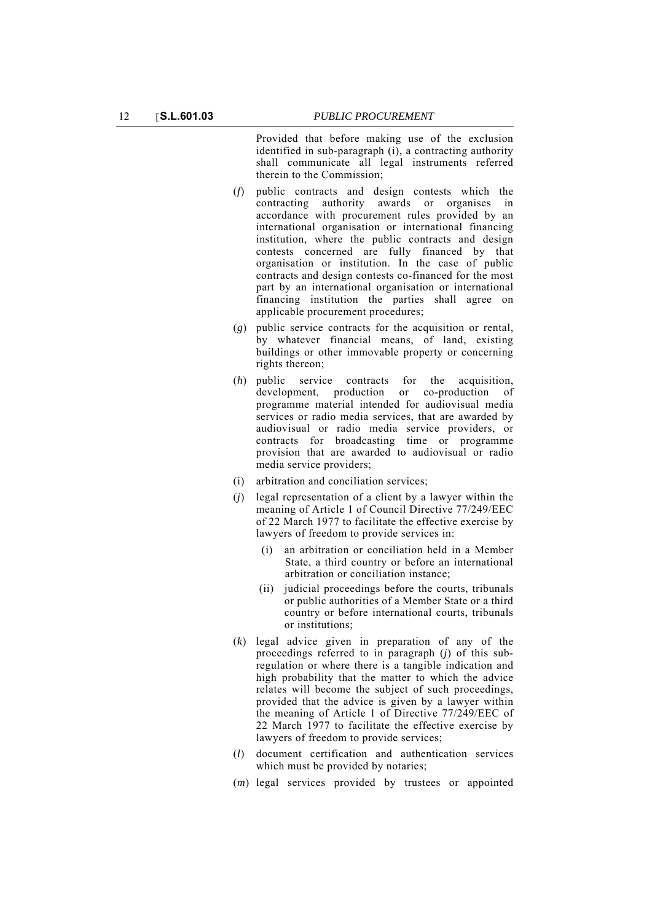Provided that before making use of the exclusion identified in sub-paragraph (i), a contracting authority shall communicate all legal instruments referred therein to the Commission;

- (*f*) public contracts and design contests which the contracting authority awards or organises in accordance with procurement rules provided by an international organisation or international financing institution, where the public contracts and design contests concerned are fully financed by that organisation or institution. In the case of public contracts and design contests co-financed for the most part by an international organisation or international financing institution the parties shall agree on applicable procurement procedures;
- (*g*) public service contracts for the acquisition or rental, by whatever financial means, of land, existing buildings or other immovable property or concerning rights thereon;
- (*h*) public service contracts for the acquisition, development, production or co-production of programme material intended for audiovisual media services or radio media services, that are awarded by audiovisual or radio media service providers, or contracts for broadcasting time or programme provision that are awarded to audiovisual or radio media service providers;
- (i) arbitration and conciliation services;
- (*j*) legal representation of a client by a lawyer within the meaning of Article 1 of Council Directive 77/249/EEC of 22 March 1977 to facilitate the effective exercise by lawyers of freedom to provide services in:
	- (i) an arbitration or conciliation held in a Member State, a third country or before an international arbitration or conciliation instance;
	- (ii) judicial proceedings before the courts, tribunals or public authorities of a Member State or a third country or before international courts, tribunals or institutions;
- (*k*) legal advice given in preparation of any of the proceedings referred to in paragraph (*j*) of this subregulation or where there is a tangible indication and high probability that the matter to which the advice relates will become the subject of such proceedings, provided that the advice is given by a lawyer within the meaning of Article 1 of Directive 77/249/EEC of 22 March 1977 to facilitate the effective exercise by lawyers of freedom to provide services;
- (*l*) document certification and authentication services which must be provided by notaries;
- (*m*) legal services provided by trustees or appointed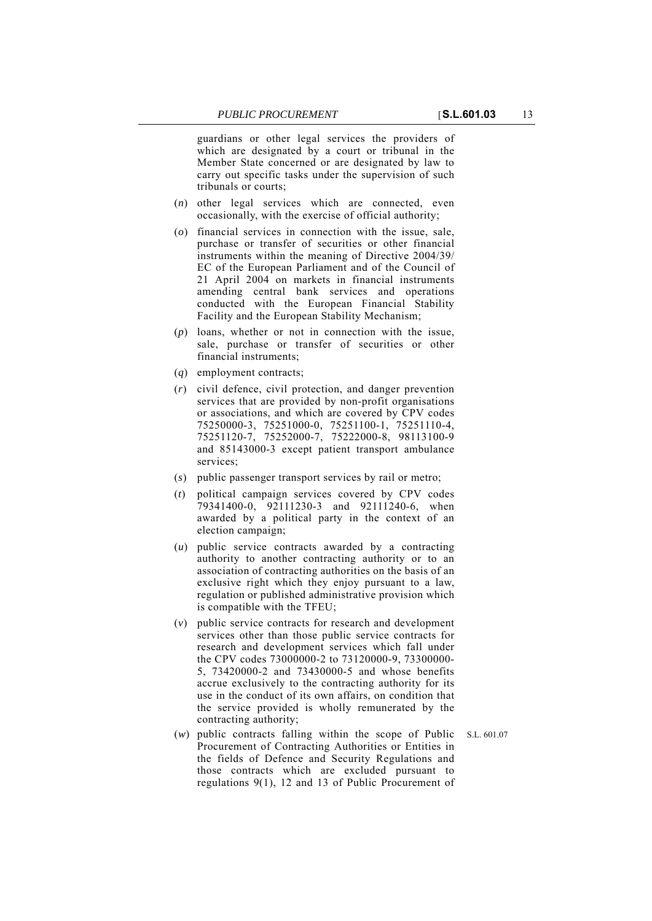guardians or other legal services the providers of which are designated by a court or tribunal in the Member State concerned or are designated by law to carry out specific tasks under the supervision of such tribunals or courts;

- (*n*) other legal services which are connected, even occasionally, with the exercise of official authority;
- (*o*) financial services in connection with the issue, sale, purchase or transfer of securities or other financial instruments within the meaning of Directive 2004/39/ EC of the European Parliament and of the Council of 21 April 2004 on markets in financial instruments amending central bank services and operations conducted with the European Financial Stability Facility and the European Stability Mechanism;
- (*p*) loans, whether or not in connection with the issue, sale, purchase or transfer of securities or other financial instruments;
- (*q*) employment contracts;
- (*r*) civil defence, civil protection, and danger prevention services that are provided by non-profit organisations or associations, and which are covered by CPV codes 75250000-3, 75251000-0, 75251100-1, 75251110-4, 75251120-7, 75252000-7, 75222000-8, 98113100-9 and 85143000-3 except patient transport ambulance services;
- (*s*) public passenger transport services by rail or metro;
- (*t*) political campaign services covered by CPV codes 79341400-0, 92111230-3 and 92111240-6, when awarded by a political party in the context of an election campaign;
- (*u*) public service contracts awarded by a contracting authority to another contracting authority or to an association of contracting authorities on the basis of an exclusive right which they enjoy pursuant to a law, regulation or published administrative provision which is compatible with the TFEU;
- (*v*) public service contracts for research and development services other than those public service contracts for research and development services which fall under the CPV codes 73000000-2 to 73120000-9, 73300000- 5, 73420000-2 and 73430000-5 and whose benefits accrue exclusively to the contracting authority for its use in the conduct of its own affairs, on condition that the service provided is wholly remunerated by the contracting authority;
- (*w*) public contracts falling within the scope of Public S.L. 601.07 Procurement of Contracting Authorities or Entities in the fields of Defence and Security Regulations and those contracts which are excluded pursuant to regulations 9(1), 12 and 13 of Public Procurement of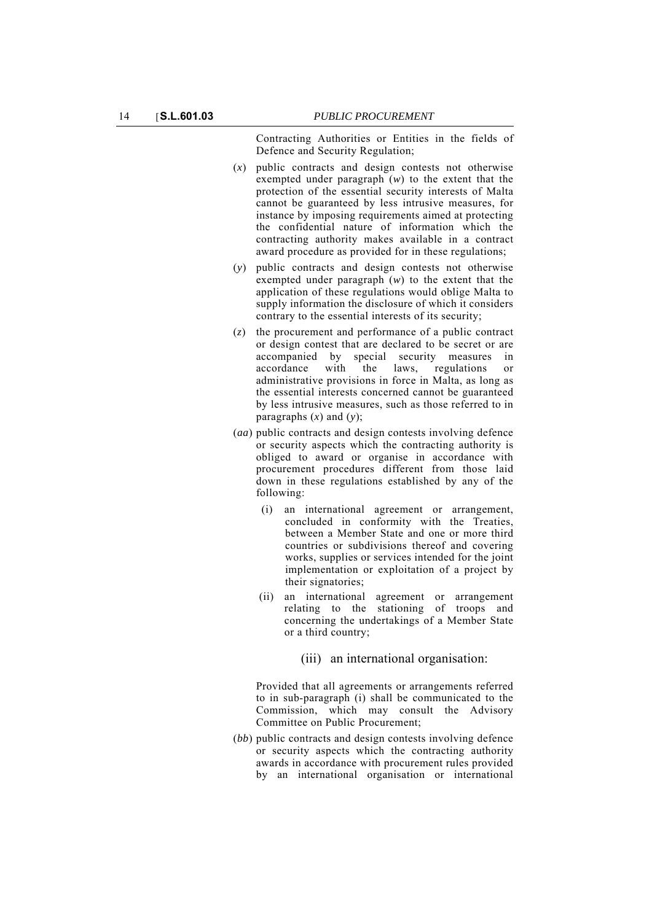Contracting Authorities or Entities in the fields of Defence and Security Regulation;

- (*x*) public contracts and design contests not otherwise exempted under paragraph (*w*) to the extent that the protection of the essential security interests of Malta cannot be guaranteed by less intrusive measures, for instance by imposing requirements aimed at protecting the confidential nature of information which the contracting authority makes available in a contract award procedure as provided for in these regulations;
- (*y*) public contracts and design contests not otherwise exempted under paragraph (*w*) to the extent that the application of these regulations would oblige Malta to supply information the disclosure of which it considers contrary to the essential interests of its security;
- (*z*) the procurement and performance of a public contract or design contest that are declared to be secret or are accompanied by special security measures in accordance with the laws, regulations or administrative provisions in force in Malta, as long as the essential interests concerned cannot be guaranteed by less intrusive measures, such as those referred to in paragraphs (*x*) and (*y*);
- (*aa*) public contracts and design contests involving defence or security aspects which the contracting authority is obliged to award or organise in accordance with procurement procedures different from those laid down in these regulations established by any of the following:
	- (i) an international agreement or arrangement, concluded in conformity with the Treaties, between a Member State and one or more third countries or subdivisions thereof and covering works, supplies or services intended for the joint implementation or exploitation of a project by their signatories;
	- (ii) an international agreement or arrangement relating to the stationing of troops and concerning the undertakings of a Member State or a third country;

(iii) an international organisation:

Provided that all agreements or arrangements referred to in sub-paragraph (i) shall be communicated to the Commission, which may consult the Advisory Committee on Public Procurement;

(*bb*) public contracts and design contests involving defence or security aspects which the contracting authority awards in accordance with procurement rules provided by an international organisation or international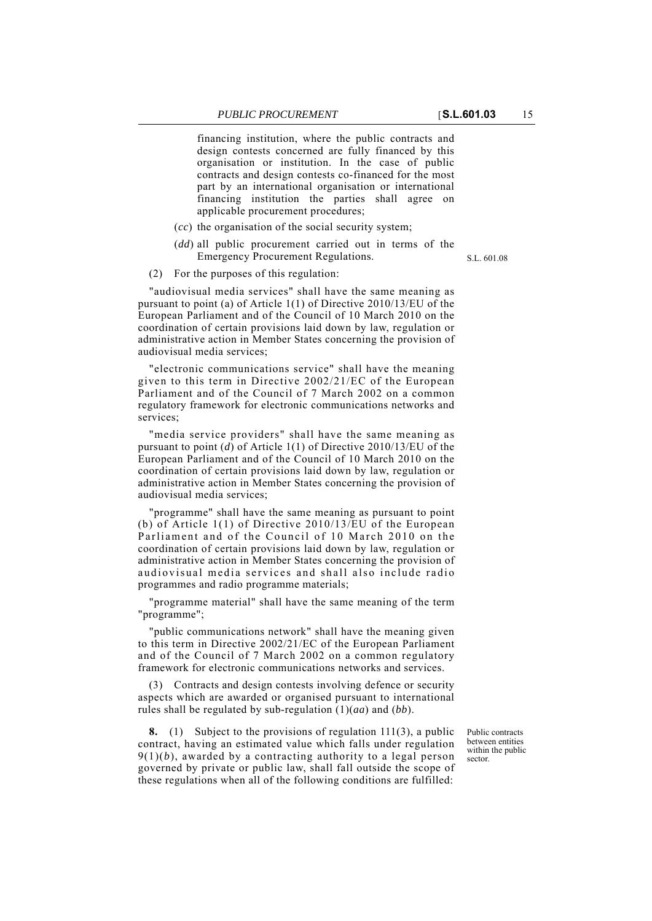financing institution, where the public contracts and design contests concerned are fully financed by this organisation or institution. In the case of public contracts and design contests co-financed for the most part by an international organisation or international financing institution the parties shall agree on applicable procurement procedures;

- (*cc*) the organisation of the social security system;
- (*dd*) all public procurement carried out in terms of the Emergency Procurement Regulations.
- (2) For the purposes of this regulation:

"audiovisual media services" shall have the same meaning as pursuant to point (a) of Article 1(1) of Directive 2010/13/EU of the European Parliament and of the Council of 10 March 2010 on the coordination of certain provisions laid down by law, regulation or administrative action in Member States concerning the provision of audiovisual media services;

"electronic communications service" shall have the meaning given to this term in Directive 2002/21/EC of the European Parliament and of the Council of 7 March 2002 on a common regulatory framework for electronic communications networks and services;

"media service providers" shall have the same meaning as pursuant to point (*d*) of Article 1(1) of Directive 2010/13/EU of the European Parliament and of the Council of 10 March 2010 on the coordination of certain provisions laid down by law, regulation or administrative action in Member States concerning the provision of audiovisual media services;

"programme" shall have the same meaning as pursuant to point (b) of Article 1(1) of Directive 2010/13/EU of the European Parliament and of the Council of 10 March 2010 on the coordination of certain provisions laid down by law, regulation or administrative action in Member States concerning the provision of audiovisual media services and shall also include radio programmes and radio programme materials;

"programme material" shall have the same meaning of the term "programme";

"public communications network" shall have the meaning given to this term in Directive 2002/21/EC of the European Parliament and of the Council of 7 March 2002 on a common regulatory framework for electronic communications networks and services.

(3) Contracts and design contests involving defence or security aspects which are awarded or organised pursuant to international rules shall be regulated by sub-regulation (1)(*aa*) and (*bb*).

**8.** (1) Subject to the provisions of regulation 111(3), a public contract, having an estimated value which falls under regulation  $9(1)(b)$ , awarded by a contracting authority to a legal person governed by private or public law, shall fall outside the scope of these regulations when all of the following conditions are fulfilled:

Public contracts between entities within the public sector.

S.L. 601.08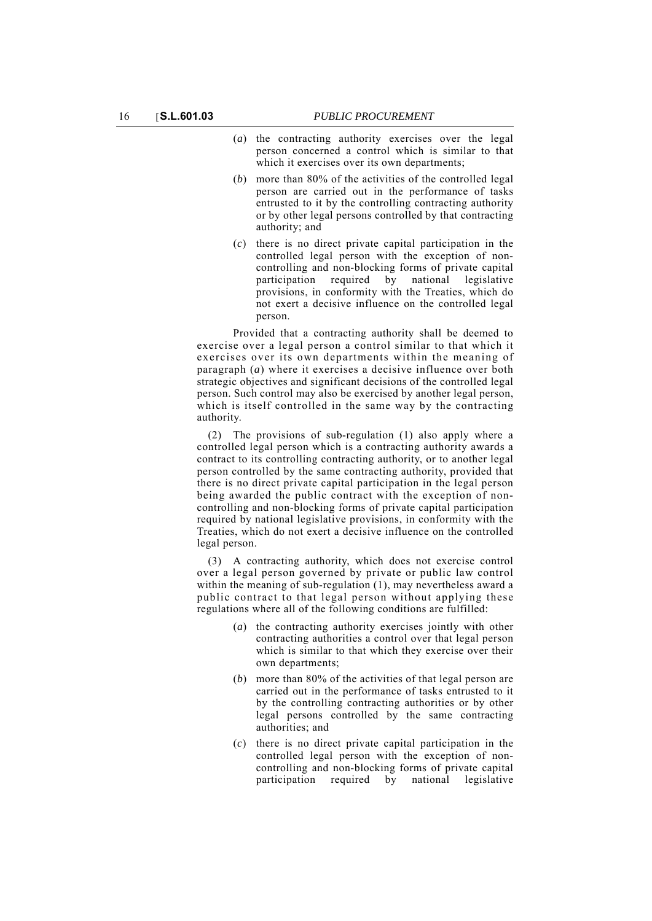- (*a*) the contracting authority exercises over the legal person concerned a control which is similar to that which it exercises over its own departments;
- (*b*) more than 80% of the activities of the controlled legal person are carried out in the performance of tasks entrusted to it by the controlling contracting authority or by other legal persons controlled by that contracting authority; and
- (*c*) there is no direct private capital participation in the controlled legal person with the exception of noncontrolling and non-blocking forms of private capital participation required by national legislative provisions, in conformity with the Treaties, which do not exert a decisive influence on the controlled legal person.

Provided that a contracting authority shall be deemed to exercise over a legal person a control similar to that which it exercises over its own departments within the meaning of paragraph (*a*) where it exercises a decisive influence over both strategic objectives and significant decisions of the controlled legal person. Such control may also be exercised by another legal person, which is itself controlled in the same way by the contracting authority.

(2) The provisions of sub-regulation (1) also apply where a controlled legal person which is a contracting authority awards a contract to its controlling contracting authority, or to another legal person controlled by the same contracting authority, provided that there is no direct private capital participation in the legal person being awarded the public contract with the exception of noncontrolling and non-blocking forms of private capital participation required by national legislative provisions, in conformity with the Treaties, which do not exert a decisive influence on the controlled legal person.

(3) A contracting authority, which does not exercise control over a legal person governed by private or public law control within the meaning of sub-regulation (1), may nevertheless award a public contract to that legal person without applying these regulations where all of the following conditions are fulfilled:

- (*a*) the contracting authority exercises jointly with other contracting authorities a control over that legal person which is similar to that which they exercise over their own departments;
- (*b*) more than 80% of the activities of that legal person are carried out in the performance of tasks entrusted to it by the controlling contracting authorities or by other legal persons controlled by the same contracting authorities; and
- (*c*) there is no direct private capital participation in the controlled legal person with the exception of noncontrolling and non-blocking forms of private capital participation required by national legislative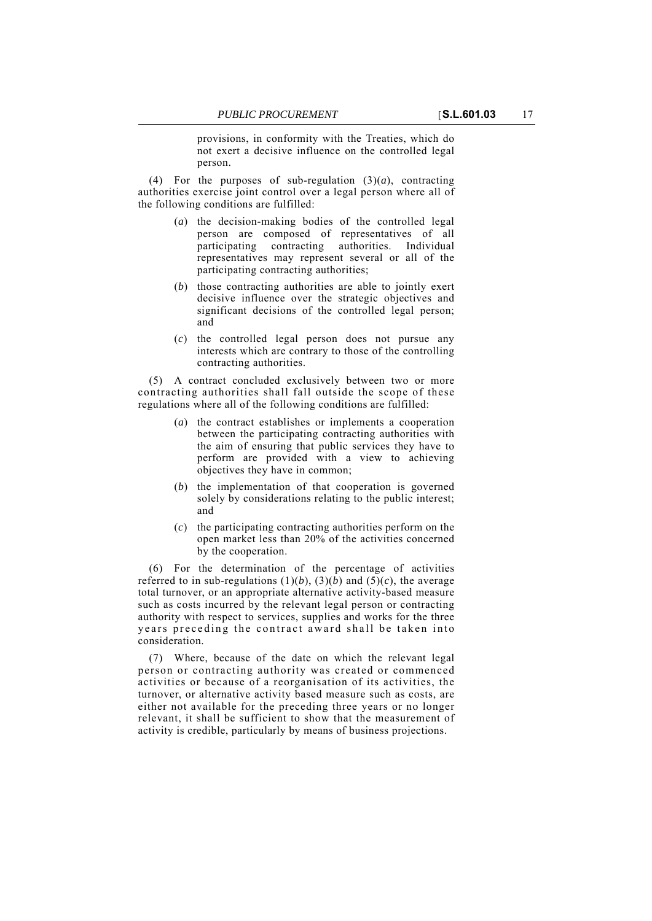provisions, in conformity with the Treaties, which do not exert a decisive influence on the controlled legal person.

(4) For the purposes of sub-regulation  $(3)(a)$ , contracting authorities exercise joint control over a legal person where all of the following conditions are fulfilled:

- (*a*) the decision-making bodies of the controlled legal person are composed of representatives of all participating contracting authorities. Individual representatives may represent several or all of the participating contracting authorities;
- (*b*) those contracting authorities are able to jointly exert decisive influence over the strategic objectives and significant decisions of the controlled legal person; and
- (*c*) the controlled legal person does not pursue any interests which are contrary to those of the controlling contracting authorities.

(5) A contract concluded exclusively between two or more contracting authorities shall fall outside the scope of these regulations where all of the following conditions are fulfilled:

- (*a*) the contract establishes or implements a cooperation between the participating contracting authorities with the aim of ensuring that public services they have to perform are provided with a view to achieving objectives they have in common;
- (*b*) the implementation of that cooperation is governed solely by considerations relating to the public interest; and
- (*c*) the participating contracting authorities perform on the open market less than 20% of the activities concerned by the cooperation.

(6) For the determination of the percentage of activities referred to in sub-regulations  $(1)(b)$ ,  $(3)(b)$  and  $(5)(c)$ , the average total turnover, or an appropriate alternative activity-based measure such as costs incurred by the relevant legal person or contracting authority with respect to services, supplies and works for the three years preceding the contract award shall be taken into consideration.

(7) Where, because of the date on which the relevant legal person or contracting authority was created or commenced activities or because of a reorganisation of its activities, the turnover, or alternative activity based measure such as costs, are either not available for the preceding three years or no longer relevant, it shall be sufficient to show that the measurement of activity is credible, particularly by means of business projections.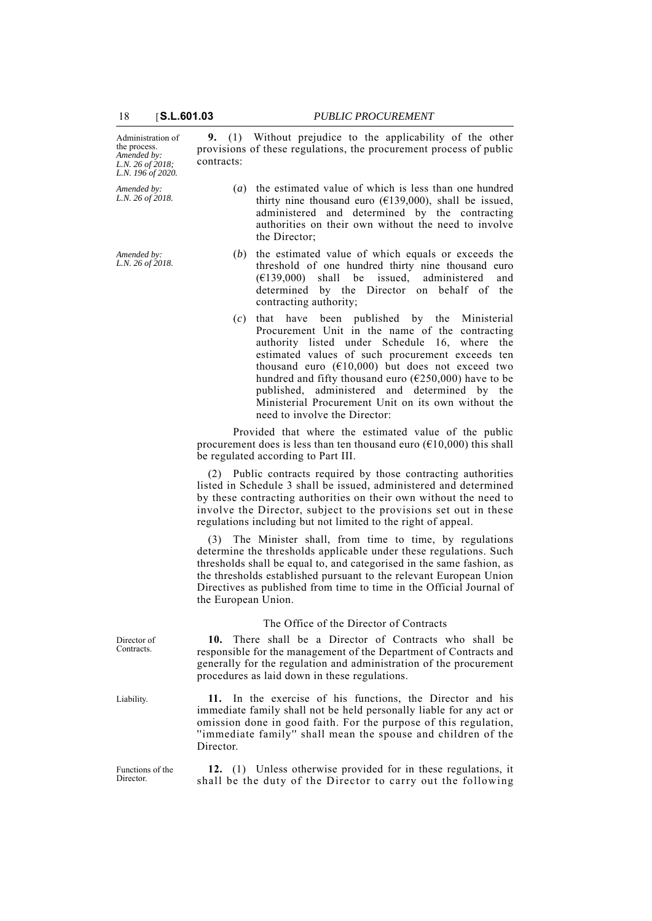| Administration of<br>the process.<br>Amended by:<br>L.N. 26 of 2018;<br>L.N. 196 of 2020. | 9. (1) Without prejudice to the applicability of the other<br>provisions of these regulations, the procurement process of public<br>contracts:                                                                                                                                                                                                                                                                                                                        |  |  |
|-------------------------------------------------------------------------------------------|-----------------------------------------------------------------------------------------------------------------------------------------------------------------------------------------------------------------------------------------------------------------------------------------------------------------------------------------------------------------------------------------------------------------------------------------------------------------------|--|--|
| Amended by:<br>L.N. 26 of 2018.                                                           | (a) the estimated value of which is less than one hundred<br>thirty nine thousand euro ( $E$ 139,000), shall be issued,<br>administered and determined by the contracting<br>authorities on their own without the need to involve<br>the Director;                                                                                                                                                                                                                    |  |  |
| Amended by:<br>L.N. 26 of 2018.                                                           | the estimated value of which equals or exceeds the<br>(b)<br>threshold of one hundred thirty nine thousand euro<br>shall be issued,<br>administered<br>and<br>$(\text{\textsterling}139,000)$<br>determined by the Director on behalf of<br>the<br>contracting authority;                                                                                                                                                                                             |  |  |
|                                                                                           | that have been published by the Ministerial<br>(c)<br>Procurement Unit in the name of the contracting<br>authority listed under Schedule 16, where the<br>estimated values of such procurement exceeds ten<br>thousand euro $(610,000)$ but does not exceed two<br>hundred and fifty thousand euro ( $E250,000$ ) have to be<br>published, administered and determined by the<br>Ministerial Procurement Unit on its own without the<br>need to involve the Director: |  |  |
|                                                                                           | Provided that where the estimated value of the public<br>procurement does is less than ten thousand euro ( $€10,000$ ) this shall<br>be regulated according to Part III.                                                                                                                                                                                                                                                                                              |  |  |
|                                                                                           | (2) Public contracts required by those contracting authorities<br>listed in Schedule 3 shall be issued, administered and determined<br>by these contracting authorities on their own without the need to<br>involve the Director, subject to the provisions set out in these<br>regulations including but not limited to the right of appeal.                                                                                                                         |  |  |
|                                                                                           | The Minister shall, from time to time, by regulations<br>(3)<br>determine the thresholds applicable under these regulations. Such<br>thresholds shall be equal to, and categorised in the same fashion, as<br>the thresholds established pursuant to the relevant European Union<br>Directives as published from time to time in the Official Journal of<br>the European Union.                                                                                       |  |  |
|                                                                                           | The Office of the Director of Contracts                                                                                                                                                                                                                                                                                                                                                                                                                               |  |  |
| Director of<br>Contracts.                                                                 | 10. There shall be a Director of Contracts who shall be<br>responsible for the management of the Department of Contracts and<br>generally for the regulation and administration of the procurement<br>procedures as laid down in these regulations.                                                                                                                                                                                                                   |  |  |
| Liability.                                                                                | 11. In the exercise of his functions, the Director and his<br>immediate family shall not be held personally liable for any act or<br>omission done in good faith. For the purpose of this regulation,<br>"immediate family" shall mean the spouse and children of the<br>Director.                                                                                                                                                                                    |  |  |
|                                                                                           |                                                                                                                                                                                                                                                                                                                                                                                                                                                                       |  |  |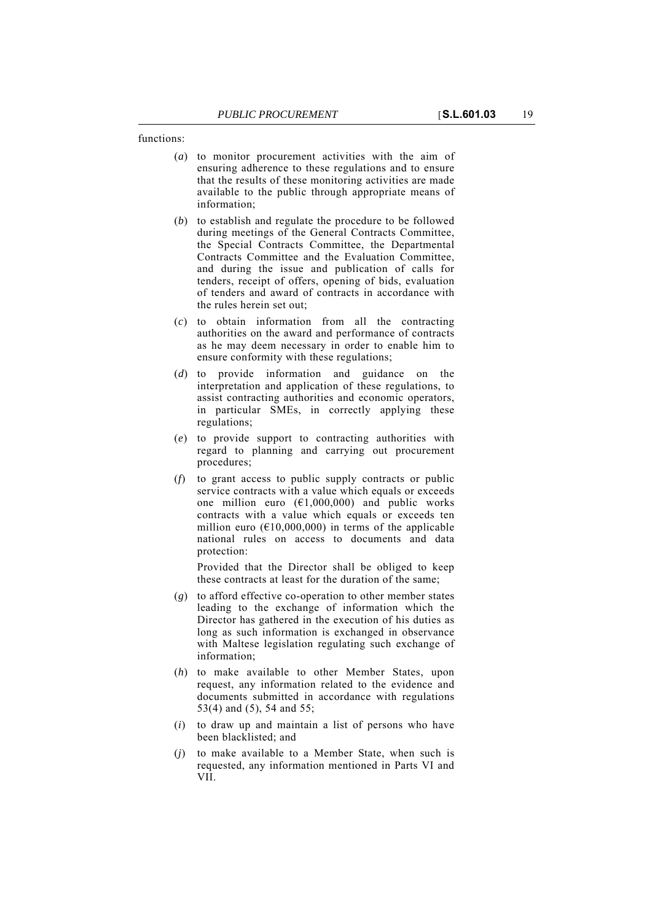functions:

- (*a*) to monitor procurement activities with the aim of ensuring adherence to these regulations and to ensure that the results of these monitoring activities are made available to the public through appropriate means of information;
- (*b*) to establish and regulate the procedure to be followed during meetings of the General Contracts Committee, the Special Contracts Committee, the Departmental Contracts Committee and the Evaluation Committee, and during the issue and publication of calls for tenders, receipt of offers, opening of bids, evaluation of tenders and award of contracts in accordance with the rules herein set out;
- (*c*) to obtain information from all the contracting authorities on the award and performance of contracts as he may deem necessary in order to enable him to ensure conformity with these regulations;
- (*d*) to provide information and guidance on the interpretation and application of these regulations, to assist contracting authorities and economic operators, in particular SMEs, in correctly applying these regulations;
- (*e*) to provide support to contracting authorities with regard to planning and carrying out procurement procedures;
- (*f*) to grant access to public supply contracts or public service contracts with a value which equals or exceeds one million euro  $(\epsilon 1,000,000)$  and public works contracts with a value which equals or exceeds ten million euro ( $\epsilon$ 10,000,000) in terms of the applicable national rules on access to documents and data protection:

Provided that the Director shall be obliged to keep these contracts at least for the duration of the same;

- (*g*) to afford effective co-operation to other member states leading to the exchange of information which the Director has gathered in the execution of his duties as long as such information is exchanged in observance with Maltese legislation regulating such exchange of information;
- (*h*) to make available to other Member States, upon request, any information related to the evidence and documents submitted in accordance with regulations 53(4) and (5), 54 and 55;
- (*i*) to draw up and maintain a list of persons who have been blacklisted; and
- (*j*) to make available to a Member State, when such is requested, any information mentioned in Parts VI and VII.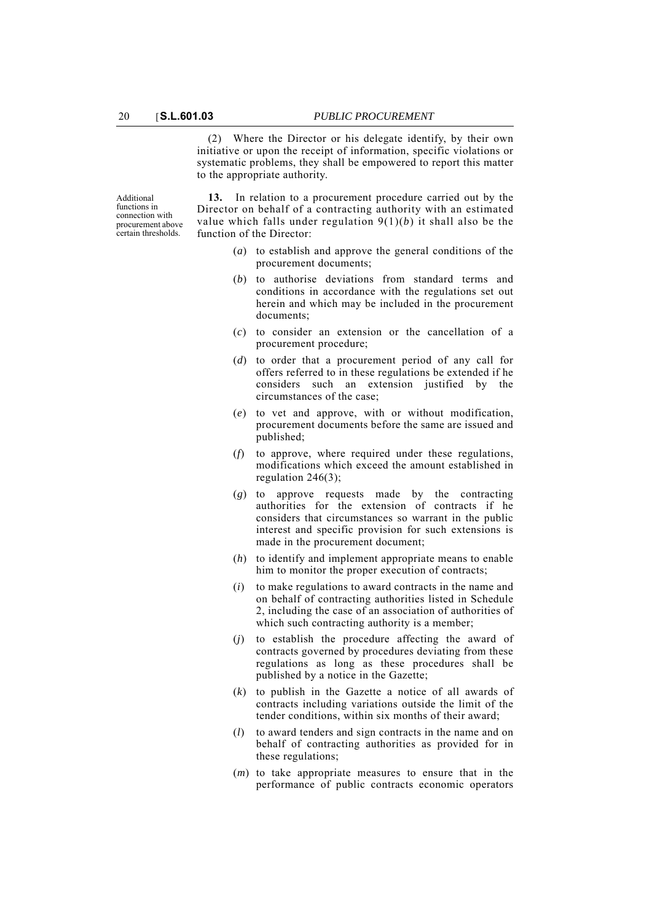(2) Where the Director or his delegate identify, by their own initiative or upon the receipt of information, specific violations or systematic problems, they shall be empowered to report this matter to the appropriate authority.

Additional functions in connection with procurement above certain thresholds.

**13.** In relation to a procurement procedure carried out by the Director on behalf of a contracting authority with an estimated value which falls under regulation  $9(1)(b)$  it shall also be the function of the Director:

- (*a*) to establish and approve the general conditions of the procurement documents;
- (*b*) to authorise deviations from standard terms and conditions in accordance with the regulations set out herein and which may be included in the procurement documents;
- (*c*) to consider an extension or the cancellation of a procurement procedure;
- (*d*) to order that a procurement period of any call for offers referred to in these regulations be extended if he considers such an extension justified by the circumstances of the case;
- (*e*) to vet and approve, with or without modification, procurement documents before the same are issued and published;
- (*f*) to approve, where required under these regulations, modifications which exceed the amount established in regulation 246(3);
- (*g*) to approve requests made by the contracting authorities for the extension of contracts if he considers that circumstances so warrant in the public interest and specific provision for such extensions is made in the procurement document;
- (*h*) to identify and implement appropriate means to enable him to monitor the proper execution of contracts;
- (*i*) to make regulations to award contracts in the name and on behalf of contracting authorities listed in Schedule 2, including the case of an association of authorities of which such contracting authority is a member;
- (*j*) to establish the procedure affecting the award of contracts governed by procedures deviating from these regulations as long as these procedures shall be published by a notice in the Gazette;
- (*k*) to publish in the Gazette a notice of all awards of contracts including variations outside the limit of the tender conditions, within six months of their award;
- (*l*) to award tenders and sign contracts in the name and on behalf of contracting authorities as provided for in these regulations;
- (*m*) to take appropriate measures to ensure that in the performance of public contracts economic operators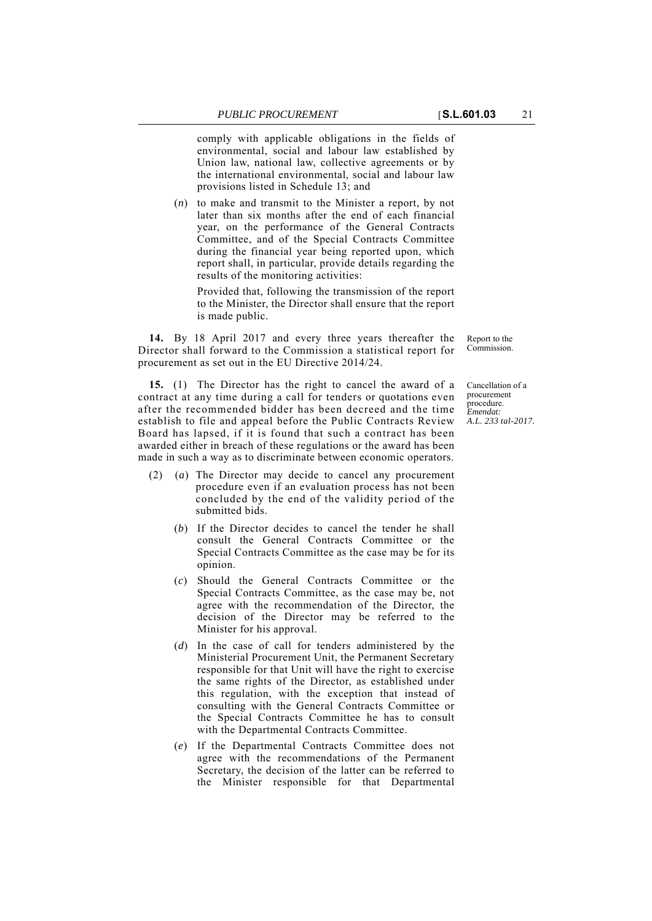comply with applicable obligations in the fields of environmental, social and labour law established by Union law, national law, collective agreements or by

the international environmental, social and labour law provisions listed in Schedule 13; and (*n*) to make and transmit to the Minister a report, by not later than six months after the end of each financial year, on the performance of the General Contracts

Committee, and of the Special Contracts Committee during the financial year being reported upon, which report shall, in particular, provide details regarding the results of the monitoring activities:

Provided that, following the transmission of the report to the Minister, the Director shall ensure that the report is made public.

**14.** By 18 April 2017 and every three years thereafter the Director shall forward to the Commission a statistical report for procurement as set out in the EU Directive 2014/24.

**15.** (1) The Director has the right to cancel the award of a contract at any time during a call for tenders or quotations even after the recommended bidder has been decreed and the time establish to file and appeal before the Public Contracts Review Board has lapsed, if it is found that such a contract has been awarded either in breach of these regulations or the award has been made in such a way as to discriminate between economic operators.

Cancellation of a

Report to the Commission.

(2) (*a*) The Director may decide to cancel any procurement procedure even if an evaluation process has not been concluded by the end of the validity period of the submitted bids.

- (*b*) If the Director decides to cancel the tender he shall consult the General Contracts Committee or the Special Contracts Committee as the case may be for its opinion.
- (*c*) Should the General Contracts Committee or the Special Contracts Committee, as the case may be, not agree with the recommendation of the Director, the decision of the Director may be referred to the Minister for his approval.
- (*d*) In the case of call for tenders administered by the Ministerial Procurement Unit, the Permanent Secretary responsible for that Unit will have the right to exercise the same rights of the Director, as established under this regulation, with the exception that instead of consulting with the General Contracts Committee or the Special Contracts Committee he has to consult with the Departmental Contracts Committee.
- (*e*) If the Departmental Contracts Committee does not agree with the recommendations of the Permanent Secretary, the decision of the latter can be referred to the Minister responsible for that Departmental

procurement procedure. *Emendat: A.L. 233 tal-2017.*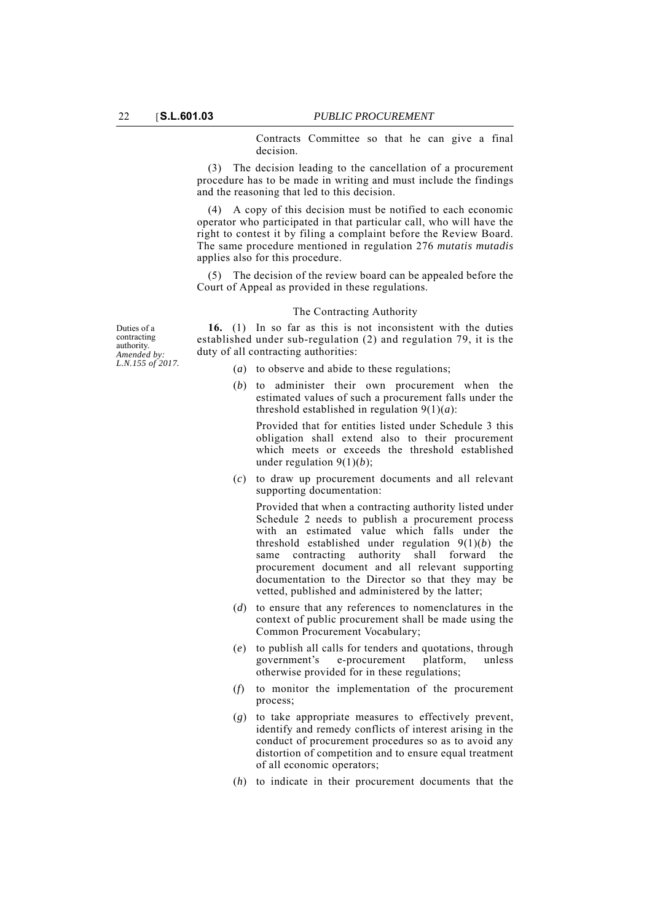Contracts Committee so that he can give a final decision.

(3) The decision leading to the cancellation of a procurement procedure has to be made in writing and must include the findings and the reasoning that led to this decision.

(4) A copy of this decision must be notified to each economic operator who participated in that particular call, who will have the right to contest it by filing a complaint before the Review Board. The same procedure mentioned in regulation 276 *mutatis mutadis* applies also for this procedure.

(5) The decision of the review board can be appealed before the Court of Appeal as provided in these regulations.

#### The Contracting Authority

**16.** (1) In so far as this is not inconsistent with the duties established under sub-regulation (2) and regulation 79, it is the duty of all contracting authorities:

- (*a*) to observe and abide to these regulations;
- (*b*) to administer their own procurement when the estimated values of such a procurement falls under the threshold established in regulation 9(1)(*a*):

Provided that for entities listed under Schedule 3 this obligation shall extend also to their procurement which meets or exceeds the threshold established under regulation 9(1)(*b*);

(*c*) to draw up procurement documents and all relevant supporting documentation:

Provided that when a contracting authority listed under Schedule 2 needs to publish a procurement process with an estimated value which falls under the threshold established under regulation 9(1)(*b*) the same contracting authority shall forward the procurement document and all relevant supporting documentation to the Director so that they may be vetted, published and administered by the latter;

- (*d*) to ensure that any references to nomenclatures in the context of public procurement shall be made using the Common Procurement Vocabulary;
- (*e*) to publish all calls for tenders and quotations, through government's e-procurement platform, unless otherwise provided for in these regulations;
- (*f*) to monitor the implementation of the procurement process;
- (*g*) to take appropriate measures to effectively prevent, identify and remedy conflicts of interest arising in the conduct of procurement procedures so as to avoid any distortion of competition and to ensure equal treatment of all economic operators;
- (*h*) to indicate in their procurement documents that the

Duties of a contracting authority. *Amended by: L.N.155 of 2017.*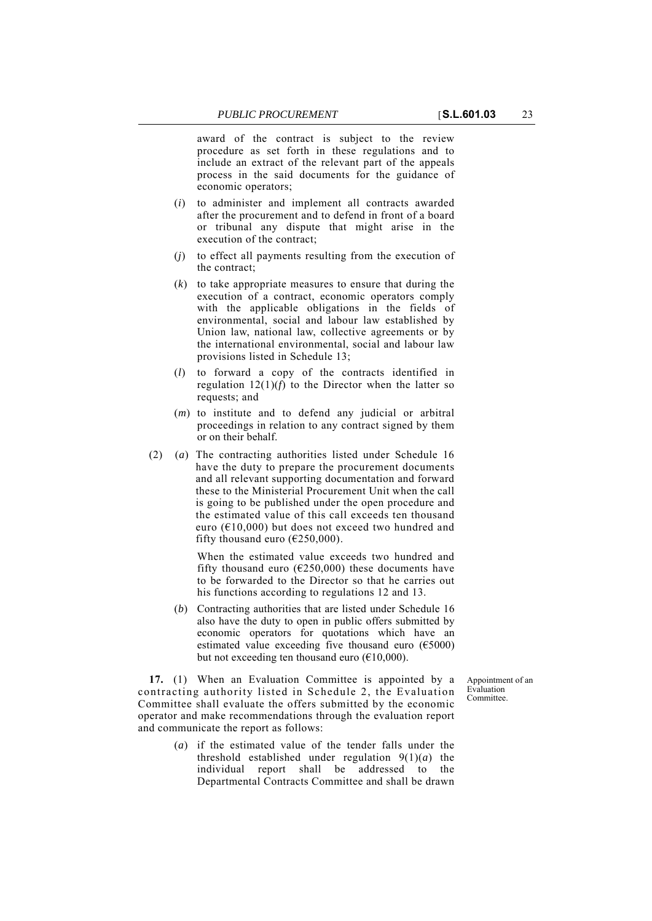award of the contract is subject to the review procedure as set forth in these regulations and to include an extract of the relevant part of the appeals process in the said documents for the guidance of economic operators;

- (*i*) to administer and implement all contracts awarded after the procurement and to defend in front of a board or tribunal any dispute that might arise in the execution of the contract;
- (*j*) to effect all payments resulting from the execution of the contract;
- (*k*) to take appropriate measures to ensure that during the execution of a contract, economic operators comply with the applicable obligations in the fields of environmental, social and labour law established by Union law, national law, collective agreements or by the international environmental, social and labour law provisions listed in Schedule 13;
- (*l*) to forward a copy of the contracts identified in regulation  $12(1)(f)$  to the Director when the latter so requests; and
- (*m*) to institute and to defend any judicial or arbitral proceedings in relation to any contract signed by them or on their behalf.
- (2) (*a*) The contracting authorities listed under Schedule 16 have the duty to prepare the procurement documents and all relevant supporting documentation and forward these to the Ministerial Procurement Unit when the call is going to be published under the open procedure and the estimated value of this call exceeds ten thousand euro ( $E10,000$ ) but does not exceed two hundred and fifty thousand euro ( $\epsilon$ 250,000).

When the estimated value exceeds two hundred and fifty thousand euro ( $E$ 250,000) these documents have to be forwarded to the Director so that he carries out his functions according to regulations 12 and 13.

(*b*) Contracting authorities that are listed under Schedule 16 also have the duty to open in public offers submitted by economic operators for quotations which have an estimated value exceeding five thousand euro ( $\epsilon$ 5000) but not exceeding ten thousand euro  $(\text{\textsterling}10,000)$ .

> Appointment of an Evaluation Committee.

**17.** (1) When an Evaluation Committee is appointed by a contracting authority listed in Schedule 2, the Evaluation Committee shall evaluate the offers submitted by the economic operator and make recommendations through the evaluation report and communicate the report as follows:

> (*a*) if the estimated value of the tender falls under the threshold established under regulation  $9(1)(a)$  the individual report shall be addressed to the Departmental Contracts Committee and shall be drawn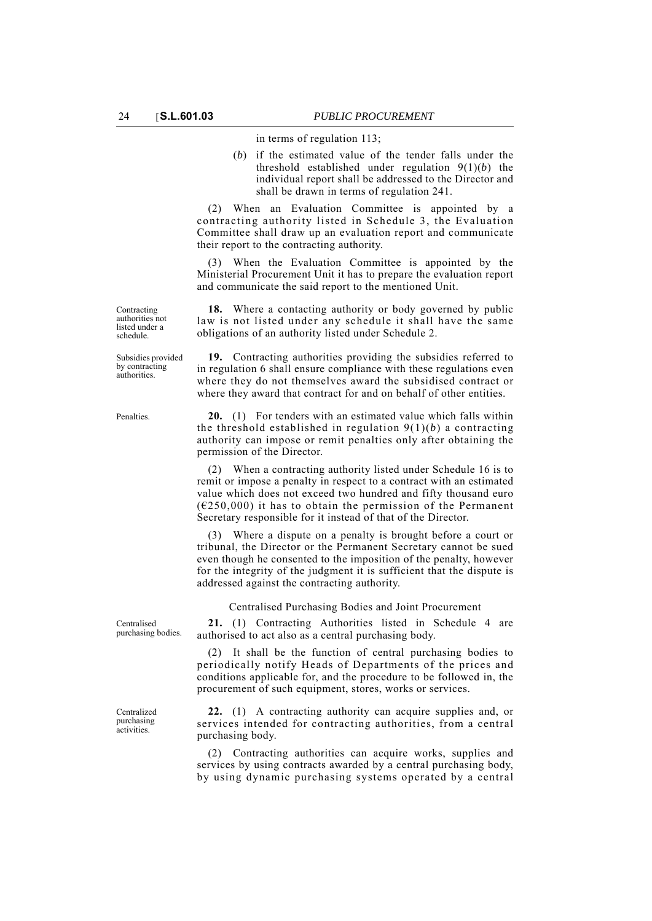in terms of regulation 113;

(*b*) if the estimated value of the tender falls under the threshold established under regulation 9(1)(*b*) the individual report shall be addressed to the Director and shall be drawn in terms of regulation 241.

(2) When an Evaluation Committee is appointed by a contracting authority listed in Schedule 3, the Evaluation Committee shall draw up an evaluation report and communicate their report to the contracting authority.

(3) When the Evaluation Committee is appointed by the Ministerial Procurement Unit it has to prepare the evaluation report and communicate the said report to the mentioned Unit.

**18.** Where a contacting authority or body governed by public law is not listed under any schedule it shall have the same obligations of an authority listed under Schedule 2.

**19.** Contracting authorities providing the subsidies referred to in regulation 6 shall ensure compliance with these regulations even where they do not themselves award the subsidised contract or where they award that contract for and on behalf of other entities.

Penalties. **20.** (1) For tenders with an estimated value which falls within the threshold established in regulation 9(1)(*b*) a contracting authority can impose or remit penalties only after obtaining the permission of the Director.

> (2) When a contracting authority listed under Schedule 16 is to remit or impose a penalty in respect to a contract with an estimated value which does not exceed two hundred and fifty thousand euro  $(6250,000)$  it has to obtain the permission of the Permanent Secretary responsible for it instead of that of the Director.

> (3) Where a dispute on a penalty is brought before a court or tribunal, the Director or the Permanent Secretary cannot be sued even though he consented to the imposition of the penalty, however for the integrity of the judgment it is sufficient that the dispute is addressed against the contracting authority.

Centralised Purchasing Bodies and Joint Procurement

**21.** (1) Contracting Authorities listed in Schedule 4 are authorised to act also as a central purchasing body.

(2) It shall be the function of central purchasing bodies to periodically notify Heads of Departments of the prices and conditions applicable for, and the procedure to be followed in, the procurement of such equipment, stores, works or services.

**22.** (1) A contracting authority can acquire supplies and, or services intended for contracting authorities, from a central purchasing body.

(2) Contracting authorities can acquire works, supplies and services by using contracts awarded by a central purchasing body, by using dynamic purchasing systems operated by a central

Centralised purchasing bodies.

Centralized purchasing activities.

Contracting authorities not listed under a schedule.

Subsidies provided by contracting authorities.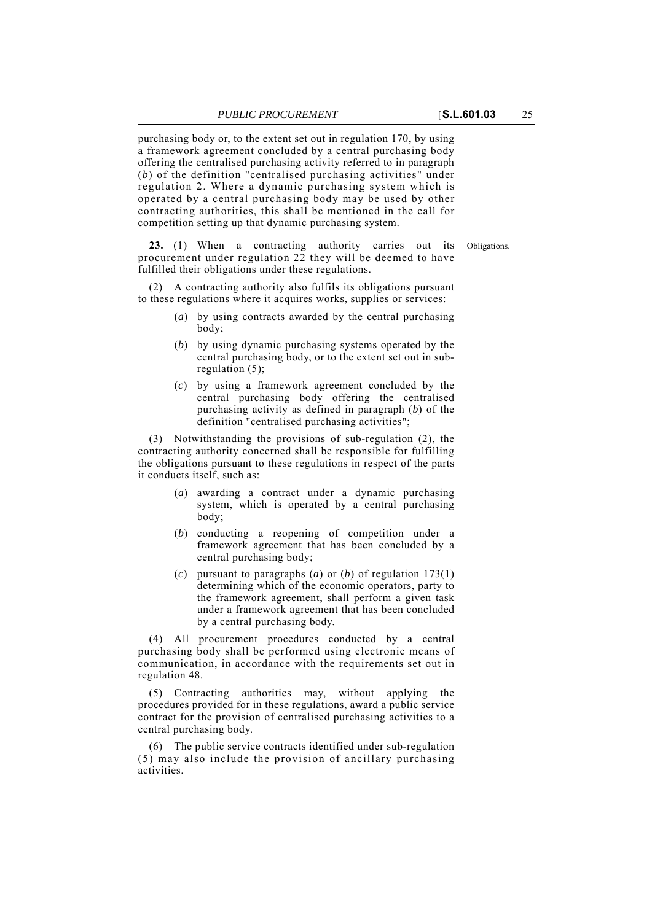purchasing body or, to the extent set out in regulation 170, by using a framework agreement concluded by a central purchasing body offering the centralised purchasing activity referred to in paragraph (*b*) of the definition "centralised purchasing activities" under regulation 2. Where a dynamic purchasing system which is operated by a central purchasing body may be used by other contracting authorities, this shall be mentioned in the call for competition setting up that dynamic purchasing system.

**23.** (1) When a contracting authority carries out its Obligations. procurement under regulation 22 they will be deemed to have fulfilled their obligations under these regulations.

(2) A contracting authority also fulfils its obligations pursuant to these regulations where it acquires works, supplies or services:

- (*a*) by using contracts awarded by the central purchasing body;
- (*b*) by using dynamic purchasing systems operated by the central purchasing body, or to the extent set out in subregulation (5);
- (*c*) by using a framework agreement concluded by the central purchasing body offering the centralised purchasing activity as defined in paragraph (*b*) of the definition "centralised purchasing activities";

(3) Notwithstanding the provisions of sub-regulation (2), the contracting authority concerned shall be responsible for fulfilling the obligations pursuant to these regulations in respect of the parts it conducts itself, such as:

- (*a*) awarding a contract under a dynamic purchasing system, which is operated by a central purchasing body;
- (*b*) conducting a reopening of competition under a framework agreement that has been concluded by a central purchasing body;
- (*c*) pursuant to paragraphs (*a*) or (*b*) of regulation 173(1) determining which of the economic operators, party to the framework agreement, shall perform a given task under a framework agreement that has been concluded by a central purchasing body.

(4) All procurement procedures conducted by a central purchasing body shall be performed using electronic means of communication, in accordance with the requirements set out in regulation 48.

(5) Contracting authorities may, without applying the procedures provided for in these regulations, award a public service contract for the provision of centralised purchasing activities to a central purchasing body.

(6) The public service contracts identified under sub-regulation (5) may also include the provision of ancillary purchasing activities.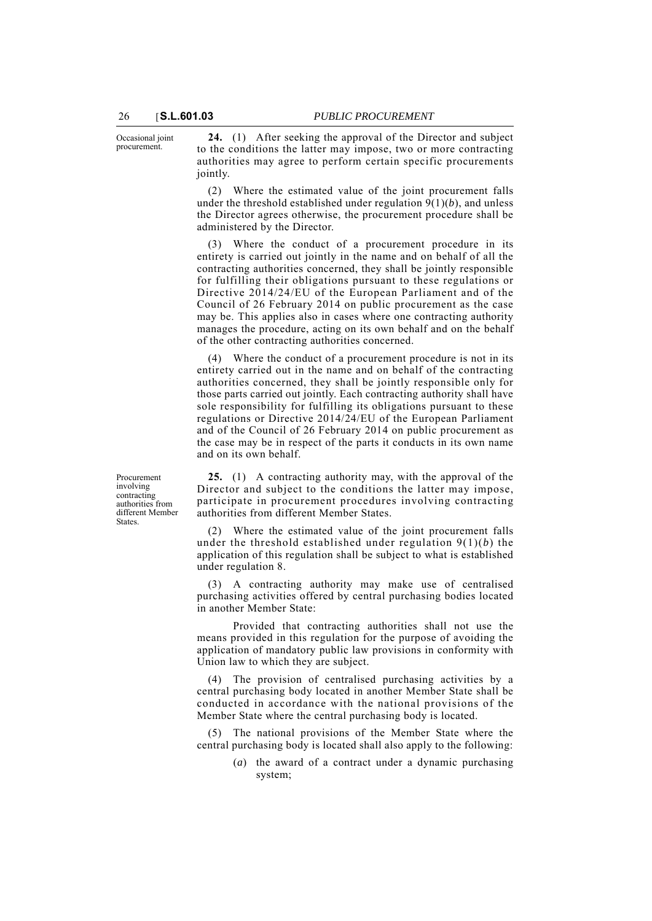Occasional joint procurement.

**24.** (1) After seeking the approval of the Director and subject to the conditions the latter may impose, two or more contracting authorities may agree to perform certain specific procurements jointly.

(2) Where the estimated value of the joint procurement falls under the threshold established under regulation 9(1)(*b*), and unless the Director agrees otherwise, the procurement procedure shall be administered by the Director.

(3) Where the conduct of a procurement procedure in its entirety is carried out jointly in the name and on behalf of all the contracting authorities concerned, they shall be jointly responsible for fulfilling their obligations pursuant to these regulations or Directive 2014/24/EU of the European Parliament and of the Council of 26 February 2014 on public procurement as the case may be. This applies also in cases where one contracting authority manages the procedure, acting on its own behalf and on the behalf of the other contracting authorities concerned.

(4) Where the conduct of a procurement procedure is not in its entirety carried out in the name and on behalf of the contracting authorities concerned, they shall be jointly responsible only for those parts carried out jointly. Each contracting authority shall have sole responsibility for fulfilling its obligations pursuant to these regulations or Directive 2014/24/EU of the European Parliament and of the Council of 26 February 2014 on public procurement as the case may be in respect of the parts it conducts in its own name and on its own behalf.

Procurement involving contracting authorities from different Member **States** 

**25.** (1) A contracting authority may, with the approval of the Director and subject to the conditions the latter may impose, participate in procurement procedures involving contracting authorities from different Member States.

(2) Where the estimated value of the joint procurement falls under the threshold established under regulation 9(1)(*b*) the application of this regulation shall be subject to what is established under regulation 8.

(3) A contracting authority may make use of centralised purchasing activities offered by central purchasing bodies located in another Member State:

Provided that contracting authorities shall not use the means provided in this regulation for the purpose of avoiding the application of mandatory public law provisions in conformity with Union law to which they are subject.

(4) The provision of centralised purchasing activities by a central purchasing body located in another Member State shall be conducted in accordance with the national provisions of the Member State where the central purchasing body is located.

The national provisions of the Member State where the central purchasing body is located shall also apply to the following:

> (*a*) the award of a contract under a dynamic purchasing system;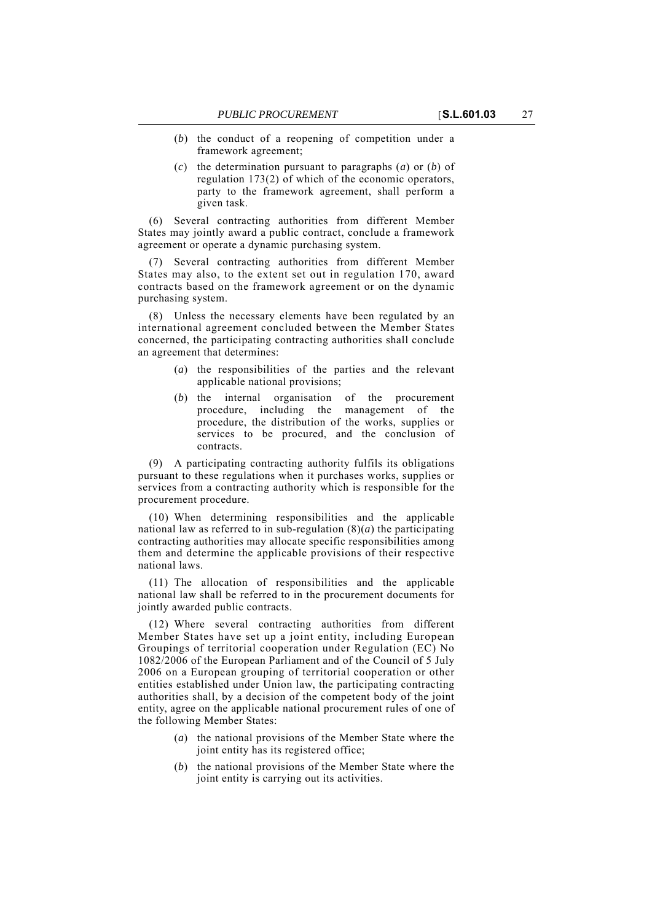- (*b*) the conduct of a reopening of competition under a framework agreement;
- (*c*) the determination pursuant to paragraphs (*a*) or (*b*) of regulation 173(2) of which of the economic operators, party to the framework agreement, shall perform a given task.

(6) Several contracting authorities from different Member States may jointly award a public contract, conclude a framework agreement or operate a dynamic purchasing system.

(7) Several contracting authorities from different Member States may also, to the extent set out in regulation 170, award contracts based on the framework agreement or on the dynamic purchasing system.

(8) Unless the necessary elements have been regulated by an international agreement concluded between the Member States concerned, the participating contracting authorities shall conclude an agreement that determines:

- (*a*) the responsibilities of the parties and the relevant applicable national provisions;
- (*b*) the internal organisation of the procurement procedure, including the management of the procedure, the distribution of the works, supplies or services to be procured, and the conclusion of contracts.

(9) A participating contracting authority fulfils its obligations pursuant to these regulations when it purchases works, supplies or services from a contracting authority which is responsible for the procurement procedure.

(10) When determining responsibilities and the applicable national law as referred to in sub-regulation  $(8)(a)$  the participating contracting authorities may allocate specific responsibilities among them and determine the applicable provisions of their respective national laws.

(11) The allocation of responsibilities and the applicable national law shall be referred to in the procurement documents for jointly awarded public contracts.

(12) Where several contracting authorities from different Member States have set up a joint entity, including European Groupings of territorial cooperation under Regulation (EC) No 1082/2006 of the European Parliament and of the Council of 5 July 2006 on a European grouping of territorial cooperation or other entities established under Union law, the participating contracting authorities shall, by a decision of the competent body of the joint entity, agree on the applicable national procurement rules of one of the following Member States:

- (*a*) the national provisions of the Member State where the joint entity has its registered office;
- (*b*) the national provisions of the Member State where the joint entity is carrying out its activities.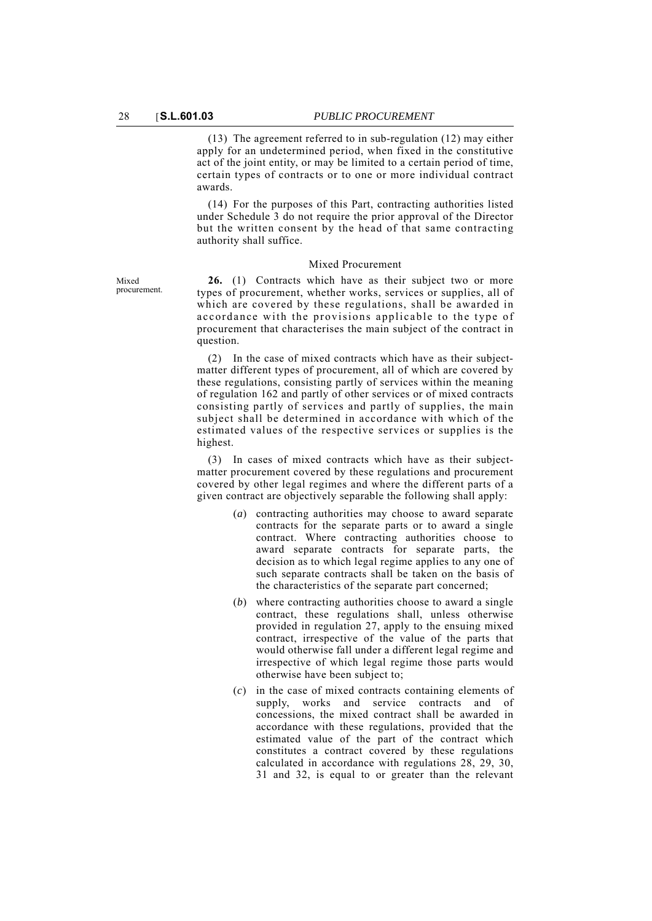(13) The agreement referred to in sub-regulation (12) may either apply for an undetermined period, when fixed in the constitutive act of the joint entity, or may be limited to a certain period of time, certain types of contracts or to one or more individual contract awards.

(14) For the purposes of this Part, contracting authorities listed under Schedule 3 do not require the prior approval of the Director but the written consent by the head of that same contracting authority shall suffice.

### Mixed Procurement

**26.** (1) Contracts which have as their subject two or more types of procurement, whether works, services or supplies, all of which are covered by these regulations, shall be awarded in accordance with the provisions applicable to the type of procurement that characterises the main subject of the contract in question.

(2) In the case of mixed contracts which have as their subjectmatter different types of procurement, all of which are covered by these regulations, consisting partly of services within the meaning of regulation 162 and partly of other services or of mixed contracts consisting partly of services and partly of supplies, the main subject shall be determined in accordance with which of the estimated values of the respective services or supplies is the highest.

(3) In cases of mixed contracts which have as their subjectmatter procurement covered by these regulations and procurement covered by other legal regimes and where the different parts of a given contract are objectively separable the following shall apply:

- (*a*) contracting authorities may choose to award separate contracts for the separate parts or to award a single contract. Where contracting authorities choose to award separate contracts for separate parts, the decision as to which legal regime applies to any one of such separate contracts shall be taken on the basis of the characteristics of the separate part concerned;
- (*b*) where contracting authorities choose to award a single contract, these regulations shall, unless otherwise provided in regulation 27, apply to the ensuing mixed contract, irrespective of the value of the parts that would otherwise fall under a different legal regime and irrespective of which legal regime those parts would otherwise have been subject to;
- (*c*) in the case of mixed contracts containing elements of supply, works and service contracts and of concessions, the mixed contract shall be awarded in accordance with these regulations, provided that the estimated value of the part of the contract which constitutes a contract covered by these regulations calculated in accordance with regulations 28, 29, 30, 31 and 32, is equal to or greater than the relevant

Mixed procurement.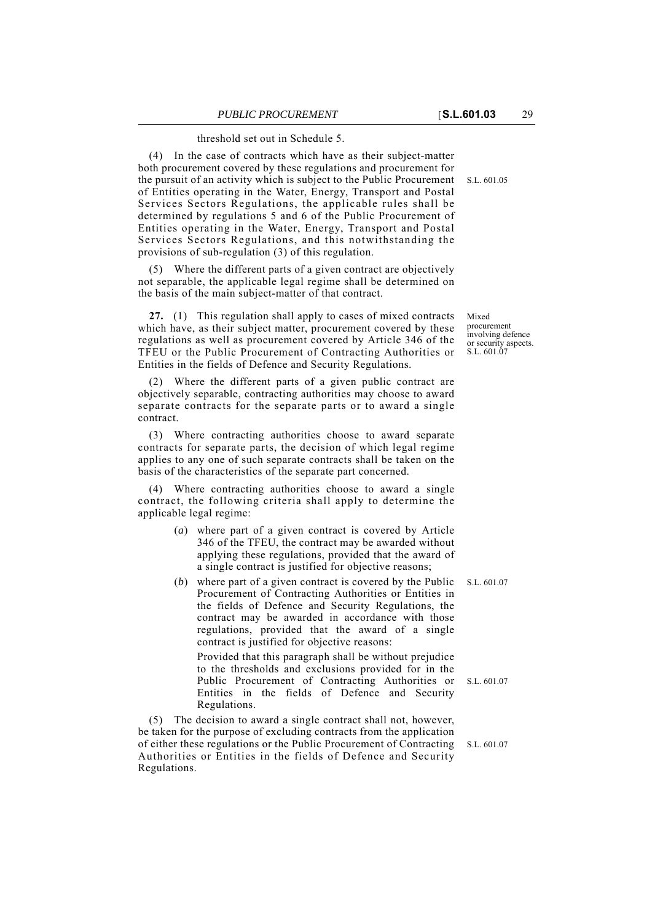threshold set out in Schedule 5.

(4) In the case of contracts which have as their subject-matter both procurement covered by these regulations and procurement for the pursuit of an activity which is subject to the Public Procurement of Entities operating in the Water, Energy, Transport and Postal Services Sectors Regulations, the applicable rules shall be determined by regulations 5 and 6 of the Public Procurement of Entities operating in the Water, Energy, Transport and Postal Services Sectors Regulations, and this notwithstanding the provisions of sub-regulation (3) of this regulation.

(5) Where the different parts of a given contract are objectively not separable, the applicable legal regime shall be determined on the basis of the main subject-matter of that contract.

**27.** (1) This regulation shall apply to cases of mixed contracts which have, as their subject matter, procurement covered by these regulations as well as procurement covered by Article 346 of the TFEU or the Public Procurement of Contracting Authorities or Entities in the fields of Defence and Security Regulations.

(2) Where the different parts of a given public contract are objectively separable, contracting authorities may choose to award separate contracts for the separate parts or to award a single contract.

(3) Where contracting authorities choose to award separate contracts for separate parts, the decision of which legal regime applies to any one of such separate contracts shall be taken on the basis of the characteristics of the separate part concerned.

(4) Where contracting authorities choose to award a single contract, the following criteria shall apply to determine the applicable legal regime:

- (*a*) where part of a given contract is covered by Article 346 of the TFEU, the contract may be awarded without applying these regulations, provided that the award of a single contract is justified for objective reasons;
- (*b*) where part of a given contract is covered by the Public S.L. 601.07 Procurement of Contracting Authorities or Entities in the fields of Defence and Security Regulations, the contract may be awarded in accordance with those regulations, provided that the award of a single contract is justified for objective reasons:

Provided that this paragraph shall be without prejudice to the thresholds and exclusions provided for in the Public Procurement of Contracting Authorities or Entities in the fields of Defence and Security Regulations.

(5) The decision to award a single contract shall not, however, be taken for the purpose of excluding contracts from the application of either these regulations or the Public Procurement of Contracting Authorities or Entities in the fields of Defence and Security Regulations.

S.L. 601.05

Mixed procurement involving defence or security aspects. S.L. 601.07

S.L. 601.07

S.L. 601.07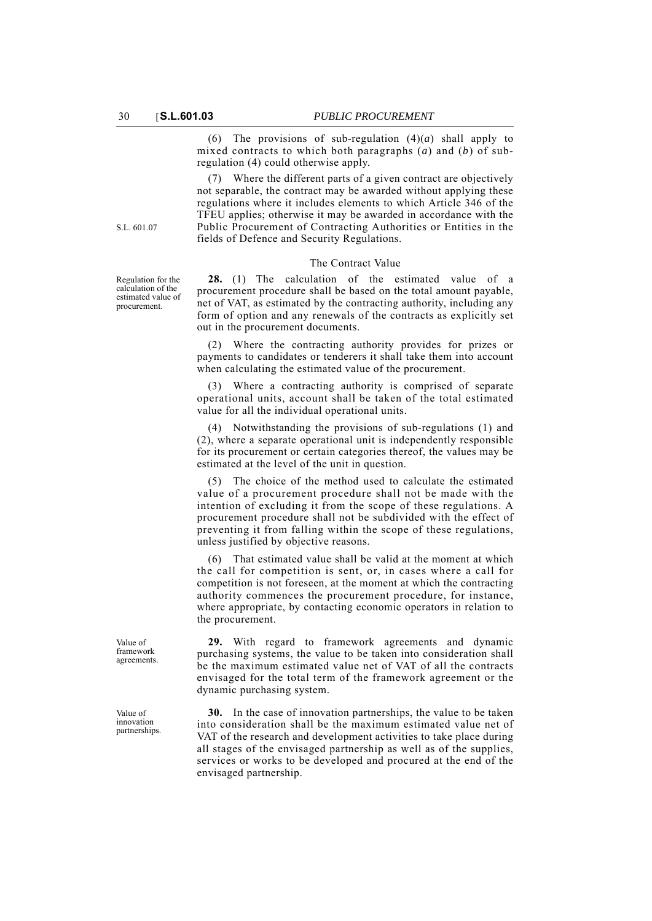(6) The provisions of sub-regulation  $(4)(a)$  shall apply to mixed contracts to which both paragraphs (*a*) and (*b*) of subregulation (4) could otherwise apply.

(7) Where the different parts of a given contract are objectively not separable, the contract may be awarded without applying these regulations where it includes elements to which Article 346 of the TFEU applies; otherwise it may be awarded in accordance with the Public Procurement of Contracting Authorities or Entities in the fields of Defence and Security Regulations.

#### The Contract Value

**28.** (1) The calculation of the estimated value of a procurement procedure shall be based on the total amount payable, net of VAT, as estimated by the contracting authority, including any form of option and any renewals of the contracts as explicitly set out in the procurement documents.

(2) Where the contracting authority provides for prizes or payments to candidates or tenderers it shall take them into account when calculating the estimated value of the procurement.

(3) Where a contracting authority is comprised of separate operational units, account shall be taken of the total estimated value for all the individual operational units.

(4) Notwithstanding the provisions of sub-regulations (1) and (2), where a separate operational unit is independently responsible for its procurement or certain categories thereof, the values may be estimated at the level of the unit in question.

(5) The choice of the method used to calculate the estimated value of a procurement procedure shall not be made with the intention of excluding it from the scope of these regulations. A procurement procedure shall not be subdivided with the effect of preventing it from falling within the scope of these regulations, unless justified by objective reasons.

(6) That estimated value shall be valid at the moment at which the call for competition is sent, or, in cases where a call for competition is not foreseen, at the moment at which the contracting authority commences the procurement procedure, for instance, where appropriate, by contacting economic operators in relation to the procurement.

**29.** With regard to framework agreements and dynamic purchasing systems, the value to be taken into consideration shall be the maximum estimated value net of VAT of all the contracts envisaged for the total term of the framework agreement or the dynamic purchasing system.

**30.** In the case of innovation partnerships, the value to be taken into consideration shall be the maximum estimated value net of VAT of the research and development activities to take place during all stages of the envisaged partnership as well as of the supplies, services or works to be developed and procured at the end of the envisaged partnership.

S.L. 601.07

Regulation for the calculation of the estimated value of procurement.

Value of framework agreements.

Value of innovation partnerships.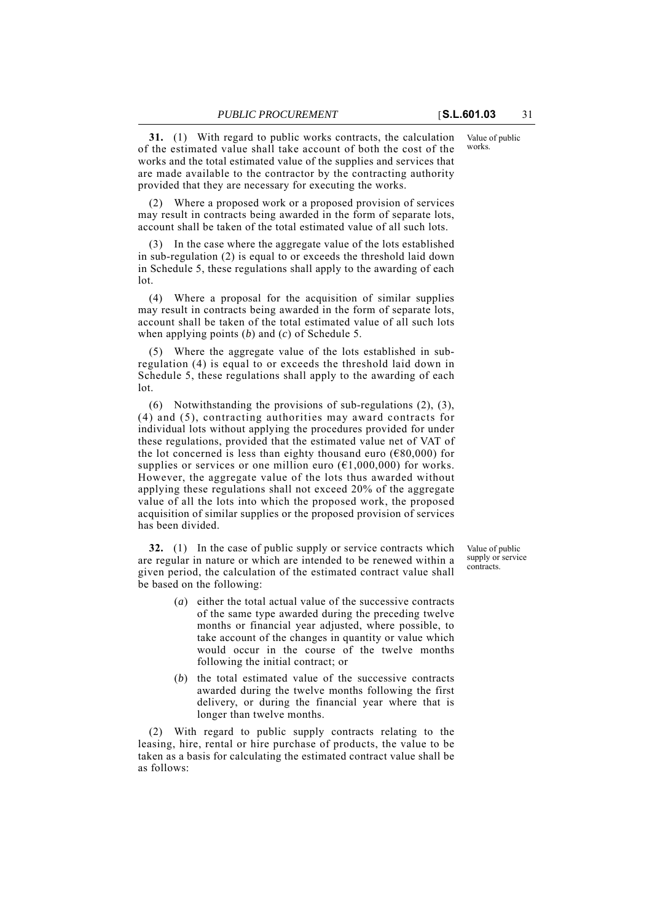**31.** (1) With regard to public works contracts, the calculation of the estimated value shall take account of both the cost of the works and the total estimated value of the supplies and services that are made available to the contractor by the contracting authority provided that they are necessary for executing the works.

(2) Where a proposed work or a proposed provision of services may result in contracts being awarded in the form of separate lots, account shall be taken of the total estimated value of all such lots.

(3) In the case where the aggregate value of the lots established in sub-regulation (2) is equal to or exceeds the threshold laid down in Schedule 5, these regulations shall apply to the awarding of each lot.

(4) Where a proposal for the acquisition of similar supplies may result in contracts being awarded in the form of separate lots, account shall be taken of the total estimated value of all such lots when applying points (*b*) and (*c*) of Schedule 5.

(5) Where the aggregate value of the lots established in subregulation (4) is equal to or exceeds the threshold laid down in Schedule 5, these regulations shall apply to the awarding of each lot.

(6) Notwithstanding the provisions of sub-regulations (2), (3), (4) and (5), contracting authorities may award contracts for individual lots without applying the procedures provided for under these regulations, provided that the estimated value net of VAT of the lot concerned is less than eighty thousand euro ( $\epsilon$ 80,000) for supplies or services or one million euro  $(61,000,000)$  for works. However, the aggregate value of the lots thus awarded without applying these regulations shall not exceed 20% of the aggregate value of all the lots into which the proposed work, the proposed acquisition of similar supplies or the proposed provision of services has been divided.

**32.** (1) In the case of public supply or service contracts which are regular in nature or which are intended to be renewed within a given period, the calculation of the estimated contract value shall be based on the following:

- (*a*) either the total actual value of the successive contracts of the same type awarded during the preceding twelve months or financial year adjusted, where possible, to take account of the changes in quantity or value which would occur in the course of the twelve months following the initial contract; or
- (*b*) the total estimated value of the successive contracts awarded during the twelve months following the first delivery, or during the financial year where that is longer than twelve months.

(2) With regard to public supply contracts relating to the leasing, hire, rental or hire purchase of products, the value to be taken as a basis for calculating the estimated contract value shall be as follows:

Value of public supply or service contracts.

Value of public works.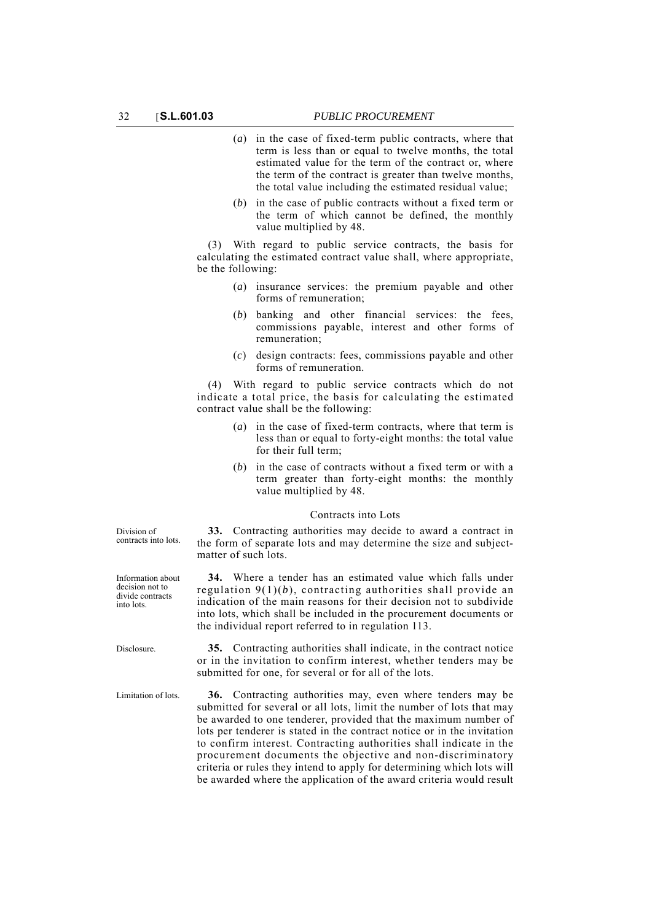- (*a*) in the case of fixed-term public contracts, where that term is less than or equal to twelve months, the total estimated value for the term of the contract or, where the term of the contract is greater than twelve months, the total value including the estimated residual value;
- (*b*) in the case of public contracts without a fixed term or the term of which cannot be defined, the monthly value multiplied by 48.

(3) With regard to public service contracts, the basis for calculating the estimated contract value shall, where appropriate, be the following:

- (*a*) insurance services: the premium payable and other forms of remuneration;
- (*b*) banking and other financial services: the fees, commissions payable, interest and other forms of remuneration;
- (*c*) design contracts: fees, commissions payable and other forms of remuneration.

(4) With regard to public service contracts which do not indicate a total price, the basis for calculating the estimated contract value shall be the following:

- (*a*) in the case of fixed-term contracts, where that term is less than or equal to forty-eight months: the total value for their full term;
- (*b*) in the case of contracts without a fixed term or with a term greater than forty-eight months: the monthly value multiplied by 48.

## Contracts into Lots **33.** Contracting authorities may decide to award a contract in

the form of separate lots and may determine the size and subject-

**34.** Where a tender has an estimated value which falls under regulation 9(1)(*b*), contracting authorities shall provide an indication of the main reasons for their decision not to subdivide into lots, which shall be included in the procurement documents or

Division of contracts into lots.

matter of such lots.

Information about decision not to divide contracts into lots.

Disclosure. **35.** Contracting authorities shall indicate, in the contract notice or in the invitation to confirm interest, whether tenders may be submitted for one, for several or for all of the lots.

the individual report referred to in regulation 113.

Limitation of lots. **36.** Contracting authorities may, even where tenders may be submitted for several or all lots, limit the number of lots that may be awarded to one tenderer, provided that the maximum number of lots per tenderer is stated in the contract notice or in the invitation to confirm interest. Contracting authorities shall indicate in the procurement documents the objective and non-discriminatory criteria or rules they intend to apply for determining which lots will be awarded where the application of the award criteria would result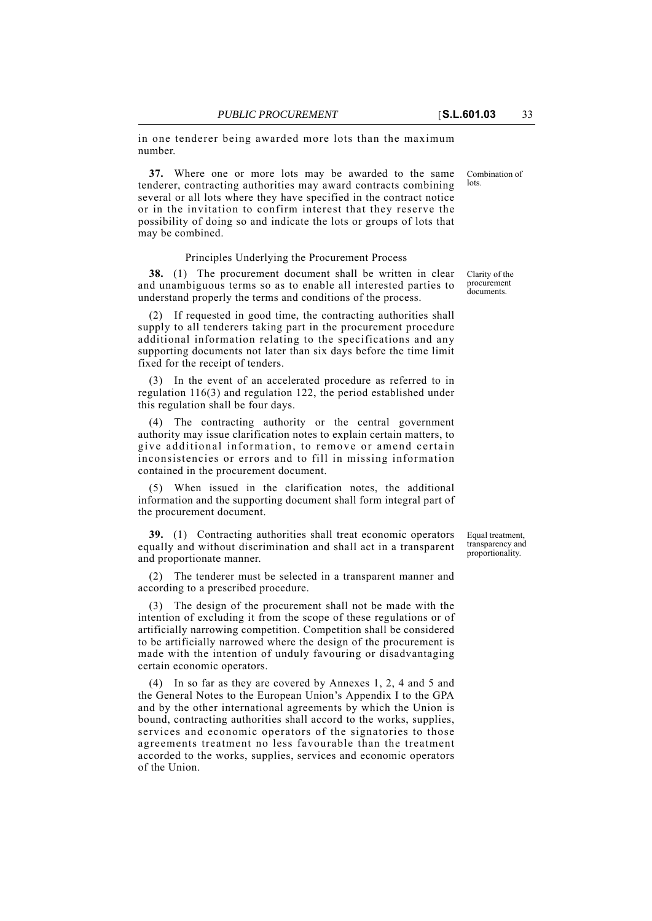lots.

in one tenderer being awarded more lots than the maximum number.

**37.** Where one or more lots may be awarded to the same tenderer, contracting authorities may award contracts combining several or all lots where they have specified in the contract notice or in the invitation to confirm interest that they reserve the possibility of doing so and indicate the lots or groups of lots that may be combined.

#### Principles Underlying the Procurement Process

**38.** (1) The procurement document shall be written in clear and unambiguous terms so as to enable all interested parties to understand properly the terms and conditions of the process.

(2) If requested in good time, the contracting authorities shall supply to all tenderers taking part in the procurement procedure additional information relating to the specifications and any supporting documents not later than six days before the time limit fixed for the receipt of tenders.

(3) In the event of an accelerated procedure as referred to in regulation 116(3) and regulation 122, the period established under this regulation shall be four days.

(4) The contracting authority or the central government authority may issue clarification notes to explain certain matters, to give additional information, to remove or amend certain inconsistencies or errors and to fill in missing information contained in the procurement document.

When issued in the clarification notes, the additional information and the supporting document shall form integral part of the procurement document.

**39.** (1) Contracting authorities shall treat economic operators equally and without discrimination and shall act in a transparent and proportionate manner.

The tenderer must be selected in a transparent manner and according to a prescribed procedure.

(3) The design of the procurement shall not be made with the intention of excluding it from the scope of these regulations or of artificially narrowing competition. Competition shall be considered to be artificially narrowed where the design of the procurement is made with the intention of unduly favouring or disadvantaging certain economic operators.

(4) In so far as they are covered by Annexes 1, 2, 4 and 5 and the General Notes to the European Union's Appendix I to the GPA and by the other international agreements by which the Union is bound, contracting authorities shall accord to the works, supplies, services and economic operators of the signatories to those agreements treatment no less favourable than the treatment accorded to the works, supplies, services and economic operators of the Union.

Clarity of the procurement documents.

Combination of

Equal treatment, transparency and proportionality.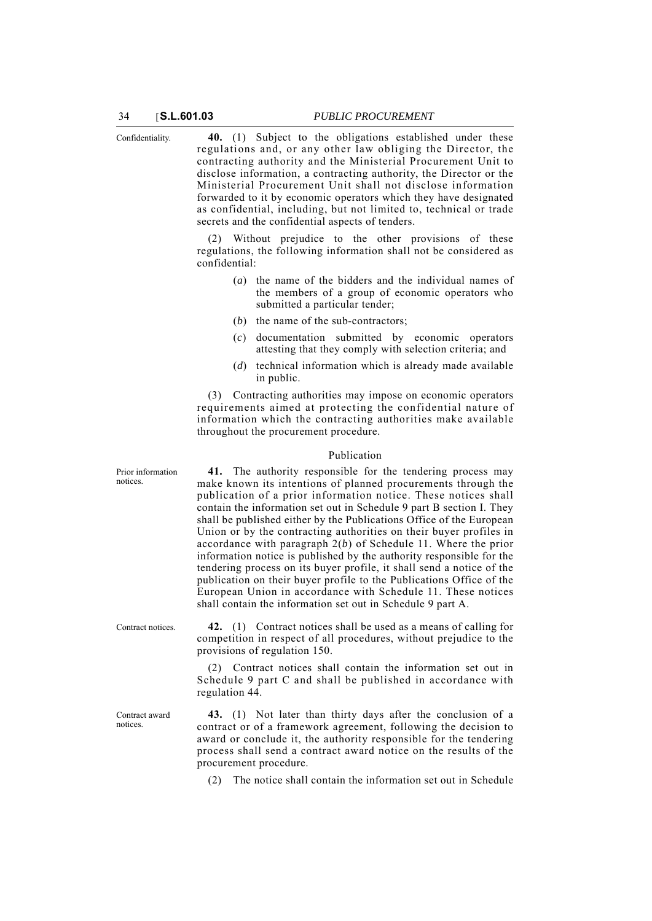Confidentiality. **40.** (1) Subject to the obligations established under these regulations and, or any other law obliging the Director, the contracting authority and the Ministerial Procurement Unit to disclose information, a contracting authority, the Director or the Ministerial Procurement Unit shall not disclose information forwarded to it by economic operators which they have designated as confidential, including, but not limited to, technical or trade secrets and the confidential aspects of tenders.

> (2) Without prejudice to the other provisions of these regulations, the following information shall not be considered as confidential:

- (*a*) the name of the bidders and the individual names of the members of a group of economic operators who submitted a particular tender;
- (*b*) the name of the sub-contractors;
- (*c*) documentation submitted by economic operators attesting that they comply with selection criteria; and
- (*d*) technical information which is already made available in public.

(3) Contracting authorities may impose on economic operators requirements aimed at protecting the confidential nature of information which the contracting authorities make available throughout the procurement procedure.

#### Publication

Prior information notices.

Contract award notices.

**41.** The authority responsible for the tendering process may make known its intentions of planned procurements through the publication of a prior information notice. These notices shall contain the information set out in Schedule 9 part B section I. They shall be published either by the Publications Office of the European Union or by the contracting authorities on their buyer profiles in accordance with paragraph 2(*b*) of Schedule 11. Where the prior information notice is published by the authority responsible for the tendering process on its buyer profile, it shall send a notice of the publication on their buyer profile to the Publications Office of the European Union in accordance with Schedule 11. These notices shall contain the information set out in Schedule 9 part A.

Contract notices. **42.** (1) Contract notices shall be used as a means of calling for competition in respect of all procedures, without prejudice to the provisions of regulation 150.

> (2) Contract notices shall contain the information set out in Schedule 9 part C and shall be published in accordance with regulation 44.

> **43.** (1) Not later than thirty days after the conclusion of a contract or of a framework agreement, following the decision to award or conclude it, the authority responsible for the tendering process shall send a contract award notice on the results of the procurement procedure.

(2) The notice shall contain the information set out in Schedule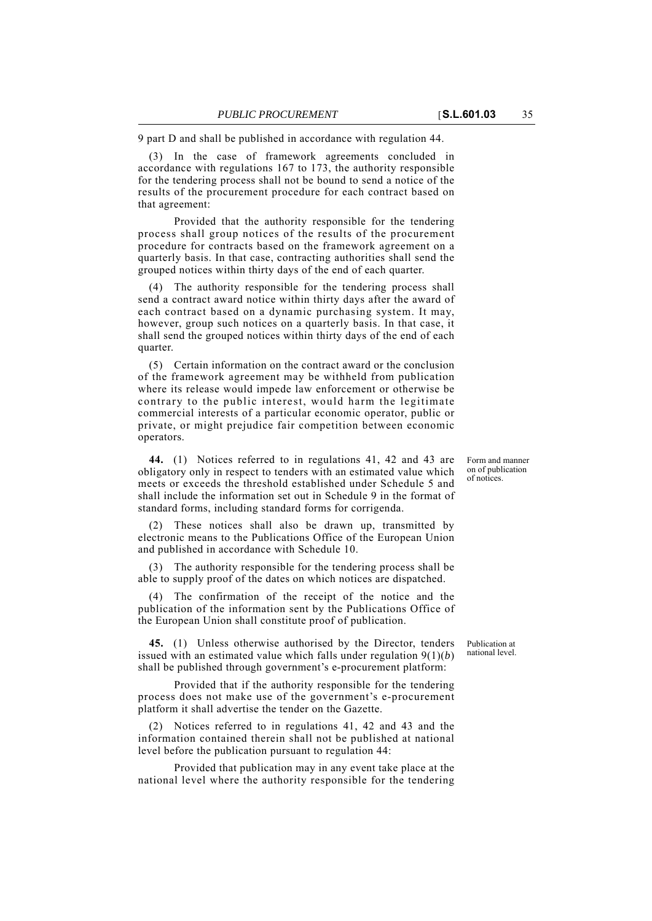9 part D and shall be published in accordance with regulation 44.

(3) In the case of framework agreements concluded in accordance with regulations 167 to 173, the authority responsible for the tendering process shall not be bound to send a notice of the results of the procurement procedure for each contract based on that agreement:

Provided that the authority responsible for the tendering process shall group notices of the results of the procurement procedure for contracts based on the framework agreement on a quarterly basis. In that case, contracting authorities shall send the grouped notices within thirty days of the end of each quarter.

(4) The authority responsible for the tendering process shall send a contract award notice within thirty days after the award of each contract based on a dynamic purchasing system. It may, however, group such notices on a quarterly basis. In that case, it shall send the grouped notices within thirty days of the end of each quarter.

(5) Certain information on the contract award or the conclusion of the framework agreement may be withheld from publication where its release would impede law enforcement or otherwise be contrary to the public interest, would harm the legitimate commercial interests of a particular economic operator, public or private, or might prejudice fair competition between economic operators.

**44.** (1) Notices referred to in regulations 41, 42 and 43 are obligatory only in respect to tenders with an estimated value which meets or exceeds the threshold established under Schedule 5 and shall include the information set out in Schedule 9 in the format of standard forms, including standard forms for corrigenda.

(2) These notices shall also be drawn up, transmitted by electronic means to the Publications Office of the European Union and published in accordance with Schedule 10.

(3) The authority responsible for the tendering process shall be able to supply proof of the dates on which notices are dispatched.

(4) The confirmation of the receipt of the notice and the publication of the information sent by the Publications Office of the European Union shall constitute proof of publication.

**45.** (1) Unless otherwise authorised by the Director, tenders issued with an estimated value which falls under regulation 9(1)(*b*) shall be published through government's e-procurement platform:

Provided that if the authority responsible for the tendering process does not make use of the government's e-procurement platform it shall advertise the tender on the Gazette.

(2) Notices referred to in regulations 41, 42 and 43 and the information contained therein shall not be published at national level before the publication pursuant to regulation 44:

Provided that publication may in any event take place at the national level where the authority responsible for the tendering

Form and manner on of publication of notices.

Publication at national level.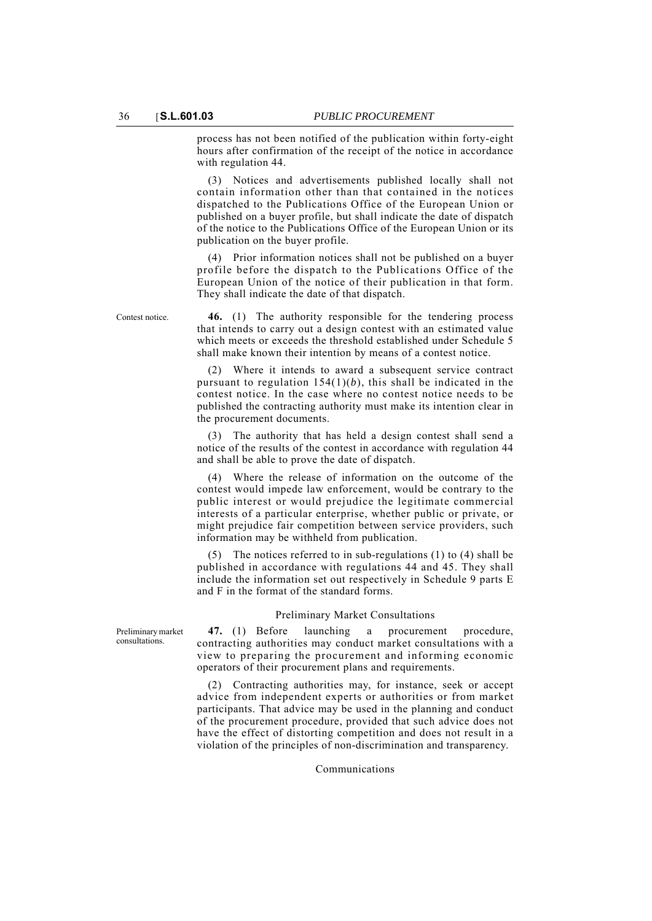process has not been notified of the publication within forty-eight hours after confirmation of the receipt of the notice in accordance with regulation 44.

(3) Notices and advertisements published locally shall not contain information other than that contained in the notices dispatched to the Publications Office of the European Union or published on a buyer profile, but shall indicate the date of dispatch of the notice to the Publications Office of the European Union or its publication on the buyer profile.

(4) Prior information notices shall not be published on a buyer profile before the dispatch to the Publications Office of the European Union of the notice of their publication in that form. They shall indicate the date of that dispatch.

Contest notice. **46.** (1) The authority responsible for the tendering process that intends to carry out a design contest with an estimated value which meets or exceeds the threshold established under Schedule 5 shall make known their intention by means of a contest notice.

> (2) Where it intends to award a subsequent service contract pursuant to regulation 154(1)(*b*), this shall be indicated in the contest notice. In the case where no contest notice needs to be published the contracting authority must make its intention clear in the procurement documents.

> (3) The authority that has held a design contest shall send a notice of the results of the contest in accordance with regulation 44 and shall be able to prove the date of dispatch.

> (4) Where the release of information on the outcome of the contest would impede law enforcement, would be contrary to the public interest or would prejudice the legitimate commercial interests of a particular enterprise, whether public or private, or might prejudice fair competition between service providers, such information may be withheld from publication.

> (5) The notices referred to in sub-regulations (1) to (4) shall be published in accordance with regulations 44 and 45. They shall include the information set out respectively in Schedule 9 parts E and F in the format of the standard forms.

#### Preliminary Market Consultations

**47.** (1) Before launching a procurement procedure, contracting authorities may conduct market consultations with a view to preparing the procurement and informing economic operators of their procurement plans and requirements.

(2) Contracting authorities may, for instance, seek or accept advice from independent experts or authorities or from market participants. That advice may be used in the planning and conduct of the procurement procedure, provided that such advice does not have the effect of distorting competition and does not result in a violation of the principles of non-discrimination and transparency.

Communications

Preliminary market consultations.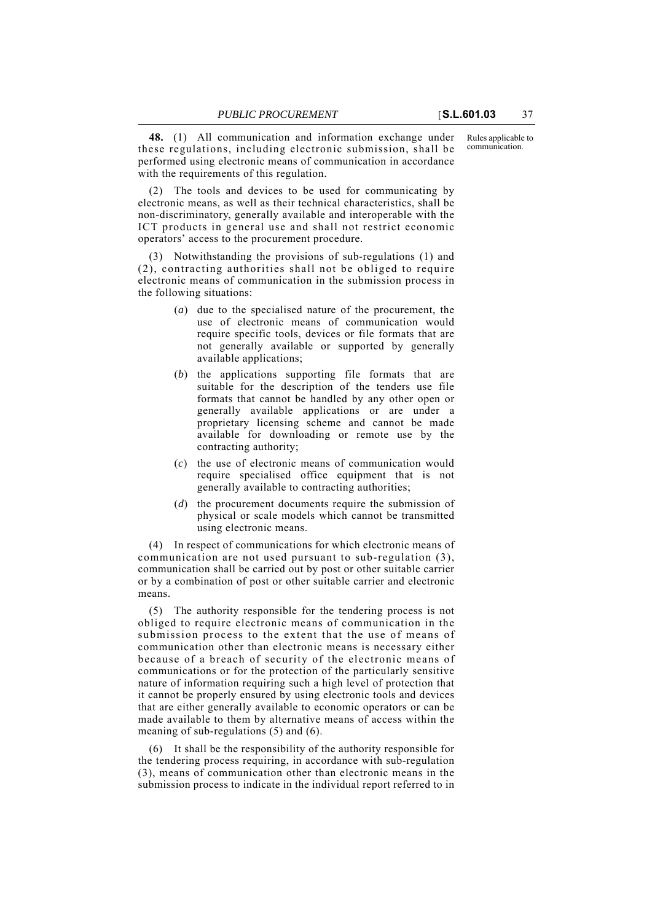Rules applicable to communication.

**48.** (1) All communication and information exchange under these regulations, including electronic submission, shall be performed using electronic means of communication in accordance with the requirements of this regulation.

(2) The tools and devices to be used for communicating by electronic means, as well as their technical characteristics, shall be non-discriminatory, generally available and interoperable with the ICT products in general use and shall not restrict economic operators' access to the procurement procedure.

(3) Notwithstanding the provisions of sub-regulations (1) and (2), contracting authorities shall not be obliged to require electronic means of communication in the submission process in the following situations:

- (*a*) due to the specialised nature of the procurement, the use of electronic means of communication would require specific tools, devices or file formats that are not generally available or supported by generally available applications;
- (*b*) the applications supporting file formats that are suitable for the description of the tenders use file formats that cannot be handled by any other open or generally available applications or are under a proprietary licensing scheme and cannot be made available for downloading or remote use by the contracting authority;
- (*c*) the use of electronic means of communication would require specialised office equipment that is not generally available to contracting authorities;
- (*d*) the procurement documents require the submission of physical or scale models which cannot be transmitted using electronic means.

(4) In respect of communications for which electronic means of communication are not used pursuant to sub-regulation (3), communication shall be carried out by post or other suitable carrier or by a combination of post or other suitable carrier and electronic means.

(5) The authority responsible for the tendering process is not obliged to require electronic means of communication in the submission process to the extent that the use of means of communication other than electronic means is necessary either because of a breach of security of the electronic means of communications or for the protection of the particularly sensitive nature of information requiring such a high level of protection that it cannot be properly ensured by using electronic tools and devices that are either generally available to economic operators or can be made available to them by alternative means of access within the meaning of sub-regulations (5) and (6).

(6) It shall be the responsibility of the authority responsible for the tendering process requiring, in accordance with sub-regulation (3), means of communication other than electronic means in the submission process to indicate in the individual report referred to in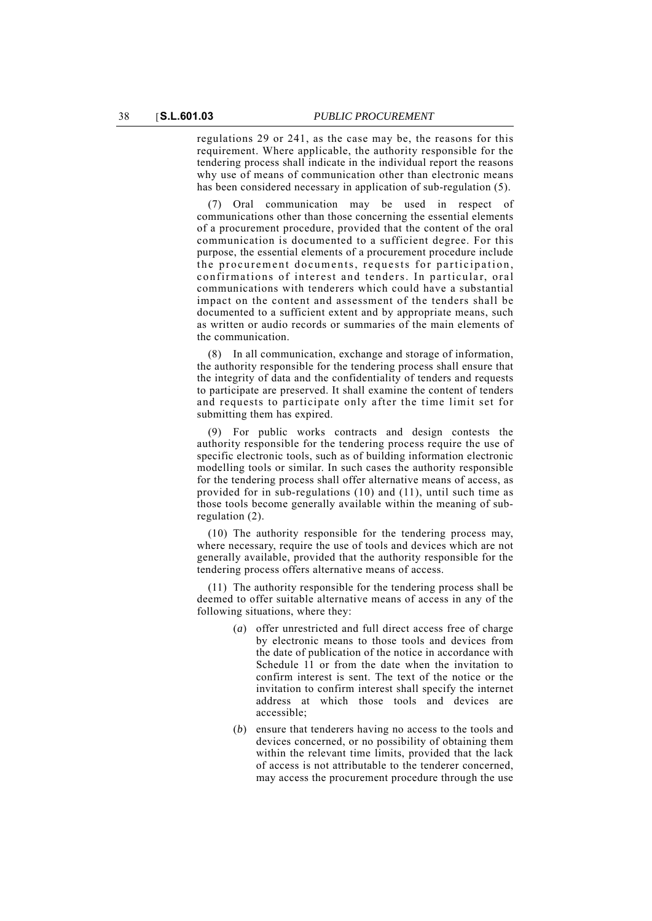regulations 29 or 241, as the case may be, the reasons for this requirement. Where applicable, the authority responsible for the tendering process shall indicate in the individual report the reasons why use of means of communication other than electronic means has been considered necessary in application of sub-regulation (5).

(7) Oral communication may be used in respect of communications other than those concerning the essential elements of a procurement procedure, provided that the content of the oral communication is documented to a sufficient degree. For this purpose, the essential elements of a procurement procedure include the procurement documents, requests for participation, confirmations of interest and tenders. In particular, oral communications with tenderers which could have a substantial impact on the content and assessment of the tenders shall be documented to a sufficient extent and by appropriate means, such as written or audio records or summaries of the main elements of the communication.

(8) In all communication, exchange and storage of information, the authority responsible for the tendering process shall ensure that the integrity of data and the confidentiality of tenders and requests to participate are preserved. It shall examine the content of tenders and requests to participate only after the time limit set for submitting them has expired.

(9) For public works contracts and design contests the authority responsible for the tendering process require the use of specific electronic tools, such as of building information electronic modelling tools or similar. In such cases the authority responsible for the tendering process shall offer alternative means of access, as provided for in sub-regulations (10) and (11), until such time as those tools become generally available within the meaning of subregulation (2).

(10) The authority responsible for the tendering process may, where necessary, require the use of tools and devices which are not generally available, provided that the authority responsible for the tendering process offers alternative means of access.

(11) The authority responsible for the tendering process shall be deemed to offer suitable alternative means of access in any of the following situations, where they:

- (*a*) offer unrestricted and full direct access free of charge by electronic means to those tools and devices from the date of publication of the notice in accordance with Schedule 11 or from the date when the invitation to confirm interest is sent. The text of the notice or the invitation to confirm interest shall specify the internet address at which those tools and devices are accessible;
- (*b*) ensure that tenderers having no access to the tools and devices concerned, or no possibility of obtaining them within the relevant time limits, provided that the lack of access is not attributable to the tenderer concerned, may access the procurement procedure through the use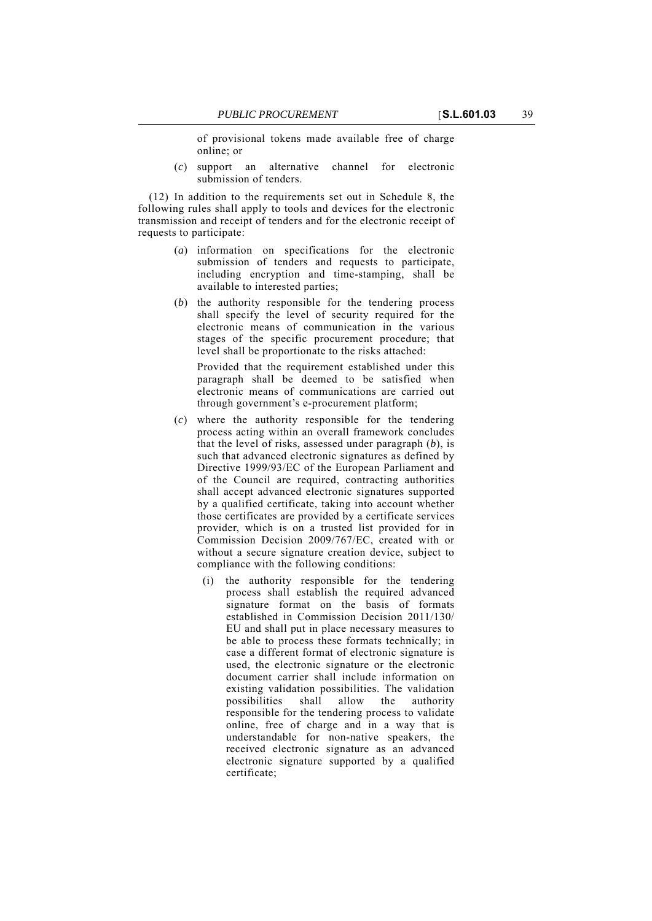of provisional tokens made available free of charge online; or

(*c*) support an alternative channel for electronic submission of tenders.

(12) In addition to the requirements set out in Schedule 8, the following rules shall apply to tools and devices for the electronic transmission and receipt of tenders and for the electronic receipt of requests to participate:

- (*a*) information on specifications for the electronic submission of tenders and requests to participate, including encryption and time-stamping, shall be available to interested parties;
- (*b*) the authority responsible for the tendering process shall specify the level of security required for the electronic means of communication in the various stages of the specific procurement procedure; that level shall be proportionate to the risks attached:

Provided that the requirement established under this paragraph shall be deemed to be satisfied when electronic means of communications are carried out through government's e-procurement platform;

- (*c*) where the authority responsible for the tendering process acting within an overall framework concludes that the level of risks, assessed under paragraph (*b*), is such that advanced electronic signatures as defined by Directive 1999/93/EC of the European Parliament and of the Council are required, contracting authorities shall accept advanced electronic signatures supported by a qualified certificate, taking into account whether those certificates are provided by a certificate services provider, which is on a trusted list provided for in Commission Decision 2009/767/EC, created with or without a secure signature creation device, subject to compliance with the following conditions:
	- (i) the authority responsible for the tendering process shall establish the required advanced signature format on the basis of formats established in Commission Decision 2011/130/ EU and shall put in place necessary measures to be able to process these formats technically; in case a different format of electronic signature is used, the electronic signature or the electronic document carrier shall include information on existing validation possibilities. The validation<br>possibilities shall allow the authority possibilities shall allow the authority responsible for the tendering process to validate online, free of charge and in a way that is understandable for non-native speakers, the received electronic signature as an advanced electronic signature supported by a qualified certificate;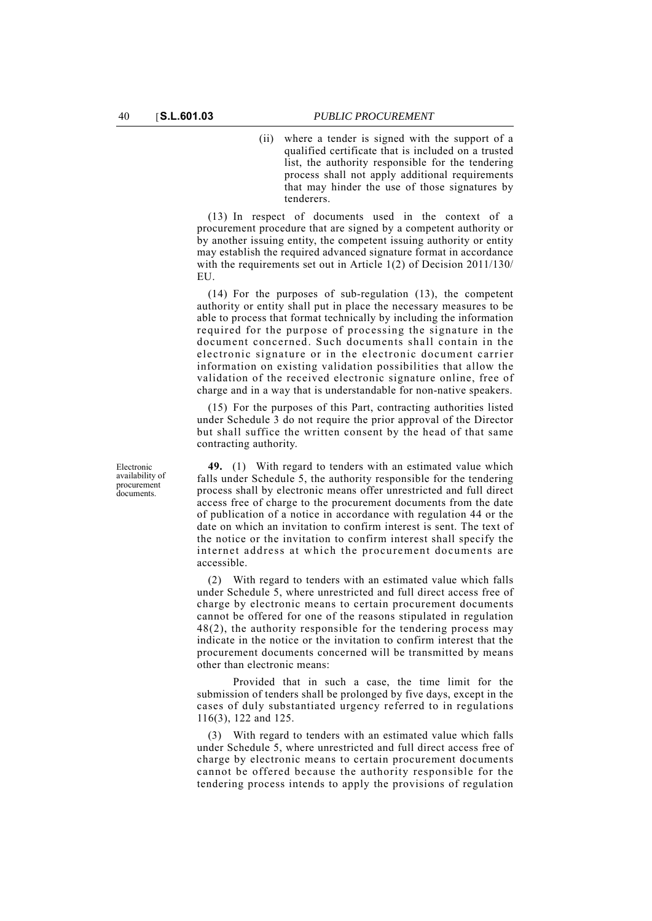(ii) where a tender is signed with the support of a qualified certificate that is included on a trusted list, the authority responsible for the tendering process shall not apply additional requirements that may hinder the use of those signatures by tenderers.

(13) In respect of documents used in the context of a procurement procedure that are signed by a competent authority or by another issuing entity, the competent issuing authority or entity may establish the required advanced signature format in accordance with the requirements set out in Article 1(2) of Decision 2011/130/ EU.

(14) For the purposes of sub-regulation (13), the competent authority or entity shall put in place the necessary measures to be able to process that format technically by including the information required for the purpose of processing the signature in the document concerned. Such documents shall contain in the electronic signature or in the electronic document carrier information on existing validation possibilities that allow the validation of the received electronic signature online, free of charge and in a way that is understandable for non-native speakers.

(15) For the purposes of this Part, contracting authorities listed under Schedule 3 do not require the prior approval of the Director but shall suffice the written consent by the head of that same contracting authority.

**49.** (1) With regard to tenders with an estimated value which falls under Schedule 5, the authority responsible for the tendering process shall by electronic means offer unrestricted and full direct access free of charge to the procurement documents from the date of publication of a notice in accordance with regulation 44 or the date on which an invitation to confirm interest is sent. The text of the notice or the invitation to confirm interest shall specify the internet address at which the procurement documents are accessible.

(2) With regard to tenders with an estimated value which falls under Schedule 5, where unrestricted and full direct access free of charge by electronic means to certain procurement documents cannot be offered for one of the reasons stipulated in regulation 48(2), the authority responsible for the tendering process may indicate in the notice or the invitation to confirm interest that the procurement documents concerned will be transmitted by means other than electronic means:

Provided that in such a case, the time limit for the submission of tenders shall be prolonged by five days, except in the cases of duly substantiated urgency referred to in regulations 116(3), 122 and 125.

(3) With regard to tenders with an estimated value which falls under Schedule 5, where unrestricted and full direct access free of charge by electronic means to certain procurement documents cannot be offered because the authority responsible for the tendering process intends to apply the provisions of regulation

Electronic availability of procurement documents.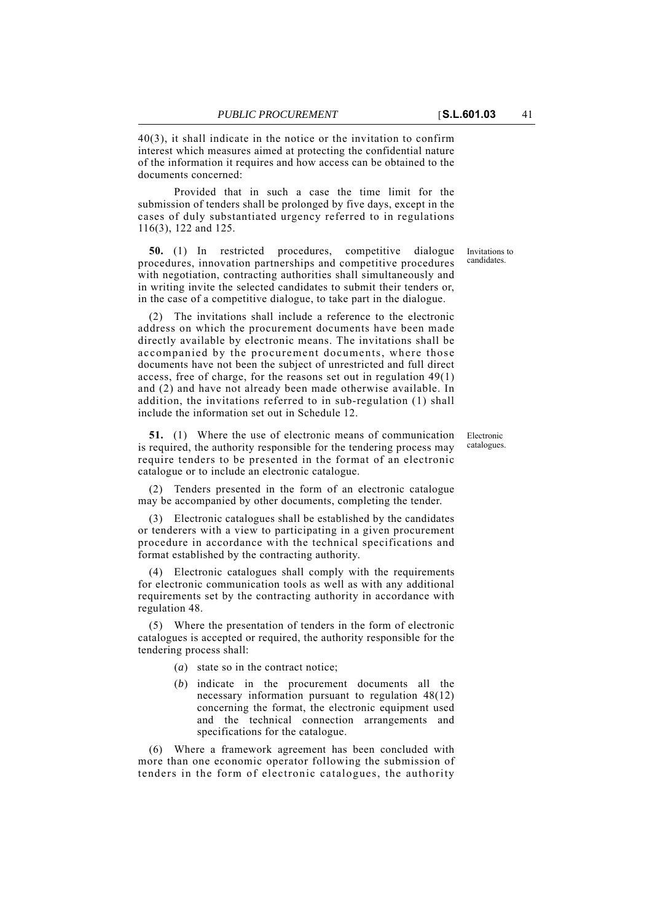40(3), it shall indicate in the notice or the invitation to confirm interest which measures aimed at protecting the confidential nature of the information it requires and how access can be obtained to the documents concerned:

Provided that in such a case the time limit for the submission of tenders shall be prolonged by five days, except in the cases of duly substantiated urgency referred to in regulations 116(3), 122 and 125.

**50.** (1) In restricted procedures, competitive dialogue procedures, innovation partnerships and competitive procedures with negotiation, contracting authorities shall simultaneously and in writing invite the selected candidates to submit their tenders or, in the case of a competitive dialogue, to take part in the dialogue.

(2) The invitations shall include a reference to the electronic address on which the procurement documents have been made directly available by electronic means. The invitations shall be accompanied by the procurement documents, where those documents have not been the subject of unrestricted and full direct access, free of charge, for the reasons set out in regulation 49(1) and (2) and have not already been made otherwise available. In addition, the invitations referred to in sub-regulation (1) shall include the information set out in Schedule 12.

**51.** (1) Where the use of electronic means of communication is required, the authority responsible for the tendering process may require tenders to be presented in the format of an electronic catalogue or to include an electronic catalogue.

(2) Tenders presented in the form of an electronic catalogue may be accompanied by other documents, completing the tender.

(3) Electronic catalogues shall be established by the candidates or tenderers with a view to participating in a given procurement procedure in accordance with the technical specifications and format established by the contracting authority.

(4) Electronic catalogues shall comply with the requirements for electronic communication tools as well as with any additional requirements set by the contracting authority in accordance with regulation 48.

(5) Where the presentation of tenders in the form of electronic catalogues is accepted or required, the authority responsible for the tendering process shall:

- (*a*) state so in the contract notice;
- (*b*) indicate in the procurement documents all the necessary information pursuant to regulation 48(12) concerning the format, the electronic equipment used and the technical connection arrangements and specifications for the catalogue.

(6) Where a framework agreement has been concluded with more than one economic operator following the submission of tenders in the form of electronic catalogues, the authority

Invitations to candidates.

Electronic catalogues.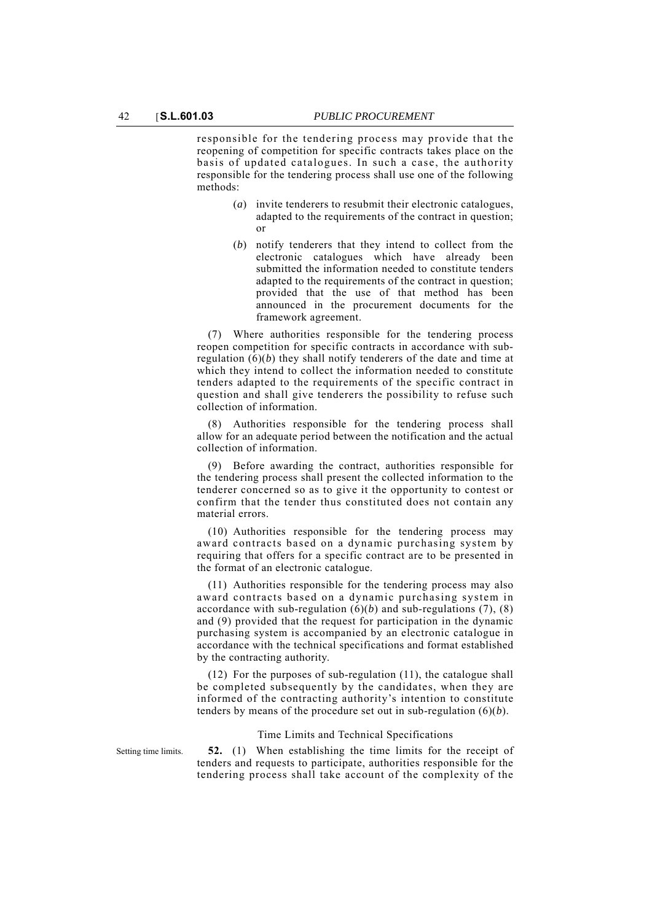responsible for the tendering process may provide that the reopening of competition for specific contracts takes place on the basis of updated catalogues. In such a case, the authority responsible for the tendering process shall use one of the following methods:

- (*a*) invite tenderers to resubmit their electronic catalogues, adapted to the requirements of the contract in question; or
- (*b*) notify tenderers that they intend to collect from the electronic catalogues which have already been submitted the information needed to constitute tenders adapted to the requirements of the contract in question; provided that the use of that method has been announced in the procurement documents for the framework agreement.

(7) Where authorities responsible for the tendering process reopen competition for specific contracts in accordance with subregulation (6)(*b*) they shall notify tenderers of the date and time at which they intend to collect the information needed to constitute tenders adapted to the requirements of the specific contract in question and shall give tenderers the possibility to refuse such collection of information.

(8) Authorities responsible for the tendering process shall allow for an adequate period between the notification and the actual collection of information.

(9) Before awarding the contract, authorities responsible for the tendering process shall present the collected information to the tenderer concerned so as to give it the opportunity to contest or confirm that the tender thus constituted does not contain any material errors.

(10) Authorities responsible for the tendering process may award contracts based on a dynamic purchasing system by requiring that offers for a specific contract are to be presented in the format of an electronic catalogue.

(11) Authorities responsible for the tendering process may also award contracts based on a dynamic purchasing system in accordance with sub-regulation  $(6)(b)$  and sub-regulations  $(7)$ ,  $(8)$ and (9) provided that the request for participation in the dynamic purchasing system is accompanied by an electronic catalogue in accordance with the technical specifications and format established by the contracting authority.

(12) For the purposes of sub-regulation (11), the catalogue shall be completed subsequently by the candidates, when they are informed of the contracting authority's intention to constitute tenders by means of the procedure set out in sub-regulation (6)(*b*).

# Time Limits and Technical Specifications

Setting time limits. **52.** (1) When establishing the time limits for the receipt of tenders and requests to participate, authorities responsible for the tendering process shall take account of the complexity of the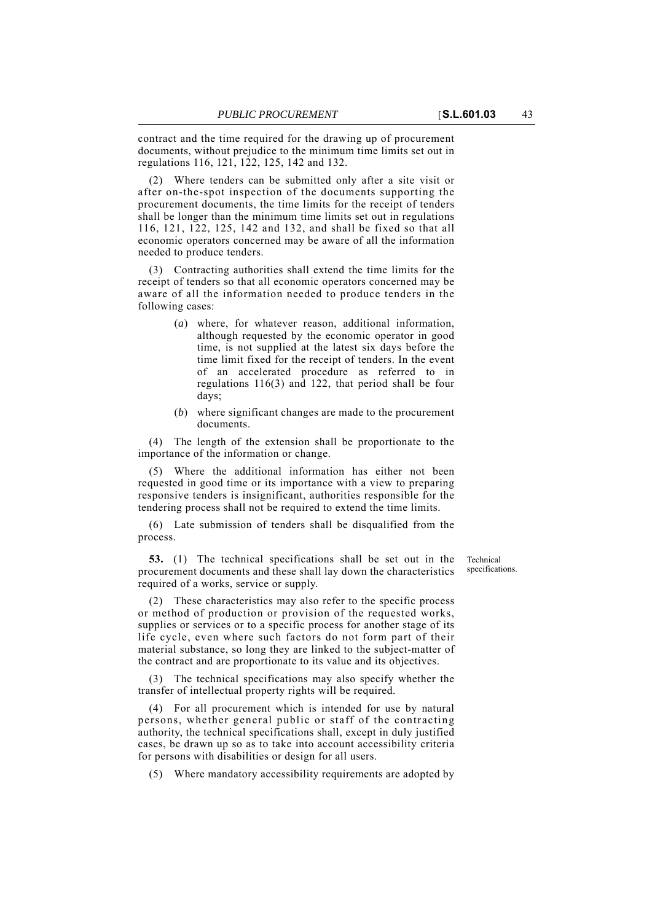contract and the time required for the drawing up of procurement documents, without prejudice to the minimum time limits set out in regulations 116, 121, 122, 125, 142 and 132.

(2) Where tenders can be submitted only after a site visit or after on-the-spot inspection of the documents supporting the procurement documents, the time limits for the receipt of tenders shall be longer than the minimum time limits set out in regulations 116, 121, 122, 125, 142 and 132, and shall be fixed so that all economic operators concerned may be aware of all the information needed to produce tenders.

(3) Contracting authorities shall extend the time limits for the receipt of tenders so that all economic operators concerned may be aware of all the information needed to produce tenders in the following cases:

- (*a*) where, for whatever reason, additional information, although requested by the economic operator in good time, is not supplied at the latest six days before the time limit fixed for the receipt of tenders. In the event of an accelerated procedure as referred to in regulations 116(3) and 122, that period shall be four days;
- (*b*) where significant changes are made to the procurement documents.

(4) The length of the extension shall be proportionate to the importance of the information or change.

(5) Where the additional information has either not been requested in good time or its importance with a view to preparing responsive tenders is insignificant, authorities responsible for the tendering process shall not be required to extend the time limits.

(6) Late submission of tenders shall be disqualified from the process.

**53.** (1) The technical specifications shall be set out in the procurement documents and these shall lay down the characteristics required of a works, service or supply.

Technical specifications.

(2) These characteristics may also refer to the specific process or method of production or provision of the requested works, supplies or services or to a specific process for another stage of its life cycle, even where such factors do not form part of their material substance, so long they are linked to the subject-matter of the contract and are proportionate to its value and its objectives.

(3) The technical specifications may also specify whether the transfer of intellectual property rights will be required.

(4) For all procurement which is intended for use by natural persons, whether general public or staff of the contracting authority, the technical specifications shall, except in duly justified cases, be drawn up so as to take into account accessibility criteria for persons with disabilities or design for all users.

(5) Where mandatory accessibility requirements are adopted by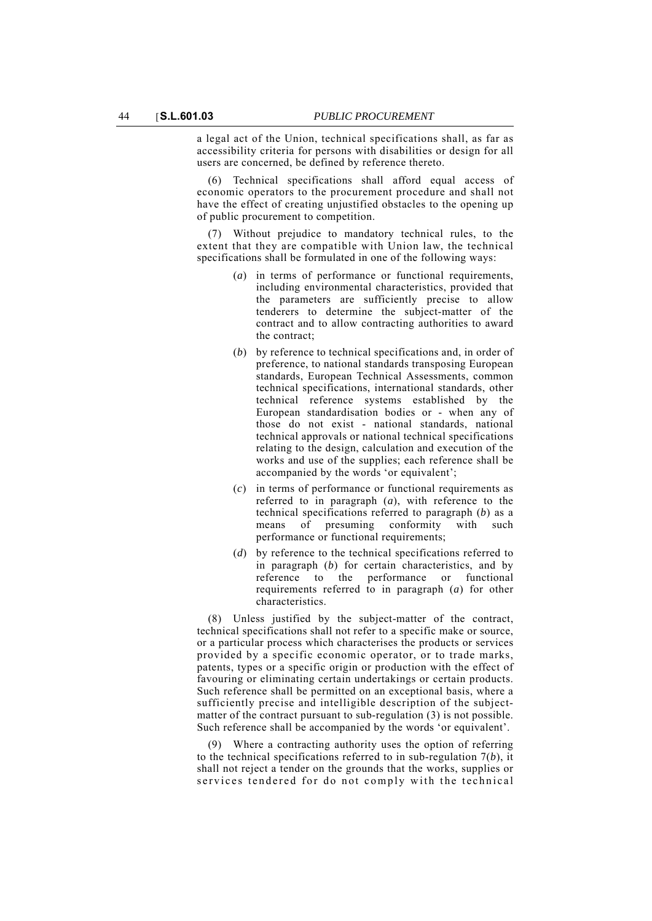a legal act of the Union, technical specifications shall, as far as accessibility criteria for persons with disabilities or design for all users are concerned, be defined by reference thereto.

(6) Technical specifications shall afford equal access of economic operators to the procurement procedure and shall not have the effect of creating unjustified obstacles to the opening up of public procurement to competition.

(7) Without prejudice to mandatory technical rules, to the extent that they are compatible with Union law, the technical specifications shall be formulated in one of the following ways:

- (*a*) in terms of performance or functional requirements, including environmental characteristics, provided that the parameters are sufficiently precise to allow tenderers to determine the subject-matter of the contract and to allow contracting authorities to award the contract;
- (*b*) by reference to technical specifications and, in order of preference, to national standards transposing European standards, European Technical Assessments, common technical specifications, international standards, other technical reference systems established by the European standardisation bodies or - when any of those do not exist - national standards, national technical approvals or national technical specifications relating to the design, calculation and execution of the works and use of the supplies; each reference shall be accompanied by the words 'or equivalent';
- (*c*) in terms of performance or functional requirements as referred to in paragraph (*a*), with reference to the technical specifications referred to paragraph (*b*) as a means of presuming conformity with such performance or functional requirements;
- (*d*) by reference to the technical specifications referred to in paragraph (*b*) for certain characteristics, and by reference to the performance or functional requirements referred to in paragraph (*a*) for other characteristics.

(8) Unless justified by the subject-matter of the contract, technical specifications shall not refer to a specific make or source, or a particular process which characterises the products or services provided by a specific economic operator, or to trade marks, patents, types or a specific origin or production with the effect of favouring or eliminating certain undertakings or certain products. Such reference shall be permitted on an exceptional basis, where a sufficiently precise and intelligible description of the subjectmatter of the contract pursuant to sub-regulation (3) is not possible. Such reference shall be accompanied by the words 'or equivalent'.

(9) Where a contracting authority uses the option of referring to the technical specifications referred to in sub-regulation 7(*b*), it shall not reject a tender on the grounds that the works, supplies or services tendered for do not comply with the technical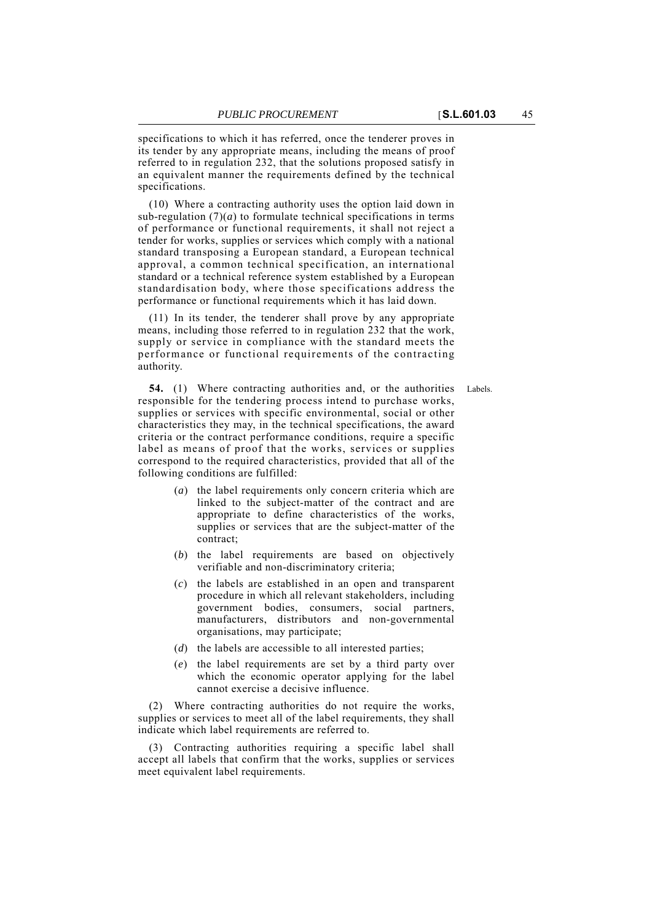specifications to which it has referred, once the tenderer proves in its tender by any appropriate means, including the means of proof referred to in regulation 232, that the solutions proposed satisfy in an equivalent manner the requirements defined by the technical specifications.

(10) Where a contracting authority uses the option laid down in sub-regulation  $(7)(a)$  to formulate technical specifications in terms of performance or functional requirements, it shall not reject a tender for works, supplies or services which comply with a national standard transposing a European standard, a European technical approval, a common technical specification, an international standard or a technical reference system established by a European standardisation body, where those specifications address the performance or functional requirements which it has laid down.

(11) In its tender, the tenderer shall prove by any appropriate means, including those referred to in regulation 232 that the work, supply or service in compliance with the standard meets the performance or functional requirements of the contracting authority.

**54.** (1) Where contracting authorities and, or the authorities Labels. responsible for the tendering process intend to purchase works, supplies or services with specific environmental, social or other characteristics they may, in the technical specifications, the award criteria or the contract performance conditions, require a specific label as means of proof that the works, services or supplies correspond to the required characteristics, provided that all of the following conditions are fulfilled:

- (*a*) the label requirements only concern criteria which are linked to the subject-matter of the contract and are appropriate to define characteristics of the works, supplies or services that are the subject-matter of the contract;
- (*b*) the label requirements are based on objectively verifiable and non-discriminatory criteria;
- (*c*) the labels are established in an open and transparent procedure in which all relevant stakeholders, including government bodies, consumers, social partners, manufacturers, distributors and non-governmental organisations, may participate;
- (*d*) the labels are accessible to all interested parties;
- (*e*) the label requirements are set by a third party over which the economic operator applying for the label cannot exercise a decisive influence.

(2) Where contracting authorities do not require the works, supplies or services to meet all of the label requirements, they shall indicate which label requirements are referred to.

(3) Contracting authorities requiring a specific label shall accept all labels that confirm that the works, supplies or services meet equivalent label requirements.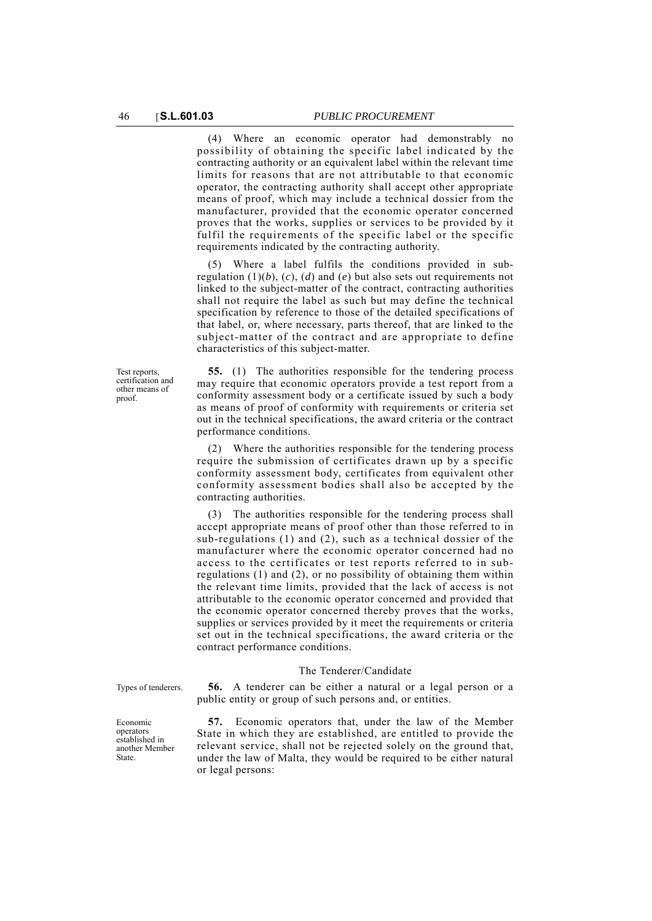(4) Where an economic operator had demonstrably no possibility of obtaining the specific label indicated by the contracting authority or an equivalent label within the relevant time limits for reasons that are not attributable to that economic operator, the contracting authority shall accept other appropriate means of proof, which may include a technical dossier from the manufacturer, provided that the economic operator concerned proves that the works, supplies or services to be provided by it fulfil the requirements of the specific label or the specific requirements indicated by the contracting authority.

(5) Where a label fulfils the conditions provided in subregulation  $(1)(b)$ ,  $(c)$ ,  $(d)$  and  $(e)$  but also sets out requirements not linked to the subject-matter of the contract, contracting authorities shall not require the label as such but may define the technical specification by reference to those of the detailed specifications of that label, or, where necessary, parts thereof, that are linked to the subject-matter of the contract and are appropriate to define characteristics of this subject-matter.

Test reports, certification and other means of proof.

**55.** (1) The authorities responsible for the tendering process may require that economic operators provide a test report from a conformity assessment body or a certificate issued by such a body as means of proof of conformity with requirements or criteria set out in the technical specifications, the award criteria or the contract performance conditions.

(2) Where the authorities responsible for the tendering process require the submission of certificates drawn up by a specific conformity assessment body, certificates from equivalent other conformity assessment bodies shall also be accepted by the contracting authorities.

(3) The authorities responsible for the tendering process shall accept appropriate means of proof other than those referred to in sub-regulations (1) and (2), such as a technical dossier of the manufacturer where the economic operator concerned had no access to the certificates or test reports referred to in subregulations (1) and (2), or no possibility of obtaining them within the relevant time limits, provided that the lack of access is not attributable to the economic operator concerned and provided that the economic operator concerned thereby proves that the works, supplies or services provided by it meet the requirements or criteria set out in the technical specifications, the award criteria or the contract performance conditions.

#### The Tenderer/Candidate

Types of tenderers. **56.** A tenderer can be either a natural or a legal person or a public entity or group of such persons and, or entities.

> **57.** Economic operators that, under the law of the Member State in which they are established, are entitled to provide the relevant service, shall not be rejected solely on the ground that, under the law of Malta, they would be required to be either natural or legal persons:

Economic operators established in another Member State.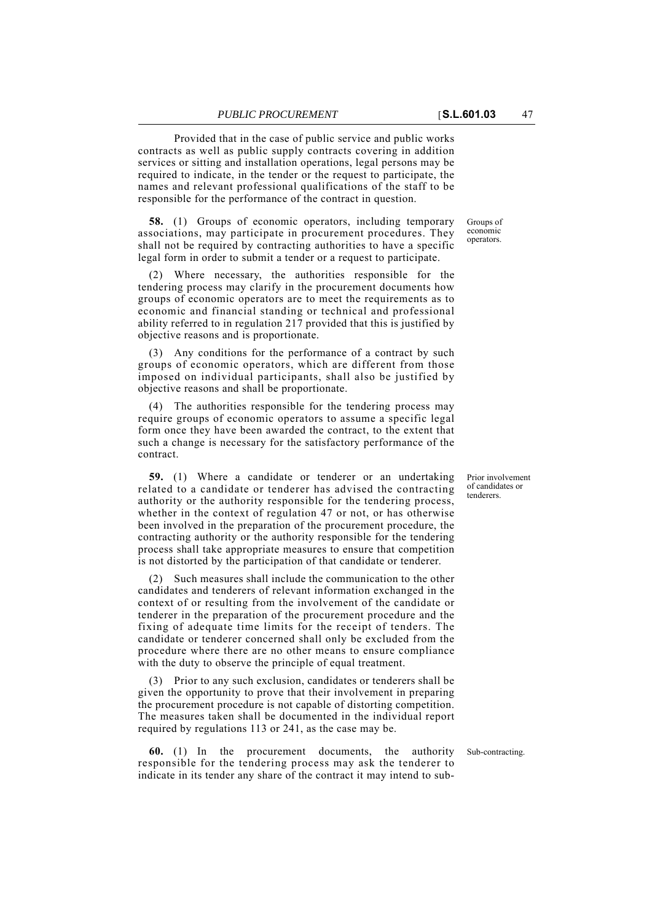Provided that in the case of public service and public works contracts as well as public supply contracts covering in addition services or sitting and installation operations, legal persons may be required to indicate, in the tender or the request to participate, the names and relevant professional qualifications of the staff to be responsible for the performance of the contract in question.

**58.** (1) Groups of economic operators, including temporary associations, may participate in procurement procedures. They shall not be required by contracting authorities to have a specific legal form in order to submit a tender or a request to participate.

(2) Where necessary, the authorities responsible for the tendering process may clarify in the procurement documents how groups of economic operators are to meet the requirements as to economic and financial standing or technical and professional ability referred to in regulation 217 provided that this is justified by objective reasons and is proportionate.

(3) Any conditions for the performance of a contract by such groups of economic operators, which are different from those imposed on individual participants, shall also be justified by objective reasons and shall be proportionate.

(4) The authorities responsible for the tendering process may require groups of economic operators to assume a specific legal form once they have been awarded the contract, to the extent that such a change is necessary for the satisfactory performance of the contract.

**59.** (1) Where a candidate or tenderer or an undertaking related to a candidate or tenderer has advised the contracting authority or the authority responsible for the tendering process, whether in the context of regulation 47 or not, or has otherwise been involved in the preparation of the procurement procedure, the contracting authority or the authority responsible for the tendering process shall take appropriate measures to ensure that competition is not distorted by the participation of that candidate or tenderer.

(2) Such measures shall include the communication to the other candidates and tenderers of relevant information exchanged in the context of or resulting from the involvement of the candidate or tenderer in the preparation of the procurement procedure and the fixing of adequate time limits for the receipt of tenders. The candidate or tenderer concerned shall only be excluded from the procedure where there are no other means to ensure compliance with the duty to observe the principle of equal treatment.

(3) Prior to any such exclusion, candidates or tenderers shall be given the opportunity to prove that their involvement in preparing the procurement procedure is not capable of distorting competition. The measures taken shall be documented in the individual report required by regulations 113 or 241, as the case may be.

**60.** (1) In the procurement documents, the authority Sub-contracting. responsible for the tendering process may ask the tenderer to indicate in its tender any share of the contract it may intend to sub-

Prior involvement of candidates or tenderers.

Groups of economic operators.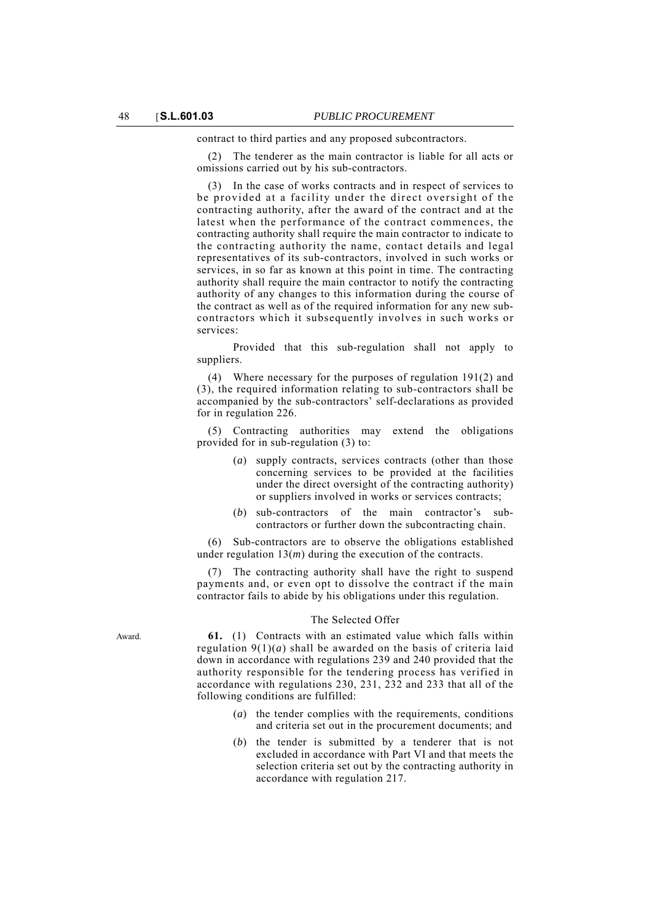contract to third parties and any proposed subcontractors.

(2) The tenderer as the main contractor is liable for all acts or omissions carried out by his sub-contractors.

(3) In the case of works contracts and in respect of services to be provided at a facility under the direct oversight of the contracting authority, after the award of the contract and at the latest when the performance of the contract commences, the contracting authority shall require the main contractor to indicate to the contracting authority the name, contact details and legal representatives of its sub-contractors, involved in such works or services, in so far as known at this point in time. The contracting authority shall require the main contractor to notify the contracting authority of any changes to this information during the course of the contract as well as of the required information for any new subcontractors which it subsequently involves in such works or services:

Provided that this sub-regulation shall not apply to suppliers.

(4) Where necessary for the purposes of regulation 191(2) and (3), the required information relating to sub-contractors shall be accompanied by the sub-contractors' self-declarations as provided for in regulation 226.

(5) Contracting authorities may extend the obligations provided for in sub-regulation (3) to:

- (*a*) supply contracts, services contracts (other than those concerning services to be provided at the facilities under the direct oversight of the contracting authority) or suppliers involved in works or services contracts;
- (*b*) sub-contractors of the main contractor's subcontractors or further down the subcontracting chain.

(6) Sub-contractors are to observe the obligations established under regulation 13(*m*) during the execution of the contracts.

(7) The contracting authority shall have the right to suspend payments and, or even opt to dissolve the contract if the main contractor fails to abide by his obligations under this regulation.

### The Selected Offer

Award. **61.** (1) Contracts with an estimated value which falls within regulation  $9(1)(a)$  shall be awarded on the basis of criteria laid down in accordance with regulations 239 and 240 provided that the authority responsible for the tendering process has verified in accordance with regulations 230, 231, 232 and 233 that all of the following conditions are fulfilled:

- (*a*) the tender complies with the requirements, conditions and criteria set out in the procurement documents; and
- (*b*) the tender is submitted by a tenderer that is not excluded in accordance with Part VI and that meets the selection criteria set out by the contracting authority in accordance with regulation 217.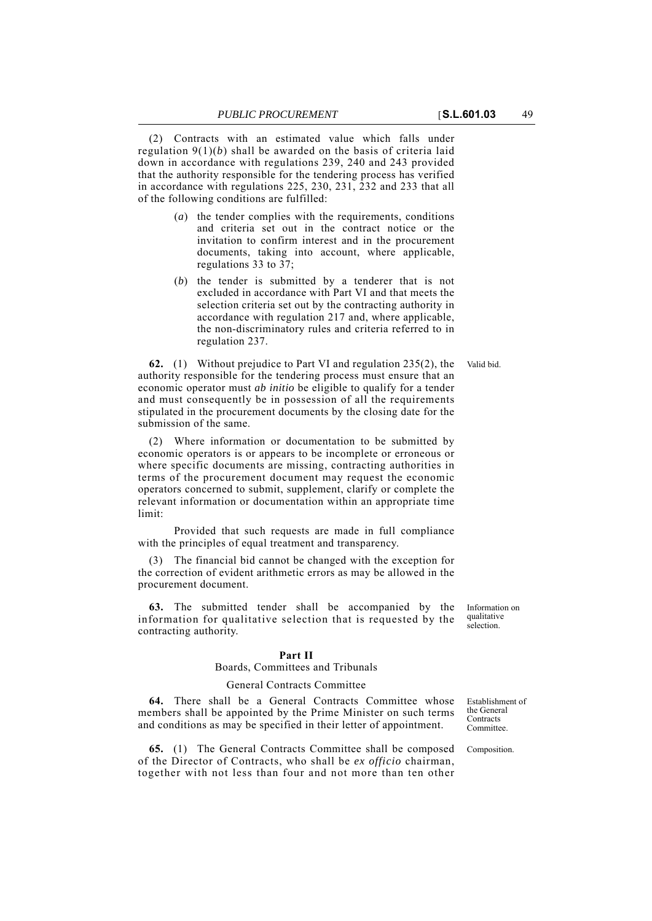(2) Contracts with an estimated value which falls under regulation 9(1)(*b*) shall be awarded on the basis of criteria laid down in accordance with regulations 239, 240 and 243 provided that the authority responsible for the tendering process has verified in accordance with regulations 225, 230, 231, 232 and 233 that all of the following conditions are fulfilled:

- (*a*) the tender complies with the requirements, conditions and criteria set out in the contract notice or the invitation to confirm interest and in the procurement documents, taking into account, where applicable, regulations 33 to 37;
- (*b*) the tender is submitted by a tenderer that is not excluded in accordance with Part VI and that meets the selection criteria set out by the contracting authority in accordance with regulation 217 and, where applicable, the non-discriminatory rules and criteria referred to in regulation 237.

**62.** (1) Without prejudice to Part VI and regulation 235(2), the Valid bid. authority responsible for the tendering process must ensure that an economic operator must *ab initio* be eligible to qualify for a tender and must consequently be in possession of all the requirements stipulated in the procurement documents by the closing date for the submission of the same.

Where information or documentation to be submitted by economic operators is or appears to be incomplete or erroneous or where specific documents are missing, contracting authorities in terms of the procurement document may request the economic operators concerned to submit, supplement, clarify or complete the relevant information or documentation within an appropriate time limit:

Provided that such requests are made in full compliance with the principles of equal treatment and transparency.

(3) The financial bid cannot be changed with the exception for the correction of evident arithmetic errors as may be allowed in the procurement document.

**63.** The submitted tender shall be accompanied by the information for qualitative selection that is requested by the contracting authority.

#### **Part II**

# Boards, Committees and Tribunals

## General Contracts Committee

**64.** There shall be a General Contracts Committee whose members shall be appointed by the Prime Minister on such terms and conditions as may be specified in their letter of appointment.

**65.** (1) The General Contracts Committee shall be composed Composition. of the Director of Contracts, who shall be *ex officio* chairman, together with not less than four and not more than ten other

Establishment of the General **Contracts** Committee.

Information on

qualitative selection.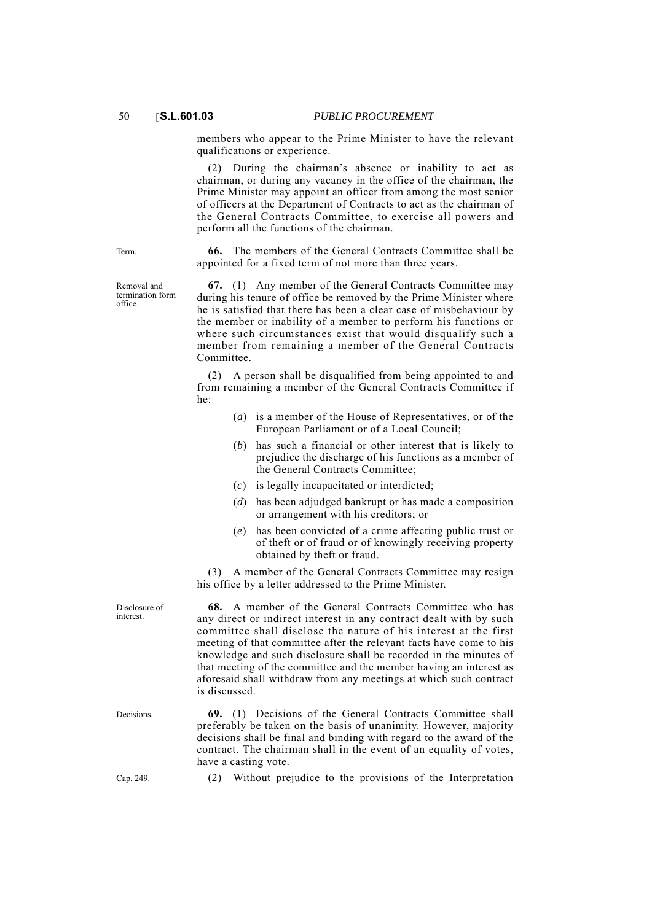members who appear to the Prime Minister to have the relevant qualifications or experience.

(2) During the chairman's absence or inability to act as chairman, or during any vacancy in the office of the chairman, the Prime Minister may appoint an officer from among the most senior of officers at the Department of Contracts to act as the chairman of the General Contracts Committee, to exercise all powers and perform all the functions of the chairman.

Removal and termination form office.

Term. **66.** The members of the General Contracts Committee shall be appointed for a fixed term of not more than three years.

> **67.** (1) Any member of the General Contracts Committee may during his tenure of office be removed by the Prime Minister where he is satisfied that there has been a clear case of misbehaviour by the member or inability of a member to perform his functions or where such circumstances exist that would disqualify such a member from remaining a member of the General Contracts Committee.

> (2) A person shall be disqualified from being appointed to and from remaining a member of the General Contracts Committee if he:

- (*a*) is a member of the House of Representatives, or of the European Parliament or of a Local Council;
- (*b*) has such a financial or other interest that is likely to prejudice the discharge of his functions as a member of the General Contracts Committee;
- (*c*) is legally incapacitated or interdicted;
- (*d*) has been adjudged bankrupt or has made a composition or arrangement with his creditors; or
- (*e*) has been convicted of a crime affecting public trust or of theft or of fraud or of knowingly receiving property obtained by theft or fraud.

(3) A member of the General Contracts Committee may resign his office by a letter addressed to the Prime Minister.

**68.** A member of the General Contracts Committee who has any direct or indirect interest in any contract dealt with by such committee shall disclose the nature of his interest at the first meeting of that committee after the relevant facts have come to his knowledge and such disclosure shall be recorded in the minutes of that meeting of the committee and the member having an interest as aforesaid shall withdraw from any meetings at which such contract is discussed.

Decisions. **69.** (1) Decisions of the General Contracts Committee shall preferably be taken on the basis of unanimity. However, majority decisions shall be final and binding with regard to the award of the contract. The chairman shall in the event of an equality of votes, have a casting vote.

Cap. 249. (2) Without prejudice to the provisions of the Interpretation

Disclosure of interest.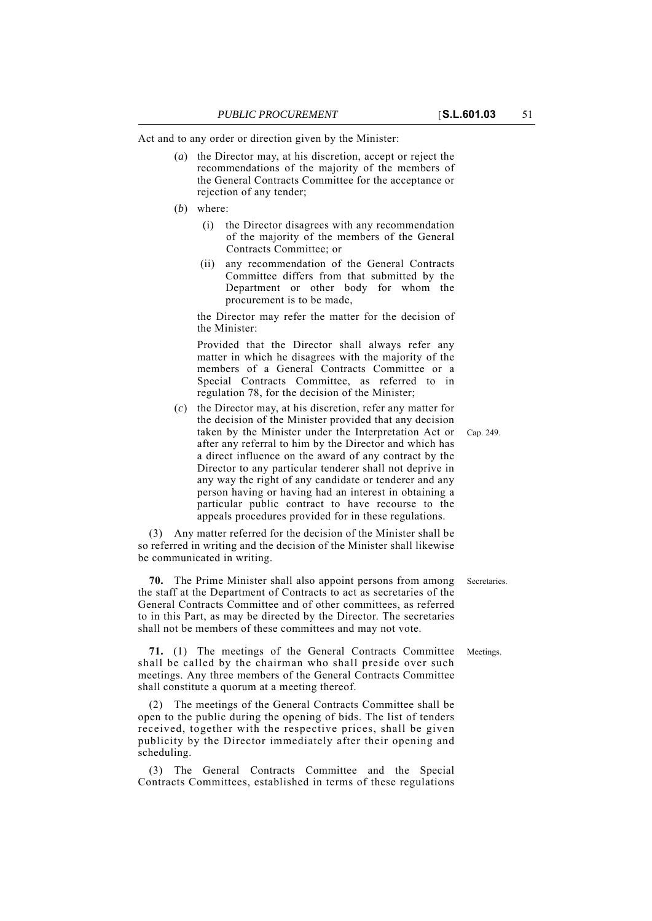Act and to any order or direction given by the Minister:

- (*a*) the Director may, at his discretion, accept or reject the recommendations of the majority of the members of the General Contracts Committee for the acceptance or rejection of any tender;
- (*b*) where:
	- (i) the Director disagrees with any recommendation of the majority of the members of the General Contracts Committee; or
	- (ii) any recommendation of the General Contracts Committee differs from that submitted by the Department or other body for whom the procurement is to be made,

the Director may refer the matter for the decision of the Minister:

Provided that the Director shall always refer any matter in which he disagrees with the majority of the members of a General Contracts Committee or a Special Contracts Committee, as referred to in regulation 78, for the decision of the Minister;

taken by the Minister under the Interpretation Act or Cap. 249. (*c*) the Director may, at his discretion, refer any matter for the decision of the Minister provided that any decision after any referral to him by the Director and which has a direct influence on the award of any contract by the Director to any particular tenderer shall not deprive in any way the right of any candidate or tenderer and any person having or having had an interest in obtaining a particular public contract to have recourse to the appeals procedures provided for in these regulations.

(3) Any matter referred for the decision of the Minister shall be so referred in writing and the decision of the Minister shall likewise be communicated in writing.

**70.** The Prime Minister shall also appoint persons from among Secretaries. the staff at the Department of Contracts to act as secretaries of the General Contracts Committee and of other committees, as referred to in this Part, as may be directed by the Director. The secretaries shall not be members of these committees and may not vote.

**71.** (1) The meetings of the General Contracts Committee Meetings. shall be called by the chairman who shall preside over such meetings. Any three members of the General Contracts Committee shall constitute a quorum at a meeting thereof.

(2) The meetings of the General Contracts Committee shall be open to the public during the opening of bids. The list of tenders received, together with the respective prices, shall be given publicity by the Director immediately after their opening and scheduling.

(3) The General Contracts Committee and the Special Contracts Committees, established in terms of these regulations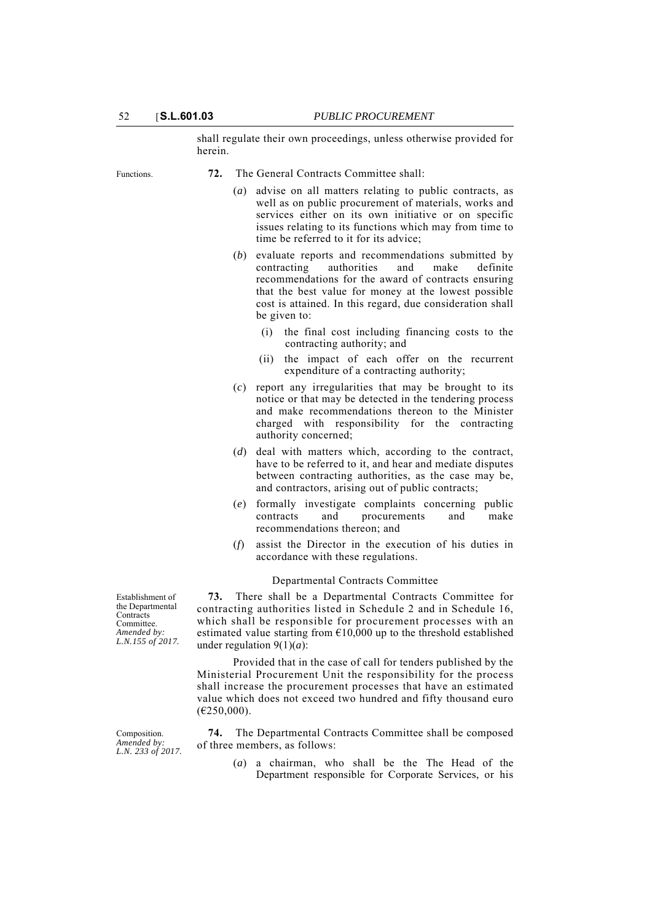shall regulate their own proceedings, unless otherwise provided for herein.

Functions. **72.** The General Contracts Committee shall:

- (*a*) advise on all matters relating to public contracts, as well as on public procurement of materials, works and services either on its own initiative or on specific issues relating to its functions which may from time to time be referred to it for its advice;
- (*b*) evaluate reports and recommendations submitted by contracting authorities and make definite recommendations for the award of contracts ensuring that the best value for money at the lowest possible cost is attained. In this regard, due consideration shall be given to:
	- (i) the final cost including financing costs to the contracting authority; and
	- (ii) the impact of each offer on the recurrent expenditure of a contracting authority;
- (*c*) report any irregularities that may be brought to its notice or that may be detected in the tendering process and make recommendations thereon to the Minister charged with responsibility for the contracting authority concerned;
- (*d*) deal with matters which, according to the contract, have to be referred to it, and hear and mediate disputes between contracting authorities, as the case may be, and contractors, arising out of public contracts;
- (*e*) formally investigate complaints concerning public contracts and procurements and make recommendations thereon; and
- (*f*) assist the Director in the execution of his duties in accordance with these regulations.

### Departmental Contracts Committee

**73.** There shall be a Departmental Contracts Committee for contracting authorities listed in Schedule 2 and in Schedule 16, which shall be responsible for procurement processes with an estimated value starting from  $£10,000$  up to the threshold established under regulation  $9(1)(a)$ :

Provided that in the case of call for tenders published by the Ministerial Procurement Unit the responsibility for the process shall increase the procurement processes that have an estimated value which does not exceed two hundred and fifty thousand euro  $(E250,000)$ .

**74.** The Departmental Contracts Committee shall be composed of three members, as follows:

> (*a*) a chairman, who shall be the The Head of the Department responsible for Corporate Services, or his

Establishment of the Departmental Contracts Committee. *Amended by: L.N.155 of 2017.*

Composition. *Amended by: L.N. 233 of 2017.*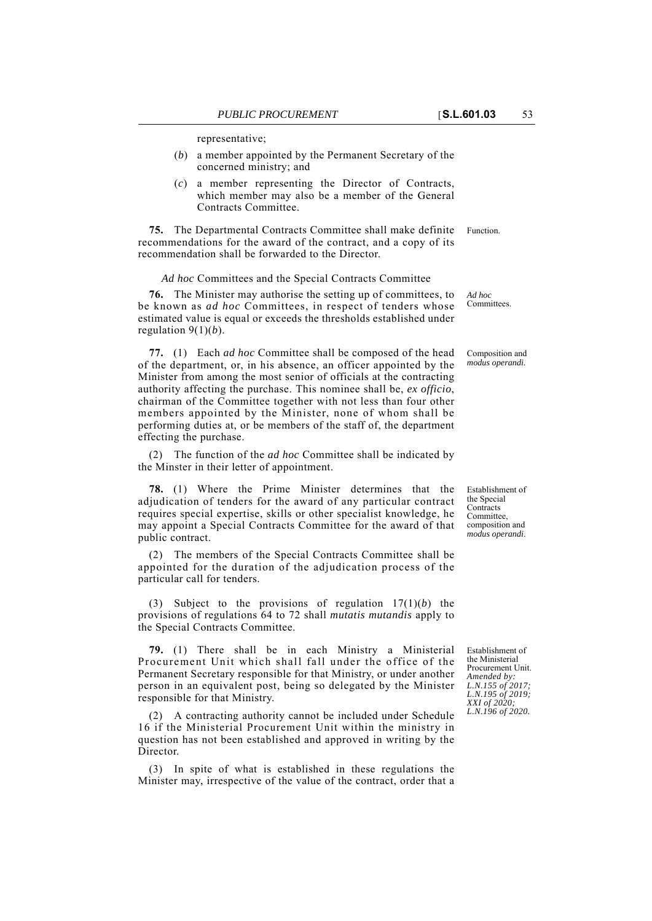representative;

- (*b*) a member appointed by the Permanent Secretary of the concerned ministry; and
- (*c*) a member representing the Director of Contracts, which member may also be a member of the General Contracts Committee.

**75.** The Departmental Contracts Committee shall make definite Function. recommendations for the award of the contract, and a copy of its recommendation shall be forwarded to the Director.

#### *Ad hoc* Committees and the Special Contracts Committee

**76.** The Minister may authorise the setting up of committees, to be known as *ad hoc* Committees, in respect of tenders whose estimated value is equal or exceeds the thresholds established under regulation 9(1)(*b*).

**77.** (1) Each *ad hoc* Committee shall be composed of the head of the department, or, in his absence, an officer appointed by the Minister from among the most senior of officials at the contracting authority affecting the purchase. This nominee shall be, *ex officio*, chairman of the Committee together with not less than four other members appointed by the Minister, none of whom shall be performing duties at, or be members of the staff of, the department effecting the purchase.

(2) The function of the *ad hoc* Committee shall be indicated by the Minster in their letter of appointment.

**78.** (1) Where the Prime Minister determines that the adjudication of tenders for the award of any particular contract requires special expertise, skills or other specialist knowledge, he may appoint a Special Contracts Committee for the award of that public contract.

(2) The members of the Special Contracts Committee shall be appointed for the duration of the adjudication process of the particular call for tenders.

(3) Subject to the provisions of regulation 17(1)(*b*) the provisions of regulations 64 to 72 shall *mutatis mutandis* apply to the Special Contracts Committee.

**79.** (1) There shall be in each Ministry a Ministerial Procurement Unit which shall fall under the office of the Permanent Secretary responsible for that Ministry, or under another person in an equivalent post, being so delegated by the Minister responsible for that Ministry.

(2) A contracting authority cannot be included under Schedule 16 if the Ministerial Procurement Unit within the ministry in question has not been established and approved in writing by the **Director** 

(3) In spite of what is established in these regulations the Minister may, irrespective of the value of the contract, order that a

Establishment of the Ministerial Procurement Unit. *Amended by: L.N.155 of 2017; L.N.195 of 2019; XXI of 2020; L.N.196 of 2020.*

Composition and

*modus operandi.*

Establishment of the Special **Contracts** Committee, composition and *modus operandi*.

*Ad hoc* Committees.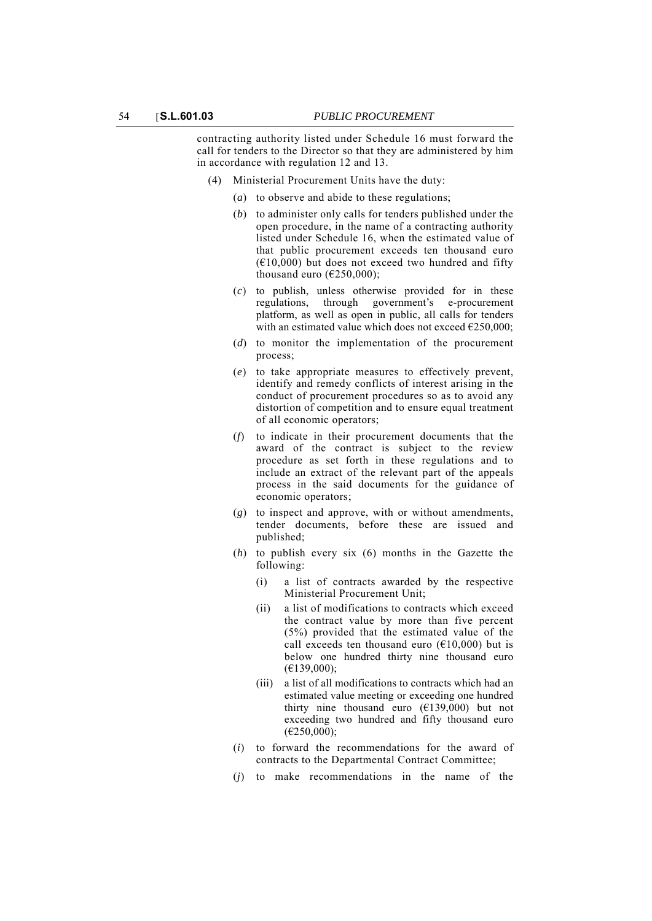contracting authority listed under Schedule 16 must forward the call for tenders to the Director so that they are administered by him in accordance with regulation 12 and 13.

- (4) Ministerial Procurement Units have the duty:
	- (*a*) to observe and abide to these regulations;
	- (*b*) to administer only calls for tenders published under the open procedure, in the name of a contracting authority listed under Schedule 16, when the estimated value of that public procurement exceeds ten thousand euro  $(610,000)$  but does not exceed two hundred and fifty thousand euro ( $E$ 250,000);
	- (*c*) to publish, unless otherwise provided for in these regulations, through government's e-procurement platform, as well as open in public, all calls for tenders with an estimated value which does not exceed  $\epsilon$ 250,000;
	- (*d*) to monitor the implementation of the procurement process;
	- (*e*) to take appropriate measures to effectively prevent, identify and remedy conflicts of interest arising in the conduct of procurement procedures so as to avoid any distortion of competition and to ensure equal treatment of all economic operators;
	- (*f*) to indicate in their procurement documents that the award of the contract is subject to the review procedure as set forth in these regulations and to include an extract of the relevant part of the appeals process in the said documents for the guidance of economic operators;
	- (*g*) to inspect and approve, with or without amendments, tender documents, before these are issued and published;
	- (*h*) to publish every six (6) months in the Gazette the following:
		- (i) a list of contracts awarded by the respective Ministerial Procurement Unit;
		- (ii) a list of modifications to contracts which exceed the contract value by more than five percent (5%) provided that the estimated value of the call exceeds ten thousand euro  $(\text{\textsterling}10,000)$  but is below one hundred thirty nine thousand euro  $(E139,000);$
		- (iii) a list of all modifications to contracts which had an estimated value meeting or exceeding one hundred thirty nine thousand euro  $(£139,000)$  but not exceeding two hundred and fifty thousand euro (€250,000);
	- (*i*) to forward the recommendations for the award of contracts to the Departmental Contract Committee;
	- (*j*) to make recommendations in the name of the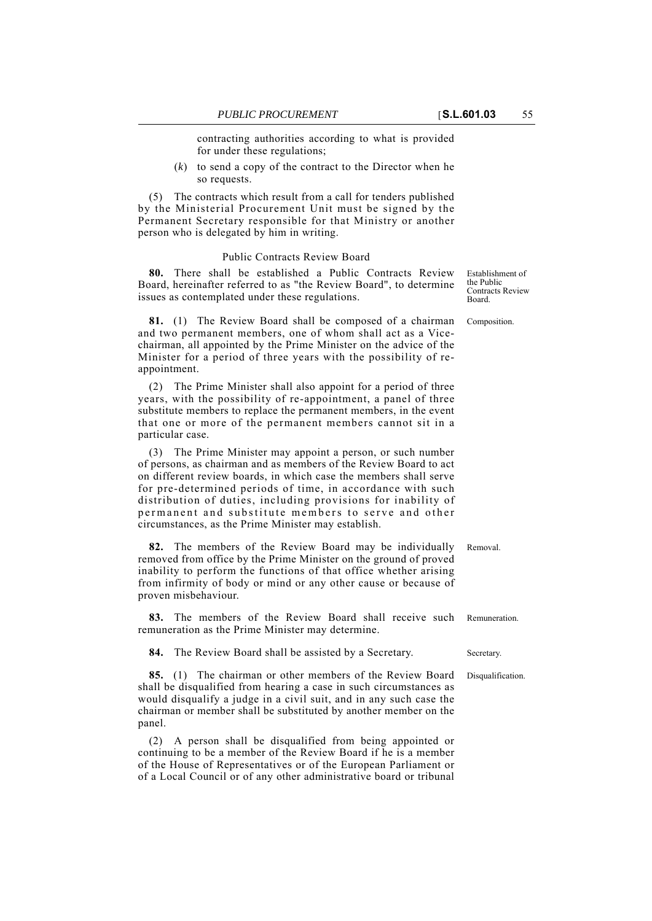contracting authorities according to what is provided for under these regulations;

(*k*) to send a copy of the contract to the Director when he so requests.

(5) The contracts which result from a call for tenders published by the Ministerial Procurement Unit must be signed by the Permanent Secretary responsible for that Ministry or another person who is delegated by him in writing.

# Public Contracts Review Board

**80.** There shall be established a Public Contracts Review Board, hereinafter referred to as "the Review Board", to determine issues as contemplated under these regulations.

**81.** (1) The Review Board shall be composed of a chairman Composition. and two permanent members, one of whom shall act as a Vicechairman, all appointed by the Prime Minister on the advice of the Minister for a period of three years with the possibility of reappointment.

(2) The Prime Minister shall also appoint for a period of three years, with the possibility of re-appointment, a panel of three substitute members to replace the permanent members, in the event that one or more of the permanent members cannot sit in a particular case.

(3) The Prime Minister may appoint a person, or such number of persons, as chairman and as members of the Review Board to act on different review boards, in which case the members shall serve for pre-determined periods of time, in accordance with such distribution of duties, including provisions for inability of permanent and substitute members to serve and other circumstances, as the Prime Minister may establish.

**82.** The members of the Review Board may be individually Removal. removed from office by the Prime Minister on the ground of proved inability to perform the functions of that office whether arising from infirmity of body or mind or any other cause or because of proven misbehaviour.

**83.** The members of the Review Board shall receive such Remuneration. remuneration as the Prime Minister may determine.

**84.** The Review Board shall be assisted by a Secretary. Secretary.

**85.** (1) The chairman or other members of the Review Board Disqualification. shall be disqualified from hearing a case in such circumstances as would disqualify a judge in a civil suit, and in any such case the chairman or member shall be substituted by another member on the panel.

(2) A person shall be disqualified from being appointed or continuing to be a member of the Review Board if he is a member of the House of Representatives or of the European Parliament or of a Local Council or of any other administrative board or tribunal Establishment of the Public Contracts Review Board.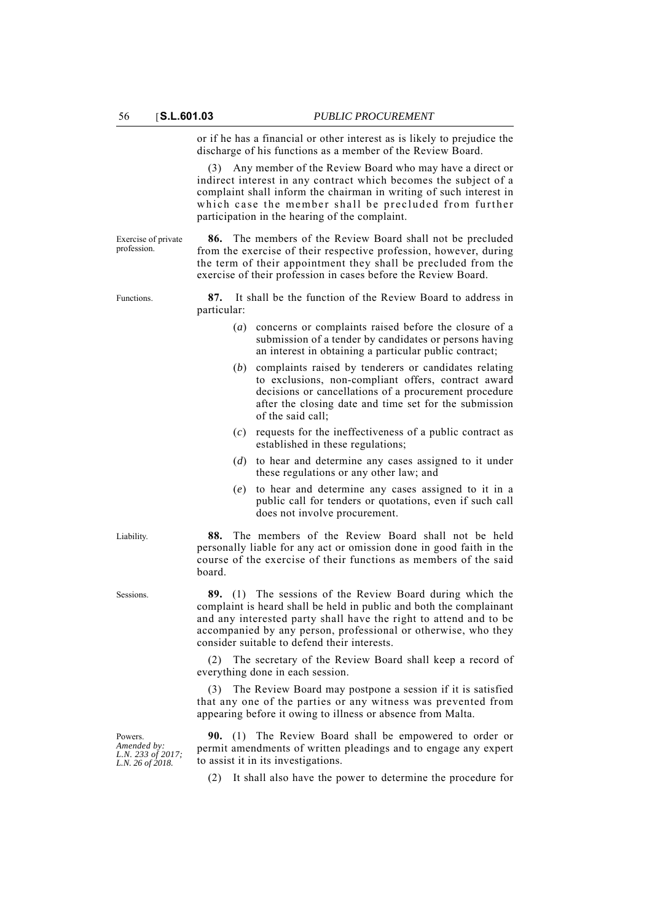Exercise of private profession.

or if he has a financial or other interest as is likely to prejudice the discharge of his functions as a member of the Review Board.

Any member of the Review Board who may have a direct or indirect interest in any contract which becomes the subject of a complaint shall inform the chairman in writing of such interest in which case the member shall be precluded from further participation in the hearing of the complaint.

**86.** The members of the Review Board shall not be precluded from the exercise of their respective profession, however, during the term of their appointment they shall be precluded from the exercise of their profession in cases before the Review Board.

Functions. **87.** It shall be the function of the Review Board to address in particular:

- (*a*) concerns or complaints raised before the closure of a submission of a tender by candidates or persons having an interest in obtaining a particular public contract;
- (*b*) complaints raised by tenderers or candidates relating to exclusions, non-compliant offers, contract award decisions or cancellations of a procurement procedure after the closing date and time set for the submission of the said call;
- (*c*) requests for the ineffectiveness of a public contract as established in these regulations;
- (*d*) to hear and determine any cases assigned to it under these regulations or any other law; and
- (*e*) to hear and determine any cases assigned to it in a public call for tenders or quotations, even if such call does not involve procurement.

Liability. **88.** The members of the Review Board shall not be held personally liable for any act or omission done in good faith in the course of the exercise of their functions as members of the said board.

Sessions. **89.** (1) The sessions of the Review Board during which the complaint is heard shall be held in public and both the complainant and any interested party shall have the right to attend and to be accompanied by any person, professional or otherwise, who they consider suitable to defend their interests.

> (2) The secretary of the Review Board shall keep a record of everything done in each session.

> (3) The Review Board may postpone a session if it is satisfied that any one of the parties or any witness was prevented from appearing before it owing to illness or absence from Malta.

**90.** (1) The Review Board shall be empowered to order or permit amendments of written pleadings and to engage any expert to assist it in its investigations.

(2) It shall also have the power to determine the procedure for

Powers. *Amended by: L.N. 233 of 2017; L.N. 26 of 2018.*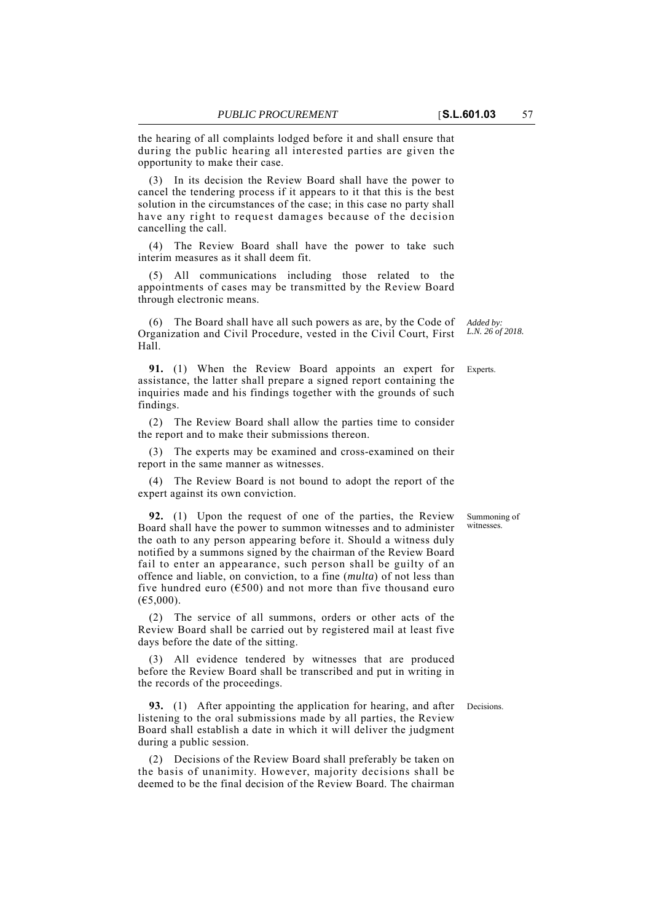the hearing of all complaints lodged before it and shall ensure that during the public hearing all interested parties are given the opportunity to make their case.

(3) In its decision the Review Board shall have the power to cancel the tendering process if it appears to it that this is the best solution in the circumstances of the case; in this case no party shall have any right to request damages because of the decision cancelling the call.

(4) The Review Board shall have the power to take such interim measures as it shall deem fit.

(5) All communications including those related to the appointments of cases may be transmitted by the Review Board through electronic means.

(6) The Board shall have all such powers as are, by the Code of Organization and Civil Procedure, vested in the Civil Court, First Hall.

**91.** (1) When the Review Board appoints an expert for Experts. assistance, the latter shall prepare a signed report containing the inquiries made and his findings together with the grounds of such findings.

(2) The Review Board shall allow the parties time to consider the report and to make their submissions thereon.

(3) The experts may be examined and cross-examined on their report in the same manner as witnesses.

(4) The Review Board is not bound to adopt the report of the expert against its own conviction.

**92.** (1) Upon the request of one of the parties, the Review Board shall have the power to summon witnesses and to administer the oath to any person appearing before it. Should a witness duly notified by a summons signed by the chairman of the Review Board fail to enter an appearance, such person shall be guilty of an offence and liable, on conviction, to a fine (*multa*) of not less than five hundred euro ( $6500$ ) and not more than five thousand euro  $(E5,000)$ .

(2) The service of all summons, orders or other acts of the Review Board shall be carried out by registered mail at least five days before the date of the sitting.

(3) All evidence tendered by witnesses that are produced before the Review Board shall be transcribed and put in writing in the records of the proceedings.

**93.** (1) After appointing the application for hearing, and after Decisions. listening to the oral submissions made by all parties, the Review Board shall establish a date in which it will deliver the judgment during a public session.

(2) Decisions of the Review Board shall preferably be taken on the basis of unanimity. However, majority decisions shall be deemed to be the final decision of the Review Board. The chairman

*Added by: L.N. 26 of 2018.*

Summoning of witnesses.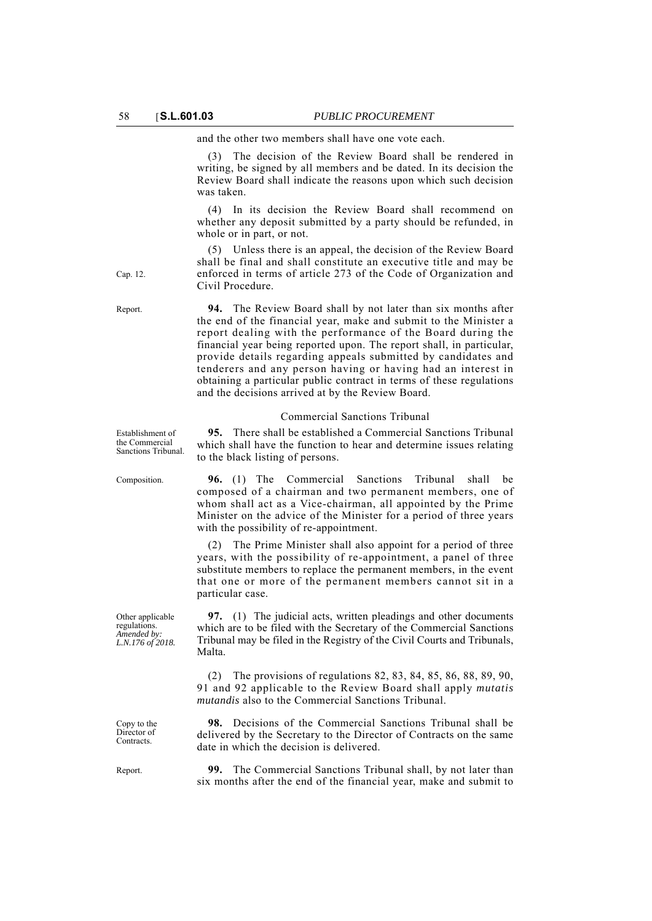and the other two members shall have one vote each.

(3) The decision of the Review Board shall be rendered in writing, be signed by all members and be dated. In its decision the Review Board shall indicate the reasons upon which such decision was taken.

(4) In its decision the Review Board shall recommend on whether any deposit submitted by a party should be refunded, in whole or in part, or not.

(5) Unless there is an appeal, the decision of the Review Board shall be final and shall constitute an executive title and may be enforced in terms of article 273 of the Code of Organization and Civil Procedure.

Report. **94.** The Review Board shall by not later than six months after the end of the financial year, make and submit to the Minister a report dealing with the performance of the Board during the financial year being reported upon. The report shall, in particular, provide details regarding appeals submitted by candidates and tenderers and any person having or having had an interest in obtaining a particular public contract in terms of these regulations and the decisions arrived at by the Review Board.

#### Commercial Sanctions Tribunal

**95.** There shall be established a Commercial Sanctions Tribunal which shall have the function to hear and determine issues relating to the black listing of persons.

Composition. **96.** (1) The Commercial Sanctions Tribunal shall be composed of a chairman and two permanent members, one of whom shall act as a Vice-chairman, all appointed by the Prime Minister on the advice of the Minister for a period of three years with the possibility of re-appointment.

> (2) The Prime Minister shall also appoint for a period of three years, with the possibility of re-appointment, a panel of three substitute members to replace the permanent members, in the event that one or more of the permanent members cannot sit in a particular case.

> **97.** (1) The judicial acts, written pleadings and other documents which are to be filed with the Secretary of the Commercial Sanctions Tribunal may be filed in the Registry of the Civil Courts and Tribunals, Malta.

(2) The provisions of regulations 82, 83, 84, 85, 86, 88, 89, 90, 91 and 92 applicable to the Review Board shall apply *mutatis mutandis* also to the Commercial Sanctions Tribunal.

**98.** Decisions of the Commercial Sanctions Tribunal shall be delivered by the Secretary to the Director of Contracts on the same date in which the decision is delivered.

Report. **99.** The Commercial Sanctions Tribunal shall, by not later than six months after the end of the financial year, make and submit to

Cap. 12.

Establishment of the Commercial Sanctions Tribunal.

Other applicable regulations. *Amended by: L.N.176 of 2018.*

Copy to the Director of **Contracts**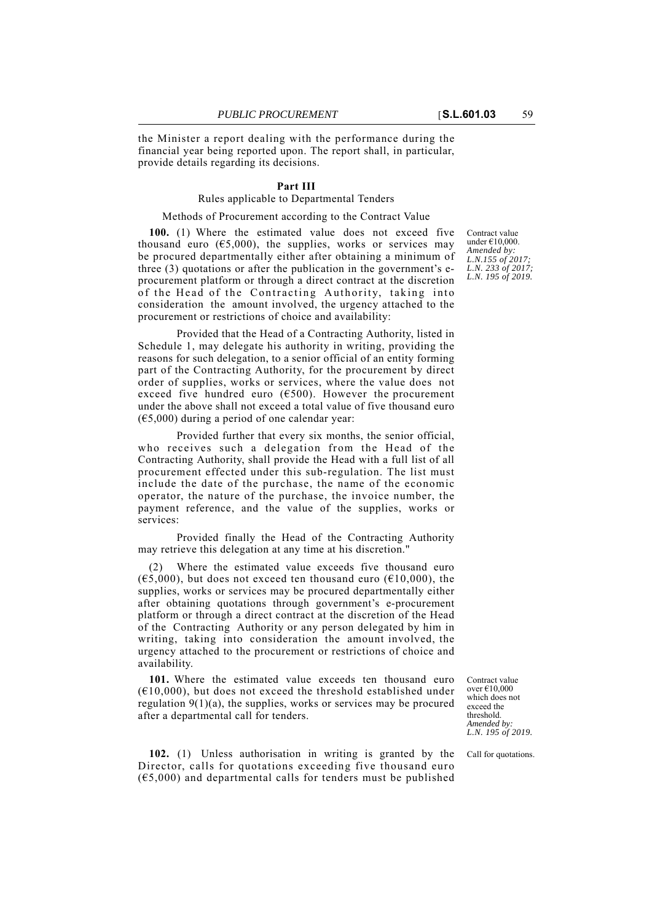the Minister a report dealing with the performance during the financial year being reported upon. The report shall, in particular, provide details regarding its decisions.

## **Part III**

## Rules applicable to Departmental Tenders

#### Methods of Procurement according to the Contract Value

**100.** (1) Where the estimated value does not exceed five thousand euro  $(65,000)$ , the supplies, works or services may be procured departmentally either after obtaining a minimum of three (3) quotations or after the publication in the government's eprocurement platform or through a direct contract at the discretion of the Head of the Contracting Authority, taking into consideration the amount involved, the urgency attached to the procurement or restrictions of choice and availability:

Provided that the Head of a Contracting Authority, listed in Schedule 1, may delegate his authority in writing, providing the reasons for such delegation, to a senior official of an entity forming part of the Contracting Authority, for the procurement by direct order of supplies, works or services, where the value does not exceed five hundred euro ( $6500$ ). However the procurement under the above shall not exceed a total value of five thousand euro  $(65,000)$  during a period of one calendar year:

Provided further that every six months, the senior official, who receives such a delegation from the Head of the Contracting Authority, shall provide the Head with a full list of all procurement effected under this sub-regulation. The list must include the date of the purchase, the name of the economic operator, the nature of the purchase, the invoice number, the payment reference, and the value of the supplies, works or services:

Provided finally the Head of the Contracting Authority may retrieve this delegation at any time at his discretion."

Where the estimated value exceeds five thousand euro  $(65,000)$ , but does not exceed ten thousand euro  $(610,000)$ , the supplies, works or services may be procured departmentally either after obtaining quotations through government's e-procurement platform or through a direct contract at the discretion of the Head of the Contracting Authority or any person delegated by him in writing, taking into consideration the amount involved, the urgency attached to the procurement or restrictions of choice and availability.

**101.** Where the estimated value exceeds ten thousand euro  $(610,000)$ , but does not exceed the threshold established under regulation  $9(1)(a)$ , the supplies, works or services may be procured after a departmental call for tenders.

**102.** (1) Unless authorisation in writing is granted by the Call for quotations. Director, calls for quotations exceeding five thousand euro  $(65,000)$  and departmental calls for tenders must be published

Contract value under €10,000. *Amended by: L.N.155 of 2017; L.N. 233 of 2017; L.N. 195 of 2019.*

Contract value over €10,000 which does not exceed the threshold. *Amended by: L.N. 195 of 2019.*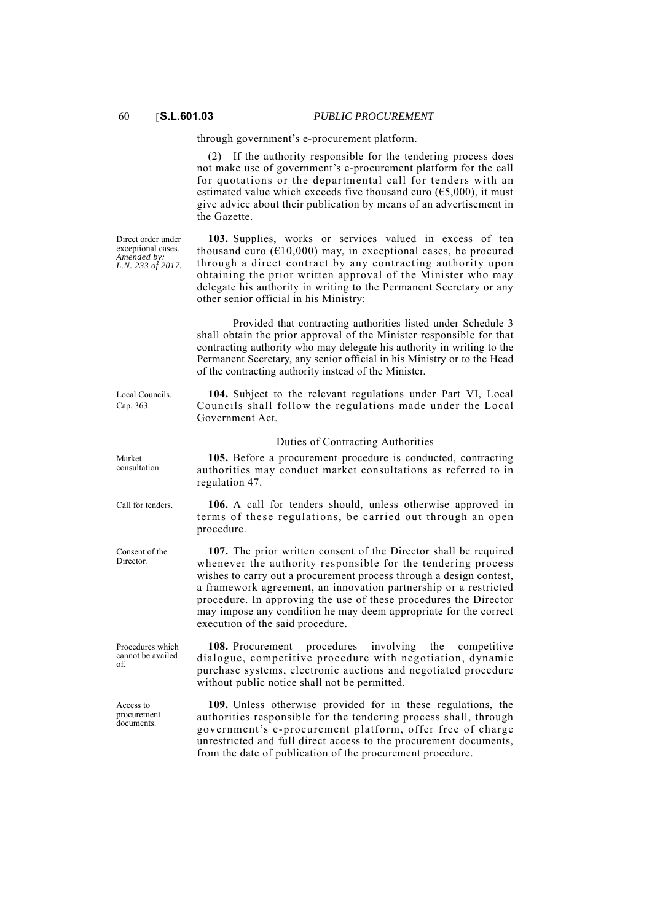through government's e-procurement platform.

(2) If the authority responsible for the tendering process does not make use of government's e-procurement platform for the call for quotations or the departmental call for tenders with an estimated value which exceeds five thousand euro ( $\epsilon$ 5,000), it must give advice about their publication by means of an advertisement in the Gazette.

**103.** Supplies, works or services valued in excess of ten thousand euro ( $E10,000$ ) may, in exceptional cases, be procured through a direct contract by any contracting authority upon obtaining the prior written approval of the Minister who may delegate his authority in writing to the Permanent Secretary or any other senior official in his Ministry:

Provided that contracting authorities listed under Schedule 3 shall obtain the prior approval of the Minister responsible for that contracting authority who may delegate his authority in writing to the Permanent Secretary, any senior official in his Ministry or to the Head of the contracting authority instead of the Minister.

**104.** Subject to the relevant regulations under Part VI, Local Councils shall follow the regulations made under the Local Government Act.

#### Duties of Contracting Authorities

**105.** Before a procurement procedure is conducted, contracting authorities may conduct market consultations as referred to in regulation 47.

Call for tenders. **106.** A call for tenders should, unless otherwise approved in terms of these regulations, be carried out through an open procedure.

> **107.** The prior written consent of the Director shall be required whenever the authority responsible for the tendering process wishes to carry out a procurement process through a design contest, a framework agreement, an innovation partnership or a restricted procedure. In approving the use of these procedures the Director may impose any condition he may deem appropriate for the correct execution of the said procedure.

> **108.** Procurement procedures involving the competitive dialogue, competitive procedure with negotiation, dynamic purchase systems, electronic auctions and negotiated procedure without public notice shall not be permitted.

> **109.** Unless otherwise provided for in these regulations, the authorities responsible for the tendering process shall, through government's e-procurement platform, offer free of charge unrestricted and full direct access to the procurement documents, from the date of publication of the procurement procedure.

Direct order under exceptional cases. *Amended by: L.N. 233 of 2017.*

Local Councils. Cap. 363.

Market consultation.

Procedures which cannot be availed of.

Consent of the **Director** 

Access to procurement documents.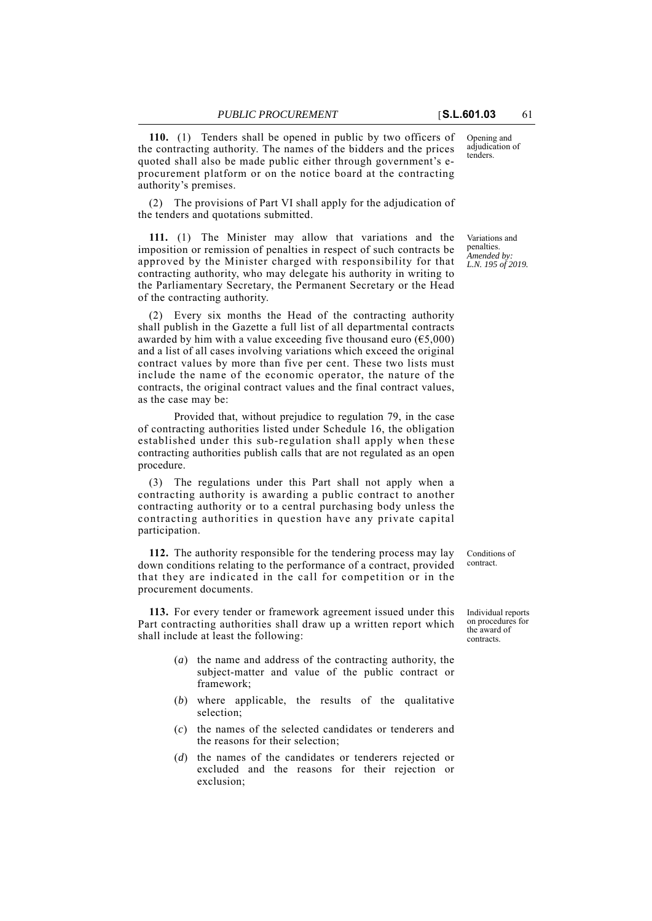Opening and adjudication of tenders.

**110.** (1) Tenders shall be opened in public by two officers of the contracting authority. The names of the bidders and the prices quoted shall also be made public either through government's eprocurement platform or on the notice board at the contracting authority's premises.

(2) The provisions of Part VI shall apply for the adjudication of the tenders and quotations submitted.

**111.** (1) The Minister may allow that variations and the imposition or remission of penalties in respect of such contracts be approved by the Minister charged with responsibility for that contracting authority, who may delegate his authority in writing to the Parliamentary Secretary, the Permanent Secretary or the Head of the contracting authority.

(2) Every six months the Head of the contracting authority shall publish in the Gazette a full list of all departmental contracts awarded by him with a value exceeding five thousand euro  $(65,000)$ and a list of all cases involving variations which exceed the original contract values by more than five per cent. These two lists must include the name of the economic operator, the nature of the contracts, the original contract values and the final contract values, as the case may be:

Provided that, without prejudice to regulation 79, in the case of contracting authorities listed under Schedule 16, the obligation established under this sub-regulation shall apply when these contracting authorities publish calls that are not regulated as an open procedure.

(3) The regulations under this Part shall not apply when a contracting authority is awarding a public contract to another contracting authority or to a central purchasing body unless the contracting authorities in question have any private capital participation.

**112.** The authority responsible for the tendering process may lay down conditions relating to the performance of a contract, provided that they are indicated in the call for competition or in the procurement documents.

**113.** For every tender or framework agreement issued under this Part contracting authorities shall draw up a written report which shall include at least the following:

- (*a*) the name and address of the contracting authority, the subject-matter and value of the public contract or framework;
- (*b*) where applicable, the results of the qualitative selection;
- (*c*) the names of the selected candidates or tenderers and the reasons for their selection;
- (*d*) the names of the candidates or tenderers rejected or excluded and the reasons for their rejection or exclusion;

Variations and penalties. *Amended by: L.N. 195 of 2019.*

Conditions of contract.

Individual reports on procedures for the award of contracts.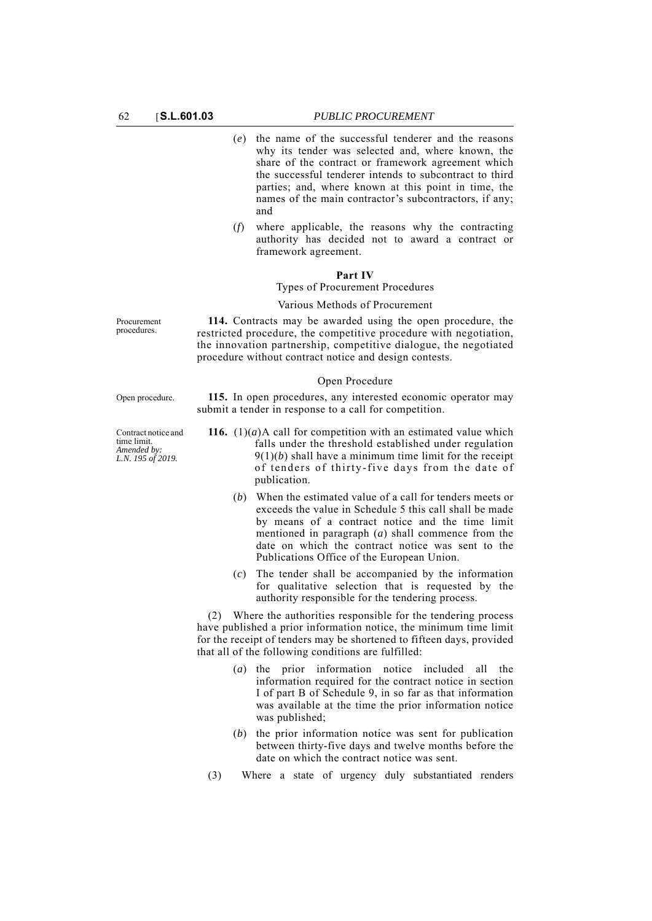- (*e*) the name of the successful tenderer and the reasons why its tender was selected and, where known, the share of the contract or framework agreement which the successful tenderer intends to subcontract to third parties; and, where known at this point in time, the names of the main contractor's subcontractors, if any; and
- (*f*) where applicable, the reasons why the contracting authority has decided not to award a contract or framework agreement.

# **Part IV**

# Types of Procurement Procedures

# Various Methods of Procurement

**114.** Contracts may be awarded using the open procedure, the restricted procedure, the competitive procedure with negotiation, the innovation partnership, competitive dialogue, the negotiated procedure without contract notice and design contests.

### Open Procedure

Open procedure. **115.** In open procedures, any interested economic operator may submit a tender in response to a call for competition.

- **116.** (1)(*a*)A call for competition with an estimated value which falls under the threshold established under regulation  $9(1)(b)$  shall have a minimum time limit for the receipt of tenders of thirty-five days from the date of publication.
	- (*b*) When the estimated value of a call for tenders meets or exceeds the value in Schedule 5 this call shall be made by means of a contract notice and the time limit mentioned in paragraph (*a*) shall commence from the date on which the contract notice was sent to the Publications Office of the European Union.
	- (*c*) The tender shall be accompanied by the information for qualitative selection that is requested by the authority responsible for the tendering process.

(2) Where the authorities responsible for the tendering process have published a prior information notice, the minimum time limit for the receipt of tenders may be shortened to fifteen days, provided that all of the following conditions are fulfilled:

- (*a*) the prior information notice included all the information required for the contract notice in section I of part B of Schedule 9, in so far as that information was available at the time the prior information notice was published;
- (*b*) the prior information notice was sent for publication between thirty-five days and twelve months before the date on which the contract notice was sent.
- (3) Where a state of urgency duly substantiated renders

**Procurement** procedures.

Contract notice and time limit. *Amended by: L.N. 195 of 2019.*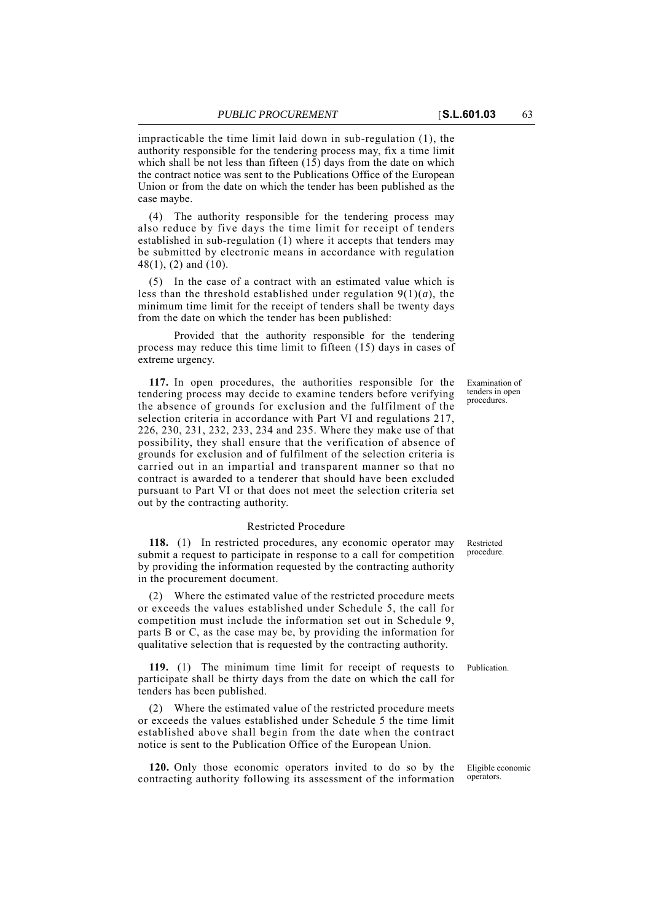impracticable the time limit laid down in sub-regulation (1), the authority responsible for the tendering process may, fix a time limit which shall be not less than fifteen  $(15)$  days from the date on which the contract notice was sent to the Publications Office of the European Union or from the date on which the tender has been published as the case maybe.

(4) The authority responsible for the tendering process may also reduce by five days the time limit for receipt of tenders established in sub-regulation (1) where it accepts that tenders may be submitted by electronic means in accordance with regulation 48(1), (2) and (10).

(5) In the case of a contract with an estimated value which is less than the threshold established under regulation 9(1)(*a*), the minimum time limit for the receipt of tenders shall be twenty days from the date on which the tender has been published:

Provided that the authority responsible for the tendering process may reduce this time limit to fifteen (15) days in cases of extreme urgency.

**117.** In open procedures, the authorities responsible for the tendering process may decide to examine tenders before verifying the absence of grounds for exclusion and the fulfilment of the selection criteria in accordance with Part VI and regulations 217, 226, 230, 231, 232, 233, 234 and 235. Where they make use of that possibility, they shall ensure that the verification of absence of grounds for exclusion and of fulfilment of the selection criteria is carried out in an impartial and transparent manner so that no contract is awarded to a tenderer that should have been excluded pursuant to Part VI or that does not meet the selection criteria set out by the contracting authority.

# Restricted Procedure

**118.** (1) In restricted procedures, any economic operator may submit a request to participate in response to a call for competition by providing the information requested by the contracting authority in the procurement document.

(2) Where the estimated value of the restricted procedure meets or exceeds the values established under Schedule 5, the call for competition must include the information set out in Schedule 9, parts B or C, as the case may be, by providing the information for qualitative selection that is requested by the contracting authority.

**119.** (1) The minimum time limit for receipt of requests to Publication. participate shall be thirty days from the date on which the call for tenders has been published.

(2) Where the estimated value of the restricted procedure meets or exceeds the values established under Schedule 5 the time limit established above shall begin from the date when the contract notice is sent to the Publication Office of the European Union.

**120.** Only those economic operators invited to do so by the contracting authority following its assessment of the information

Examination of tenders in open procedures.

Restricted procedure.

Eligible economic operators.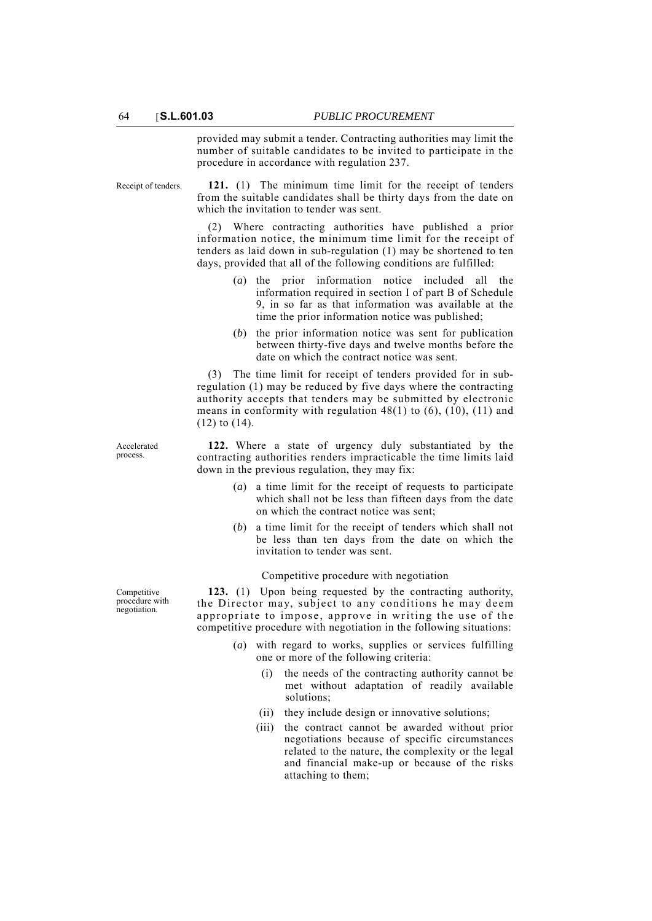provided may submit a tender. Contracting authorities may limit the number of suitable candidates to be invited to participate in the procedure in accordance with regulation 237.

Receipt of tenders. **121.** (1) The minimum time limit for the receipt of tenders from the suitable candidates shall be thirty days from the date on which the invitation to tender was sent.

> (2) Where contracting authorities have published a prior information notice, the minimum time limit for the receipt of tenders as laid down in sub-regulation (1) may be shortened to ten days, provided that all of the following conditions are fulfilled:

- (*a*) the prior information notice included all the information required in section I of part B of Schedule 9, in so far as that information was available at the time the prior information notice was published;
- (*b*) the prior information notice was sent for publication between thirty-five days and twelve months before the date on which the contract notice was sent.

(3) The time limit for receipt of tenders provided for in subregulation (1) may be reduced by five days where the contracting authority accepts that tenders may be submitted by electronic means in conformity with regulation 48(1) to (6), (10), (11) and (12) to (14).

**122.** Where a state of urgency duly substantiated by the contracting authorities renders impracticable the time limits laid down in the previous regulation, they may fix:

- (*a*) a time limit for the receipt of requests to participate which shall not be less than fifteen days from the date on which the contract notice was sent;
- (*b*) a time limit for the receipt of tenders which shall not be less than ten days from the date on which the invitation to tender was sent.

## Competitive procedure with negotiation

**123.** (1) Upon being requested by the contracting authority, the Director may, subject to any conditions he may deem appropriate to impose, approve in writing the use of the competitive procedure with negotiation in the following situations:

- (*a*) with regard to works, supplies or services fulfilling one or more of the following criteria:
	- (i) the needs of the contracting authority cannot be met without adaptation of readily available solutions;
	- (ii) they include design or innovative solutions;
	- (iii) the contract cannot be awarded without prior negotiations because of specific circumstances related to the nature, the complexity or the legal and financial make-up or because of the risks attaching to them;

Accelerated process.

Competitive procedure with negotiation.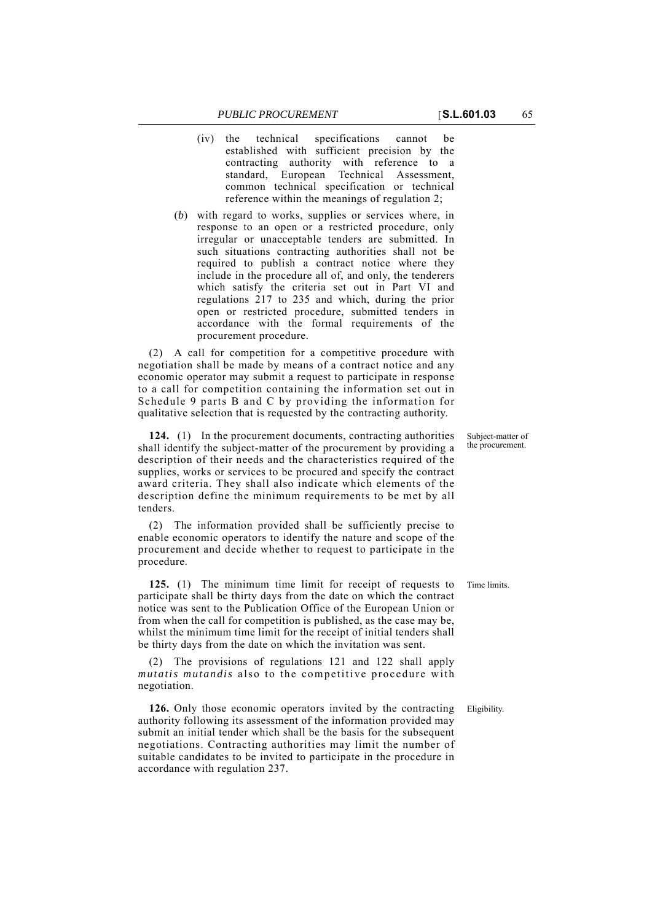- (iv) the technical specifications cannot be established with sufficient precision by the contracting authority with reference to a standard, European Technical Assessment, common technical specification or technical reference within the meanings of regulation 2;
- (*b*) with regard to works, supplies or services where, in response to an open or a restricted procedure, only irregular or unacceptable tenders are submitted. In such situations contracting authorities shall not be required to publish a contract notice where they include in the procedure all of, and only, the tenderers which satisfy the criteria set out in Part VI and regulations  $217$  to 235 and which, during the prior open or restricted procedure, submitted tenders in accordance with the formal requirements of the procurement procedure.

(2) A call for competition for a competitive procedure with negotiation shall be made by means of a contract notice and any economic operator may submit a request to participate in response to a call for competition containing the information set out in Schedule 9 parts B and C by providing the information for qualitative selection that is requested by the contracting authority.

**124.** (1) In the procurement documents, contracting authorities shall identify the subject-matter of the procurement by providing a description of their needs and the characteristics required of the supplies, works or services to be procured and specify the contract award criteria. They shall also indicate which elements of the description define the minimum requirements to be met by all tenders.

(2) The information provided shall be sufficiently precise to enable economic operators to identify the nature and scope of the procurement and decide whether to request to participate in the procedure.

**125.** (1) The minimum time limit for receipt of requests to Time limits. participate shall be thirty days from the date on which the contract notice was sent to the Publication Office of the European Union or from when the call for competition is published, as the case may be, whilst the minimum time limit for the receipt of initial tenders shall be thirty days from the date on which the invitation was sent.

(2) The provisions of regulations 121 and 122 shall apply *mutatis mutandis* also to the competitive procedure with negotiation.

**126.** Only those economic operators invited by the contracting Eligibility. authority following its assessment of the information provided may submit an initial tender which shall be the basis for the subsequent negotiations. Contracting authorities may limit the number of suitable candidates to be invited to participate in the procedure in accordance with regulation 237.

Subject-matter of the procurement.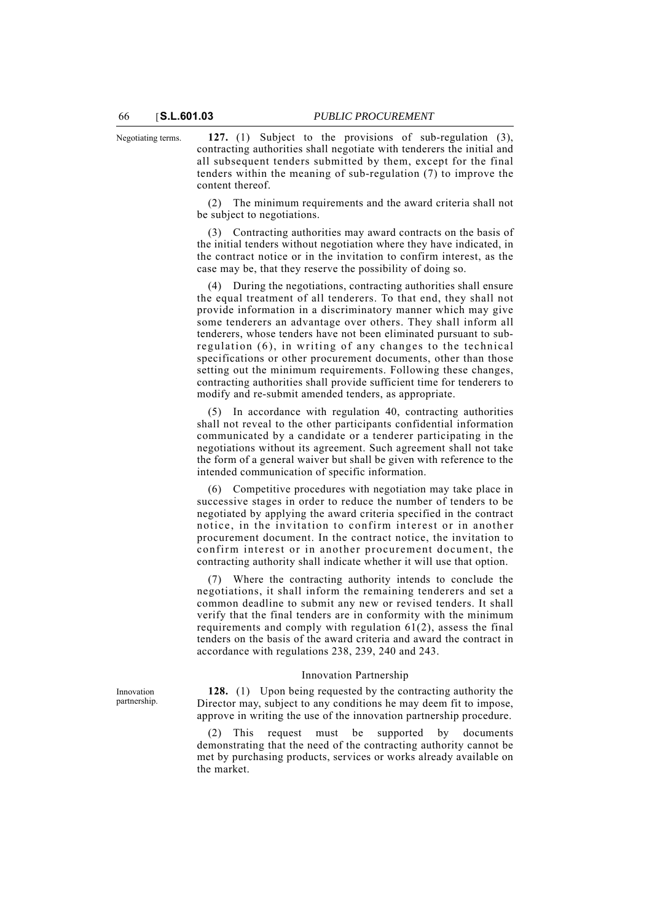Negotiating terms. **127.** (1) Subject to the provisions of sub-regulation (3), contracting authorities shall negotiate with tenderers the initial and all subsequent tenders submitted by them, except for the final tenders within the meaning of sub-regulation (7) to improve the content thereof.

> (2) The minimum requirements and the award criteria shall not be subject to negotiations.

> (3) Contracting authorities may award contracts on the basis of the initial tenders without negotiation where they have indicated, in the contract notice or in the invitation to confirm interest, as the case may be, that they reserve the possibility of doing so.

> (4) During the negotiations, contracting authorities shall ensure the equal treatment of all tenderers. To that end, they shall not provide information in a discriminatory manner which may give some tenderers an advantage over others. They shall inform all tenderers, whose tenders have not been eliminated pursuant to subregulation (6), in writing of any changes to the technical specifications or other procurement documents, other than those setting out the minimum requirements. Following these changes, contracting authorities shall provide sufficient time for tenderers to modify and re-submit amended tenders, as appropriate.

> (5) In accordance with regulation 40, contracting authorities shall not reveal to the other participants confidential information communicated by a candidate or a tenderer participating in the negotiations without its agreement. Such agreement shall not take the form of a general waiver but shall be given with reference to the intended communication of specific information.

> (6) Competitive procedures with negotiation may take place in successive stages in order to reduce the number of tenders to be negotiated by applying the award criteria specified in the contract notice, in the invitation to confirm interest or in another procurement document. In the contract notice, the invitation to confirm interest or in another procurement document, the contracting authority shall indicate whether it will use that option.

> (7) Where the contracting authority intends to conclude the negotiations, it shall inform the remaining tenderers and set a common deadline to submit any new or revised tenders. It shall verify that the final tenders are in conformity with the minimum requirements and comply with regulation  $61(2)$ , assess the final tenders on the basis of the award criteria and award the contract in accordance with regulations 238, 239, 240 and 243.

#### Innovation Partnership

**128.** (1) Upon being requested by the contracting authority the Director may, subject to any conditions he may deem fit to impose, approve in writing the use of the innovation partnership procedure.

This request must be supported by documents demonstrating that the need of the contracting authority cannot be met by purchasing products, services or works already available on the market.

Innovation partnership.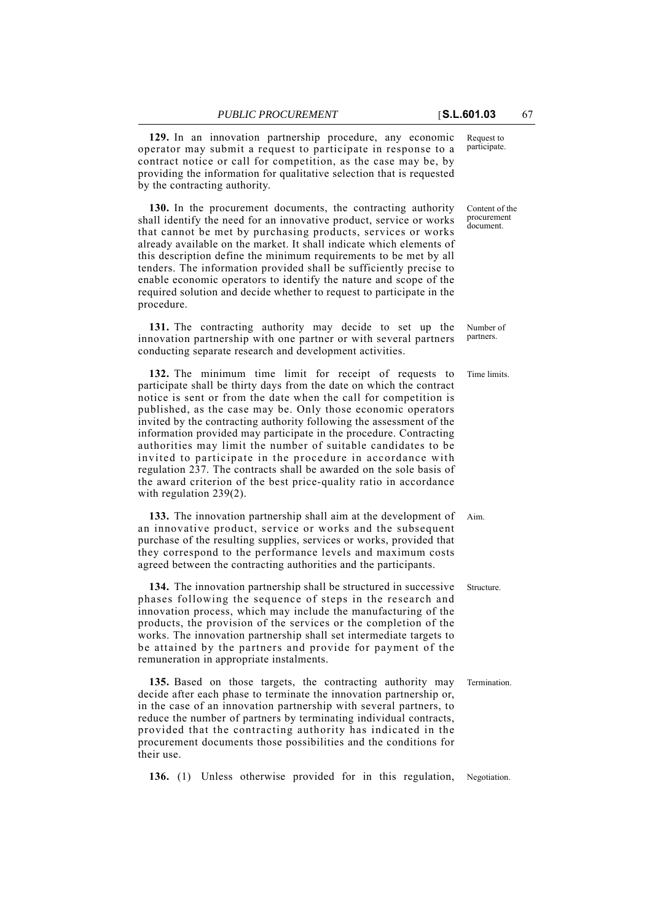**129.** In an innovation partnership procedure, any economic operator may submit a request to participate in response to a contract notice or call for competition, as the case may be, by providing the information for qualitative selection that is requested by the contracting authority.

**130.** In the procurement documents, the contracting authority shall identify the need for an innovative product, service or works that cannot be met by purchasing products, services or works already available on the market. It shall indicate which elements of this description define the minimum requirements to be met by all tenders. The information provided shall be sufficiently precise to enable economic operators to identify the nature and scope of the required solution and decide whether to request to participate in the procedure.

**131.** The contracting authority may decide to set up the innovation partnership with one partner or with several partners conducting separate research and development activities.

**132.** The minimum time limit for receipt of requests to Time limits. participate shall be thirty days from the date on which the contract notice is sent or from the date when the call for competition is published, as the case may be. Only those economic operators invited by the contracting authority following the assessment of the information provided may participate in the procedure. Contracting authorities may limit the number of suitable candidates to be invited to participate in the procedure in accordance with regulation 237. The contracts shall be awarded on the sole basis of the award criterion of the best price-quality ratio in accordance with regulation 239(2).

**133.** The innovation partnership shall aim at the development of Aim. an innovative product, service or works and the subsequent purchase of the resulting supplies, services or works, provided that they correspond to the performance levels and maximum costs agreed between the contracting authorities and the participants.

**134.** The innovation partnership shall be structured in successive Structure. phases following the sequence of steps in the research and innovation process, which may include the manufacturing of the products, the provision of the services or the completion of the works. The innovation partnership shall set intermediate targets to be attained by the partners and provide for payment of the remuneration in appropriate instalments.

**135.** Based on those targets, the contracting authority may Termination. decide after each phase to terminate the innovation partnership or, in the case of an innovation partnership with several partners, to reduce the number of partners by terminating individual contracts, provided that the contracting authority has indicated in the procurement documents those possibilities and the conditions for their use.

**136.** (1) Unless otherwise provided for in this regulation, Negotiation.

Request to participate.

Content of the procurement document.

Number of partners.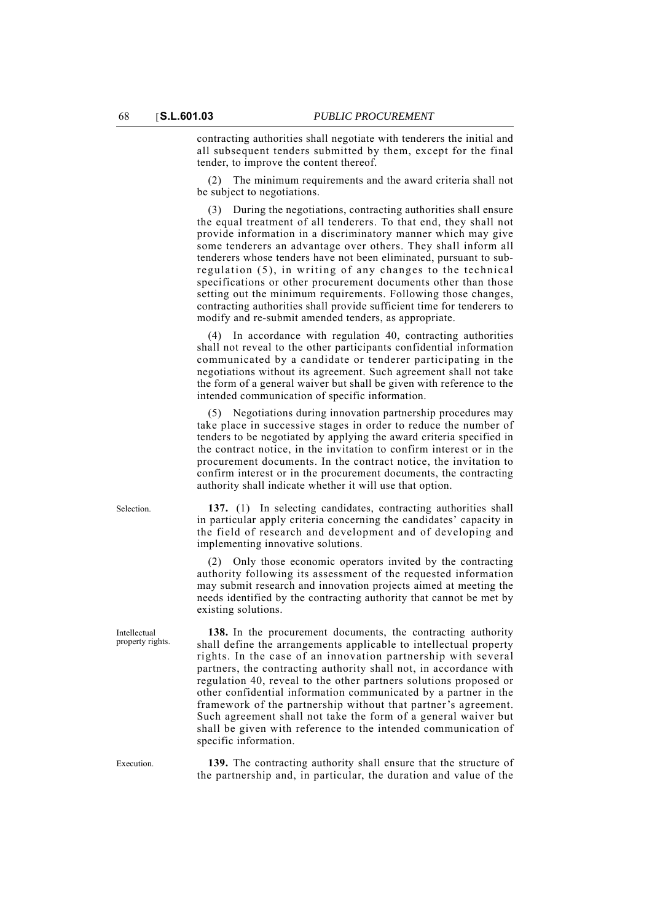contracting authorities shall negotiate with tenderers the initial and all subsequent tenders submitted by them, except for the final tender, to improve the content thereof.

The minimum requirements and the award criteria shall not be subject to negotiations.

(3) During the negotiations, contracting authorities shall ensure the equal treatment of all tenderers. To that end, they shall not provide information in a discriminatory manner which may give some tenderers an advantage over others. They shall inform all tenderers whose tenders have not been eliminated, pursuant to subregulation (5), in writing of any changes to the technical specifications or other procurement documents other than those setting out the minimum requirements. Following those changes, contracting authorities shall provide sufficient time for tenderers to modify and re-submit amended tenders, as appropriate.

(4) In accordance with regulation 40, contracting authorities shall not reveal to the other participants confidential information communicated by a candidate or tenderer participating in the negotiations without its agreement. Such agreement shall not take the form of a general waiver but shall be given with reference to the intended communication of specific information.

(5) Negotiations during innovation partnership procedures may take place in successive stages in order to reduce the number of tenders to be negotiated by applying the award criteria specified in the contract notice, in the invitation to confirm interest or in the procurement documents. In the contract notice, the invitation to confirm interest or in the procurement documents, the contracting authority shall indicate whether it will use that option.

Selection. **137.** (1) In selecting candidates, contracting authorities shall in particular apply criteria concerning the candidates' capacity in the field of research and development and of developing and implementing innovative solutions.

> (2) Only those economic operators invited by the contracting authority following its assessment of the requested information may submit research and innovation projects aimed at meeting the needs identified by the contracting authority that cannot be met by existing solutions.

> **138.** In the procurement documents, the contracting authority shall define the arrangements applicable to intellectual property rights. In the case of an innovation partnership with several partners, the contracting authority shall not, in accordance with regulation 40, reveal to the other partners solutions proposed or other confidential information communicated by a partner in the framework of the partnership without that partner's agreement. Such agreement shall not take the form of a general waiver but shall be given with reference to the intended communication of specific information.

Execution. **139.** The contracting authority shall ensure that the structure of the partnership and, in particular, the duration and value of the

property rights.

Intellectual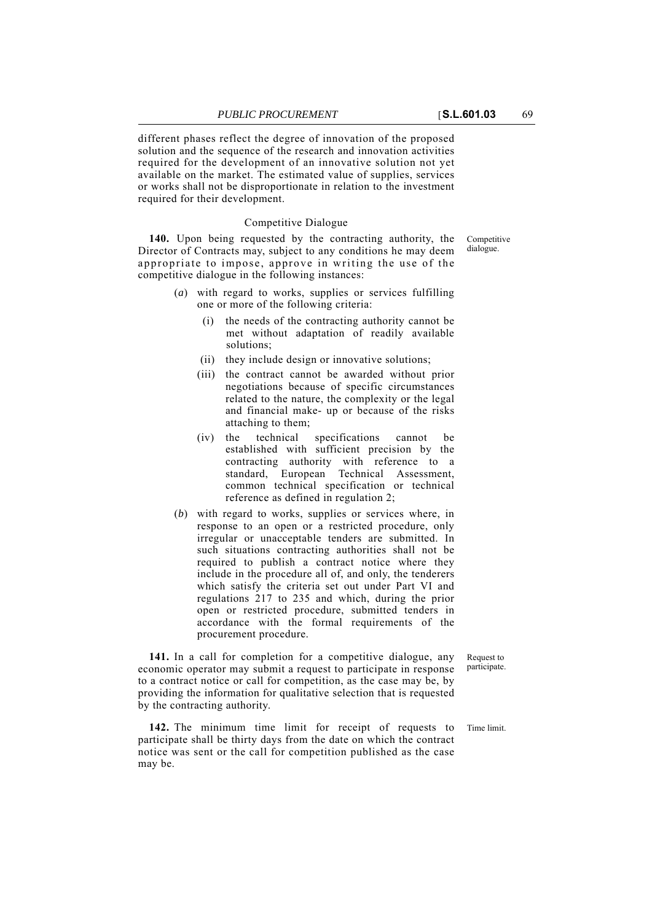different phases reflect the degree of innovation of the proposed

solution and the sequence of the research and innovation activities required for the development of an innovative solution not yet available on the market. The estimated value of supplies, services or works shall not be disproportionate in relation to the investment required for their development.

## Competitive Dialogue

**140.** Upon being requested by the contracting authority, the Director of Contracts may, subject to any conditions he may deem appropriate to impose, approve in writing the use of the competitive dialogue in the following instances:

- (*a*) with regard to works, supplies or services fulfilling one or more of the following criteria:
	- (i) the needs of the contracting authority cannot be met without adaptation of readily available solutions;
	- (ii) they include design or innovative solutions;
	- (iii) the contract cannot be awarded without prior negotiations because of specific circumstances related to the nature, the complexity or the legal and financial make- up or because of the risks attaching to them;
	- (iv) the technical specifications cannot be established with sufficient precision by the contracting authority with reference to a standard, European Technical Assessment, common technical specification or technical reference as defined in regulation 2;
- (*b*) with regard to works, supplies or services where, in response to an open or a restricted procedure, only irregular or unacceptable tenders are submitted. In such situations contracting authorities shall not be required to publish a contract notice where they include in the procedure all of, and only, the tenderers which satisfy the criteria set out under Part VI and regulations 217 to 235 and which, during the prior open or restricted procedure, submitted tenders in accordance with the formal requirements of the procurement procedure.

**141.** In a call for completion for a competitive dialogue, any economic operator may submit a request to participate in response to a contract notice or call for competition, as the case may be, by providing the information for qualitative selection that is requested by the contracting authority.

**142.** The minimum time limit for receipt of requests to Time limit. participate shall be thirty days from the date on which the contract notice was sent or the call for competition published as the case may be.

Request to participate.

Competitive dialogue.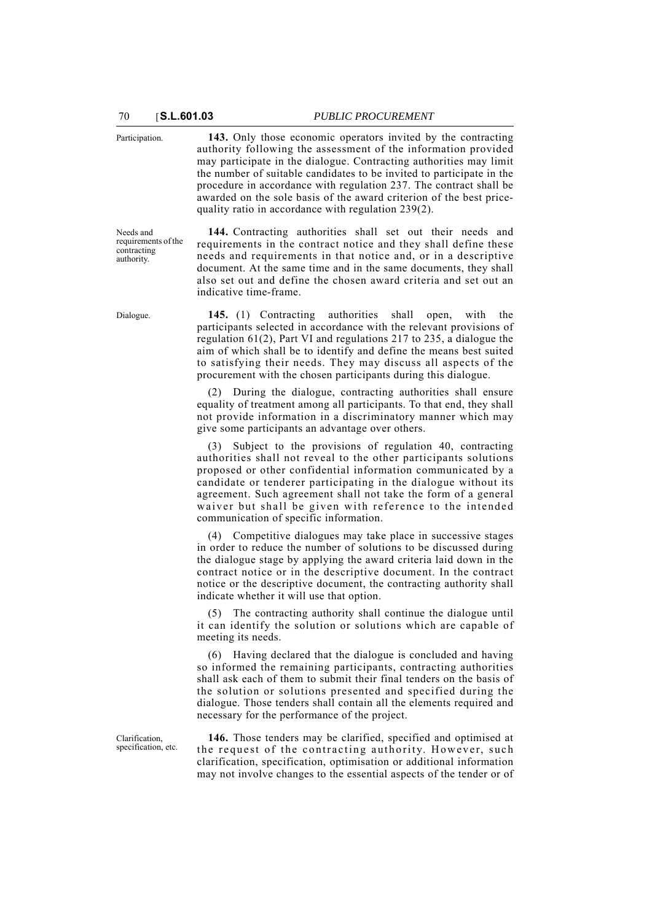Participation. **143.** Only those economic operators invited by the contracting authority following the assessment of the information provided may participate in the dialogue. Contracting authorities may limit the number of suitable candidates to be invited to participate in the procedure in accordance with regulation 237. The contract shall be awarded on the sole basis of the award criterion of the best pricequality ratio in accordance with regulation 239(2).

Needs and requirements of the contracting authority.

**144.** Contracting authorities shall set out their needs and requirements in the contract notice and they shall define these needs and requirements in that notice and, or in a descriptive document. At the same time and in the same documents, they shall also set out and define the chosen award criteria and set out an indicative time-frame.

Dialogue. **145.** (1) Contracting authorities shall open, with the participants selected in accordance with the relevant provisions of regulation 61(2), Part VI and regulations 217 to 235, a dialogue the aim of which shall be to identify and define the means best suited to satisfying their needs. They may discuss all aspects of the procurement with the chosen participants during this dialogue.

> (2) During the dialogue, contracting authorities shall ensure equality of treatment among all participants. To that end, they shall not provide information in a discriminatory manner which may give some participants an advantage over others.

> (3) Subject to the provisions of regulation 40, contracting authorities shall not reveal to the other participants solutions proposed or other confidential information communicated by a candidate or tenderer participating in the dialogue without its agreement. Such agreement shall not take the form of a general waiver but shall be given with reference to the intended communication of specific information.

> (4) Competitive dialogues may take place in successive stages in order to reduce the number of solutions to be discussed during the dialogue stage by applying the award criteria laid down in the contract notice or in the descriptive document. In the contract notice or the descriptive document, the contracting authority shall indicate whether it will use that option.

> The contracting authority shall continue the dialogue until it can identify the solution or solutions which are capable of meeting its needs.

> (6) Having declared that the dialogue is concluded and having so informed the remaining participants, contracting authorities shall ask each of them to submit their final tenders on the basis of the solution or solutions presented and specified during the dialogue. Those tenders shall contain all the elements required and necessary for the performance of the project.

Clarification, specification, etc.

**146.** Those tenders may be clarified, specified and optimised at the request of the contracting authority. However, such clarification, specification, optimisation or additional information may not involve changes to the essential aspects of the tender or of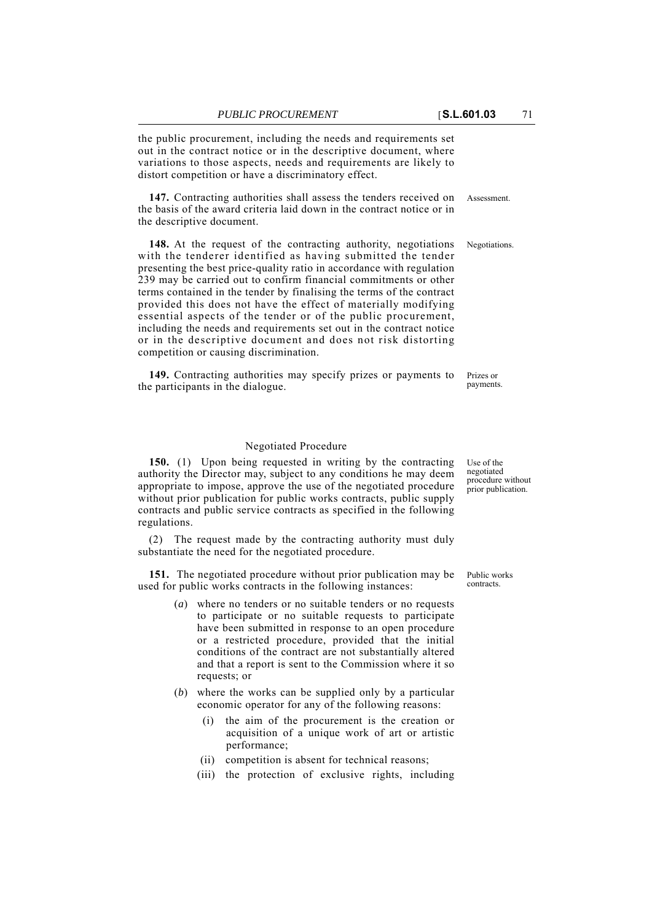the public procurement, including the needs and requirements set out in the contract notice or in the descriptive document, where variations to those aspects, needs and requirements are likely to distort competition or have a discriminatory effect.

147. Contracting authorities shall assess the tenders received on Assessment. the basis of the award criteria laid down in the contract notice or in the descriptive document.

148. At the request of the contracting authority, negotiations Negotiations. with the tenderer identified as having submitted the tender presenting the best price-quality ratio in accordance with regulation 239 may be carried out to confirm financial commitments or other terms contained in the tender by finalising the terms of the contract provided this does not have the effect of materially modifying essential aspects of the tender or of the public procurement, including the needs and requirements set out in the contract notice or in the descriptive document and does not risk distorting competition or causing discrimination.

Prizes or payments. **149.** Contracting authorities may specify prizes or payments to the participants in the dialogue.

## Negotiated Procedure

**150.** (1) Upon being requested in writing by the contracting authority the Director may, subject to any conditions he may deem appropriate to impose, approve the use of the negotiated procedure without prior publication for public works contracts, public supply contracts and public service contracts as specified in the following regulations.

(2) The request made by the contracting authority must duly substantiate the need for the negotiated procedure.

**151.** The negotiated procedure without prior publication may be used for public works contracts in the following instances:

- (*a*) where no tenders or no suitable tenders or no requests to participate or no suitable requests to participate have been submitted in response to an open procedure or a restricted procedure, provided that the initial conditions of the contract are not substantially altered and that a report is sent to the Commission where it so requests; or
- (*b*) where the works can be supplied only by a particular economic operator for any of the following reasons:
	- the aim of the procurement is the creation or acquisition of a unique work of art or artistic performance;
	- (ii) competition is absent for technical reasons;
	- (iii) the protection of exclusive rights, including

negotiated procedure without prior publication.

Use of the

Public works contracts.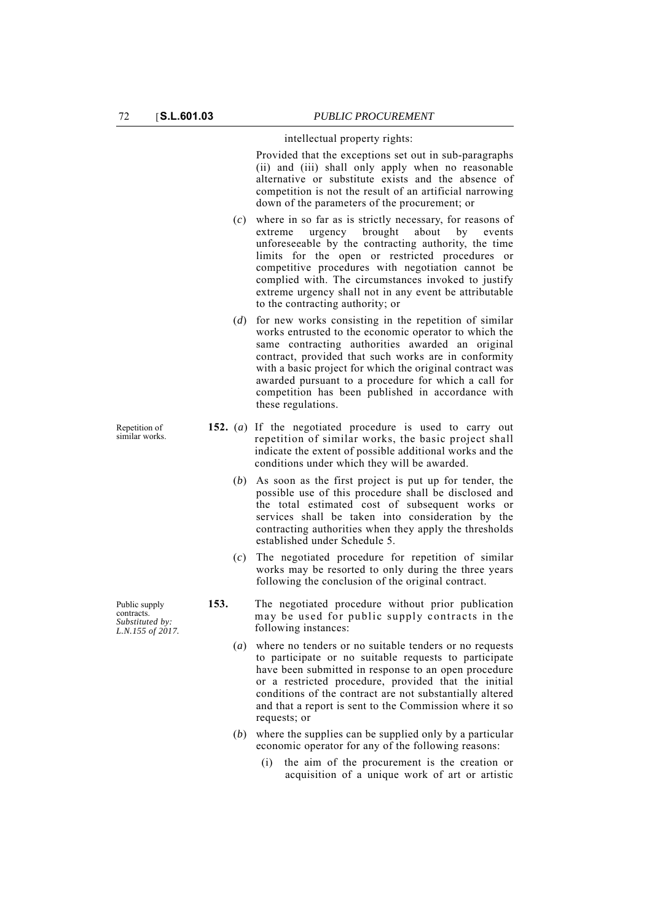intellectual property rights:

Provided that the exceptions set out in sub-paragraphs (ii) and (iii) shall only apply when no reasonable alternative or substitute exists and the absence of competition is not the result of an artificial narrowing down of the parameters of the procurement; or

- (*c*) where in so far as is strictly necessary, for reasons of extreme urgency brought about by events unforeseeable by the contracting authority, the time limits for the open or restricted procedures or competitive procedures with negotiation cannot be complied with. The circumstances invoked to justify extreme urgency shall not in any event be attributable to the contracting authority; or
- (*d*) for new works consisting in the repetition of similar works entrusted to the economic operator to which the same contracting authorities awarded an original contract, provided that such works are in conformity with a basic project for which the original contract was awarded pursuant to a procedure for which a call for competition has been published in accordance with these regulations.
- **152.** (*a*) If the negotiated procedure is used to carry out repetition of similar works, the basic project shall indicate the extent of possible additional works and the conditions under which they will be awarded.
	- (*b*) As soon as the first project is put up for tender, the possible use of this procedure shall be disclosed and the total estimated cost of subsequent works or services shall be taken into consideration by the contracting authorities when they apply the thresholds established under Schedule 5.
	- (*c*) The negotiated procedure for repetition of similar works may be resorted to only during the three years following the conclusion of the original contract.
- **153.** The negotiated procedure without prior publication may be used for public supply contracts in the following instances:
	- (*a*) where no tenders or no suitable tenders or no requests to participate or no suitable requests to participate have been submitted in response to an open procedure or a restricted procedure, provided that the initial conditions of the contract are not substantially altered and that a report is sent to the Commission where it so requests; or
	- (*b*) where the supplies can be supplied only by a particular economic operator for any of the following reasons:
		- (i) the aim of the procurement is the creation or acquisition of a unique work of art or artistic

similar works.

Repetition of

Public supply contracts. *Substituted by: L.N.155 of 2017.*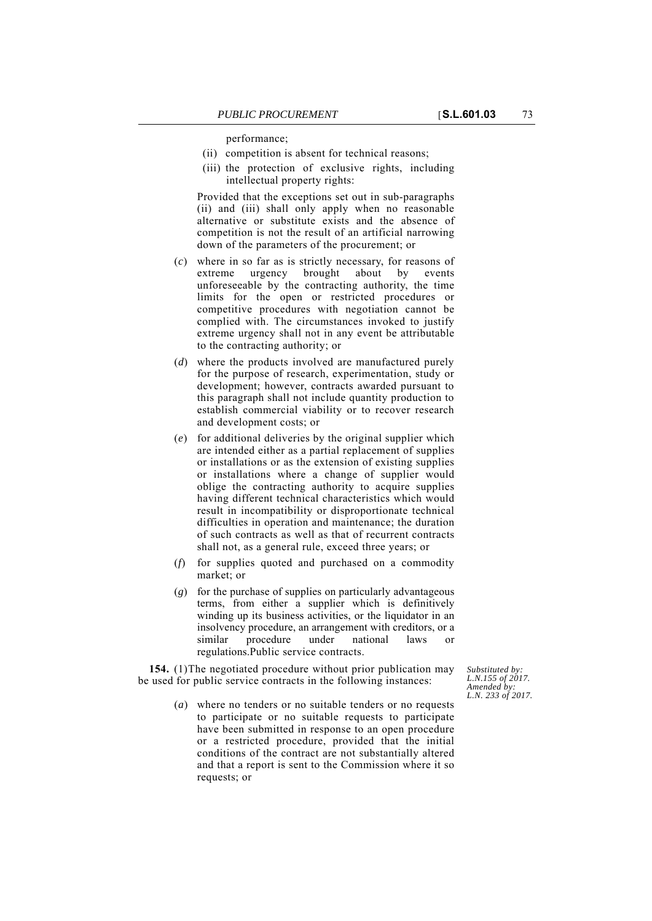performance;

- (ii) competition is absent for technical reasons;
- (iii) the protection of exclusive rights, including intellectual property rights:

Provided that the exceptions set out in sub-paragraphs (ii) and (iii) shall only apply when no reasonable alternative or substitute exists and the absence of competition is not the result of an artificial narrowing down of the parameters of the procurement; or

- (*c*) where in so far as is strictly necessary, for reasons of extreme urgency brought about by events unforeseeable by the contracting authority, the time limits for the open or restricted procedures or competitive procedures with negotiation cannot be complied with. The circumstances invoked to justify extreme urgency shall not in any event be attributable to the contracting authority; or
- (*d*) where the products involved are manufactured purely for the purpose of research, experimentation, study or development; however, contracts awarded pursuant to this paragraph shall not include quantity production to establish commercial viability or to recover research and development costs; or
- (*e*) for additional deliveries by the original supplier which are intended either as a partial replacement of supplies or installations or as the extension of existing supplies or installations where a change of supplier would oblige the contracting authority to acquire supplies having different technical characteristics which would result in incompatibility or disproportionate technical difficulties in operation and maintenance; the duration of such contracts as well as that of recurrent contracts shall not, as a general rule, exceed three years; or
- (*f*) for supplies quoted and purchased on a commodity market; or
- (*g*) for the purchase of supplies on particularly advantageous terms, from either a supplier which is definitively winding up its business activities, or the liquidator in an insolvency procedure, an arrangement with creditors, or a procedure under national laws or regulations.Public service contracts.

**154.** (1)The negotiated procedure without prior publication may be used for public service contracts in the following instances:

> (*a*) where no tenders or no suitable tenders or no requests to participate or no suitable requests to participate have been submitted in response to an open procedure or a restricted procedure, provided that the initial conditions of the contract are not substantially altered and that a report is sent to the Commission where it so requests; or

*Substituted by: L.N.155 of 2017. Amended by: L.N. 233 of 2017.*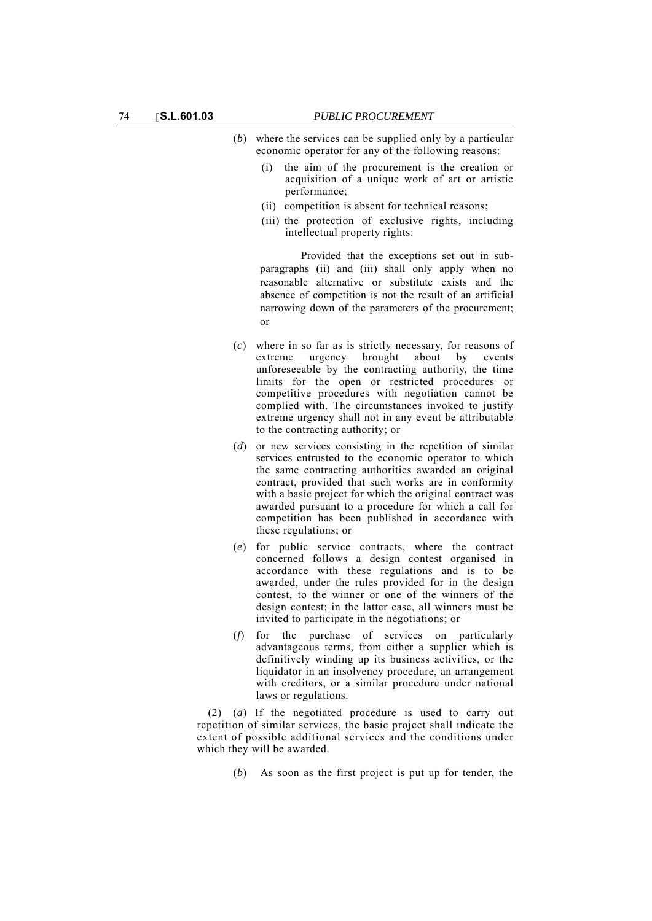- (*b*) where the services can be supplied only by a particular economic operator for any of the following reasons:
	- (i) the aim of the procurement is the creation or acquisition of a unique work of art or artistic performance;
	- (ii) competition is absent for technical reasons;
	- (iii) the protection of exclusive rights, including intellectual property rights:

Provided that the exceptions set out in subparagraphs (ii) and (iii) shall only apply when no reasonable alternative or substitute exists and the absence of competition is not the result of an artificial narrowing down of the parameters of the procurement; or

- (*c*) where in so far as is strictly necessary, for reasons of extreme urgency brought about by events unforeseeable by the contracting authority, the time limits for the open or restricted procedures or competitive procedures with negotiation cannot be complied with. The circumstances invoked to justify extreme urgency shall not in any event be attributable to the contracting authority; or
- (*d*) or new services consisting in the repetition of similar services entrusted to the economic operator to which the same contracting authorities awarded an original contract, provided that such works are in conformity with a basic project for which the original contract was awarded pursuant to a procedure for which a call for competition has been published in accordance with these regulations; or
- (*e*) for public service contracts, where the contract concerned follows a design contest organised in accordance with these regulations and is to be awarded, under the rules provided for in the design contest, to the winner or one of the winners of the design contest; in the latter case, all winners must be invited to participate in the negotiations; or
- (*f*) for the purchase of services on particularly advantageous terms, from either a supplier which is definitively winding up its business activities, or the liquidator in an insolvency procedure, an arrangement with creditors, or a similar procedure under national laws or regulations.

(2) (*a*) If the negotiated procedure is used to carry out repetition of similar services, the basic project shall indicate the extent of possible additional services and the conditions under which they will be awarded.

(*b*) As soon as the first project is put up for tender, the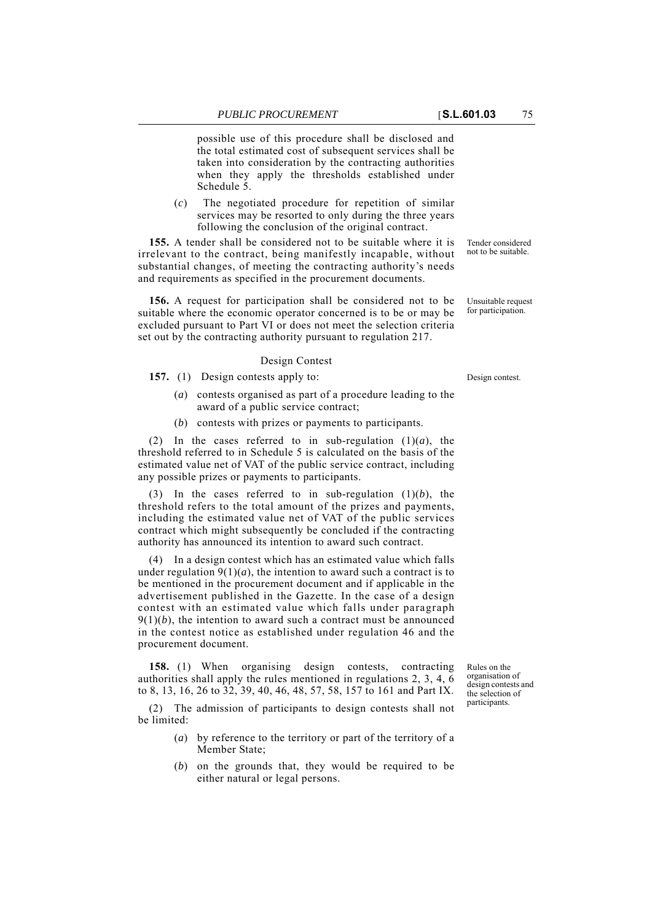possible use of this procedure shall be disclosed and the total estimated cost of subsequent services shall be taken into consideration by the contracting authorities when they apply the thresholds established under Schedule 5.

(*c*) The negotiated procedure for repetition of similar services may be resorted to only during the three years following the conclusion of the original contract.

**155.** A tender shall be considered not to be suitable where it is irrelevant to the contract, being manifestly incapable, without substantial changes, of meeting the contracting authority's needs and requirements as specified in the procurement documents.

**156.** A request for participation shall be considered not to be suitable where the economic operator concerned is to be or may be excluded pursuant to Part VI or does not meet the selection criteria set out by the contracting authority pursuant to regulation 217.

#### Design Contest

**157.** (1) Design contests apply to: Design contest.

- (*a*) contests organised as part of a procedure leading to the award of a public service contract;
- (*b*) contests with prizes or payments to participants.

(2) In the cases referred to in sub-regulation  $(1)(a)$ , the threshold referred to in Schedule 5 is calculated on the basis of the estimated value net of VAT of the public service contract, including any possible prizes or payments to participants.

(3) In the cases referred to in sub-regulation (1)(*b*), the threshold refers to the total amount of the prizes and payments, including the estimated value net of VAT of the public services contract which might subsequently be concluded if the contracting authority has announced its intention to award such contract.

(4) In a design contest which has an estimated value which falls under regulation  $9(1)(a)$ , the intention to award such a contract is to be mentioned in the procurement document and if applicable in the advertisement published in the Gazette. In the case of a design contest with an estimated value which falls under paragraph  $9(1)(b)$ , the intention to award such a contract must be announced in the contest notice as established under regulation 46 and the procurement document.

**158.** (1) When organising design contests, contracting authorities shall apply the rules mentioned in regulations 2, 3, 4, 6 to 8, 13, 16, 26 to 32, 39, 40, 46, 48, 57, 58, 157 to 161 and Part IX.

(2) The admission of participants to design contests shall not be limited:

- (*a*) by reference to the territory or part of the territory of a Member State;
- (*b*) on the grounds that, they would be required to be either natural or legal persons.

Rules on the

organisation of design contests and the selection of participants.

Tender considered not to be suitable.

Unsuitable request

for participation.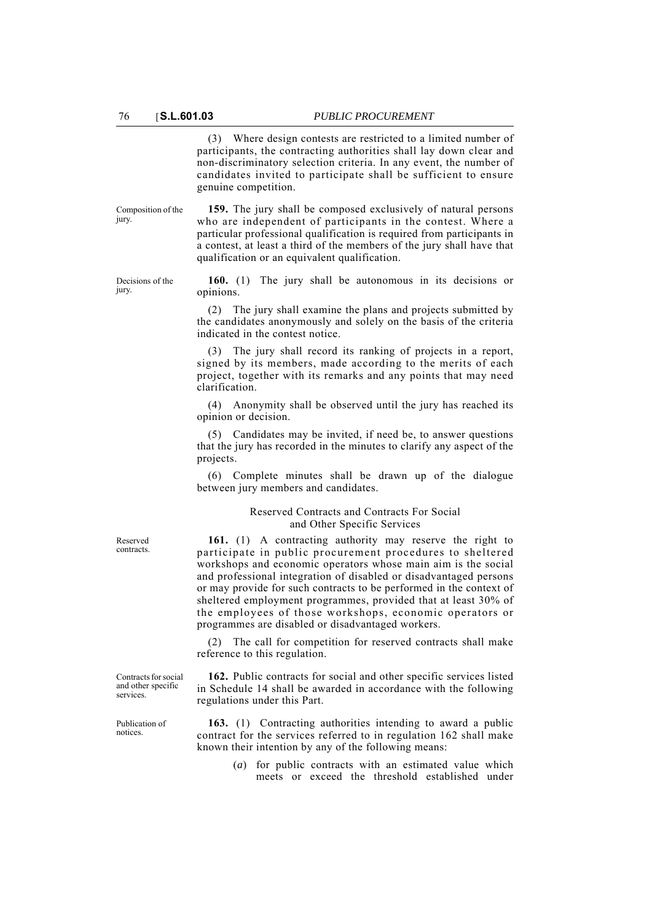(3) Where design contests are restricted to a limited number of participants, the contracting authorities shall lay down clear and non-discriminatory selection criteria. In any event, the number of candidates invited to participate shall be sufficient to ensure genuine competition.

Composition of the jury.

**159.** The jury shall be composed exclusively of natural persons who are independent of participants in the contest. Where a particular professional qualification is required from participants in a contest, at least a third of the members of the jury shall have that qualification or an equivalent qualification.

Decisions of the jury.

**160.** (1) The jury shall be autonomous in its decisions or opinions.

(2) The jury shall examine the plans and projects submitted by the candidates anonymously and solely on the basis of the criteria indicated in the contest notice.

(3) The jury shall record its ranking of projects in a report, signed by its members, made according to the merits of each project, together with its remarks and any points that may need clarification.

(4) Anonymity shall be observed until the jury has reached its opinion or decision.

(5) Candidates may be invited, if need be, to answer questions that the jury has recorded in the minutes to clarify any aspect of the projects.

(6) Complete minutes shall be drawn up of the dialogue between jury members and candidates.

## Reserved Contracts and Contracts For Social and Other Specific Services

**161.** (1) A contracting authority may reserve the right to participate in public procurement procedures to sheltered workshops and economic operators whose main aim is the social and professional integration of disabled or disadvantaged persons or may provide for such contracts to be performed in the context of sheltered employment programmes, provided that at least 30% of the employees of those workshops, economic operators or programmes are disabled or disadvantaged workers.

(2) The call for competition for reserved contracts shall make reference to this regulation.

**162.** Public contracts for social and other specific services listed in Schedule 14 shall be awarded in accordance with the following regulations under this Part.

**163.** (1) Contracting authorities intending to award a public contract for the services referred to in regulation 162 shall make known their intention by any of the following means:

> (*a*) for public contracts with an estimated value which meets or exceed the threshold established under

Reserved contracts.

Contracts for social and other specific services.

Publication of notices.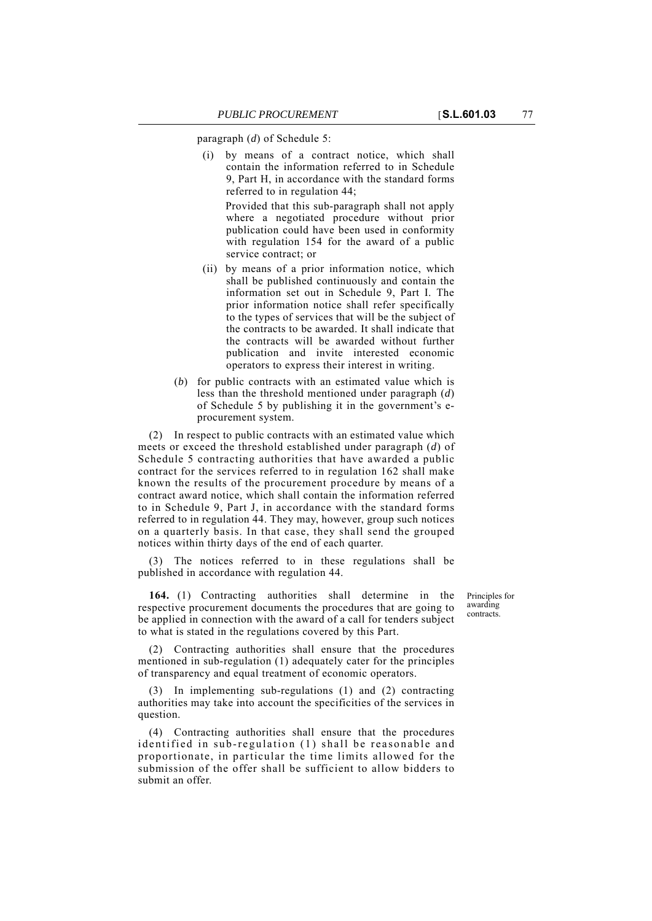paragraph (*d*) of Schedule 5:

(i) by means of a contract notice, which shall contain the information referred to in Schedule 9, Part H, in accordance with the standard forms referred to in regulation 44;

Provided that this sub-paragraph shall not apply where a negotiated procedure without prior publication could have been used in conformity with regulation 154 for the award of a public service contract; or

- (ii) by means of a prior information notice, which shall be published continuously and contain the information set out in Schedule 9, Part I. The prior information notice shall refer specifically to the types of services that will be the subject of the contracts to be awarded. It shall indicate that the contracts will be awarded without further publication and invite interested economic operators to express their interest in writing.
- (*b*) for public contracts with an estimated value which is less than the threshold mentioned under paragraph (*d*) of Schedule 5 by publishing it in the government's eprocurement system.

(2) In respect to public contracts with an estimated value which meets or exceed the threshold established under paragraph (*d*) of Schedule 5 contracting authorities that have awarded a public contract for the services referred to in regulation 162 shall make known the results of the procurement procedure by means of a contract award notice, which shall contain the information referred to in Schedule 9, Part J, in accordance with the standard forms referred to in regulation 44. They may, however, group such notices on a quarterly basis. In that case, they shall send the grouped notices within thirty days of the end of each quarter.

The notices referred to in these regulations shall be published in accordance with regulation 44.

**164.** (1) Contracting authorities shall determine in the respective procurement documents the procedures that are going to be applied in connection with the award of a call for tenders subject to what is stated in the regulations covered by this Part.

(2) Contracting authorities shall ensure that the procedures mentioned in sub-regulation (1) adequately cater for the principles of transparency and equal treatment of economic operators.

(3) In implementing sub-regulations (1) and (2) contracting authorities may take into account the specificities of the services in question.

(4) Contracting authorities shall ensure that the procedures identified in sub-regulation (1) shall be reasonable and proportionate, in particular the time limits allowed for the submission of the offer shall be sufficient to allow bidders to submit an offer.

Principles for awarding contracts.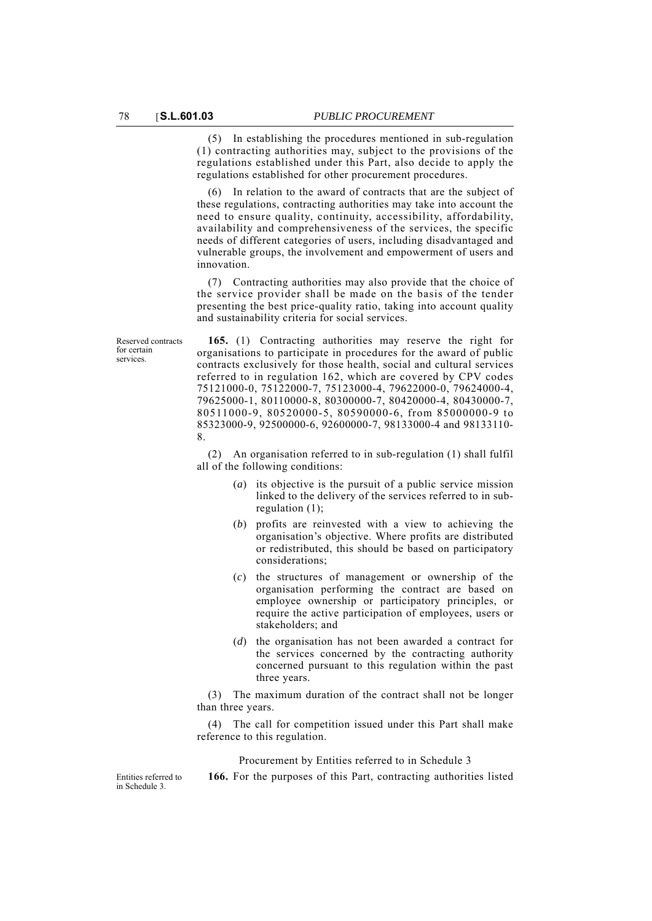(5) In establishing the procedures mentioned in sub-regulation (1) contracting authorities may, subject to the provisions of the regulations established under this Part, also decide to apply the regulations established for other procurement procedures.

(6) In relation to the award of contracts that are the subject of these regulations, contracting authorities may take into account the need to ensure quality, continuity, accessibility, affordability, availability and comprehensiveness of the services, the specific needs of different categories of users, including disadvantaged and vulnerable groups, the involvement and empowerment of users and innovation.

(7) Contracting authorities may also provide that the choice of the service provider shall be made on the basis of the tender presenting the best price-quality ratio, taking into account quality and sustainability criteria for social services.

Reserved contracts for certain services.

**165.** (1) Contracting authorities may reserve the right for organisations to participate in procedures for the award of public contracts exclusively for those health, social and cultural services referred to in regulation 162, which are covered by CPV codes 75121000-0, 75122000-7, 75123000-4, 79622000-0, 79624000-4, 79625000-1, 80110000-8, 80300000-7, 80420000-4, 80430000-7, 80511000-9, 80520000-5, 80590000-6, from 85000000-9 to 85323000-9, 92500000-6, 92600000-7, 98133000-4 and 98133110- 8.

(2) An organisation referred to in sub-regulation (1) shall fulfil all of the following conditions:

- (*a*) its objective is the pursuit of a public service mission linked to the delivery of the services referred to in subregulation (1);
- (*b*) profits are reinvested with a view to achieving the organisation's objective. Where profits are distributed or redistributed, this should be based on participatory considerations;
- (*c*) the structures of management or ownership of the organisation performing the contract are based on employee ownership or participatory principles, or require the active participation of employees, users or stakeholders; and
- (*d*) the organisation has not been awarded a contract for the services concerned by the contracting authority concerned pursuant to this regulation within the past three years.

(3) The maximum duration of the contract shall not be longer than three years.

(4) The call for competition issued under this Part shall make reference to this regulation.

Procurement by Entities referred to in Schedule 3

**166.** For the purposes of this Part, contracting authorities listed

Entities referred to in Schedule 3.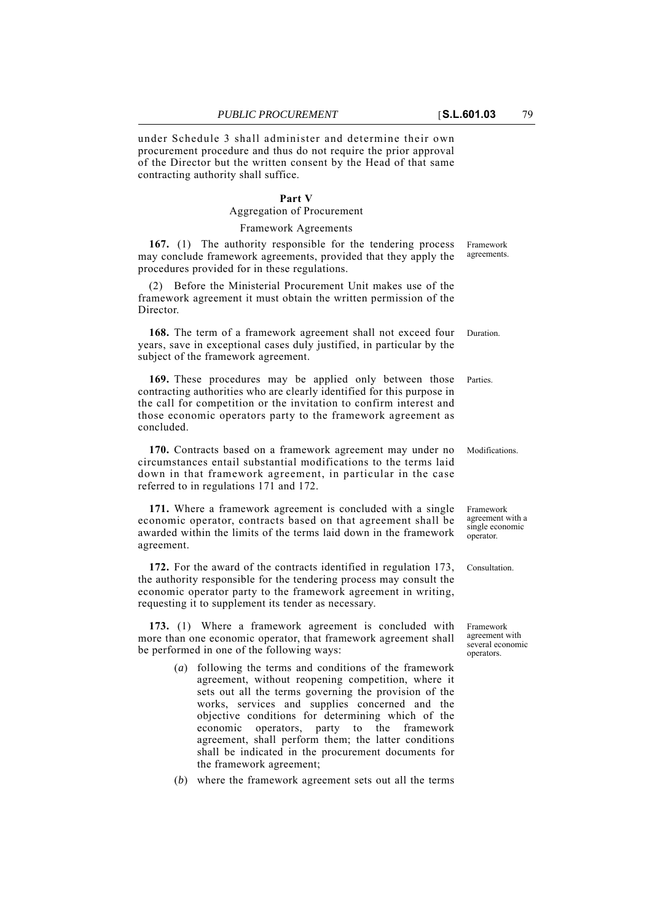under Schedule 3 shall administer and determine their own procurement procedure and thus do not require the prior approval of the Director but the written consent by the Head of that same contracting authority shall suffice.

## **Part V**

# Aggregation of Procurement

#### Framework Agreements

**167.** (1) The authority responsible for the tendering process may conclude framework agreements, provided that they apply the procedures provided for in these regulations.

(2) Before the Ministerial Procurement Unit makes use of the framework agreement it must obtain the written permission of the Director.

168. The term of a framework agreement shall not exceed four Duration. years, save in exceptional cases duly justified, in particular by the subject of the framework agreement.

**169.** These procedures may be applied only between those Parties. contracting authorities who are clearly identified for this purpose in the call for competition or the invitation to confirm interest and those economic operators party to the framework agreement as concluded.

**170.** Contracts based on a framework agreement may under no Modifications. circumstances entail substantial modifications to the terms laid down in that framework agreement, in particular in the case referred to in regulations 171 and 172.

**171.** Where a framework agreement is concluded with a single economic operator, contracts based on that agreement shall be awarded within the limits of the terms laid down in the framework agreement.

172. For the award of the contracts identified in regulation 173, Consultation. the authority responsible for the tendering process may consult the economic operator party to the framework agreement in writing, requesting it to supplement its tender as necessary.

**173.** (1) Where a framework agreement is concluded with more than one economic operator, that framework agreement shall be performed in one of the following ways:

- (*a*) following the terms and conditions of the framework agreement, without reopening competition, where it sets out all the terms governing the provision of the works, services and supplies concerned and the objective conditions for determining which of the economic operators, party to the framework agreement, shall perform them; the latter conditions shall be indicated in the procurement documents for the framework agreement;
- (*b*) where the framework agreement sets out all the terms

Framework agreements.

Framework agreement with a single economic operator.

Framework agreement with several economic operators.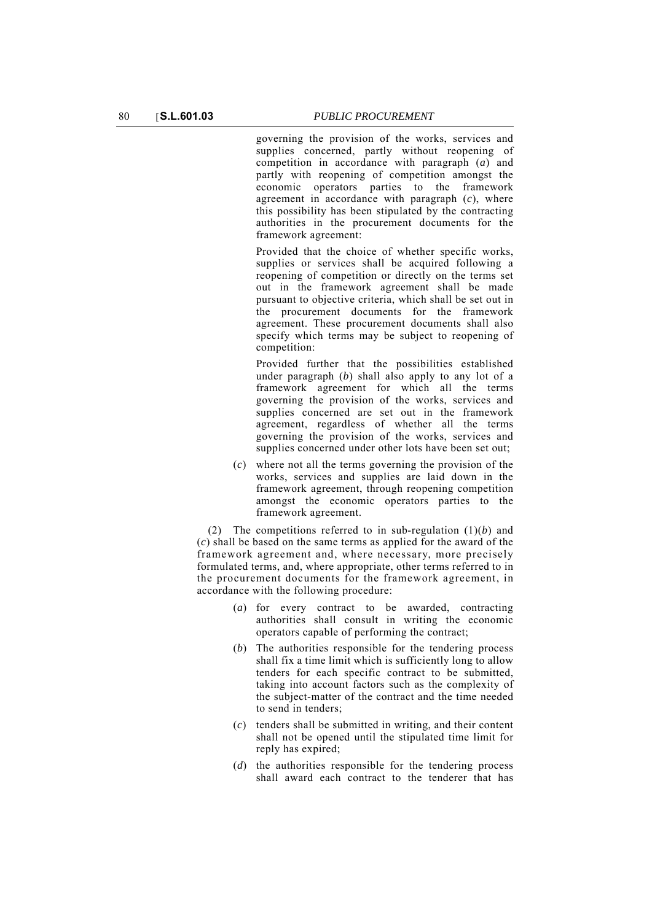governing the provision of the works, services and supplies concerned, partly without reopening of competition in accordance with paragraph (*a*) and partly with reopening of competition amongst the economic operators parties to the framework agreement in accordance with paragraph (*c*), where this possibility has been stipulated by the contracting authorities in the procurement documents for the framework agreement:

Provided that the choice of whether specific works, supplies or services shall be acquired following a reopening of competition or directly on the terms set out in the framework agreement shall be made pursuant to objective criteria, which shall be set out in the procurement documents for the framework agreement. These procurement documents shall also specify which terms may be subject to reopening of competition:

Provided further that the possibilities established under paragraph (*b*) shall also apply to any lot of a framework agreement for which all the terms governing the provision of the works, services and supplies concerned are set out in the framework agreement, regardless of whether all the terms governing the provision of the works, services and supplies concerned under other lots have been set out;

(*c*) where not all the terms governing the provision of the works, services and supplies are laid down in the framework agreement, through reopening competition amongst the economic operators parties to the framework agreement.

(2) The competitions referred to in sub-regulation (1)(*b*) and (*c*) shall be based on the same terms as applied for the award of the framework agreement and, where necessary, more precisely formulated terms, and, where appropriate, other terms referred to in the procurement documents for the framework agreement, in accordance with the following procedure:

- (*a*) for every contract to be awarded, contracting authorities shall consult in writing the economic operators capable of performing the contract;
- (*b*) The authorities responsible for the tendering process shall fix a time limit which is sufficiently long to allow tenders for each specific contract to be submitted, taking into account factors such as the complexity of the subject-matter of the contract and the time needed to send in tenders;
- (*c*) tenders shall be submitted in writing, and their content shall not be opened until the stipulated time limit for reply has expired;
- (*d*) the authorities responsible for the tendering process shall award each contract to the tenderer that has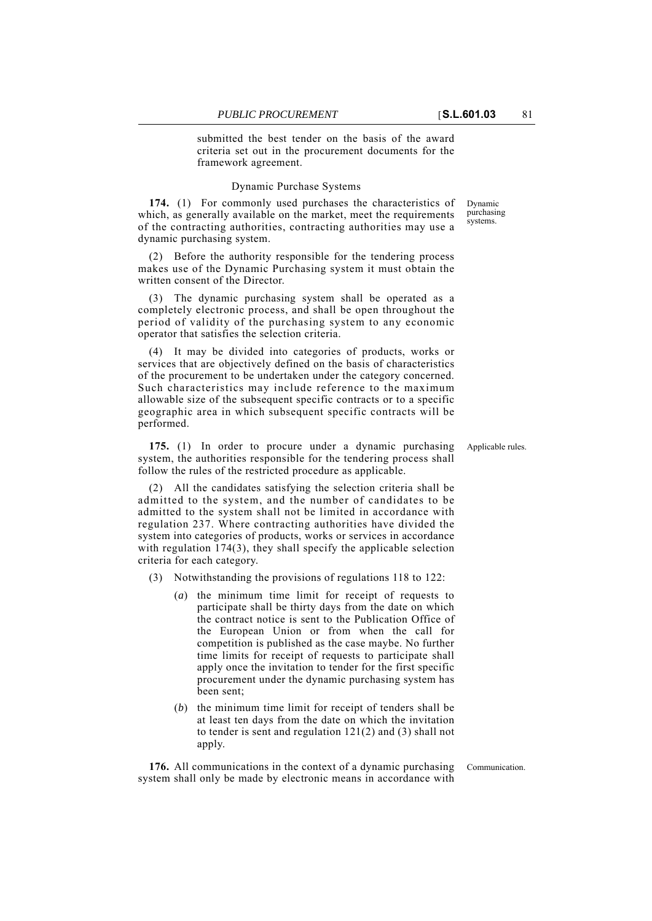submitted the best tender on the basis of the award criteria set out in the procurement documents for the framework agreement.

## Dynamic Purchase Systems

**174.** (1) For commonly used purchases the characteristics of which, as generally available on the market, meet the requirements of the contracting authorities, contracting authorities may use a dynamic purchasing system.

(2) Before the authority responsible for the tendering process makes use of the Dynamic Purchasing system it must obtain the written consent of the Director.

(3) The dynamic purchasing system shall be operated as a completely electronic process, and shall be open throughout the period of validity of the purchasing system to any economic operator that satisfies the selection criteria.

(4) It may be divided into categories of products, works or services that are objectively defined on the basis of characteristics of the procurement to be undertaken under the category concerned. Such characteristics may include reference to the maximum allowable size of the subsequent specific contracts or to a specific geographic area in which subsequent specific contracts will be performed.

**175.** (1) In order to procure under a dynamic purchasing Applicable rules. system, the authorities responsible for the tendering process shall follow the rules of the restricted procedure as applicable.

(2) All the candidates satisfying the selection criteria shall be admitted to the system, and the number of candidates to be admitted to the system shall not be limited in accordance with regulation 237. Where contracting authorities have divided the system into categories of products, works or services in accordance with regulation 174(3), they shall specify the applicable selection criteria for each category.

- (3) Notwithstanding the provisions of regulations 118 to 122:
	- (*a*) the minimum time limit for receipt of requests to participate shall be thirty days from the date on which the contract notice is sent to the Publication Office of the European Union or from when the call for competition is published as the case maybe. No further time limits for receipt of requests to participate shall apply once the invitation to tender for the first specific procurement under the dynamic purchasing system has been sent;
	- (*b*) the minimum time limit for receipt of tenders shall be at least ten days from the date on which the invitation to tender is sent and regulation 121(2) and (3) shall not apply.

**176.** All communications in the context of a dynamic purchasing Communication. system shall only be made by electronic means in accordance with

Dynamic purchasing systems.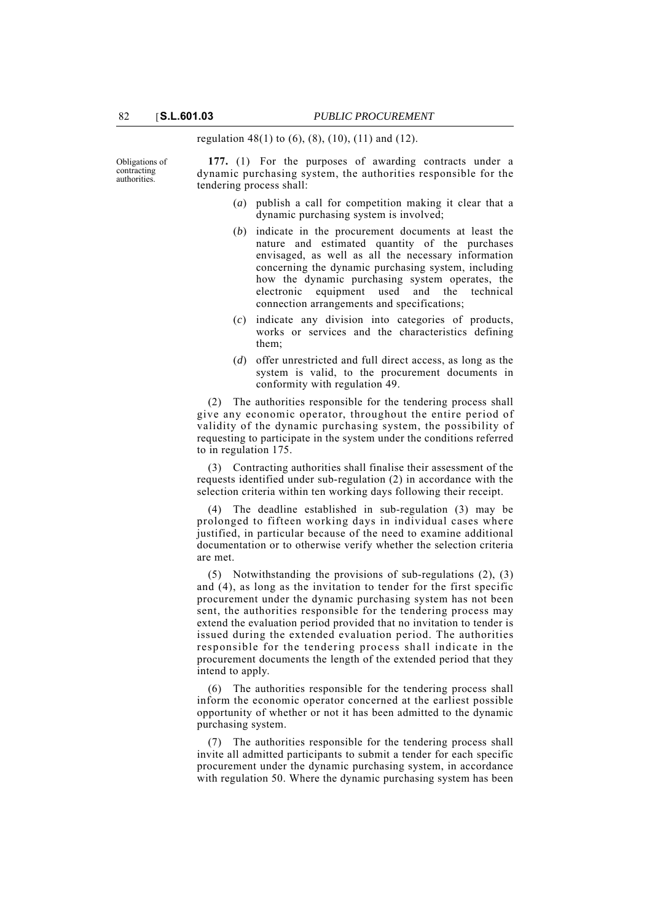regulation 48(1) to  $(6)$ ,  $(8)$ ,  $(10)$ ,  $(11)$  and  $(12)$ .

Obligations of contracting authorities.

**177.** (1) For the purposes of awarding contracts under a dynamic purchasing system, the authorities responsible for the tendering process shall:

- (*a*) publish a call for competition making it clear that a dynamic purchasing system is involved;
- (*b*) indicate in the procurement documents at least the nature and estimated quantity of the purchases envisaged, as well as all the necessary information concerning the dynamic purchasing system, including how the dynamic purchasing system operates, the electronic equipment used and the technical connection arrangements and specifications;
- (*c*) indicate any division into categories of products, works or services and the characteristics defining them;
- (*d*) offer unrestricted and full direct access, as long as the system is valid, to the procurement documents in conformity with regulation 49.

(2) The authorities responsible for the tendering process shall give any economic operator, throughout the entire period of validity of the dynamic purchasing system, the possibility of requesting to participate in the system under the conditions referred to in regulation 175.

(3) Contracting authorities shall finalise their assessment of the requests identified under sub-regulation (2) in accordance with the selection criteria within ten working days following their receipt.

(4) The deadline established in sub-regulation (3) may be prolonged to fifteen working days in individual cases where justified, in particular because of the need to examine additional documentation or to otherwise verify whether the selection criteria are met.

(5) Notwithstanding the provisions of sub-regulations (2), (3) and (4), as long as the invitation to tender for the first specific procurement under the dynamic purchasing system has not been sent, the authorities responsible for the tendering process may extend the evaluation period provided that no invitation to tender is issued during the extended evaluation period. The authorities responsible for the tendering process shall indicate in the procurement documents the length of the extended period that they intend to apply.

(6) The authorities responsible for the tendering process shall inform the economic operator concerned at the earliest possible opportunity of whether or not it has been admitted to the dynamic purchasing system.

(7) The authorities responsible for the tendering process shall invite all admitted participants to submit a tender for each specific procurement under the dynamic purchasing system, in accordance with regulation 50. Where the dynamic purchasing system has been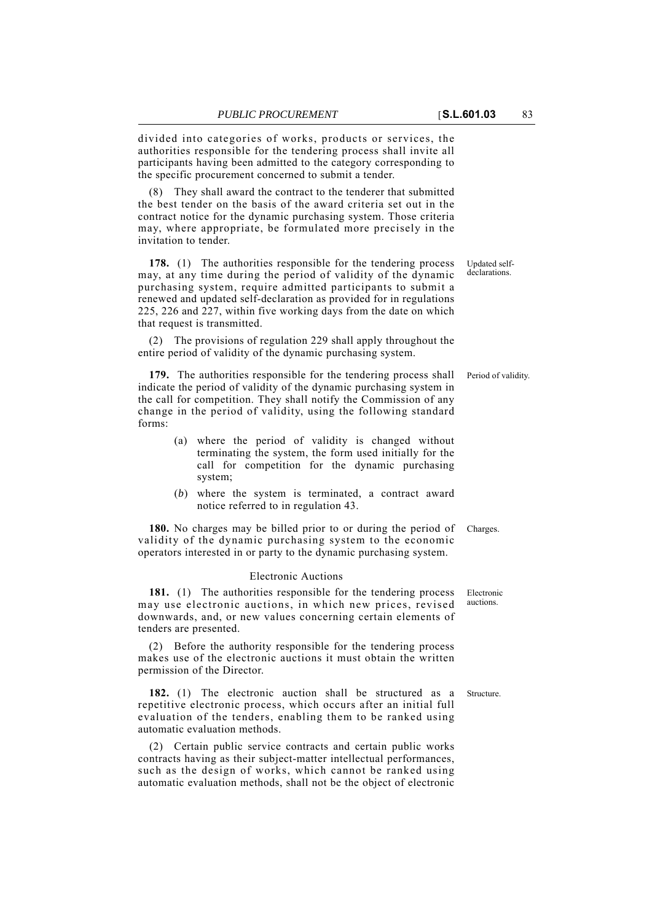divided into categories of works, products or services, the authorities responsible for the tendering process shall invite all participants having been admitted to the category corresponding to the specific procurement concerned to submit a tender.

(8) They shall award the contract to the tenderer that submitted the best tender on the basis of the award criteria set out in the contract notice for the dynamic purchasing system. Those criteria may, where appropriate, be formulated more precisely in the invitation to tender.

**178.** (1) The authorities responsible for the tendering process may, at any time during the period of validity of the dynamic purchasing system, require admitted participants to submit a renewed and updated self-declaration as provided for in regulations 225, 226 and 227, within five working days from the date on which that request is transmitted.

(2) The provisions of regulation 229 shall apply throughout the entire period of validity of the dynamic purchasing system.

**179.** The authorities responsible for the tendering process shall Period of validity. indicate the period of validity of the dynamic purchasing system in the call for competition. They shall notify the Commission of any change in the period of validity, using the following standard forms:

- (a) where the period of validity is changed without terminating the system, the form used initially for the call for competition for the dynamic purchasing system;
- (*b*) where the system is terminated, a contract award notice referred to in regulation 43.

**180.** No charges may be billed prior to or during the period of Charges. validity of the dynamic purchasing system to the economic operators interested in or party to the dynamic purchasing system.

#### Electronic Auctions

auctions. 181. (1) The authorities responsible for the tendering process may use electronic auctions, in which new prices, revised downwards, and, or new values concerning certain elements of tenders are presented.

(2) Before the authority responsible for the tendering process makes use of the electronic auctions it must obtain the written permission of the Director.

**182.** (1) The electronic auction shall be structured as a Structure. repetitive electronic process, which occurs after an initial full evaluation of the tenders, enabling them to be ranked using automatic evaluation methods.

(2) Certain public service contracts and certain public works contracts having as their subject-matter intellectual performances, such as the design of works, which cannot be ranked using automatic evaluation methods, shall not be the object of electronic

Updated selfdeclarations.

Electronic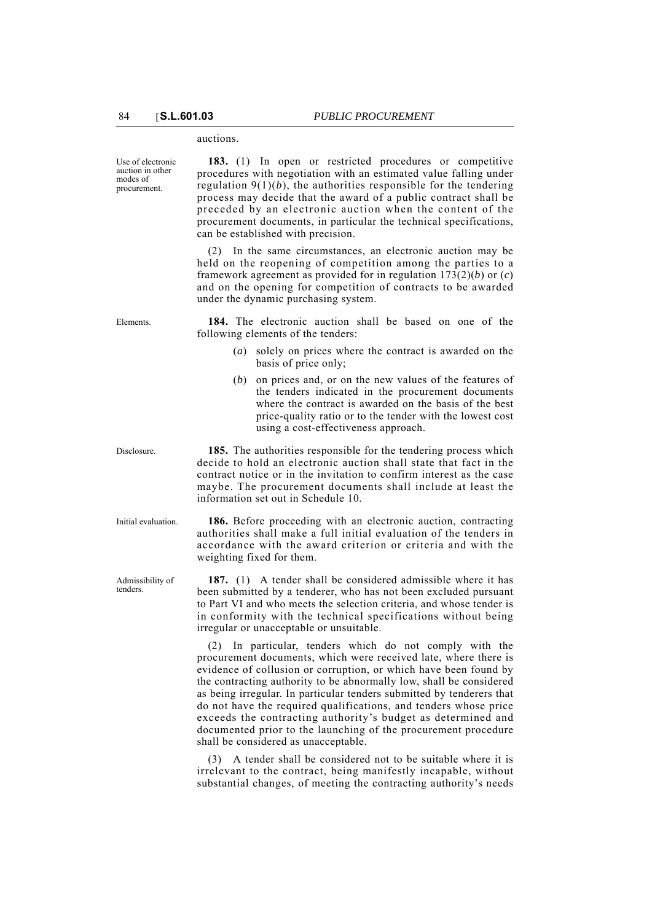## auctions.

Use of electronic auction in other modes of procurement.

**183.** (1) In open or restricted procedures or competitive procedures with negotiation with an estimated value falling under regulation  $9(1)(b)$ , the authorities responsible for the tendering process may decide that the award of a public contract shall be preceded by an electronic auction when the content of the procurement documents, in particular the technical specifications, can be established with precision.

(2) In the same circumstances, an electronic auction may be held on the reopening of competition among the parties to a framework agreement as provided for in regulation 173(2)(*b*) or (*c*) and on the opening for competition of contracts to be awarded under the dynamic purchasing system.

Elements. **184.** The electronic auction shall be based on one of the following elements of the tenders:

- (*a*) solely on prices where the contract is awarded on the basis of price only;
- (*b*) on prices and, or on the new values of the features of the tenders indicated in the procurement documents where the contract is awarded on the basis of the best price-quality ratio or to the tender with the lowest cost using a cost-effectiveness approach.

Disclosure. **185.** The authorities responsible for the tendering process which decide to hold an electronic auction shall state that fact in the contract notice or in the invitation to confirm interest as the case maybe. The procurement documents shall include at least the information set out in Schedule 10.

Initial evaluation. **186.** Before proceeding with an electronic auction, contracting authorities shall make a full initial evaluation of the tenders in accordance with the award criterion or criteria and with the weighting fixed for them.

> **187.** (1) A tender shall be considered admissible where it has been submitted by a tenderer, who has not been excluded pursuant to Part VI and who meets the selection criteria, and whose tender is in conformity with the technical specifications without being irregular or unacceptable or unsuitable.

> (2) In particular, tenders which do not comply with the procurement documents, which were received late, where there is evidence of collusion or corruption, or which have been found by the contracting authority to be abnormally low, shall be considered as being irregular. In particular tenders submitted by tenderers that do not have the required qualifications, and tenders whose price exceeds the contracting authority's budget as determined and documented prior to the launching of the procurement procedure shall be considered as unacceptable.

> (3) A tender shall be considered not to be suitable where it is irrelevant to the contract, being manifestly incapable, without substantial changes, of meeting the contracting authority's needs

Admissibility of tenders.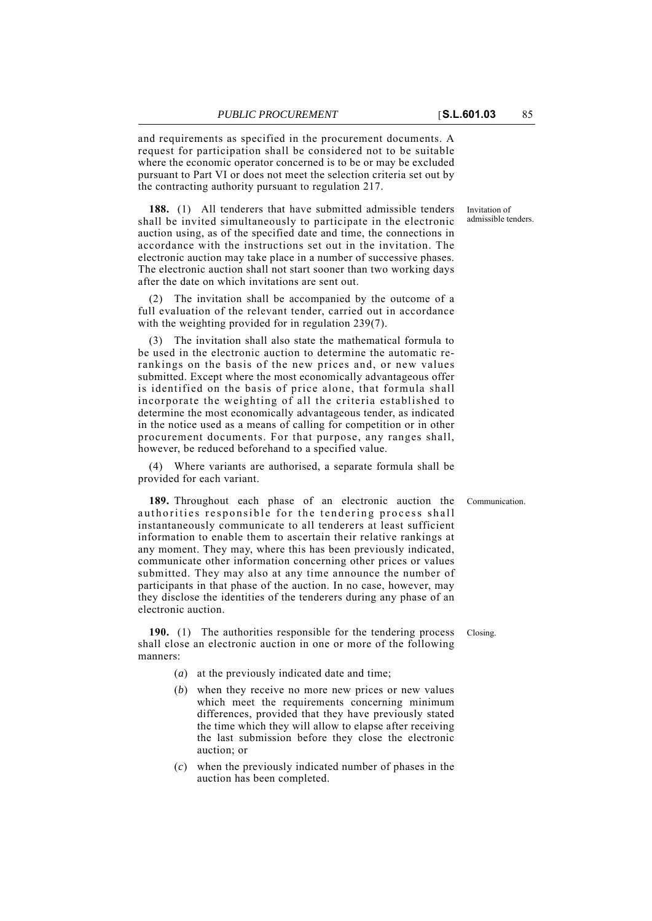and requirements as specified in the procurement documents. A request for participation shall be considered not to be suitable where the economic operator concerned is to be or may be excluded pursuant to Part VI or does not meet the selection criteria set out by the contracting authority pursuant to regulation 217.

**188.** (1) All tenderers that have submitted admissible tenders shall be invited simultaneously to participate in the electronic auction using, as of the specified date and time, the connections in accordance with the instructions set out in the invitation. The electronic auction may take place in a number of successive phases. The electronic auction shall not start sooner than two working days after the date on which invitations are sent out.

(2) The invitation shall be accompanied by the outcome of a full evaluation of the relevant tender, carried out in accordance with the weighting provided for in regulation 239(7).

(3) The invitation shall also state the mathematical formula to be used in the electronic auction to determine the automatic rerankings on the basis of the new prices and, or new values submitted. Except where the most economically advantageous offer is identified on the basis of price alone, that formula shall incorporate the weighting of all the criteria established to determine the most economically advantageous tender, as indicated in the notice used as a means of calling for competition or in other procurement documents. For that purpose, any ranges shall, however, be reduced beforehand to a specified value.

(4) Where variants are authorised, a separate formula shall be provided for each variant.

**189.** Throughout each phase of an electronic auction the Communication. authorities responsible for the tendering process shall instantaneously communicate to all tenderers at least sufficient information to enable them to ascertain their relative rankings at any moment. They may, where this has been previously indicated, communicate other information concerning other prices or values submitted. They may also at any time announce the number of participants in that phase of the auction. In no case, however, may they disclose the identities of the tenderers during any phase of an electronic auction.

**190.** (1) The authorities responsible for the tendering process Closing. shall close an electronic auction in one or more of the following manners:

- (*a*) at the previously indicated date and time;
- (*b*) when they receive no more new prices or new values which meet the requirements concerning minimum differences, provided that they have previously stated the time which they will allow to elapse after receiving the last submission before they close the electronic auction; or
- (*c*) when the previously indicated number of phases in the auction has been completed.

Invitation of admissible tenders.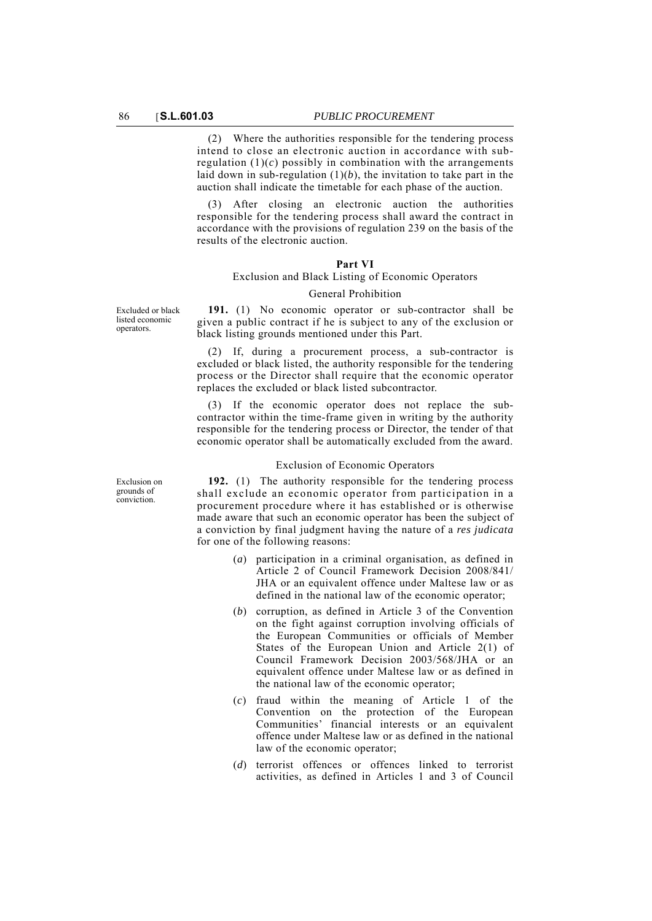(2) Where the authorities responsible for the tendering process intend to close an electronic auction in accordance with subregulation  $(1)(c)$  possibly in combination with the arrangements laid down in sub-regulation  $(1)(b)$ , the invitation to take part in the auction shall indicate the timetable for each phase of the auction.

(3) After closing an electronic auction the authorities responsible for the tendering process shall award the contract in accordance with the provisions of regulation 239 on the basis of the results of the electronic auction.

# **Part VI**

# Exclusion and Black Listing of Economic Operators General Prohibition

Excluded or black listed economic operators.

**191.** (1) No economic operator or sub-contractor shall be given a public contract if he is subject to any of the exclusion or black listing grounds mentioned under this Part.

(2) If, during a procurement process, a sub-contractor is excluded or black listed, the authority responsible for the tendering process or the Director shall require that the economic operator replaces the excluded or black listed subcontractor.

(3) If the economic operator does not replace the subcontractor within the time-frame given in writing by the authority responsible for the tendering process or Director, the tender of that economic operator shall be automatically excluded from the award.

#### Exclusion of Economic Operators

**192.** (1) The authority responsible for the tendering process shall exclude an economic operator from participation in a procurement procedure where it has established or is otherwise made aware that such an economic operator has been the subject of a conviction by final judgment having the nature of a *res judicata* for one of the following reasons:

- (*a*) participation in a criminal organisation, as defined in Article 2 of Council Framework Decision 2008/841/ JHA or an equivalent offence under Maltese law or as defined in the national law of the economic operator;
- (*b*) corruption, as defined in Article 3 of the Convention on the fight against corruption involving officials of the European Communities or officials of Member States of the European Union and Article 2(1) of Council Framework Decision 2003/568/JHA or an equivalent offence under Maltese law or as defined in the national law of the economic operator;
- (*c*) fraud within the meaning of Article 1 of the Convention on the protection of the European Communities' financial interests or an equivalent offence under Maltese law or as defined in the national law of the economic operator;
- (*d*) terrorist offences or offences linked to terrorist activities, as defined in Articles 1 and 3 of Council

Exclusion on grounds of conviction.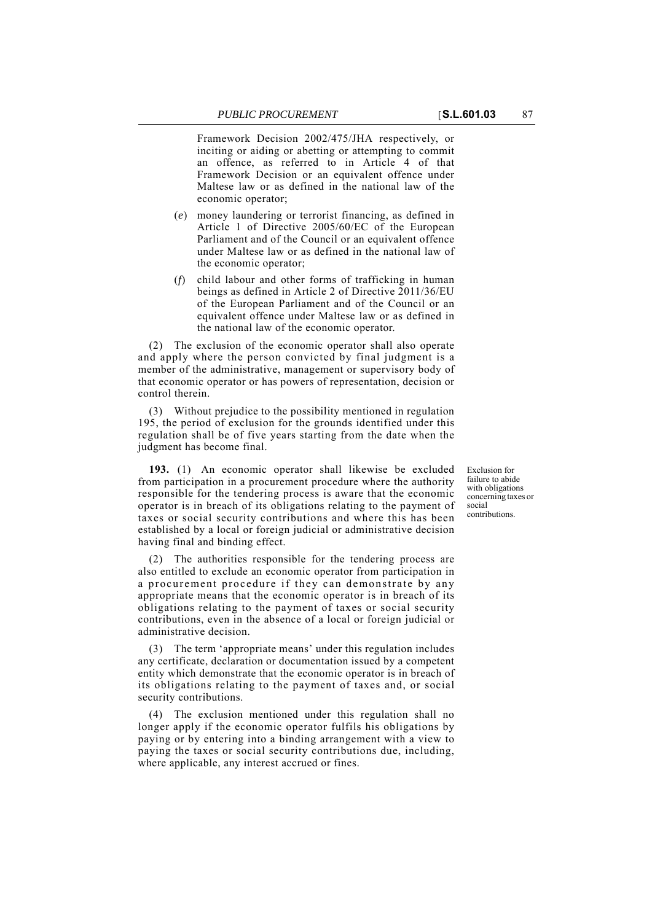Framework Decision 2002/475/JHA respectively, or inciting or aiding or abetting or attempting to commit an offence, as referred to in Article 4 of that Framework Decision or an equivalent offence under Maltese law or as defined in the national law of the economic operator;

- (*e*) money laundering or terrorist financing, as defined in Article 1 of Directive 2005/60/EC of the European Parliament and of the Council or an equivalent offence under Maltese law or as defined in the national law of the economic operator;
- (*f*) child labour and other forms of trafficking in human beings as defined in Article 2 of Directive 2011/36/EU of the European Parliament and of the Council or an equivalent offence under Maltese law or as defined in the national law of the economic operator.

(2) The exclusion of the economic operator shall also operate and apply where the person convicted by final judgment is a member of the administrative, management or supervisory body of that economic operator or has powers of representation, decision or control therein.

(3) Without prejudice to the possibility mentioned in regulation 195, the period of exclusion for the grounds identified under this regulation shall be of five years starting from the date when the judgment has become final.

**193.** (1) An economic operator shall likewise be excluded from participation in a procurement procedure where the authority responsible for the tendering process is aware that the economic operator is in breach of its obligations relating to the payment of taxes or social security contributions and where this has been established by a local or foreign judicial or administrative decision having final and binding effect.

(2) The authorities responsible for the tendering process are also entitled to exclude an economic operator from participation in a procurement procedure if they can demonstrate by any appropriate means that the economic operator is in breach of its obligations relating to the payment of taxes or social security contributions, even in the absence of a local or foreign judicial or administrative decision.

(3) The term 'appropriate means' under this regulation includes any certificate, declaration or documentation issued by a competent entity which demonstrate that the economic operator is in breach of its obligations relating to the payment of taxes and, or social security contributions.

(4) The exclusion mentioned under this regulation shall no longer apply if the economic operator fulfils his obligations by paying or by entering into a binding arrangement with a view to paying the taxes or social security contributions due, including, where applicable, any interest accrued or fines.

Exclusion for failure to abide with obligations concerning taxes or social contributions.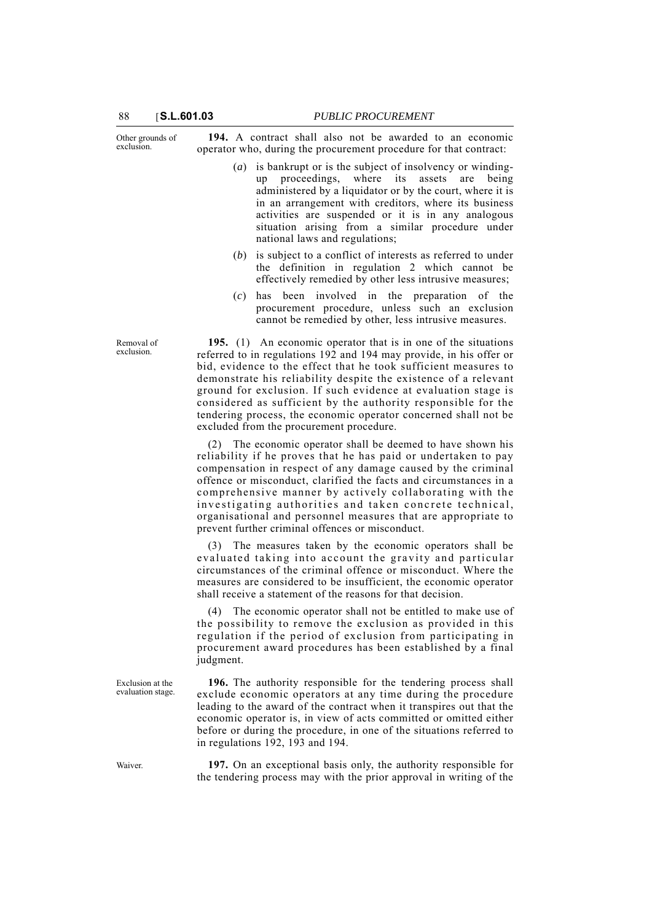Other grounds of exclusion.

**194.** A contract shall also not be awarded to an economic operator who, during the procurement procedure for that contract:

- (*a*) is bankrupt or is the subject of insolvency or windingup proceedings, where its assets are being administered by a liquidator or by the court, where it is in an arrangement with creditors, where its business activities are suspended or it is in any analogous situation arising from a similar procedure under national laws and regulations;
- (*b*) is subject to a conflict of interests as referred to under the definition in regulation 2 which cannot be effectively remedied by other less intrusive measures;
- (*c*) has been involved in the preparation of the procurement procedure, unless such an exclusion cannot be remedied by other, less intrusive measures.

**195.** (1) An economic operator that is in one of the situations referred to in regulations 192 and 194 may provide, in his offer or bid, evidence to the effect that he took sufficient measures to demonstrate his reliability despite the existence of a relevant ground for exclusion. If such evidence at evaluation stage is considered as sufficient by the authority responsible for the tendering process, the economic operator concerned shall not be excluded from the procurement procedure.

(2) The economic operator shall be deemed to have shown his reliability if he proves that he has paid or undertaken to pay compensation in respect of any damage caused by the criminal offence or misconduct, clarified the facts and circumstances in a comprehensive manner by actively collaborating with the investigating authorities and taken concrete technical, organisational and personnel measures that are appropriate to prevent further criminal offences or misconduct.

(3) The measures taken by the economic operators shall be evaluated taking into account the gravity and particular circumstances of the criminal offence or misconduct. Where the measures are considered to be insufficient, the economic operator shall receive a statement of the reasons for that decision.

(4) The economic operator shall not be entitled to make use of the possibility to remove the exclusion as provided in this regulation if the period of exclusion from participating in procurement award procedures has been established by a final judgment.

**196.** The authority responsible for the tendering process shall exclude economic operators at any time during the procedure leading to the award of the contract when it transpires out that the economic operator is, in view of acts committed or omitted either before or during the procedure, in one of the situations referred to in regulations 192, 193 and 194.

Waiver. **197.** On an exceptional basis only, the authority responsible for the tendering process may with the prior approval in writing of the

Removal of exclusion.

Exclusion at the evaluation stage.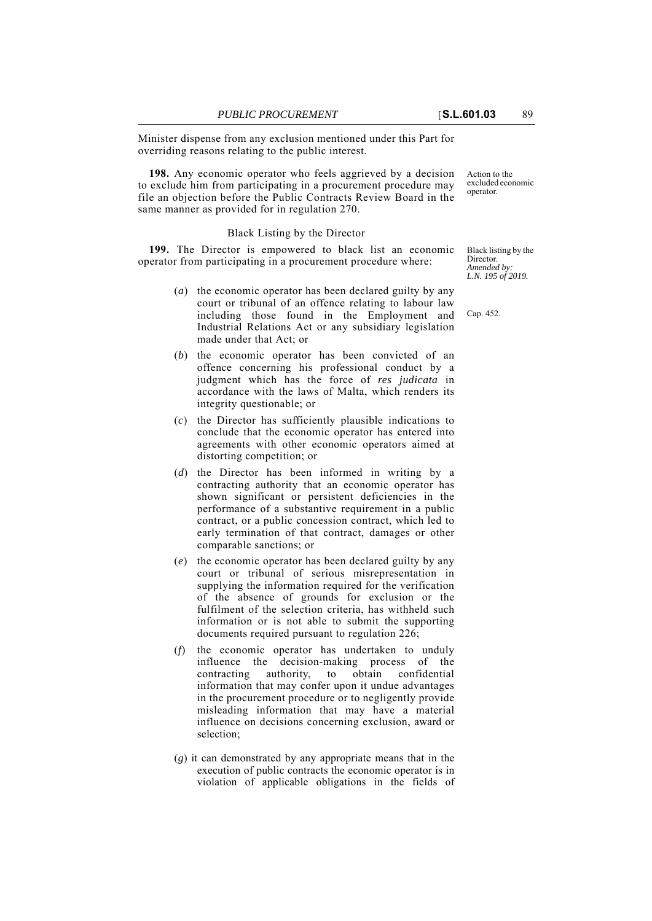Minister dispense from any exclusion mentioned under this Part for overriding reasons relating to the public interest.

**198.** Any economic operator who feels aggrieved by a decision to exclude him from participating in a procurement procedure may file an objection before the Public Contracts Review Board in the same manner as provided for in regulation 270.

## Black Listing by the Director

**199.** The Director is empowered to black list an economic operator from participating in a procurement procedure where:

- (*a*) the economic operator has been declared guilty by any court or tribunal of an offence relating to labour law including those found in the Employment and Industrial Relations Act or any subsidiary legislation made under that Act; or
- (*b*) the economic operator has been convicted of an offence concerning his professional conduct by a judgment which has the force of *res judicata* in accordance with the laws of Malta, which renders its integrity questionable; or
- (*c*) the Director has sufficiently plausible indications to conclude that the economic operator has entered into agreements with other economic operators aimed at distorting competition; or
- (*d*) the Director has been informed in writing by a contracting authority that an economic operator has shown significant or persistent deficiencies in the performance of a substantive requirement in a public contract, or a public concession contract, which led to early termination of that contract, damages or other comparable sanctions; or
- (*e*) the economic operator has been declared guilty by any court or tribunal of serious misrepresentation in supplying the information required for the verification of the absence of grounds for exclusion or the fulfilment of the selection criteria, has withheld such information or is not able to submit the supporting documents required pursuant to regulation 226;
- (*f*) the economic operator has undertaken to unduly influence the decision-making process of the contracting authority, to obtain confidential information that may confer upon it undue advantages in the procurement procedure or to negligently provide misleading information that may have a material influence on decisions concerning exclusion, award or selection;
- (*g*) it can demonstrated by any appropriate means that in the execution of public contracts the economic operator is in violation of applicable obligations in the fields of

Action to the excluded economic operator.

Black listing by the Director. *Amended by: L.N. 195 of 2019.*

Cap. 452.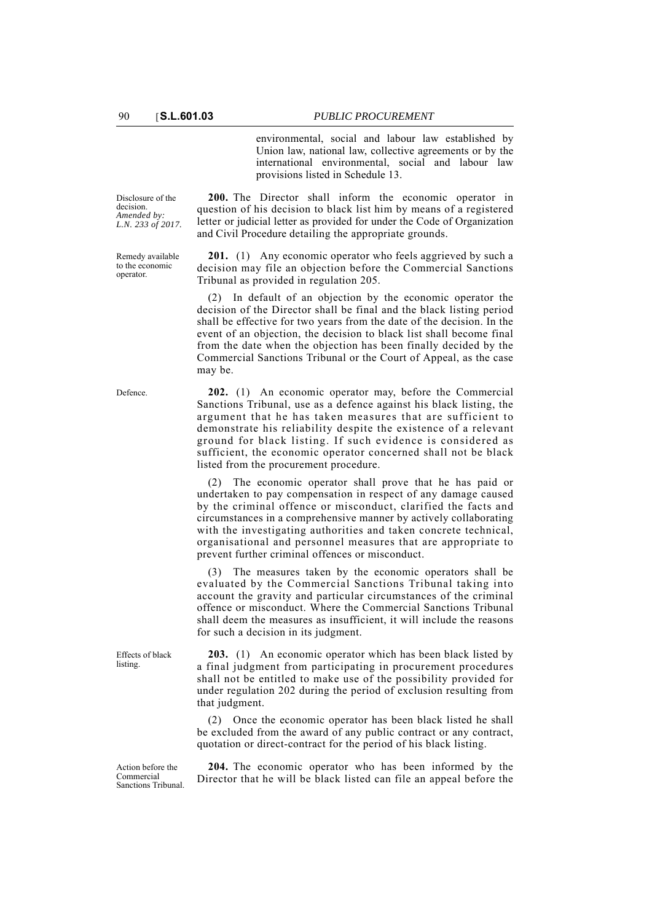environmental, social and labour law established by Union law, national law, collective agreements or by the international environmental, social and labour law provisions listed in Schedule 13.

Disclosure of the decision. *Amended by: L.N. 233 of 2017.*

Remedy available to the economic operator.

Effects of black listing.

**200.** The Director shall inform the economic operator in question of his decision to black list him by means of a registered letter or judicial letter as provided for under the Code of Organization and Civil Procedure detailing the appropriate grounds.

**201.** (1) Any economic operator who feels aggrieved by such a decision may file an objection before the Commercial Sanctions Tribunal as provided in regulation 205.

(2) In default of an objection by the economic operator the decision of the Director shall be final and the black listing period shall be effective for two years from the date of the decision. In the event of an objection, the decision to black list shall become final from the date when the objection has been finally decided by the Commercial Sanctions Tribunal or the Court of Appeal, as the case may be.

Defence. **202.** (1) An economic operator may, before the Commercial Sanctions Tribunal, use as a defence against his black listing, the argument that he has taken measures that are sufficient to demonstrate his reliability despite the existence of a relevant ground for black listing. If such evidence is considered as sufficient, the economic operator concerned shall not be black listed from the procurement procedure.

> (2) The economic operator shall prove that he has paid or undertaken to pay compensation in respect of any damage caused by the criminal offence or misconduct, clarified the facts and circumstances in a comprehensive manner by actively collaborating with the investigating authorities and taken concrete technical, organisational and personnel measures that are appropriate to prevent further criminal offences or misconduct.

> (3) The measures taken by the economic operators shall be evaluated by the Commercial Sanctions Tribunal taking into account the gravity and particular circumstances of the criminal offence or misconduct. Where the Commercial Sanctions Tribunal shall deem the measures as insufficient, it will include the reasons for such a decision in its judgment.

> **203.** (1) An economic operator which has been black listed by a final judgment from participating in procurement procedures shall not be entitled to make use of the possibility provided for under regulation 202 during the period of exclusion resulting from that judgment.

> (2) Once the economic operator has been black listed he shall be excluded from the award of any public contract or any contract, quotation or direct-contract for the period of his black listing.

Action before the Commercial Sanctions Tribunal.

**204.** The economic operator who has been informed by the Director that he will be black listed can file an appeal before the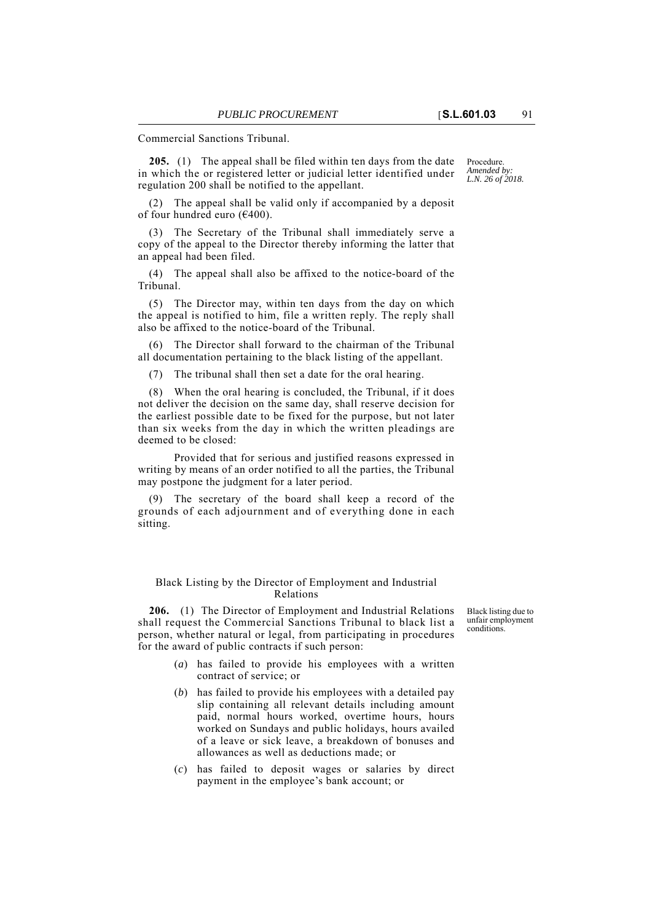Commercial Sanctions Tribunal.

**205.** (1) The appeal shall be filed within ten days from the date in which the or registered letter or judicial letter identified under regulation 200 shall be notified to the appellant.

(2) The appeal shall be valid only if accompanied by a deposit of four hundred euro (€400).

(3) The Secretary of the Tribunal shall immediately serve a copy of the appeal to the Director thereby informing the latter that an appeal had been filed.

(4) The appeal shall also be affixed to the notice-board of the Tribunal.

(5) The Director may, within ten days from the day on which the appeal is notified to him, file a written reply. The reply shall also be affixed to the notice-board of the Tribunal.

(6) The Director shall forward to the chairman of the Tribunal all documentation pertaining to the black listing of the appellant.

(7) The tribunal shall then set a date for the oral hearing.

(8) When the oral hearing is concluded, the Tribunal, if it does not deliver the decision on the same day, shall reserve decision for the earliest possible date to be fixed for the purpose, but not later than six weeks from the day in which the written pleadings are deemed to be closed:

Provided that for serious and justified reasons expressed in writing by means of an order notified to all the parties, the Tribunal may postpone the judgment for a later period.

(9) The secretary of the board shall keep a record of the grounds of each adjournment and of everything done in each sitting.

Black Listing by the Director of Employment and Industrial Relations

**206.** (1) The Director of Employment and Industrial Relations shall request the Commercial Sanctions Tribunal to black list a person, whether natural or legal, from participating in procedures for the award of public contracts if such person:

- (*a*) has failed to provide his employees with a written contract of service; or
- (*b*) has failed to provide his employees with a detailed pay slip containing all relevant details including amount paid, normal hours worked, overtime hours, hours worked on Sundays and public holidays, hours availed of a leave or sick leave, a breakdown of bonuses and allowances as well as deductions made; or
- (*c*) has failed to deposit wages or salaries by direct payment in the employee's bank account; or

Black listing due to unfair employment conditions.

Procedure. *Amended by: L.N. 26 of 2018.*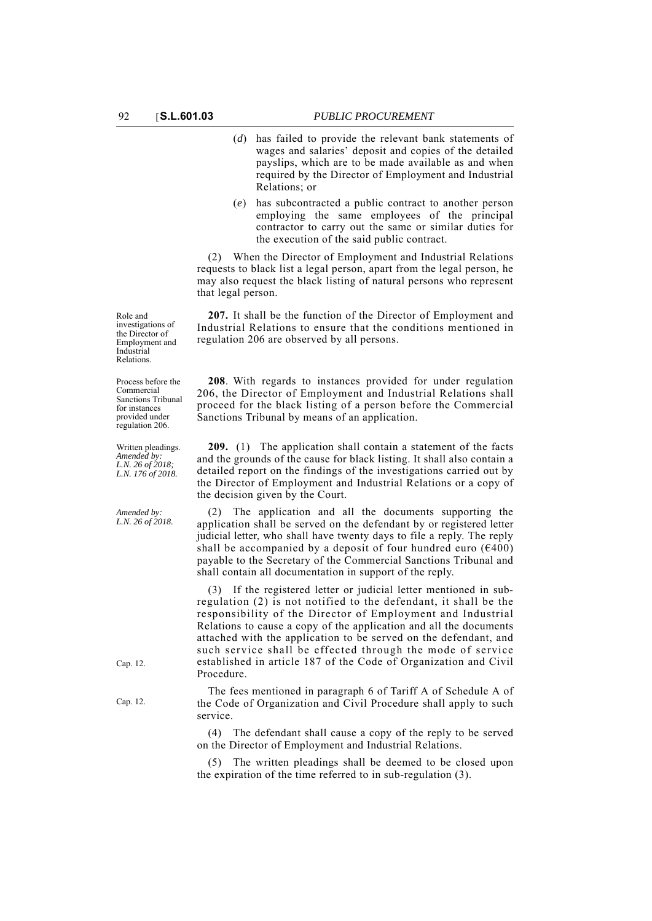- (*d*) has failed to provide the relevant bank statements of wages and salaries' deposit and copies of the detailed payslips, which are to be made available as and when required by the Director of Employment and Industrial Relations; or
- (*e*) has subcontracted a public contract to another person employing the same employees of the principal contractor to carry out the same or similar duties for the execution of the said public contract.

(2) When the Director of Employment and Industrial Relations requests to black list a legal person, apart from the legal person, he may also request the black listing of natural persons who represent that legal person.

**207.** It shall be the function of the Director of Employment and Industrial Relations to ensure that the conditions mentioned in regulation 206 are observed by all persons.

**208**. With regards to instances provided for under regulation 206, the Director of Employment and Industrial Relations shall proceed for the black listing of a person before the Commercial Sanctions Tribunal by means of an application.

**209.** (1) The application shall contain a statement of the facts and the grounds of the cause for black listing. It shall also contain a detailed report on the findings of the investigations carried out by the Director of Employment and Industrial Relations or a copy of the decision given by the Court.

The application and all the documents supporting the application shall be served on the defendant by or registered letter judicial letter, who shall have twenty days to file a reply. The reply shall be accompanied by a deposit of four hundred euro  $(6400)$ payable to the Secretary of the Commercial Sanctions Tribunal and shall contain all documentation in support of the reply.

(3) If the registered letter or judicial letter mentioned in subregulation (2) is not notified to the defendant, it shall be the responsibility of the Director of Employment and Industrial Relations to cause a copy of the application and all the documents attached with the application to be served on the defendant, and such service shall be effected through the mode of service established in article 187 of the Code of Organization and Civil Procedure.

The fees mentioned in paragraph 6 of Tariff A of Schedule A of the Code of Organization and Civil Procedure shall apply to such service.

(4) The defendant shall cause a copy of the reply to be served on the Director of Employment and Industrial Relations.

(5) The written pleadings shall be deemed to be closed upon the expiration of the time referred to in sub-regulation (3).

Role and investigations of the Director of Employment and Industrial Relations.

Process before the Commercial Sanctions Tribunal for instances provided under regulation 206.

Written pleadings. *Amended by: L.N. 26 of 2018; L.N. 176 of 2018.*

*Amended by: L.N. 26 of 2018.*

Cap. 12.

Cap. 12.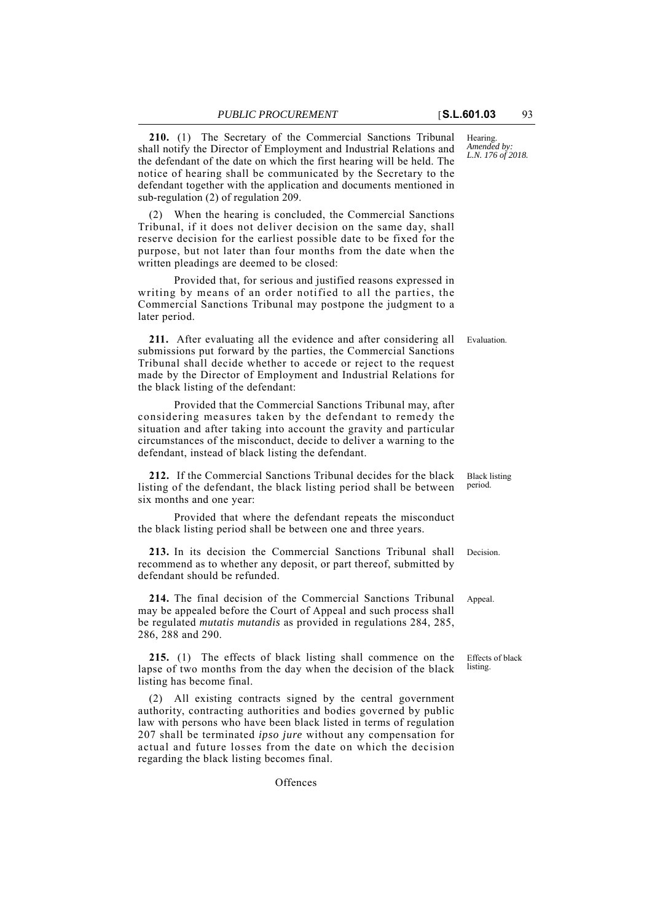**210.** (1) The Secretary of the Commercial Sanctions Tribunal shall notify the Director of Employment and Industrial Relations and the defendant of the date on which the first hearing will be held. The notice of hearing shall be communicated by the Secretary to the defendant together with the application and documents mentioned in sub-regulation (2) of regulation 209.

(2) When the hearing is concluded, the Commercial Sanctions Tribunal, if it does not deliver decision on the same day, shall reserve decision for the earliest possible date to be fixed for the purpose, but not later than four months from the date when the written pleadings are deemed to be closed:

Provided that, for serious and justified reasons expressed in writing by means of an order notified to all the parties, the Commercial Sanctions Tribunal may postpone the judgment to a later period.

211. After evaluating all the evidence and after considering all Evaluation. submissions put forward by the parties, the Commercial Sanctions Tribunal shall decide whether to accede or reject to the request made by the Director of Employment and Industrial Relations for the black listing of the defendant:

Provided that the Commercial Sanctions Tribunal may, after considering measures taken by the defendant to remedy the situation and after taking into account the gravity and particular circumstances of the misconduct, decide to deliver a warning to the defendant, instead of black listing the defendant.

**212.** If the Commercial Sanctions Tribunal decides for the black listing of the defendant, the black listing period shall be between six months and one year:

Provided that where the defendant repeats the misconduct the black listing period shall be between one and three years.

**213.** In its decision the Commercial Sanctions Tribunal shall Decision. recommend as to whether any deposit, or part thereof, submitted by defendant should be refunded.

**214.** The final decision of the Commercial Sanctions Tribunal Appeal. may be appealed before the Court of Appeal and such process shall be regulated *mutatis mutandis* as provided in regulations 284, 285, 286, 288 and 290.

**215.** (1) The effects of black listing shall commence on the lapse of two months from the day when the decision of the black listing has become final.

(2) All existing contracts signed by the central government authority, contracting authorities and bodies governed by public law with persons who have been black listed in terms of regulation 207 shall be terminated *ipso jure* without any compensation for actual and future losses from the date on which the decision regarding the black listing becomes final.

**Offences** 

Hearing. *Amended by: L.N. 176 of 2018.*

Black listing period.

Effects of black listing.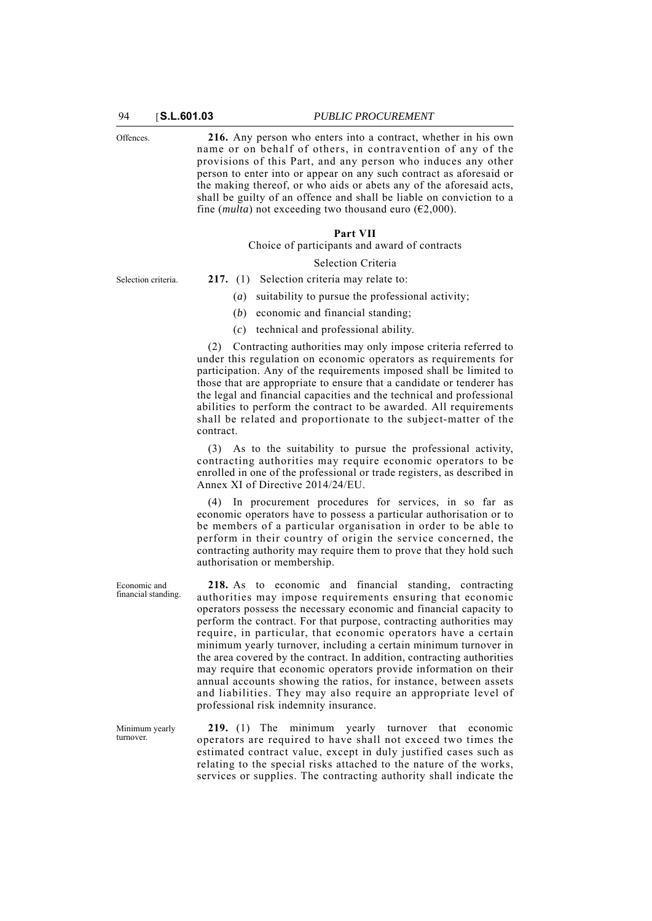Offences. **216.** Any person who enters into a contract, whether in his own name or on behalf of others, in contravention of any of the provisions of this Part, and any person who induces any other person to enter into or appear on any such contract as aforesaid or the making thereof, or who aids or abets any of the aforesaid acts, shall be guilty of an offence and shall be liable on conviction to a fine (*multa*) not exceeding two thousand euro ( $\epsilon$ 2,000).

#### **Part VII**

Choice of participants and award of contracts

#### Selection Criteria

- Selection criteria. **217.** (1) Selection criteria may relate to:
	- (*a*) suitability to pursue the professional activity;
	- (*b*) economic and financial standing;
	- (*c*) technical and professional ability.

(2) Contracting authorities may only impose criteria referred to under this regulation on economic operators as requirements for participation. Any of the requirements imposed shall be limited to those that are appropriate to ensure that a candidate or tenderer has the legal and financial capacities and the technical and professional abilities to perform the contract to be awarded. All requirements shall be related and proportionate to the subject-matter of the contract.

(3) As to the suitability to pursue the professional activity, contracting authorities may require economic operators to be enrolled in one of the professional or trade registers, as described in Annex XI of Directive 2014/24/EU.

(4) In procurement procedures for services, in so far as economic operators have to possess a particular authorisation or to be members of a particular organisation in order to be able to perform in their country of origin the service concerned, the contracting authority may require them to prove that they hold such authorisation or membership.

**218.** As to economic and financial standing, contracting authorities may impose requirements ensuring that economic operators possess the necessary economic and financial capacity to perform the contract. For that purpose, contracting authorities may require, in particular, that economic operators have a certain minimum yearly turnover, including a certain minimum turnover in the area covered by the contract. In addition, contracting authorities may require that economic operators provide information on their annual accounts showing the ratios, for instance, between assets and liabilities. They may also require an appropriate level of professional risk indemnity insurance.

**219.** (1) The minimum yearly turnover that economic operators are required to have shall not exceed two times the estimated contract value, except in duly justified cases such as relating to the special risks attached to the nature of the works, services or supplies. The contracting authority shall indicate the

Economic and financial standing.

Minimum yearly turnover.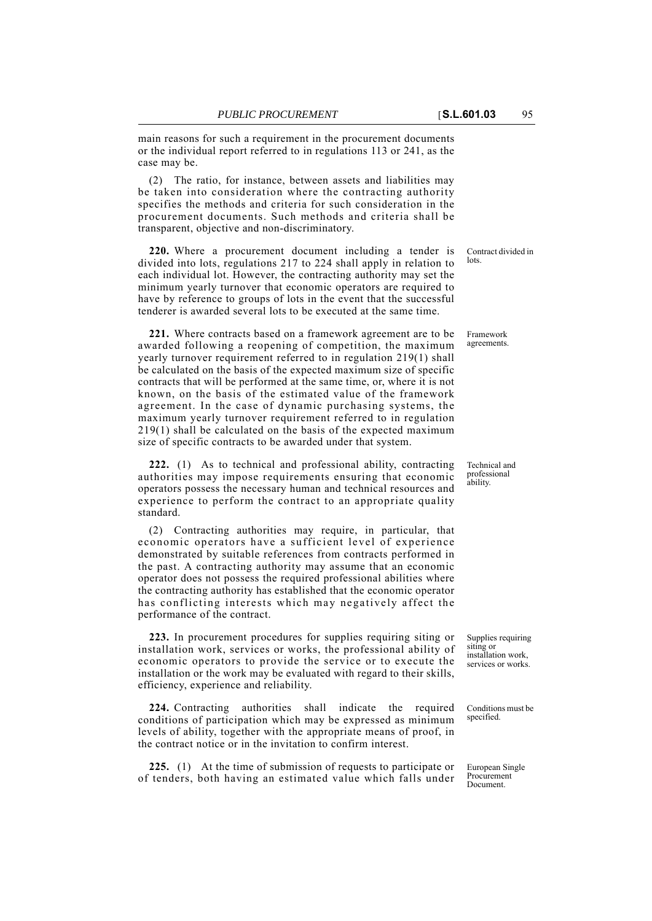main reasons for such a requirement in the procurement documents or the individual report referred to in regulations 113 or 241, as the case may be.

(2) The ratio, for instance, between assets and liabilities may be taken into consideration where the contracting authority specifies the methods and criteria for such consideration in the procurement documents. Such methods and criteria shall be transparent, objective and non-discriminatory.

**220.** Where a procurement document including a tender is divided into lots, regulations 217 to 224 shall apply in relation to each individual lot. However, the contracting authority may set the minimum yearly turnover that economic operators are required to have by reference to groups of lots in the event that the successful tenderer is awarded several lots to be executed at the same time.

**221.** Where contracts based on a framework agreement are to be awarded following a reopening of competition, the maximum yearly turnover requirement referred to in regulation 219(1) shall be calculated on the basis of the expected maximum size of specific contracts that will be performed at the same time, or, where it is not known, on the basis of the estimated value of the framework agreement. In the case of dynamic purchasing systems, the maximum yearly turnover requirement referred to in regulation 219(1) shall be calculated on the basis of the expected maximum size of specific contracts to be awarded under that system.

**222.** (1) As to technical and professional ability, contracting authorities may impose requirements ensuring that economic operators possess the necessary human and technical resources and experience to perform the contract to an appropriate quality standard.

(2) Contracting authorities may require, in particular, that economic operators have a sufficient level of experience demonstrated by suitable references from contracts performed in the past. A contracting authority may assume that an economic operator does not possess the required professional abilities where the contracting authority has established that the economic operator has conflicting interests which may negatively affect the performance of the contract.

**223.** In procurement procedures for supplies requiring siting or installation work, services or works, the professional ability of economic operators to provide the service or to execute the installation or the work may be evaluated with regard to their skills, efficiency, experience and reliability.

**224.** Contracting authorities shall indicate the required conditions of participation which may be expressed as minimum levels of ability, together with the appropriate means of proof, in the contract notice or in the invitation to confirm interest.

**225.** (1) At the time of submission of requests to participate or of tenders, both having an estimated value which falls under

Contract divided in lots.

Framework agreements.

Technical and professional ability.

Supplies requiring siting or installation work, services or works.

Conditions must be specified.

European Single Procurement Document.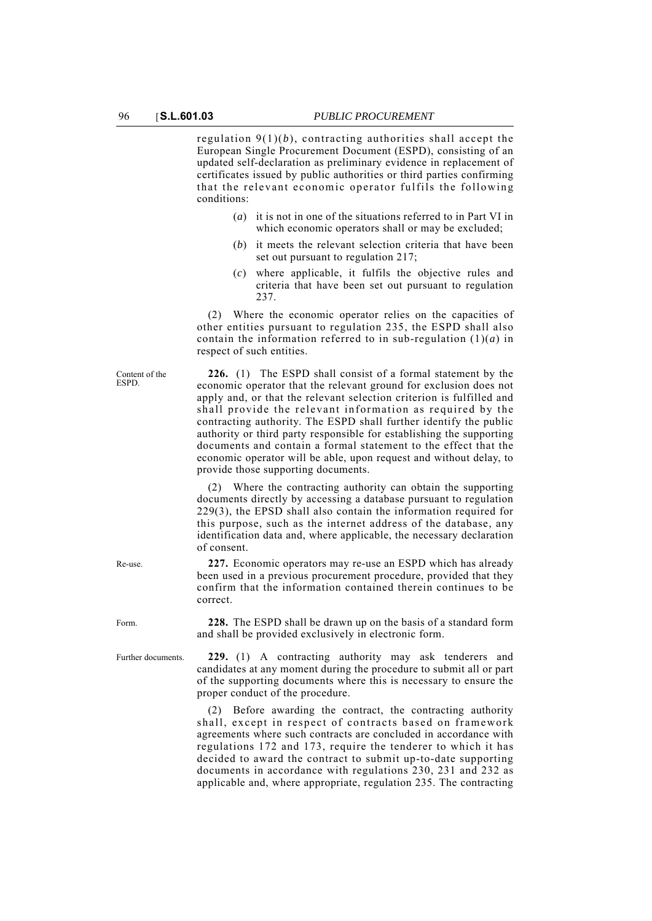regulation  $9(1)(b)$ , contracting authorities shall accept the European Single Procurement Document (ESPD), consisting of an updated self-declaration as preliminary evidence in replacement of certificates issued by public authorities or third parties confirming that the relevant economic operator fulfils the following conditions:

- (*a*) it is not in one of the situations referred to in Part VI in which economic operators shall or may be excluded;
- (*b*) it meets the relevant selection criteria that have been set out pursuant to regulation 217;
- (*c*) where applicable, it fulfils the objective rules and criteria that have been set out pursuant to regulation 237.

(2) Where the economic operator relies on the capacities of other entities pursuant to regulation 235, the ESPD shall also contain the information referred to in sub-regulation (1)(*a*) in respect of such entities.

**226.** (1) The ESPD shall consist of a formal statement by the economic operator that the relevant ground for exclusion does not apply and, or that the relevant selection criterion is fulfilled and shall provide the relevant information as required by the contracting authority. The ESPD shall further identify the public authority or third party responsible for establishing the supporting documents and contain a formal statement to the effect that the economic operator will be able, upon request and without delay, to provide those supporting documents.

(2) Where the contracting authority can obtain the supporting documents directly by accessing a database pursuant to regulation 229(3), the EPSD shall also contain the information required for this purpose, such as the internet address of the database, any identification data and, where applicable, the necessary declaration of consent.

Re-use. **227.** Economic operators may re-use an ESPD which has already been used in a previous procurement procedure, provided that they confirm that the information contained therein continues to be correct.

Form. **228.** The ESPD shall be drawn up on the basis of a standard form and shall be provided exclusively in electronic form.

Further documents. **229.** (1) A contracting authority may ask tenderers and candidates at any moment during the procedure to submit all or part of the supporting documents where this is necessary to ensure the proper conduct of the procedure.

> (2) Before awarding the contract, the contracting authority shall, except in respect of contracts based on framework agreements where such contracts are concluded in accordance with regulations 172 and 173, require the tenderer to which it has decided to award the contract to submit up-to-date supporting documents in accordance with regulations 230, 231 and 232 as applicable and, where appropriate, regulation 235. The contracting

Content of the ESPD.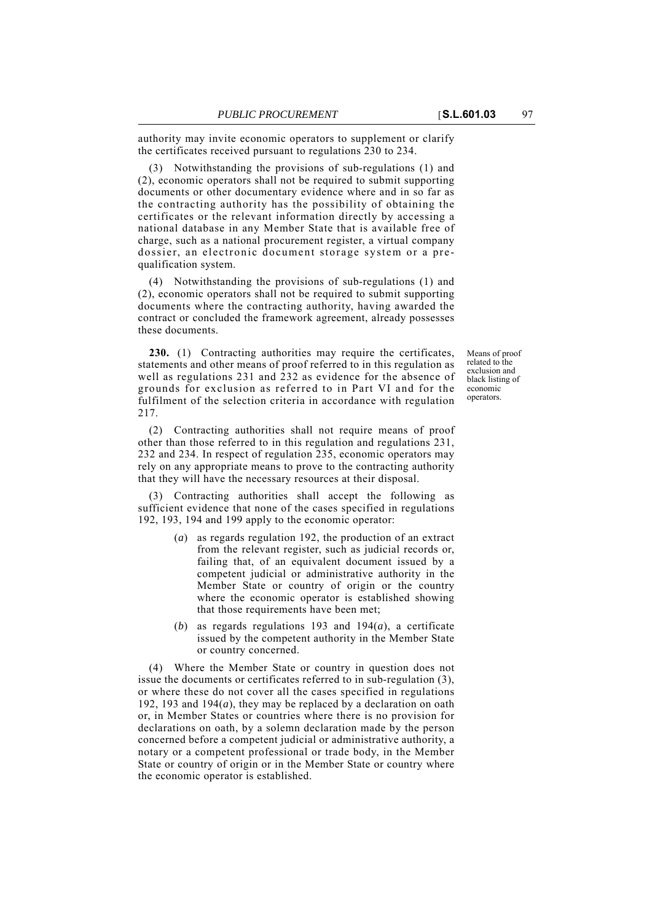authority may invite economic operators to supplement or clarify the certificates received pursuant to regulations 230 to 234.

(3) Notwithstanding the provisions of sub-regulations (1) and (2), economic operators shall not be required to submit supporting documents or other documentary evidence where and in so far as the contracting authority has the possibility of obtaining the certificates or the relevant information directly by accessing a national database in any Member State that is available free of charge, such as a national procurement register, a virtual company dossier, an electronic document storage system or a prequalification system.

(4) Notwithstanding the provisions of sub-regulations (1) and (2), economic operators shall not be required to submit supporting documents where the contracting authority, having awarded the contract or concluded the framework agreement, already possesses these documents.

**230.** (1) Contracting authorities may require the certificates, statements and other means of proof referred to in this regulation as well as regulations 231 and 232 as evidence for the absence of grounds for exclusion as referred to in Part VI and for the fulfilment of the selection criteria in accordance with regulation 217.

(2) Contracting authorities shall not require means of proof other than those referred to in this regulation and regulations 231, 232 and 234. In respect of regulation 235, economic operators may rely on any appropriate means to prove to the contracting authority that they will have the necessary resources at their disposal.

(3) Contracting authorities shall accept the following as sufficient evidence that none of the cases specified in regulations 192, 193, 194 and 199 apply to the economic operator:

- (*a*) as regards regulation 192, the production of an extract from the relevant register, such as judicial records or, failing that, of an equivalent document issued by a competent judicial or administrative authority in the Member State or country of origin or the country where the economic operator is established showing that those requirements have been met;
- (*b*) as regards regulations 193 and 194(*a*), a certificate issued by the competent authority in the Member State or country concerned.

(4) Where the Member State or country in question does not issue the documents or certificates referred to in sub-regulation (3), or where these do not cover all the cases specified in regulations 192, 193 and 194(*a*), they may be replaced by a declaration on oath or, in Member States or countries where there is no provision for declarations on oath, by a solemn declaration made by the person concerned before a competent judicial or administrative authority, a notary or a competent professional or trade body, in the Member State or country of origin or in the Member State or country where the economic operator is established.

Means of proof related to the exclusion and black listing of economic operators.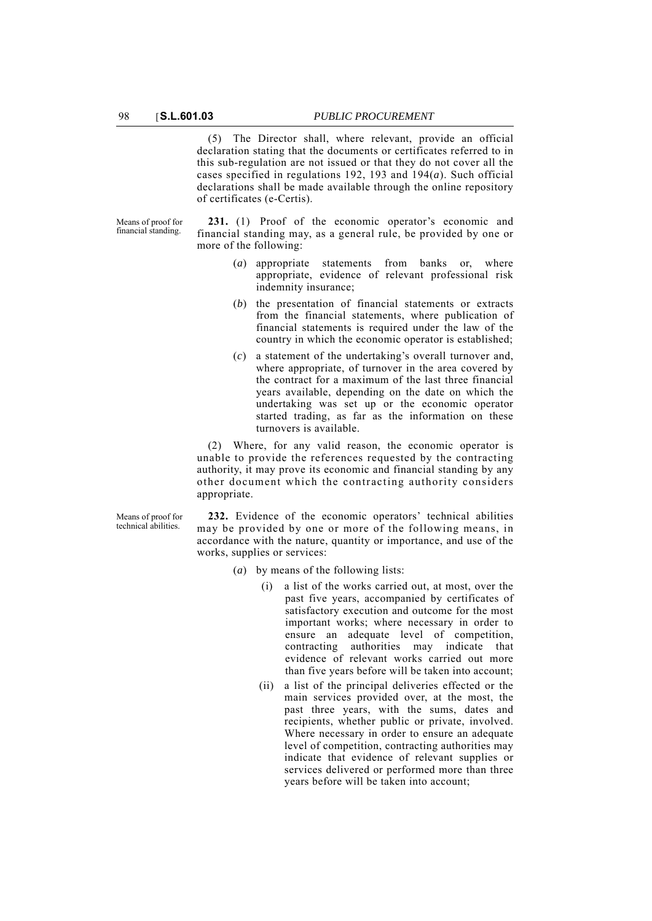(5) The Director shall, where relevant, provide an official declaration stating that the documents or certificates referred to in this sub-regulation are not issued or that they do not cover all the cases specified in regulations 192, 193 and 194(*a*). Such official declarations shall be made available through the online repository of certificates (e-Certis).

Means of proof for financial standing.

**231.** (1) Proof of the economic operator's economic and financial standing may, as a general rule, be provided by one or more of the following:

- (*a*) appropriate statements from banks or, where appropriate, evidence of relevant professional risk indemnity insurance;
- (*b*) the presentation of financial statements or extracts from the financial statements, where publication of financial statements is required under the law of the country in which the economic operator is established;
- (*c*) a statement of the undertaking's overall turnover and, where appropriate, of turnover in the area covered by the contract for a maximum of the last three financial years available, depending on the date on which the undertaking was set up or the economic operator started trading, as far as the information on these turnovers is available.

(2) Where, for any valid reason, the economic operator is unable to provide the references requested by the contracting authority, it may prove its economic and financial standing by any other document which the contracting authority considers appropriate.

Means of proof for technical abilities.

**232.** Evidence of the economic operators' technical abilities may be provided by one or more of the following means, in accordance with the nature, quantity or importance, and use of the works, supplies or services:

- (*a*) by means of the following lists:
	- (i) a list of the works carried out, at most, over the past five years, accompanied by certificates of satisfactory execution and outcome for the most important works; where necessary in order to ensure an adequate level of competition, contracting authorities may indicate that evidence of relevant works carried out more than five years before will be taken into account;
	- (ii) a list of the principal deliveries effected or the main services provided over, at the most, the past three years, with the sums, dates and recipients, whether public or private, involved. Where necessary in order to ensure an adequate level of competition, contracting authorities may indicate that evidence of relevant supplies or services delivered or performed more than three years before will be taken into account;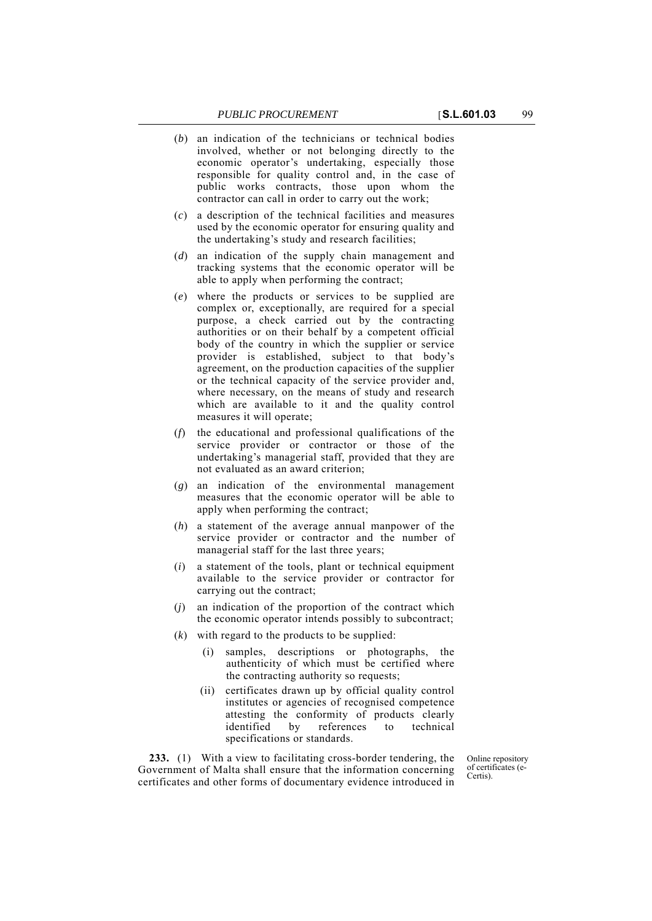(*c*) a description of the technical facilities and measures used by the economic operator for ensuring quality and the undertaking's study and research facilities;

public works contracts, those upon whom the contractor can call in order to carry out the work;

- (*d*) an indication of the supply chain management and tracking systems that the economic operator will be able to apply when performing the contract;
- (*e*) where the products or services to be supplied are complex or, exceptionally, are required for a special purpose, a check carried out by the contracting authorities or on their behalf by a competent official body of the country in which the supplier or service provider is established, subject to that body's agreement, on the production capacities of the supplier or the technical capacity of the service provider and, where necessary, on the means of study and research which are available to it and the quality control measures it will operate;
- (*f*) the educational and professional qualifications of the service provider or contractor or those of the undertaking's managerial staff, provided that they are not evaluated as an award criterion;
- (*g*) an indication of the environmental management measures that the economic operator will be able to apply when performing the contract;
- (*h*) a statement of the average annual manpower of the service provider or contractor and the number of managerial staff for the last three years;
- (*i*) a statement of the tools, plant or technical equipment available to the service provider or contractor for carrying out the contract;
- (*j*) an indication of the proportion of the contract which the economic operator intends possibly to subcontract;
- (*k*) with regard to the products to be supplied:
	- (i) samples, descriptions or photographs, the authenticity of which must be certified where the contracting authority so requests;
	- (ii) certificates drawn up by official quality control institutes or agencies of recognised competence attesting the conformity of products clearly identified by references to technical specifications or standards.

**233.** (1) With a view to facilitating cross-border tendering, the Government of Malta shall ensure that the information concerning certificates and other forms of documentary evidence introduced in

Online repository of certificates (e-Certis).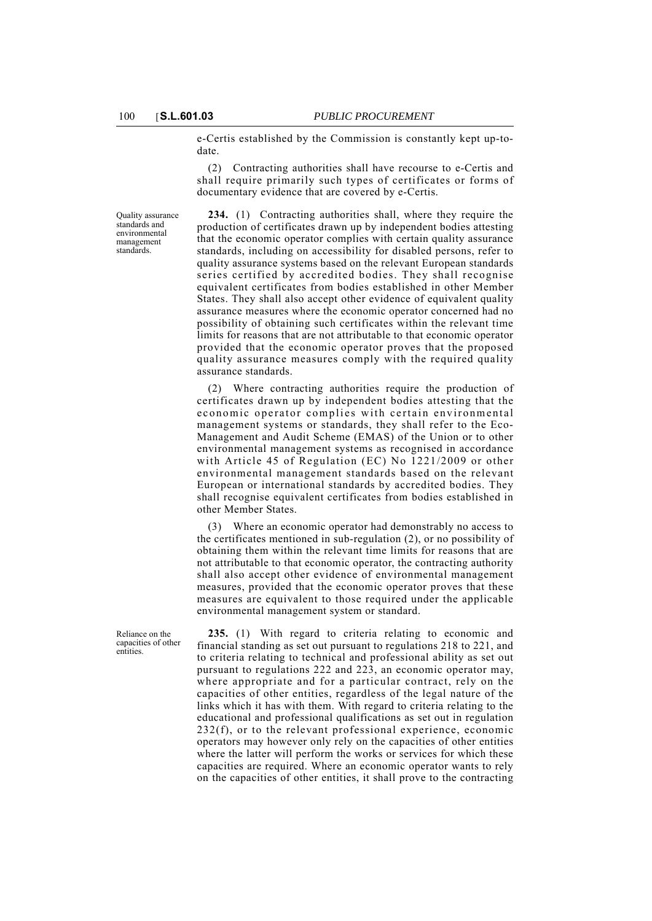e-Certis established by the Commission is constantly kept up-todate.

(2) Contracting authorities shall have recourse to e-Certis and shall require primarily such types of certificates or forms of documentary evidence that are covered by e-Certis.

Quality assurance standards and environmental management standards.

**234.** (1) Contracting authorities shall, where they require the production of certificates drawn up by independent bodies attesting that the economic operator complies with certain quality assurance standards, including on accessibility for disabled persons, refer to quality assurance systems based on the relevant European standards series certified by accredited bodies. They shall recognise equivalent certificates from bodies established in other Member States. They shall also accept other evidence of equivalent quality assurance measures where the economic operator concerned had no possibility of obtaining such certificates within the relevant time limits for reasons that are not attributable to that economic operator provided that the economic operator proves that the proposed quality assurance measures comply with the required quality assurance standards.

(2) Where contracting authorities require the production of certificates drawn up by independent bodies attesting that the economic operator complies with certain environmental management systems or standards, they shall refer to the Eco-Management and Audit Scheme (EMAS) of the Union or to other environmental management systems as recognised in accordance with Article 45 of Regulation (EC) No 1221/2009 or other environmental management standards based on the relevant European or international standards by accredited bodies. They shall recognise equivalent certificates from bodies established in other Member States.

Where an economic operator had demonstrably no access to the certificates mentioned in sub-regulation (2), or no possibility of obtaining them within the relevant time limits for reasons that are not attributable to that economic operator, the contracting authority shall also accept other evidence of environmental management measures, provided that the economic operator proves that these measures are equivalent to those required under the applicable environmental management system or standard.

Reliance on the capacities of other entities.

**235.** (1) With regard to criteria relating to economic and financial standing as set out pursuant to regulations 218 to 221, and to criteria relating to technical and professional ability as set out pursuant to regulations 222 and 223, an economic operator may, where appropriate and for a particular contract, rely on the capacities of other entities, regardless of the legal nature of the links which it has with them. With regard to criteria relating to the educational and professional qualifications as set out in regulation 232(f), or to the relevant professional experience, economic operators may however only rely on the capacities of other entities where the latter will perform the works or services for which these capacities are required. Where an economic operator wants to rely on the capacities of other entities, it shall prove to the contracting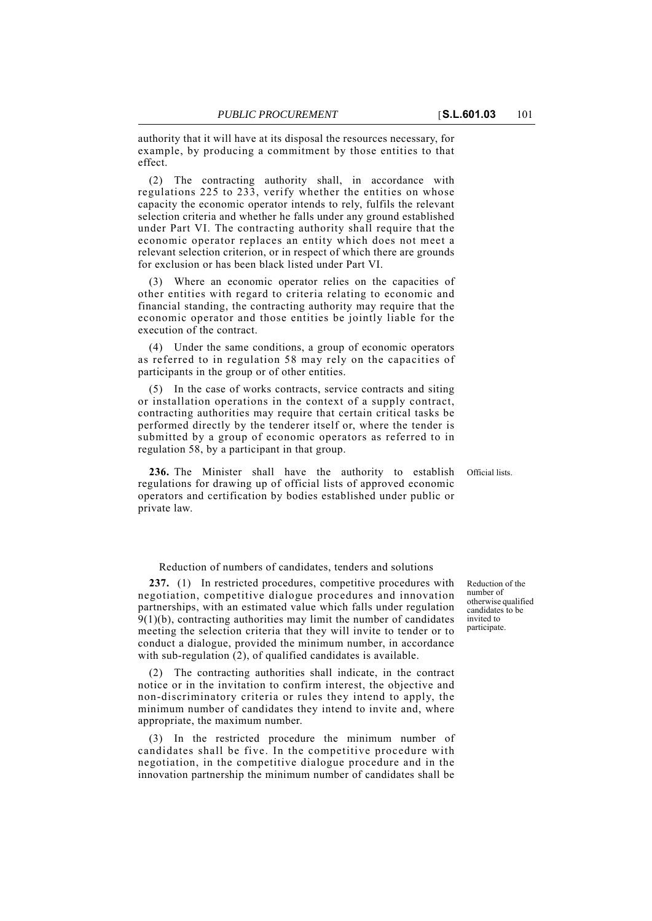authority that it will have at its disposal the resources necessary, for example, by producing a commitment by those entities to that effect.

(2) The contracting authority shall, in accordance with regulations 225 to 233, verify whether the entities on whose capacity the economic operator intends to rely, fulfils the relevant selection criteria and whether he falls under any ground established under Part VI. The contracting authority shall require that the economic operator replaces an entity which does not meet a relevant selection criterion, or in respect of which there are grounds for exclusion or has been black listed under Part VI.

Where an economic operator relies on the capacities of other entities with regard to criteria relating to economic and financial standing, the contracting authority may require that the economic operator and those entities be jointly liable for the execution of the contract.

(4) Under the same conditions, a group of economic operators as referred to in regulation 58 may rely on the capacities of participants in the group or of other entities.

(5) In the case of works contracts, service contracts and siting or installation operations in the context of a supply contract, contracting authorities may require that certain critical tasks be performed directly by the tenderer itself or, where the tender is submitted by a group of economic operators as referred to in regulation 58, by a participant in that group.

**236.** The Minister shall have the authority to establish Official lists. regulations for drawing up of official lists of approved economic operators and certification by bodies established under public or private law.

Reduction of numbers of candidates, tenders and solutions

**237.** (1) In restricted procedures, competitive procedures with negotiation, competitive dialogue procedures and innovation partnerships, with an estimated value which falls under regulation  $9(1)(b)$ , contracting authorities may limit the number of candidates meeting the selection criteria that they will invite to tender or to conduct a dialogue, provided the minimum number, in accordance with sub-regulation (2), of qualified candidates is available.

(2) The contracting authorities shall indicate, in the contract notice or in the invitation to confirm interest, the objective and non-discriminatory criteria or rules they intend to apply, the minimum number of candidates they intend to invite and, where appropriate, the maximum number.

(3) In the restricted procedure the minimum number of candidates shall be five. In the competitive procedure with negotiation, in the competitive dialogue procedure and in the innovation partnership the minimum number of candidates shall be

Reduction of the number of otherwise qualified candidates to be invited to participate.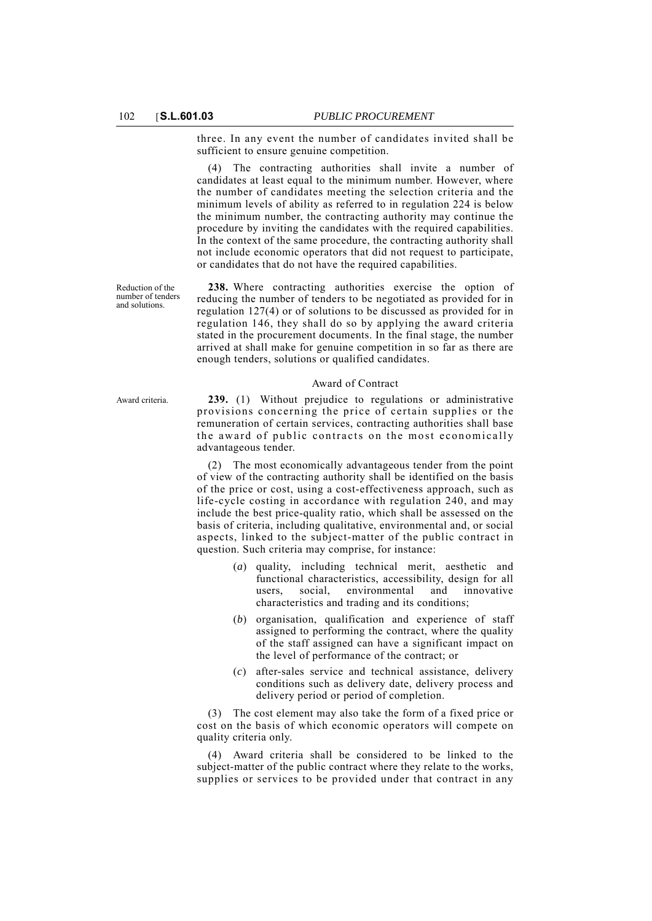three. In any event the number of candidates invited shall be sufficient to ensure genuine competition.

The contracting authorities shall invite a number of candidates at least equal to the minimum number. However, where the number of candidates meeting the selection criteria and the minimum levels of ability as referred to in regulation 224 is below the minimum number, the contracting authority may continue the procedure by inviting the candidates with the required capabilities. In the context of the same procedure, the contracting authority shall not include economic operators that did not request to participate, or candidates that do not have the required capabilities.

Reduction of the number of tenders and solutions.

**238.** Where contracting authorities exercise the option of reducing the number of tenders to be negotiated as provided for in regulation 127(4) or of solutions to be discussed as provided for in regulation 146, they shall do so by applying the award criteria stated in the procurement documents. In the final stage, the number arrived at shall make for genuine competition in so far as there are enough tenders, solutions or qualified candidates.

#### Award of Contract

Award criteria. **239.** (1) Without prejudice to regulations or administrative provisions concerning the price of certain supplies or the remuneration of certain services, contracting authorities shall base the award of public contracts on the most economically advantageous tender.

> (2) The most economically advantageous tender from the point of view of the contracting authority shall be identified on the basis of the price or cost, using a cost-effectiveness approach, such as life-cycle costing in accordance with regulation 240, and may include the best price-quality ratio, which shall be assessed on the basis of criteria, including qualitative, environmental and, or social aspects, linked to the subject-matter of the public contract in question. Such criteria may comprise, for instance:

- (*a*) quality, including technical merit, aesthetic and functional characteristics, accessibility, design for all users, social, environmental and innovative characteristics and trading and its conditions;
- (*b*) organisation, qualification and experience of staff assigned to performing the contract, where the quality of the staff assigned can have a significant impact on the level of performance of the contract; or
- (*c*) after-sales service and technical assistance, delivery conditions such as delivery date, delivery process and delivery period or period of completion.

(3) The cost element may also take the form of a fixed price or cost on the basis of which economic operators will compete on quality criteria only.

(4) Award criteria shall be considered to be linked to the subject-matter of the public contract where they relate to the works, supplies or services to be provided under that contract in any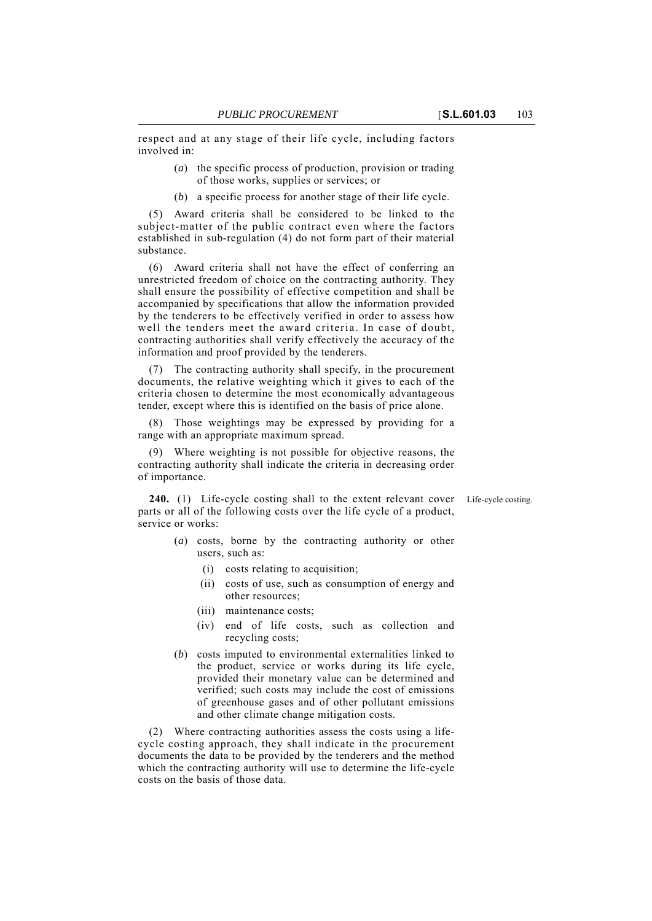respect and at any stage of their life cycle, including factors involved in:

- (*a*) the specific process of production, provision or trading of those works, supplies or services; or
- (*b*) a specific process for another stage of their life cycle.

(5) Award criteria shall be considered to be linked to the subject-matter of the public contract even where the factors established in sub-regulation (4) do not form part of their material substance.

(6) Award criteria shall not have the effect of conferring an unrestricted freedom of choice on the contracting authority. They shall ensure the possibility of effective competition and shall be accompanied by specifications that allow the information provided by the tenderers to be effectively verified in order to assess how well the tenders meet the award criteria. In case of doubt, contracting authorities shall verify effectively the accuracy of the information and proof provided by the tenderers.

(7) The contracting authority shall specify, in the procurement documents, the relative weighting which it gives to each of the criteria chosen to determine the most economically advantageous tender, except where this is identified on the basis of price alone.

(8) Those weightings may be expressed by providing for a range with an appropriate maximum spread.

(9) Where weighting is not possible for objective reasons, the contracting authority shall indicate the criteria in decreasing order of importance.

**240.** (1) Life-cycle costing shall to the extent relevant cover Life-cycle costing. parts or all of the following costs over the life cycle of a product, service or works:

- 
- (*a*) costs, borne by the contracting authority or other users, such as:
	- (i) costs relating to acquisition;
	- (ii) costs of use, such as consumption of energy and other resources;
	- (iii) maintenance costs;
	- (iv) end of life costs, such as collection and recycling costs;
- (*b*) costs imputed to environmental externalities linked to the product, service or works during its life cycle, provided their monetary value can be determined and verified; such costs may include the cost of emissions of greenhouse gases and of other pollutant emissions and other climate change mitigation costs.

(2) Where contracting authorities assess the costs using a lifecycle costing approach, they shall indicate in the procurement documents the data to be provided by the tenderers and the method which the contracting authority will use to determine the life-cycle costs on the basis of those data.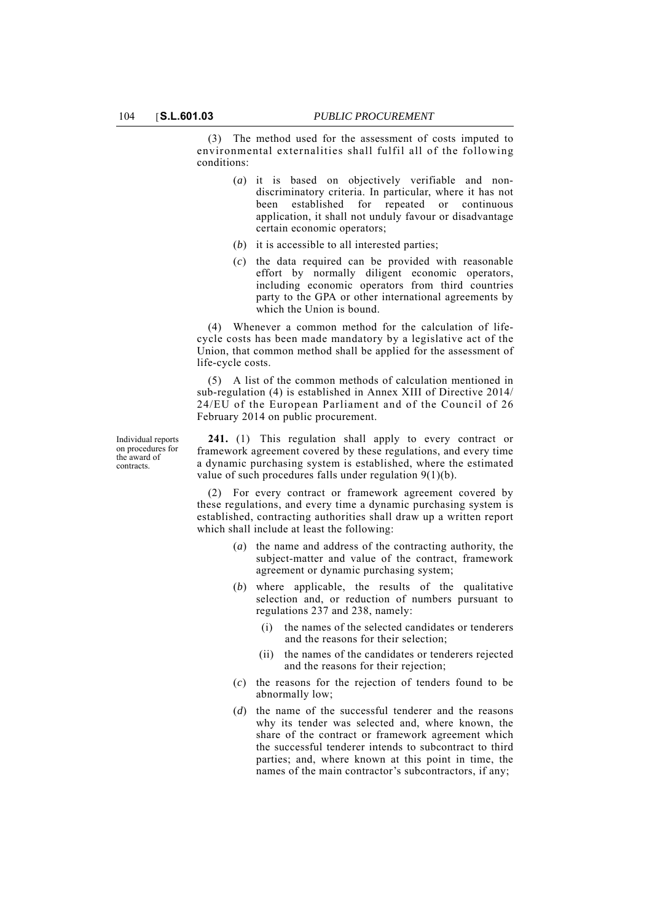(3) The method used for the assessment of costs imputed to environmental externalities shall fulfil all of the following conditions:

- (*a*) it is based on objectively verifiable and nondiscriminatory criteria. In particular, where it has not been established for repeated or continuous application, it shall not unduly favour or disadvantage certain economic operators;
- (*b*) it is accessible to all interested parties;
- (*c*) the data required can be provided with reasonable effort by normally diligent economic operators, including economic operators from third countries party to the GPA or other international agreements by which the Union is bound.

(4) Whenever a common method for the calculation of lifecycle costs has been made mandatory by a legislative act of the Union, that common method shall be applied for the assessment of life-cycle costs.

(5) A list of the common methods of calculation mentioned in sub-regulation (4) is established in Annex XIII of Directive 2014/ 24/EU of the European Parliament and of the Council of 26 February 2014 on public procurement.

Individual reports on procedures for the award of contracts.

**241.** (1) This regulation shall apply to every contract or framework agreement covered by these regulations, and every time a dynamic purchasing system is established, where the estimated value of such procedures falls under regulation 9(1)(b).

(2) For every contract or framework agreement covered by these regulations, and every time a dynamic purchasing system is established, contracting authorities shall draw up a written report which shall include at least the following:

- (*a*) the name and address of the contracting authority, the subject-matter and value of the contract, framework agreement or dynamic purchasing system;
- (*b*) where applicable, the results of the qualitative selection and, or reduction of numbers pursuant to regulations 237 and 238, namely:
	- (i) the names of the selected candidates or tenderers and the reasons for their selection;
	- (ii) the names of the candidates or tenderers rejected and the reasons for their rejection;
- (*c*) the reasons for the rejection of tenders found to be abnormally low;
- (*d*) the name of the successful tenderer and the reasons why its tender was selected and, where known, the share of the contract or framework agreement which the successful tenderer intends to subcontract to third parties; and, where known at this point in time, the names of the main contractor's subcontractors, if any;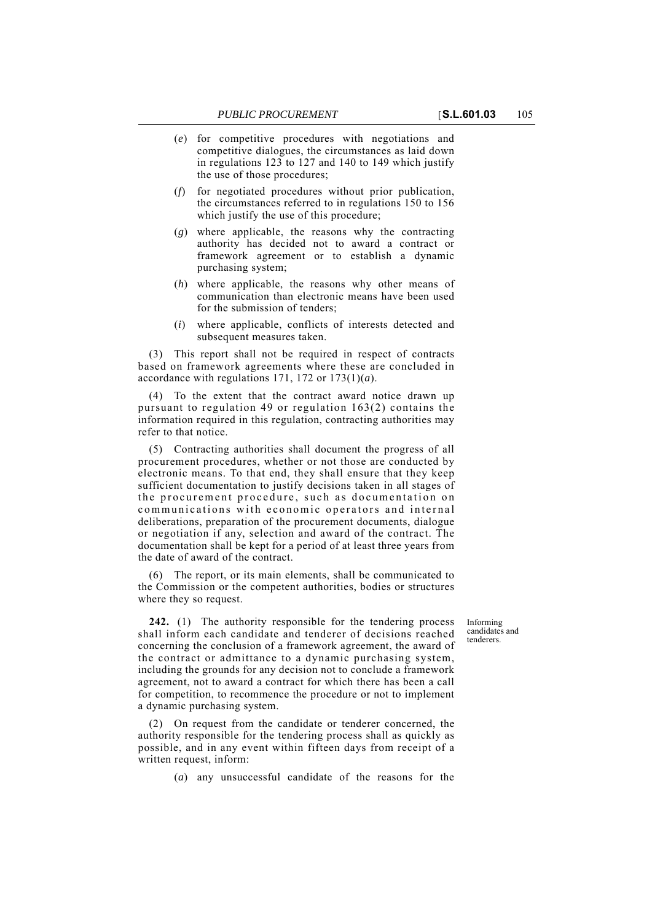- (*e*) for competitive procedures with negotiations and competitive dialogues, the circumstances as laid down in regulations 123 to 127 and 140 to 149 which justify the use of those procedures;
- (*f*) for negotiated procedures without prior publication, the circumstances referred to in regulations 150 to 156 which justify the use of this procedure;
- (*g*) where applicable, the reasons why the contracting authority has decided not to award a contract or framework agreement or to establish a dynamic purchasing system;
- (*h*) where applicable, the reasons why other means of communication than electronic means have been used for the submission of tenders;
- (*i*) where applicable, conflicts of interests detected and subsequent measures taken.

(3) This report shall not be required in respect of contracts based on framework agreements where these are concluded in accordance with regulations 171, 172 or 173(1)(*a*).

(4) To the extent that the contract award notice drawn up pursuant to regulation 49 or regulation 163(2) contains the information required in this regulation, contracting authorities may refer to that notice.

(5) Contracting authorities shall document the progress of all procurement procedures, whether or not those are conducted by electronic means. To that end, they shall ensure that they keep sufficient documentation to justify decisions taken in all stages of the procurement procedure, such as documentation on communications with economic operators and internal deliberations, preparation of the procurement documents, dialogue or negotiation if any, selection and award of the contract. The documentation shall be kept for a period of at least three years from the date of award of the contract.

(6) The report, or its main elements, shall be communicated to the Commission or the competent authorities, bodies or structures where they so request.

> Informing candidates and tenderers.

**242.** (1) The authority responsible for the tendering process shall inform each candidate and tenderer of decisions reached concerning the conclusion of a framework agreement, the award of the contract or admittance to a dynamic purchasing system, including the grounds for any decision not to conclude a framework agreement, not to award a contract for which there has been a call for competition, to recommence the procedure or not to implement a dynamic purchasing system.

(2) On request from the candidate or tenderer concerned, the authority responsible for the tendering process shall as quickly as possible, and in any event within fifteen days from receipt of a written request, inform:

(*a*) any unsuccessful candidate of the reasons for the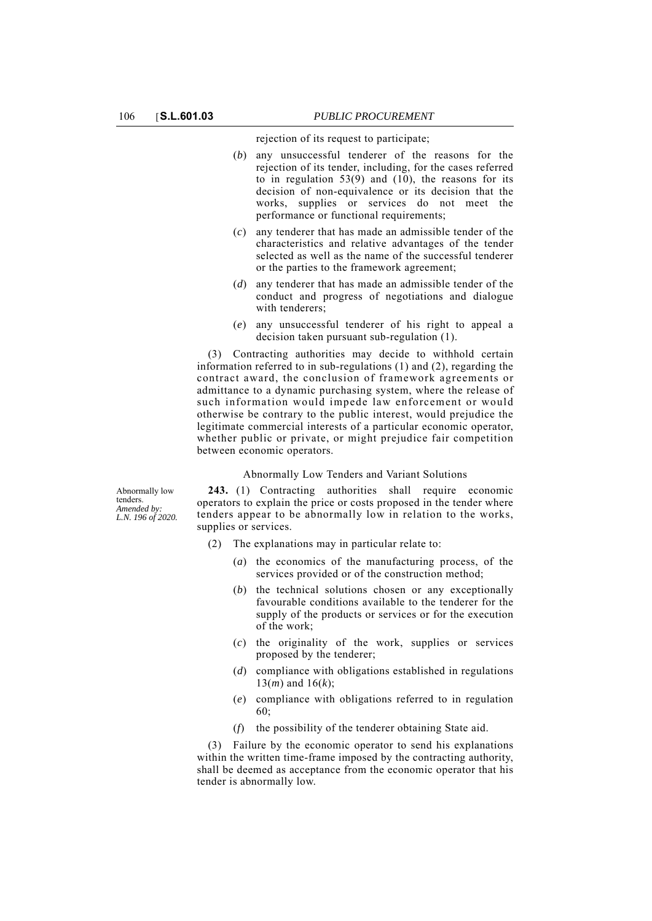rejection of its request to participate;

- (*b*) any unsuccessful tenderer of the reasons for the rejection of its tender, including, for the cases referred to in regulation  $53(9)$  and  $(10)$ , the reasons for its decision of non-equivalence or its decision that the works, supplies or services do not meet the performance or functional requirements;
- (*c*) any tenderer that has made an admissible tender of the characteristics and relative advantages of the tender selected as well as the name of the successful tenderer or the parties to the framework agreement;
- (*d*) any tenderer that has made an admissible tender of the conduct and progress of negotiations and dialogue with tenderers;
- (*e*) any unsuccessful tenderer of his right to appeal a decision taken pursuant sub-regulation (1).

(3) Contracting authorities may decide to withhold certain information referred to in sub-regulations (1) and (2), regarding the contract award, the conclusion of framework agreements or admittance to a dynamic purchasing system, where the release of such information would impede law enforcement or would otherwise be contrary to the public interest, would prejudice the legitimate commercial interests of a particular economic operator, whether public or private, or might prejudice fair competition between economic operators.

## Abnormally Low Tenders and Variant Solutions

Abnormally low tenders. *Amended by: L.N. 196 of 2020.*

**243.** (1) Contracting authorities shall require economic operators to explain the price or costs proposed in the tender where tenders appear to be abnormally low in relation to the works, supplies or services.

- (2) The explanations may in particular relate to:
	- (*a*) the economics of the manufacturing process, of the services provided or of the construction method;
	- (*b*) the technical solutions chosen or any exceptionally favourable conditions available to the tenderer for the supply of the products or services or for the execution of the work;
	- (*c*) the originality of the work, supplies or services proposed by the tenderer;
	- (*d*) compliance with obligations established in regulations 13(*m*) and 16(*k*);
	- (*e*) compliance with obligations referred to in regulation 60;
	- (*f*) the possibility of the tenderer obtaining State aid.

(3) Failure by the economic operator to send his explanations within the written time-frame imposed by the contracting authority, shall be deemed as acceptance from the economic operator that his tender is abnormally low.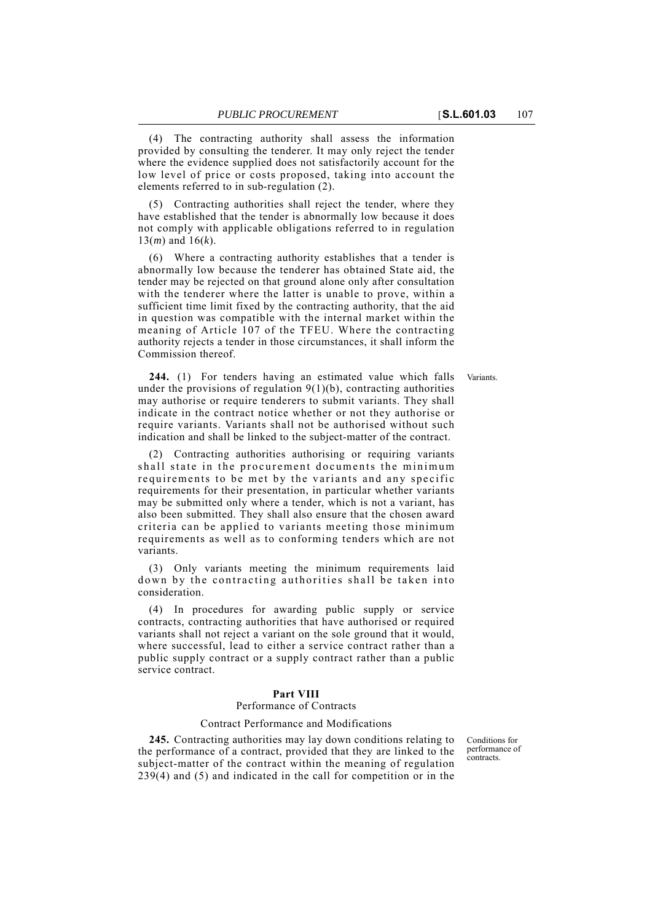(4) The contracting authority shall assess the information provided by consulting the tenderer. It may only reject the tender where the evidence supplied does not satisfactorily account for the low level of price or costs proposed, taking into account the elements referred to in sub-regulation (2).

(5) Contracting authorities shall reject the tender, where they have established that the tender is abnormally low because it does not comply with applicable obligations referred to in regulation 13(*m*) and 16(*k*).

(6) Where a contracting authority establishes that a tender is abnormally low because the tenderer has obtained State aid, the tender may be rejected on that ground alone only after consultation with the tenderer where the latter is unable to prove, within a sufficient time limit fixed by the contracting authority, that the aid in question was compatible with the internal market within the meaning of Article 107 of the TFEU. Where the contracting authority rejects a tender in those circumstances, it shall inform the Commission thereof.

244. (1) For tenders having an estimated value which falls Variants. under the provisions of regulation  $9(1)(b)$ , contracting authorities may authorise or require tenderers to submit variants. They shall indicate in the contract notice whether or not they authorise or require variants. Variants shall not be authorised without such indication and shall be linked to the subject-matter of the contract.

(2) Contracting authorities authorising or requiring variants shall state in the procurement documents the minimum requirements to be met by the variants and any specific requirements for their presentation, in particular whether variants may be submitted only where a tender, which is not a variant, has also been submitted. They shall also ensure that the chosen award criteria can be applied to variants meeting those minimum requirements as well as to conforming tenders which are not variants.

(3) Only variants meeting the minimum requirements laid down by the contracting authorities shall be taken into consideration.

(4) In procedures for awarding public supply or service contracts, contracting authorities that have authorised or required variants shall not reject a variant on the sole ground that it would, where successful, lead to either a service contract rather than a public supply contract or a supply contract rather than a public service contract.

## **Part VIII**

#### Performance of Contracts

### Contract Performance and Modifications

**245.** Contracting authorities may lay down conditions relating to the performance of a contract, provided that they are linked to the subject-matter of the contract within the meaning of regulation 239(4) and (5) and indicated in the call for competition or in the

Conditions for performance of .<br>contracts.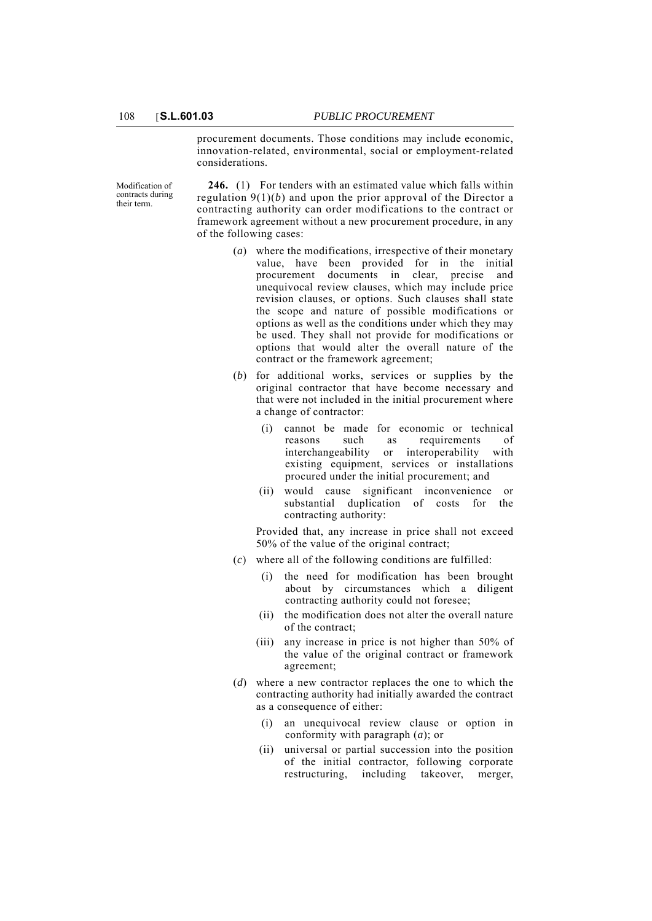procurement documents. Those conditions may include economic, innovation-related, environmental, social or employment-related considerations.

Modification of contracts during their term.

**246.** (1) For tenders with an estimated value which falls within regulation 9(1)(*b*) and upon the prior approval of the Director a contracting authority can order modifications to the contract or framework agreement without a new procurement procedure, in any of the following cases:

- (*a*) where the modifications, irrespective of their monetary value, have been provided for in the initial procurement documents in clear, precise and unequivocal review clauses, which may include price revision clauses, or options. Such clauses shall state the scope and nature of possible modifications or options as well as the conditions under which they may be used. They shall not provide for modifications or options that would alter the overall nature of the contract or the framework agreement;
- (*b*) for additional works, services or supplies by the original contractor that have become necessary and that were not included in the initial procurement where a change of contractor:
	- (i) cannot be made for economic or technical reasons such as requirements of interchangeability or interoperability with existing equipment, services or installations procured under the initial procurement; and
	- (ii) would cause significant inconvenience or substantial duplication of costs for the contracting authority:

Provided that, any increase in price shall not exceed 50% of the value of the original contract;

- (*c*) where all of the following conditions are fulfilled:
	- (i) the need for modification has been brought about by circumstances which a diligent contracting authority could not foresee;
	- (ii) the modification does not alter the overall nature of the contract;
	- (iii) any increase in price is not higher than 50% of the value of the original contract or framework agreement;
- (*d*) where a new contractor replaces the one to which the contracting authority had initially awarded the contract as a consequence of either:
	- (i) an unequivocal review clause or option in conformity with paragraph (*a*); or
	- (ii) universal or partial succession into the position of the initial contractor, following corporate restructuring, including takeover, merger,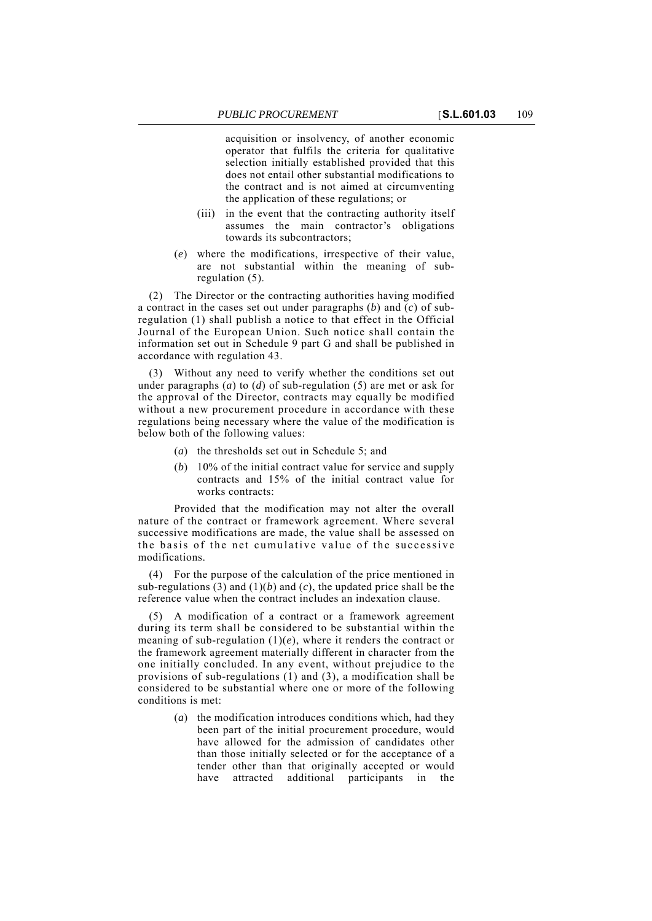acquisition or insolvency, of another economic operator that fulfils the criteria for qualitative selection initially established provided that this does not entail other substantial modifications to the contract and is not aimed at circumventing the application of these regulations; or

- (iii) in the event that the contracting authority itself assumes the main contractor's obligations towards its subcontractors;
- (*e*) where the modifications, irrespective of their value, are not substantial within the meaning of subregulation (5).

(2) The Director or the contracting authorities having modified a contract in the cases set out under paragraphs  $(b)$  and  $(c)$  of subregulation (1) shall publish a notice to that effect in the Official Journal of the European Union. Such notice shall contain the information set out in Schedule 9 part G and shall be published in accordance with regulation 43.

(3) Without any need to verify whether the conditions set out under paragraphs (*a*) to (*d*) of sub-regulation (5) are met or ask for the approval of the Director, contracts may equally be modified without a new procurement procedure in accordance with these regulations being necessary where the value of the modification is below both of the following values:

- (*a*) the thresholds set out in Schedule 5; and
- (*b*) 10% of the initial contract value for service and supply contracts and 15% of the initial contract value for works contracts:

Provided that the modification may not alter the overall nature of the contract or framework agreement. Where several successive modifications are made, the value shall be assessed on the basis of the net cumulative value of the successive modifications.

(4) For the purpose of the calculation of the price mentioned in sub-regulations  $(3)$  and  $(1)(b)$  and  $(c)$ , the updated price shall be the reference value when the contract includes an indexation clause.

(5) A modification of a contract or a framework agreement during its term shall be considered to be substantial within the meaning of sub-regulation  $(1)(e)$ , where it renders the contract or the framework agreement materially different in character from the one initially concluded. In any event, without prejudice to the provisions of sub-regulations (1) and (3), a modification shall be considered to be substantial where one or more of the following conditions is met:

> (*a*) the modification introduces conditions which, had they been part of the initial procurement procedure, would have allowed for the admission of candidates other than those initially selected or for the acceptance of a tender other than that originally accepted or would have attracted additional participants in the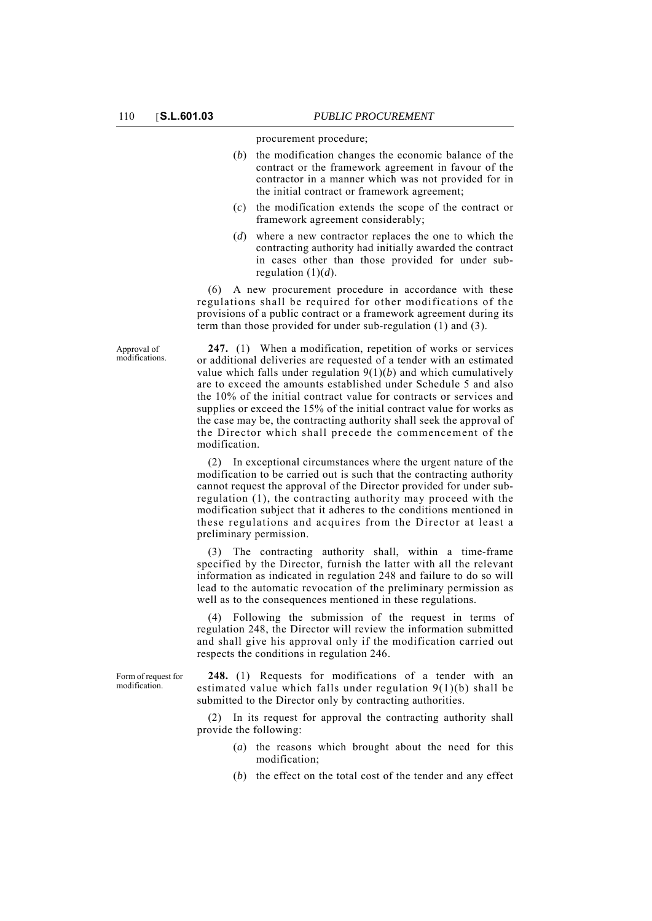Approval of modifications. procurement procedure;

- (*b*) the modification changes the economic balance of the contract or the framework agreement in favour of the contractor in a manner which was not provided for in the initial contract or framework agreement;
- (*c*) the modification extends the scope of the contract or framework agreement considerably;
- (*d*) where a new contractor replaces the one to which the contracting authority had initially awarded the contract in cases other than those provided for under subregulation (1)(*d*).

(6) A new procurement procedure in accordance with these regulations shall be required for other modifications of the provisions of a public contract or a framework agreement during its term than those provided for under sub-regulation (1) and (3).

**247.** (1) When a modification, repetition of works or services or additional deliveries are requested of a tender with an estimated value which falls under regulation 9(1)(*b*) and which cumulatively are to exceed the amounts established under Schedule 5 and also the 10% of the initial contract value for contracts or services and supplies or exceed the 15% of the initial contract value for works as the case may be, the contracting authority shall seek the approval of the Director which shall precede the commencement of the modification.

(2) In exceptional circumstances where the urgent nature of the modification to be carried out is such that the contracting authority cannot request the approval of the Director provided for under subregulation (1), the contracting authority may proceed with the modification subject that it adheres to the conditions mentioned in these regulations and acquires from the Director at least a preliminary permission.

The contracting authority shall, within a time-frame specified by the Director, furnish the latter with all the relevant information as indicated in regulation 248 and failure to do so will lead to the automatic revocation of the preliminary permission as well as to the consequences mentioned in these regulations.

(4) Following the submission of the request in terms of regulation 248, the Director will review the information submitted and shall give his approval only if the modification carried out respects the conditions in regulation 246.

Form of request for modification.

**248.** (1) Requests for modifications of a tender with an estimated value which falls under regulation 9(1)(b) shall be submitted to the Director only by contracting authorities.

(2) In its request for approval the contracting authority shall provide the following:

- (*a*) the reasons which brought about the need for this modification;
- (*b*) the effect on the total cost of the tender and any effect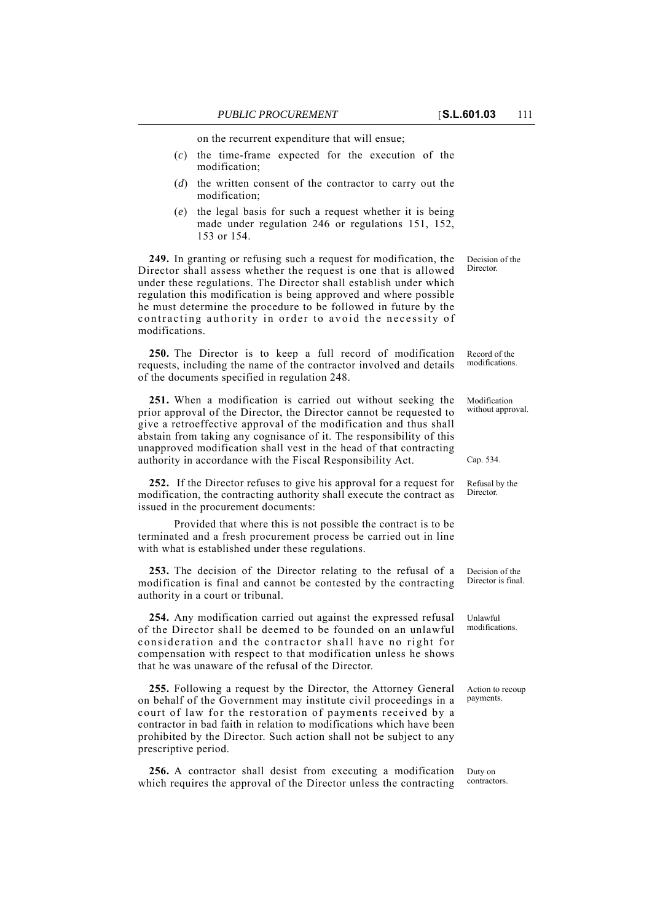on the recurrent expenditure that will ensue;

- (*c*) the time-frame expected for the execution of the modification;
- (*d*) the written consent of the contractor to carry out the modification;
- (*e*) the legal basis for such a request whether it is being made under regulation 246 or regulations 151, 152, 153 or 154.

**249.** In granting or refusing such a request for modification, the Director shall assess whether the request is one that is allowed under these regulations. The Director shall establish under which regulation this modification is being approved and where possible he must determine the procedure to be followed in future by the contracting authority in order to avoid the necessity of modifications.

**250.** The Director is to keep a full record of modification requests, including the name of the contractor involved and details of the documents specified in regulation 248.

**251.** When a modification is carried out without seeking the prior approval of the Director, the Director cannot be requested to give a retroeffective approval of the modification and thus shall abstain from taking any cognisance of it. The responsibility of this unapproved modification shall vest in the head of that contracting authority in accordance with the Fiscal Responsibility Act.

**252.** If the Director refuses to give his approval for a request for modification, the contracting authority shall execute the contract as issued in the procurement documents:

Provided that where this is not possible the contract is to be terminated and a fresh procurement process be carried out in line with what is established under these regulations.

**253.** The decision of the Director relating to the refusal of a modification is final and cannot be contested by the contracting authority in a court or tribunal.

**254.** Any modification carried out against the expressed refusal of the Director shall be deemed to be founded on an unlawful consideration and the contractor shall have no right for compensation with respect to that modification unless he shows that he was unaware of the refusal of the Director.

**255.** Following a request by the Director, the Attorney General on behalf of the Government may institute civil proceedings in a court of law for the restoration of payments received by a contractor in bad faith in relation to modifications which have been prohibited by the Director. Such action shall not be subject to any prescriptive period.

**256.** A contractor shall desist from executing a modification which requires the approval of the Director unless the contracting

Decision of the Director.

Record of the modifications.

Modification without approval.

Cap. 534.

Refusal by the Director.

Decision of the Director is final.

Unlawful modifications.

Action to recoup payments.

Duty on contractors.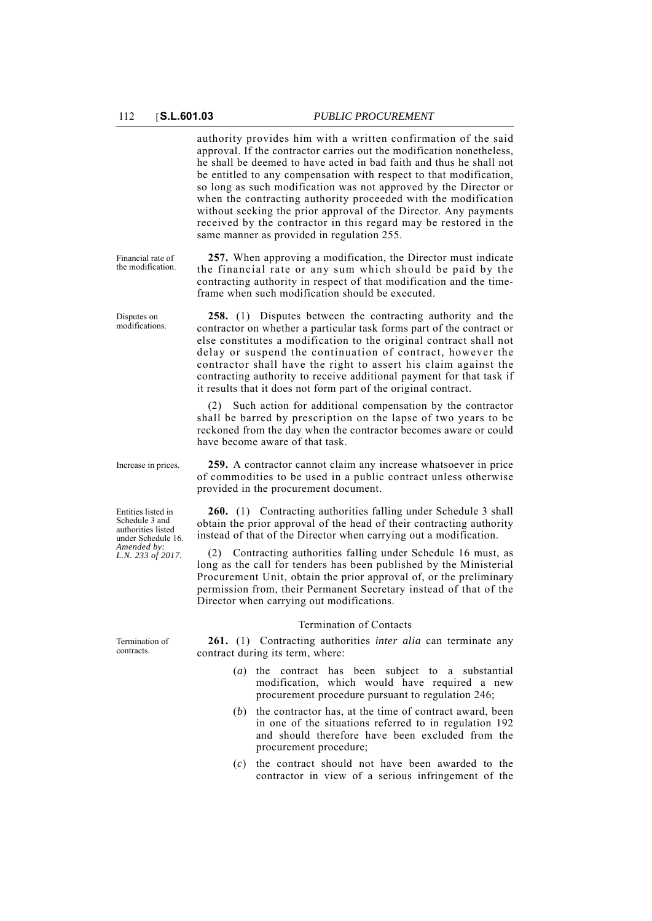Financial rate of the modification.

Disputes on modifications. authority provides him with a written confirmation of the said approval. If the contractor carries out the modification nonetheless, he shall be deemed to have acted in bad faith and thus he shall not be entitled to any compensation with respect to that modification, so long as such modification was not approved by the Director or when the contracting authority proceeded with the modification without seeking the prior approval of the Director. Any payments received by the contractor in this regard may be restored in the same manner as provided in regulation 255.

**257.** When approving a modification, the Director must indicate the financial rate or any sum which should be paid by the contracting authority in respect of that modification and the timeframe when such modification should be executed.

**258.** (1) Disputes between the contracting authority and the contractor on whether a particular task forms part of the contract or else constitutes a modification to the original contract shall not delay or suspend the continuation of contract, however the contractor shall have the right to assert his claim against the contracting authority to receive additional payment for that task if it results that it does not form part of the original contract.

(2) Such action for additional compensation by the contractor shall be barred by prescription on the lapse of two years to be reckoned from the day when the contractor becomes aware or could have become aware of that task.

Entities listed in Schedule 3 and authorities listed under Schedule 16. *Amended by: L.N. 233 of 2017.*

Increase in prices. **259.** A contractor cannot claim any increase whatsoever in price of commodities to be used in a public contract unless otherwise provided in the procurement document.

> **260.** (1) Contracting authorities falling under Schedule 3 shall obtain the prior approval of the head of their contracting authority instead of that of the Director when carrying out a modification.

> (2) Contracting authorities falling under Schedule 16 must, as long as the call for tenders has been published by the Ministerial Procurement Unit, obtain the prior approval of, or the preliminary permission from, their Permanent Secretary instead of that of the Director when carrying out modifications.

#### Termination of Contacts

**261.** (1) Contracting authorities *inter alia* can terminate any contract during its term, where:

- (*a*) the contract has been subject to a substantial modification, which would have required a new procurement procedure pursuant to regulation 246;
- (*b*) the contractor has, at the time of contract award, been in one of the situations referred to in regulation 192 and should therefore have been excluded from the procurement procedure;
- (*c*) the contract should not have been awarded to the contractor in view of a serious infringement of the

Termination of contracts.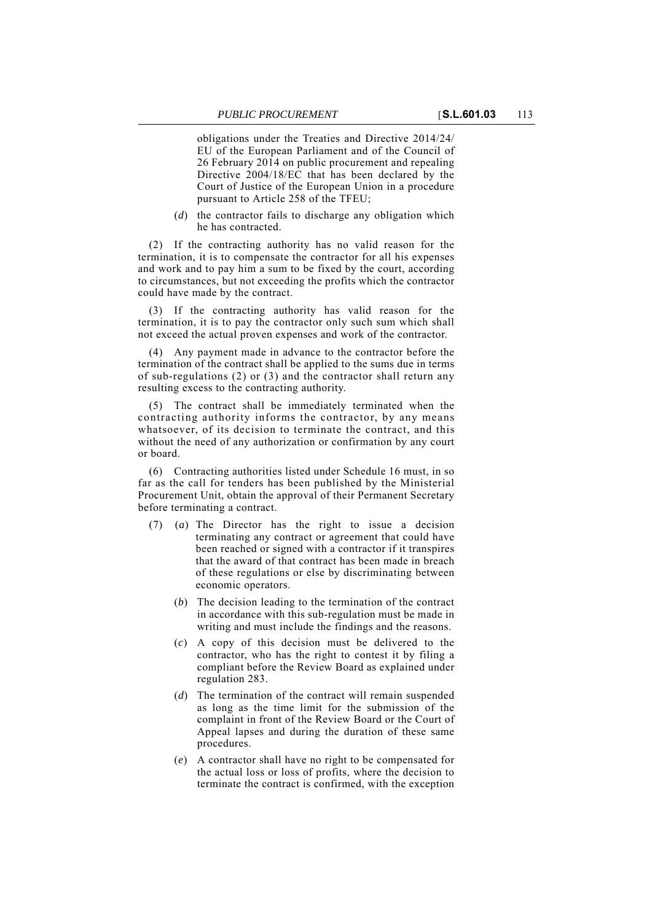obligations under the Treaties and Directive 2014/24/ EU of the European Parliament and of the Council of 26 February 2014 on public procurement and repealing Directive 2004/18/EC that has been declared by the Court of Justice of the European Union in a procedure pursuant to Article 258 of the TFEU;

(*d*) the contractor fails to discharge any obligation which he has contracted.

(2) If the contracting authority has no valid reason for the termination, it is to compensate the contractor for all his expenses and work and to pay him a sum to be fixed by the court, according to circumstances, but not exceeding the profits which the contractor could have made by the contract.

(3) If the contracting authority has valid reason for the termination, it is to pay the contractor only such sum which shall not exceed the actual proven expenses and work of the contractor.

Any payment made in advance to the contractor before the termination of the contract shall be applied to the sums due in terms of sub-regulations (2) or (3) and the contractor shall return any resulting excess to the contracting authority.

(5) The contract shall be immediately terminated when the contracting authority informs the contractor, by any means whatsoever, of its decision to terminate the contract, and this without the need of any authorization or confirmation by any court or board.

(6) Contracting authorities listed under Schedule 16 must, in so far as the call for tenders has been published by the Ministerial Procurement Unit, obtain the approval of their Permanent Secretary before terminating a contract.

- (7) (*a*) The Director has the right to issue a decision terminating any contract or agreement that could have been reached or signed with a contractor if it transpires that the award of that contract has been made in breach of these regulations or else by discriminating between economic operators.
	- (*b*) The decision leading to the termination of the contract in accordance with this sub-regulation must be made in writing and must include the findings and the reasons.
	- (*c*) A copy of this decision must be delivered to the contractor, who has the right to contest it by filing a compliant before the Review Board as explained under regulation 283.
	- (*d*) The termination of the contract will remain suspended as long as the time limit for the submission of the complaint in front of the Review Board or the Court of Appeal lapses and during the duration of these same procedures.
	- (*e*) A contractor shall have no right to be compensated for the actual loss or loss of profits, where the decision to terminate the contract is confirmed, with the exception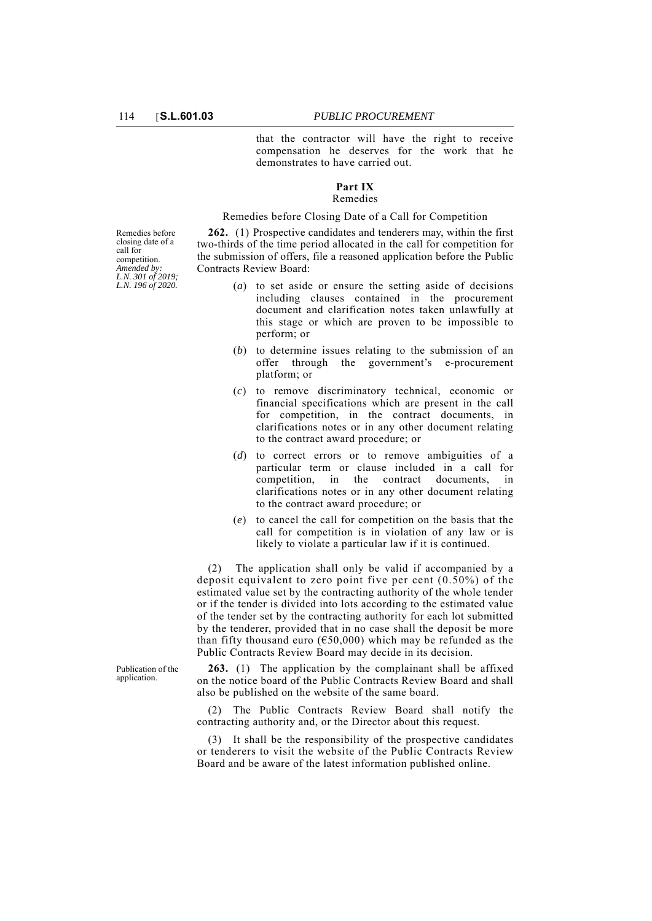that the contractor will have the right to receive compensation he deserves for the work that he demonstrates to have carried out.

#### **Part IX** Remedies

Remedies before Closing Date of a Call for Competition

**262.** (1) Prospective candidates and tenderers may, within the first two-thirds of the time period allocated in the call for competition for the submission of offers, file a reasoned application before the Public Contracts Review Board:

- (*a*) to set aside or ensure the setting aside of decisions including clauses contained in the procurement document and clarification notes taken unlawfully at this stage or which are proven to be impossible to perform; or
- (*b*) to determine issues relating to the submission of an offer through the government's e-procurement platform; or
- (*c*) to remove discriminatory technical, economic or financial specifications which are present in the call for competition, in the contract documents, in clarifications notes or in any other document relating to the contract award procedure; or
- (*d*) to correct errors or to remove ambiguities of a particular term or clause included in a call for competition, in the contract documents, in clarifications notes or in any other document relating to the contract award procedure; or
- (*e*) to cancel the call for competition on the basis that the call for competition is in violation of any law or is likely to violate a particular law if it is continued.

(2) The application shall only be valid if accompanied by a deposit equivalent to zero point five per cent (0.50%) of the estimated value set by the contracting authority of the whole tender or if the tender is divided into lots according to the estimated value of the tender set by the contracting authority for each lot submitted by the tenderer, provided that in no case shall the deposit be more than fifty thousand euro ( $650,000$ ) which may be refunded as the Public Contracts Review Board may decide in its decision.

**263.** (1) The application by the complainant shall be affixed on the notice board of the Public Contracts Review Board and shall also be published on the website of the same board.

(2) The Public Contracts Review Board shall notify the contracting authority and, or the Director about this request.

(3) It shall be the responsibility of the prospective candidates or tenderers to visit the website of the Public Contracts Review Board and be aware of the latest information published online.

Remedies before closing date of a call for competition. *Amended by: L.N. 301 of 2019; L.N. 196 of 2020.*

Publication of the application.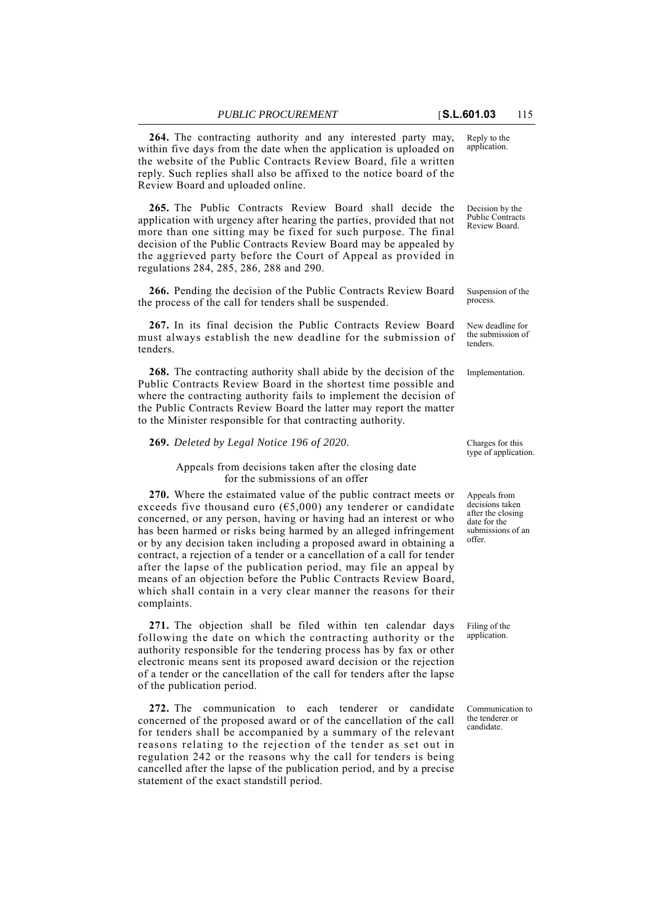**264.** The contracting authority and any interested party may, within five days from the date when the application is uploaded on the website of the Public Contracts Review Board, file a written reply. Such replies shall also be affixed to the notice board of the Review Board and uploaded online.

**265.** The Public Contracts Review Board shall decide the application with urgency after hearing the parties, provided that not more than one sitting may be fixed for such purpose. The final decision of the Public Contracts Review Board may be appealed by the aggrieved party before the Court of Appeal as provided in regulations 284, 285, 286, 288 and 290.

**266.** Pending the decision of the Public Contracts Review Board the process of the call for tenders shall be suspended.

**267.** In its final decision the Public Contracts Review Board must always establish the new deadline for the submission of tenders.

**268.** The contracting authority shall abide by the decision of the Implementation. Public Contracts Review Board in the shortest time possible and where the contracting authority fails to implement the decision of the Public Contracts Review Board the latter may report the matter to the Minister responsible for that contracting authority.

### **269.** *Deleted by Legal Notice 196 of 2020.*

Appeals from decisions taken after the closing date for the submissions of an offer

**270.** Where the estaimated value of the public contract meets or exceeds five thousand euro ( $65,000$ ) any tenderer or candidate concerned, or any person, having or having had an interest or who has been harmed or risks being harmed by an alleged infringement or by any decision taken including a proposed award in obtaining a contract, a rejection of a tender or a cancellation of a call for tender after the lapse of the publication period, may file an appeal by means of an objection before the Public Contracts Review Board, which shall contain in a very clear manner the reasons for their complaints.

**271.** The objection shall be filed within ten calendar days following the date on which the contracting authority or the authority responsible for the tendering process has by fax or other electronic means sent its proposed award decision or the rejection of a tender or the cancellation of the call for tenders after the lapse of the publication period.

**272.** The communication to each tenderer or candidate concerned of the proposed award or of the cancellation of the call for tenders shall be accompanied by a summary of the relevant reasons relating to the rejection of the tender as set out in regulation 242 or the reasons why the call for tenders is being cancelled after the lapse of the publication period, and by a precise statement of the exact standstill period.

Reply to the application.

Decision by the Public Contracts Review Board.

Suspension of the process.

New deadline for the submission of tenders.

Charges for this type of application.

Appeals from decisions taken after the closing date for the submissions of an offer.

Filing of the application.

Communication to the tenderer or candidate.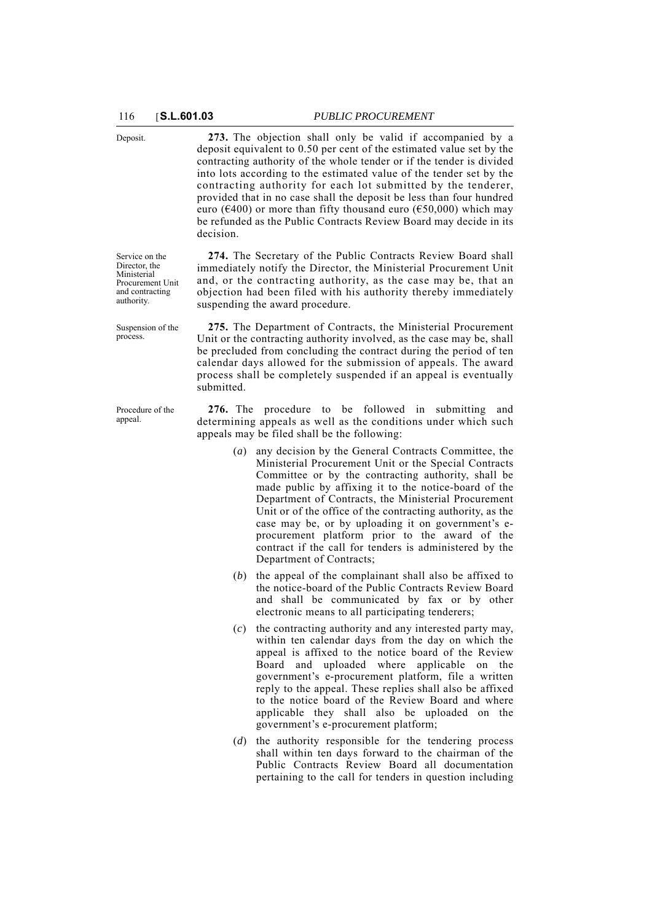Deposit. **273.** The objection shall only be valid if accompanied by a deposit equivalent to 0.50 per cent of the estimated value set by the contracting authority of the whole tender or if the tender is divided into lots according to the estimated value of the tender set by the contracting authority for each lot submitted by the tenderer, provided that in no case shall the deposit be less than four hundred euro ( $\epsilon$ 400) or more than fifty thousand euro ( $\epsilon$ 50,000) which may be refunded as the Public Contracts Review Board may decide in its decision.

> **274.** The Secretary of the Public Contracts Review Board shall immediately notify the Director, the Ministerial Procurement Unit and, or the contracting authority, as the case may be, that an objection had been filed with his authority thereby immediately suspending the award procedure.

> **275.** The Department of Contracts, the Ministerial Procurement Unit or the contracting authority involved, as the case may be, shall be precluded from concluding the contract during the period of ten calendar days allowed for the submission of appeals. The award process shall be completely suspended if an appeal is eventually submitted.

> **276.** The procedure to be followed in submitting and determining appeals as well as the conditions under which such appeals may be filed shall be the following:

- (*a*) any decision by the General Contracts Committee, the Ministerial Procurement Unit or the Special Contracts Committee or by the contracting authority, shall be made public by affixing it to the notice-board of the Department of Contracts, the Ministerial Procurement Unit or of the office of the contracting authority, as the case may be, or by uploading it on government's eprocurement platform prior to the award of the contract if the call for tenders is administered by the Department of Contracts;
- (*b*) the appeal of the complainant shall also be affixed to the notice-board of the Public Contracts Review Board and shall be communicated by fax or by other electronic means to all participating tenderers;
- (*c*) the contracting authority and any interested party may, within ten calendar days from the day on which the appeal is affixed to the notice board of the Review Board and uploaded where applicable on the government's e-procurement platform, file a written reply to the appeal. These replies shall also be affixed to the notice board of the Review Board and where applicable they shall also be uploaded on the government's e-procurement platform;
- (*d*) the authority responsible for the tendering process shall within ten days forward to the chairman of the Public Contracts Review Board all documentation pertaining to the call for tenders in question including

Service on the Director, the Ministerial Procurement Unit and contracting authority.

Suspension of the process.

Procedure of the appeal.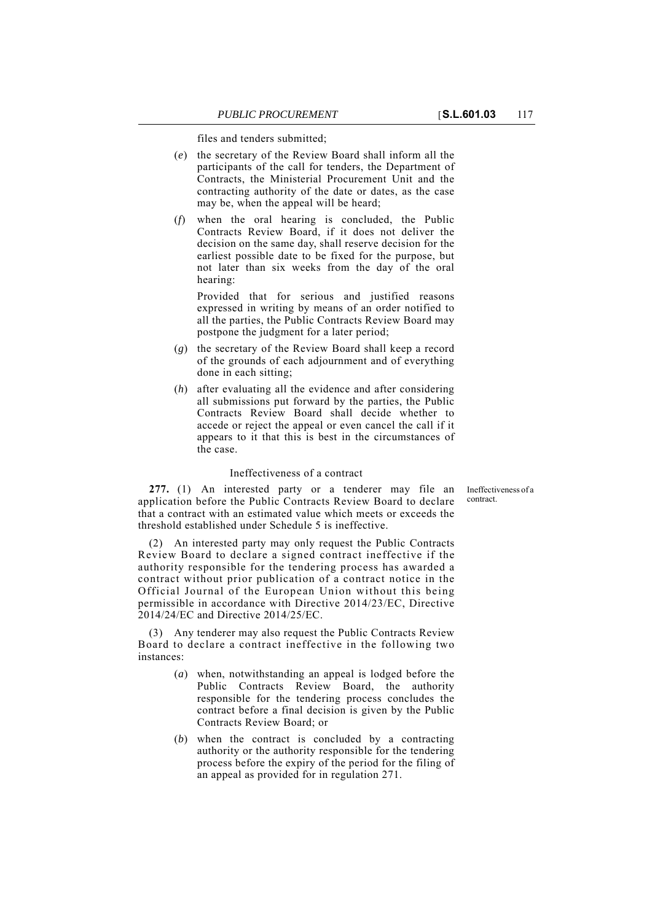files and tenders submitted;

- (*e*) the secretary of the Review Board shall inform all the participants of the call for tenders, the Department of Contracts, the Ministerial Procurement Unit and the contracting authority of the date or dates, as the case may be, when the appeal will be heard;
- (*f*) when the oral hearing is concluded, the Public Contracts Review Board, if it does not deliver the decision on the same day, shall reserve decision for the earliest possible date to be fixed for the purpose, but not later than six weeks from the day of the oral hearing:

Provided that for serious and justified reasons expressed in writing by means of an order notified to all the parties, the Public Contracts Review Board may postpone the judgment for a later period;

- (*g*) the secretary of the Review Board shall keep a record of the grounds of each adjournment and of everything done in each sitting;
- (*h*) after evaluating all the evidence and after considering all submissions put forward by the parties, the Public Contracts Review Board shall decide whether to accede or reject the appeal or even cancel the call if it appears to it that this is best in the circumstances of the case.

## Ineffectiveness of a contract

Ineffectiveness of a contract.

**277.** (1) An interested party or a tenderer may file an application before the Public Contracts Review Board to declare that a contract with an estimated value which meets or exceeds the threshold established under Schedule 5 is ineffective.

(2) An interested party may only request the Public Contracts Review Board to declare a signed contract ineffective if the authority responsible for the tendering process has awarded a contract without prior publication of a contract notice in the Official Journal of the European Union without this being permissible in accordance with Directive 2014/23/EC, Directive 2014/24/EC and Directive 2014/25/EC.

(3) Any tenderer may also request the Public Contracts Review Board to declare a contract ineffective in the following two instances:

- (*a*) when, notwithstanding an appeal is lodged before the Public Contracts Review Board, the authority responsible for the tendering process concludes the contract before a final decision is given by the Public Contracts Review Board; or
- (*b*) when the contract is concluded by a contracting authority or the authority responsible for the tendering process before the expiry of the period for the filing of an appeal as provided for in regulation 271.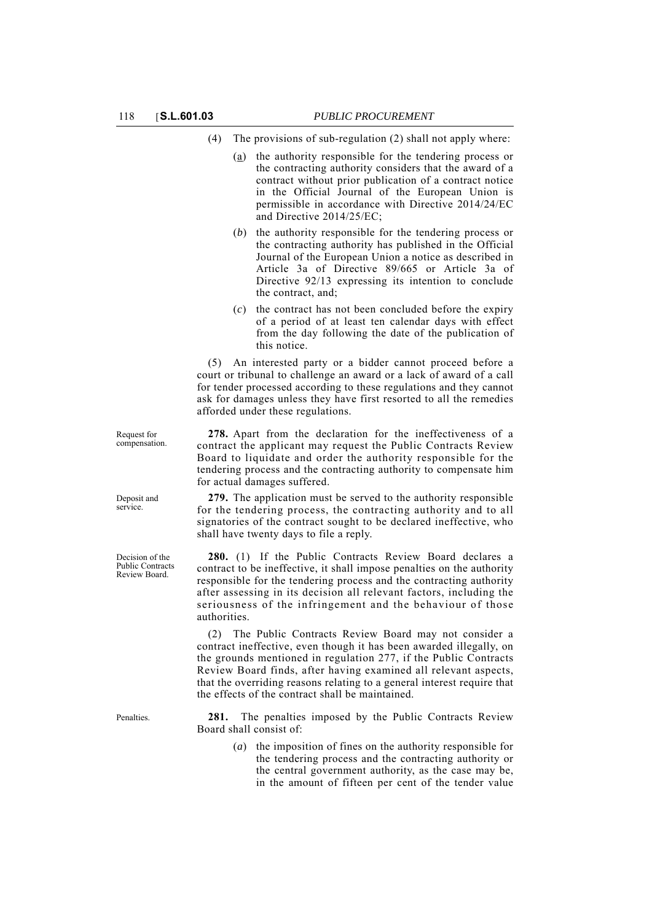- (4) The provisions of sub-regulation (2) shall not apply where:
	- (a) the authority responsible for the tendering process or the contracting authority considers that the award of a contract without prior publication of a contract notice in the Official Journal of the European Union is permissible in accordance with Directive 2014/24/EC and Directive 2014/25/EC;
	- (*b*) the authority responsible for the tendering process or the contracting authority has published in the Official Journal of the European Union a notice as described in Article 3a of Directive 89/665 or Article 3a of Directive 92/13 expressing its intention to conclude the contract, and;
	- (*c*) the contract has not been concluded before the expiry of a period of at least ten calendar days with effect from the day following the date of the publication of this notice.

(5) An interested party or a bidder cannot proceed before a court or tribunal to challenge an award or a lack of award of a call for tender processed according to these regulations and they cannot ask for damages unless they have first resorted to all the remedies afforded under these regulations.

**278.** Apart from the declaration for the ineffectiveness of a contract the applicant may request the Public Contracts Review Board to liquidate and order the authority responsible for the tendering process and the contracting authority to compensate him for actual damages suffered.

**279.** The application must be served to the authority responsible for the tendering process, the contracting authority and to all signatories of the contract sought to be declared ineffective, who shall have twenty days to file a reply.

**280.** (1) If the Public Contracts Review Board declares a contract to be ineffective, it shall impose penalties on the authority responsible for the tendering process and the contracting authority after assessing in its decision all relevant factors, including the seriousness of the infringement and the behaviour of those authorities.

(2) The Public Contracts Review Board may not consider a contract ineffective, even though it has been awarded illegally, on the grounds mentioned in regulation 277, if the Public Contracts Review Board finds, after having examined all relevant aspects, that the overriding reasons relating to a general interest require that the effects of the contract shall be maintained.

Penalties. **281.** The penalties imposed by the Public Contracts Review Board shall consist of:

> (*a*) the imposition of fines on the authority responsible for the tendering process and the contracting authority or the central government authority, as the case may be, in the amount of fifteen per cent of the tender value

Request for compensation.

Deposit and service.

Decision of the Public Contracts Review Board.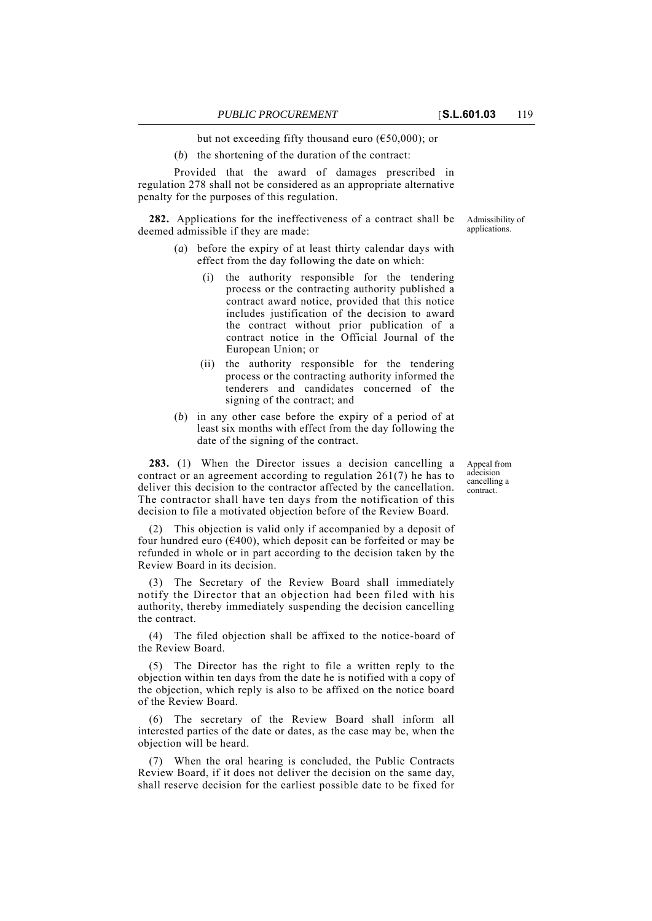but not exceeding fifty thousand euro ( $\epsilon$ 50,000); or

(*b*) the shortening of the duration of the contract:

Provided that the award of damages prescribed in regulation 278 shall not be considered as an appropriate alternative penalty for the purposes of this regulation.

**282.** Applications for the ineffectiveness of a contract shall be deemed admissible if they are made:

- (*a*) before the expiry of at least thirty calendar days with effect from the day following the date on which:
	- (i) the authority responsible for the tendering process or the contracting authority published a contract award notice, provided that this notice includes justification of the decision to award the contract without prior publication of a contract notice in the Official Journal of the European Union; or
	- (ii) the authority responsible for the tendering process or the contracting authority informed the tenderers and candidates concerned of the signing of the contract; and
- (*b*) in any other case before the expiry of a period of at least six months with effect from the day following the date of the signing of the contract.

**283.** (1) When the Director issues a decision cancelling a contract or an agreement according to regulation 261(7) he has to deliver this decision to the contractor affected by the cancellation. The contractor shall have ten days from the notification of this decision to file a motivated objection before of the Review Board.

(2) This objection is valid only if accompanied by a deposit of four hundred euro ( $\epsilon$ 400), which deposit can be forfeited or may be refunded in whole or in part according to the decision taken by the Review Board in its decision.

(3) The Secretary of the Review Board shall immediately notify the Director that an objection had been filed with his authority, thereby immediately suspending the decision cancelling the contract.

(4) The filed objection shall be affixed to the notice-board of the Review Board.

(5) The Director has the right to file a written reply to the objection within ten days from the date he is notified with a copy of the objection, which reply is also to be affixed on the notice board of the Review Board.

The secretary of the Review Board shall inform all interested parties of the date or dates, as the case may be, when the objection will be heard.

(7) When the oral hearing is concluded, the Public Contracts Review Board, if it does not deliver the decision on the same day, shall reserve decision for the earliest possible date to be fixed for Appeal from adecision cancelling a contract.

Admissibility of applications.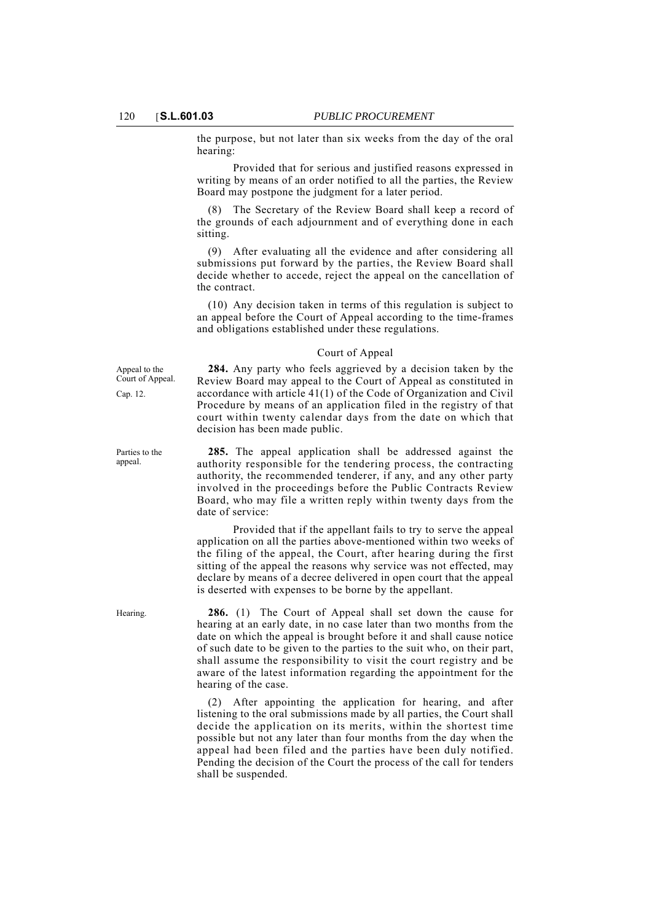the purpose, but not later than six weeks from the day of the oral hearing:

Provided that for serious and justified reasons expressed in writing by means of an order notified to all the parties, the Review Board may postpone the judgment for a later period.

(8) The Secretary of the Review Board shall keep a record of the grounds of each adjournment and of everything done in each sitting.

(9) After evaluating all the evidence and after considering all submissions put forward by the parties, the Review Board shall decide whether to accede, reject the appeal on the cancellation of the contract.

(10) Any decision taken in terms of this regulation is subject to an appeal before the Court of Appeal according to the time-frames and obligations established under these regulations.

### Court of Appeal

Appeal to the Court of Appeal.

Cap. 12.

Parties to the appeal.

**284.** Any party who feels aggrieved by a decision taken by the Review Board may appeal to the Court of Appeal as constituted in accordance with article 41(1) of the Code of Organization and Civil Procedure by means of an application filed in the registry of that court within twenty calendar days from the date on which that decision has been made public.

**285.** The appeal application shall be addressed against the authority responsible for the tendering process, the contracting authority, the recommended tenderer, if any, and any other party involved in the proceedings before the Public Contracts Review Board, who may file a written reply within twenty days from the date of service:

Provided that if the appellant fails to try to serve the appeal application on all the parties above-mentioned within two weeks of the filing of the appeal, the Court, after hearing during the first sitting of the appeal the reasons why service was not effected, may declare by means of a decree delivered in open court that the appeal is deserted with expenses to be borne by the appellant.

Hearing. **286.** (1) The Court of Appeal shall set down the cause for hearing at an early date, in no case later than two months from the date on which the appeal is brought before it and shall cause notice of such date to be given to the parties to the suit who, on their part, shall assume the responsibility to visit the court registry and be aware of the latest information regarding the appointment for the hearing of the case.

> (2) After appointing the application for hearing, and after listening to the oral submissions made by all parties, the Court shall decide the application on its merits, within the shortest time possible but not any later than four months from the day when the appeal had been filed and the parties have been duly notified. Pending the decision of the Court the process of the call for tenders shall be suspended.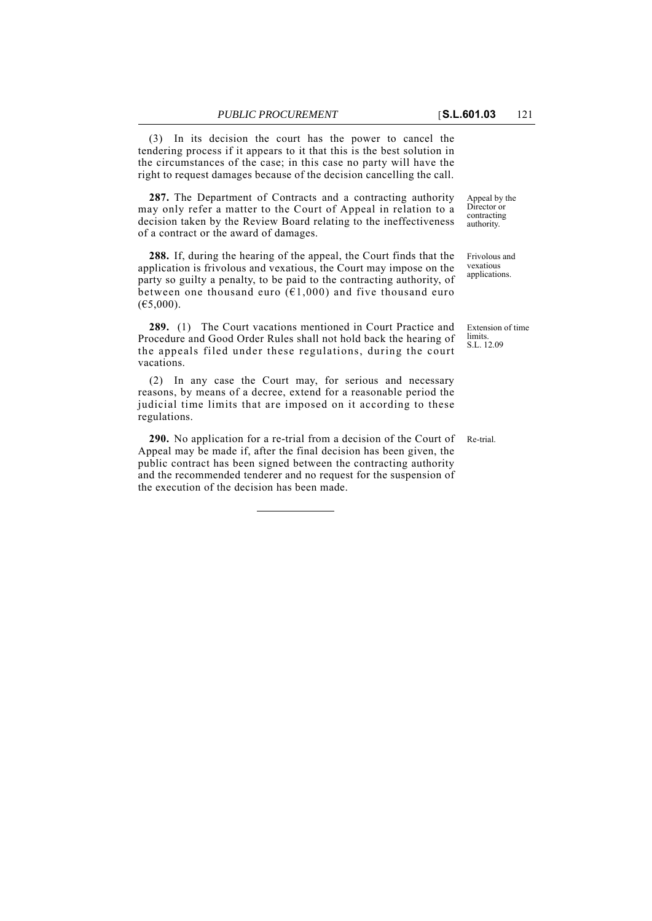(3) In its decision the court has the power to cancel the tendering process if it appears to it that this is the best solution in the circumstances of the case; in this case no party will have the right to request damages because of the decision cancelling the call.

287. The Department of Contracts and a contracting authority may only refer a matter to the Court of Appeal in relation to a decision taken by the Review Board relating to the ineffectiveness of a contract or the award of damages.

**288.** If, during the hearing of the appeal, the Court finds that the application is frivolous and vexatious, the Court may impose on the party so guilty a penalty, to be paid to the contracting authority, of between one thousand euro  $(61,000)$  and five thousand euro  $(E5,000)$ .

**289.** (1) The Court vacations mentioned in Court Practice and Procedure and Good Order Rules shall not hold back the hearing of the appeals filed under these regulations, during the court vacations.

(2) In any case the Court may, for serious and necessary reasons, by means of a decree, extend for a reasonable period the judicial time limits that are imposed on it according to these regulations.

**290.** No application for a re-trial from a decision of the Court of Re-trial. Appeal may be made if, after the final decision has been given, the public contract has been signed between the contracting authority and the recommended tenderer and no request for the suspension of the execution of the decision has been made.

Appeal by the Director or contracting authority.

Frivolous and vexatious applications.

Extension of time limits. S.L. 12.09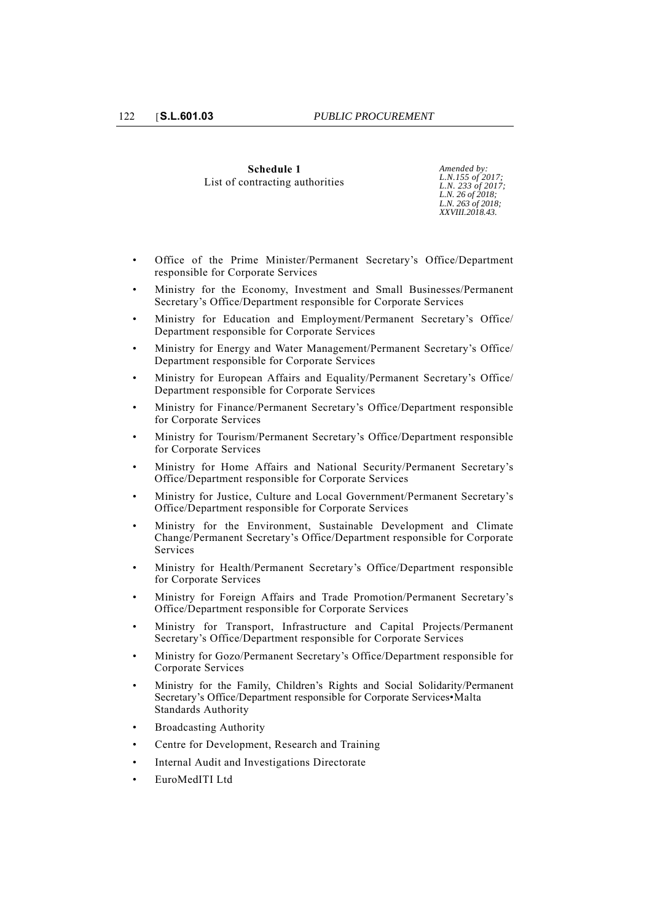## **Schedule 1** List of contracting authorities

*Amended by: L.N.155 of 2017; L.N. 233 of 2017; L.N. 26 of 2018; L.N. 263 of 2018; XXVIII.2018.43.*

- Office of the Prime Minister/Permanent Secretary's Office/Department responsible for Corporate Services
- Ministry for the Economy, Investment and Small Businesses/Permanent Secretary's Office/Department responsible for Corporate Services
- Ministry for Education and Employment/Permanent Secretary's Office/ Department responsible for Corporate Services
- Ministry for Energy and Water Management/Permanent Secretary's Office/ Department responsible for Corporate Services
- Ministry for European Affairs and Equality/Permanent Secretary's Office/ Department responsible for Corporate Services
- Ministry for Finance/Permanent Secretary's Office/Department responsible for Corporate Services
- Ministry for Tourism/Permanent Secretary's Office/Department responsible for Corporate Services
- Ministry for Home Affairs and National Security/Permanent Secretary's Office/Department responsible for Corporate Services
- Ministry for Justice, Culture and Local Government/Permanent Secretary's Office/Department responsible for Corporate Services
- Ministry for the Environment, Sustainable Development and Climate Change/Permanent Secretary's Office/Department responsible for Corporate Services
- Ministry for Health/Permanent Secretary's Office/Department responsible for Corporate Services
- Ministry for Foreign Affairs and Trade Promotion/Permanent Secretary's Office/Department responsible for Corporate Services
- Ministry for Transport, Infrastructure and Capital Projects/Permanent Secretary's Office/Department responsible for Corporate Services
- Ministry for Gozo/Permanent Secretary's Office/Department responsible for Corporate Services
- Ministry for the Family, Children's Rights and Social Solidarity/Permanent Secretary's Office/Department responsible for Corporate Services•Malta Standards Authority
- Broadcasting Authority
- Centre for Development, Research and Training
- Internal Audit and Investigations Directorate
- EuroMedITI Ltd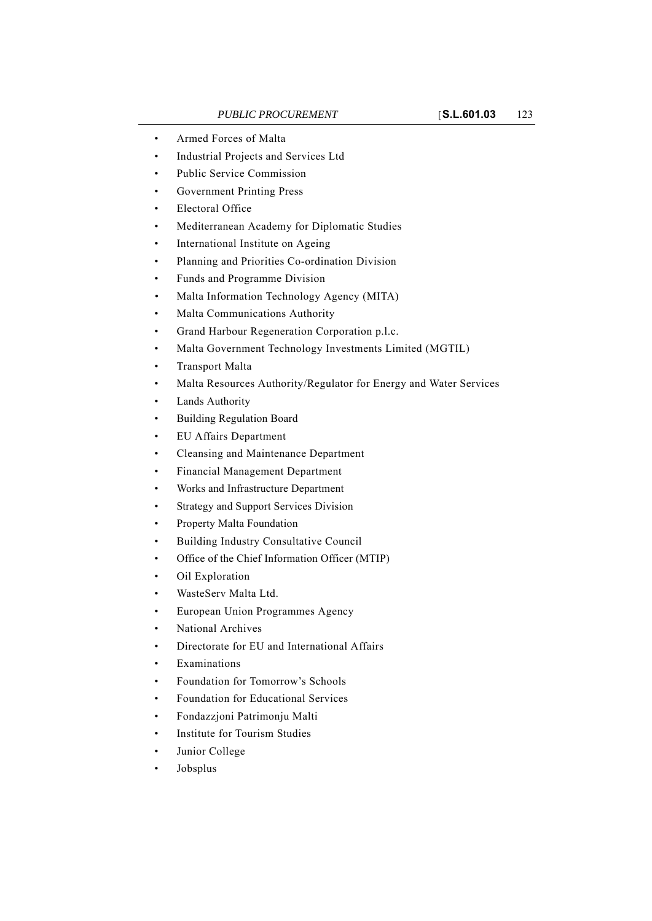- Armed Forces of Malta
- Industrial Projects and Services Ltd
- Public Service Commission
- Government Printing Press
- Electoral Office
- Mediterranean Academy for Diplomatic Studies
- International Institute on Ageing
- Planning and Priorities Co-ordination Division
- Funds and Programme Division
- Malta Information Technology Agency (MITA)
- Malta Communications Authority
- Grand Harbour Regeneration Corporation p.l.c.
- Malta Government Technology Investments Limited (MGTIL)
- Transport Malta
- Malta Resources Authority/Regulator for Energy and Water Services
- Lands Authority
- Building Regulation Board
- EU Affairs Department
- Cleansing and Maintenance Department
- Financial Management Department
- Works and Infrastructure Department
- Strategy and Support Services Division
- Property Malta Foundation
- Building Industry Consultative Council
- Office of the Chief Information Officer (MTIP)
- Oil Exploration
- WasteServ Malta Ltd.
- European Union Programmes Agency
- National Archives
- Directorate for EU and International Affairs
- **Examinations**
- Foundation for Tomorrow's Schools
- Foundation for Educational Services
- Fondazzjoni Patrimonju Malti
- Institute for Tourism Studies
- Junior College
- Jobsplus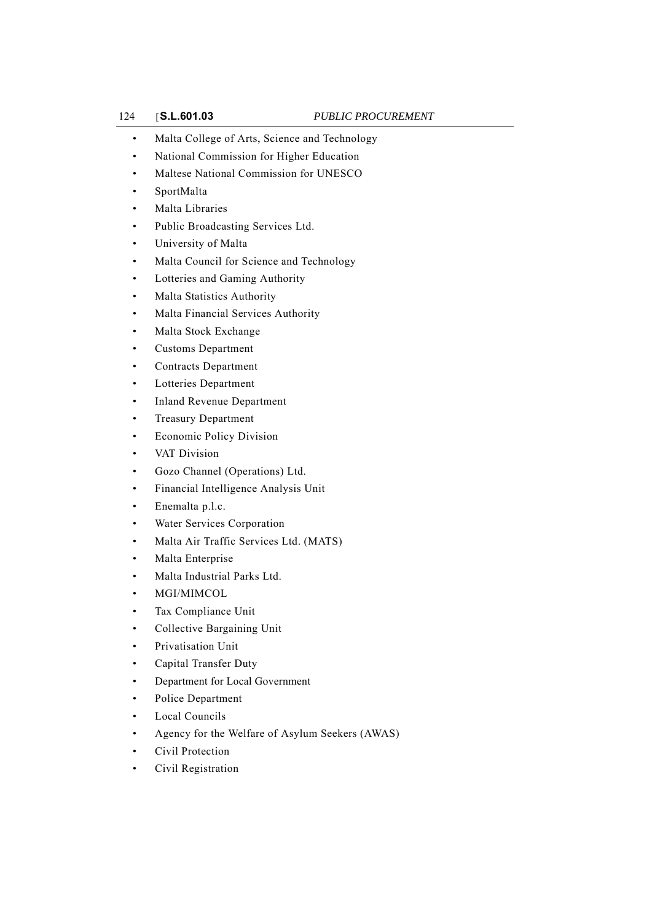- Malta College of Arts, Science and Technology
- National Commission for Higher Education
- Maltese National Commission for UNESCO
- SportMalta
- Malta Libraries
- Public Broadcasting Services Ltd.
- University of Malta
- Malta Council for Science and Technology
- Lotteries and Gaming Authority
- Malta Statistics Authority
- Malta Financial Services Authority
- Malta Stock Exchange
- Customs Department
- Contracts Department
- Lotteries Department
- Inland Revenue Department
- Treasury Department
- Economic Policy Division
- VAT Division
- Gozo Channel (Operations) Ltd.
- Financial Intelligence Analysis Unit
- Enemalta p.l.c.
- Water Services Corporation
- Malta Air Traffic Services Ltd. (MATS)
- Malta Enterprise
- Malta Industrial Parks Ltd.
- MGI/MIMCOL
- Tax Compliance Unit
- Collective Bargaining Unit
- Privatisation Unit
- Capital Transfer Duty
- Department for Local Government
- Police Department
- Local Councils
- Agency for the Welfare of Asylum Seekers (AWAS)
- Civil Protection
- Civil Registration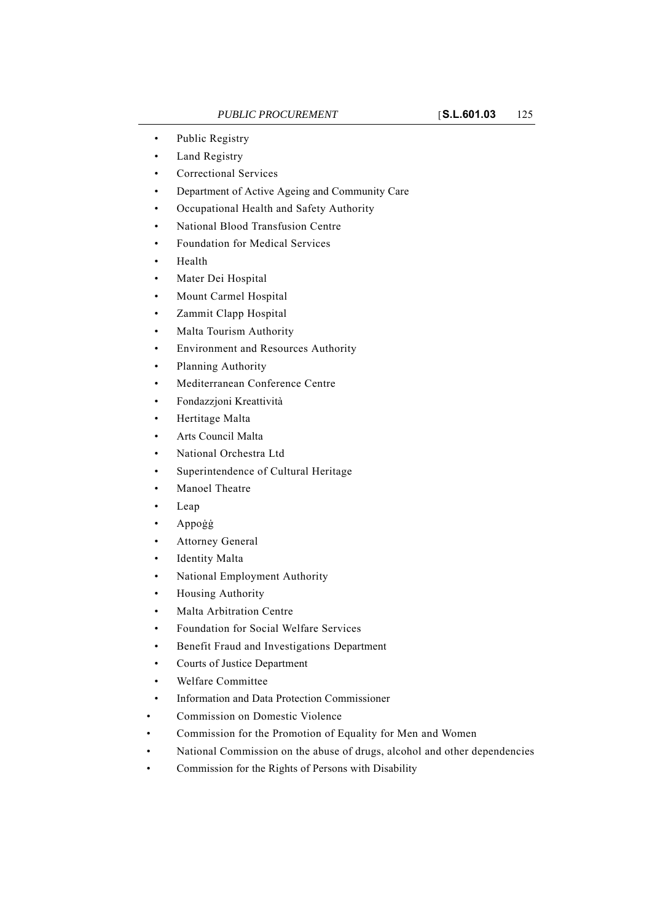- Public Registry
- Land Registry
- Correctional Services
- Department of Active Ageing and Community Care
- Occupational Health and Safety Authority
- National Blood Transfusion Centre
- Foundation for Medical Services
- Health
- Mater Dei Hospital
- Mount Carmel Hospital
- Zammit Clapp Hospital
- Malta Tourism Authority
- Environment and Resources Authority
- Planning Authority
- Mediterranean Conference Centre
- Fondazzjoni Kreattività
- Hertitage Malta
- Arts Council Malta
- National Orchestra Ltd
- Superintendence of Cultural Heritage
- Manoel Theatre
- Leap
- Appoġġ
- Attorney General
- **Identity Malta**
- National Employment Authority
- Housing Authority
- Malta Arbitration Centre
- Foundation for Social Welfare Services
- Benefit Fraud and Investigations Department
- Courts of Justice Department
- Welfare Committee
- Information and Data Protection Commissioner
- Commission on Domestic Violence
- Commission for the Promotion of Equality for Men and Women
- National Commission on the abuse of drugs, alcohol and other dependencies
- Commission for the Rights of Persons with Disability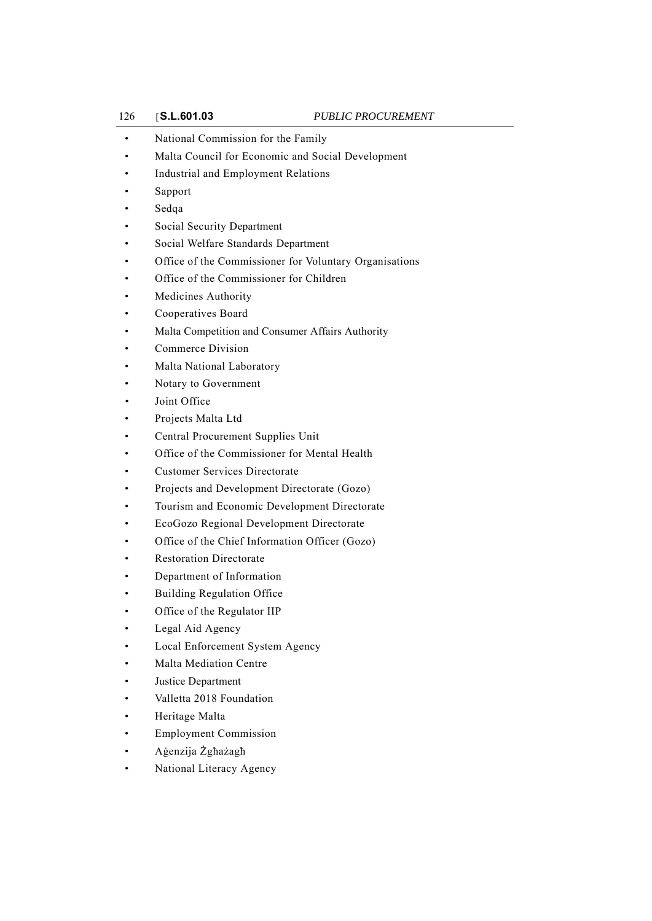- National Commission for the Family
- Malta Council for Economic and Social Development
- Industrial and Employment Relations
- Sapport
- Sedqa
- Social Security Department
- Social Welfare Standards Department
- Office of the Commissioner for Voluntary Organisations
- Office of the Commissioner for Children
- Medicines Authority
- Cooperatives Board
- Malta Competition and Consumer Affairs Authority
- Commerce Division
- Malta National Laboratory
- Notary to Government
- Joint Office
- Projects Malta Ltd
- Central Procurement Supplies Unit
- Office of the Commissioner for Mental Health
- Customer Services Directorate
- Projects and Development Directorate (Gozo)
- Tourism and Economic Development Directorate
- EcoGozo Regional Development Directorate
- Office of the Chief Information Officer (Gozo)
- **Restoration Directorate**
- Department of Information
- Building Regulation Office
- Office of the Regulator IIP
- Legal Aid Agency
- Local Enforcement System Agency
- Malta Mediation Centre
- Justice Department
- Valletta 2018 Foundation
- Heritage Malta
- Employment Commission
- Aġenzija Żgħażagħ
- National Literacy Agency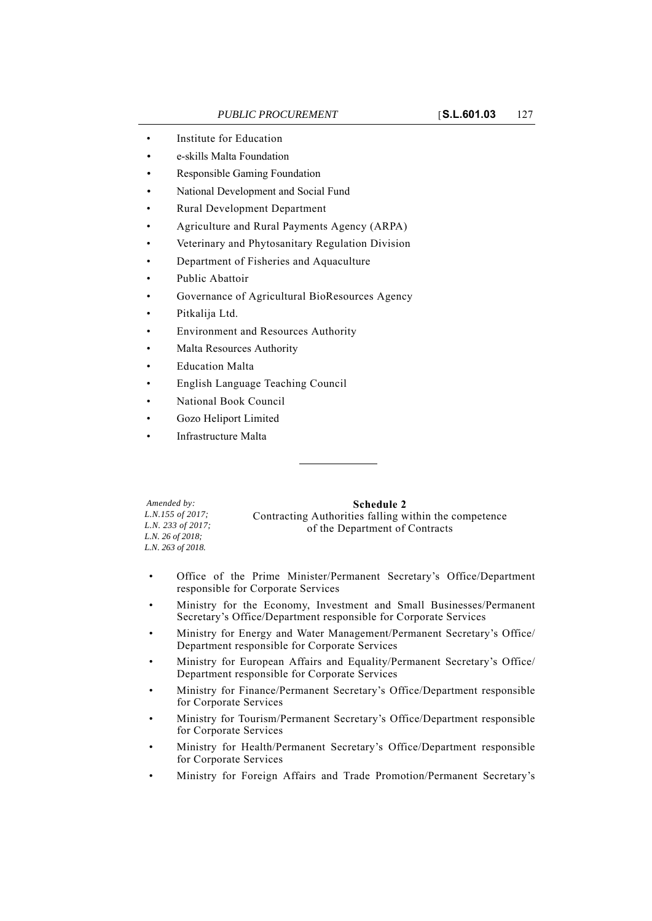- Institute for Education
- e-skills Malta Foundation
- Responsible Gaming Foundation
- National Development and Social Fund
- Rural Development Department
- Agriculture and Rural Payments Agency (ARPA)
- Veterinary and Phytosanitary Regulation Division
- Department of Fisheries and Aquaculture
- Public Abattoir
- Governance of Agricultural BioResources Agency
- Pitkalija Ltd.
- Environment and Resources Authority
- Malta Resources Authority
- **Education Malta**
- English Language Teaching Council
- National Book Council
- Gozo Heliport Limited
- Infrastructure Malta

*Amended by: L.N.155 of 2017; L.N. 233 of 2017; L.N. 26 of 2018; L.N. 263 of 2018.*

**Schedule 2** Contracting Authorities falling within the competence of the Department of Contracts

- Office of the Prime Minister/Permanent Secretary's Office/Department responsible for Corporate Services
- Ministry for the Economy, Investment and Small Businesses/Permanent Secretary's Office/Department responsible for Corporate Services
- Ministry for Energy and Water Management/Permanent Secretary's Office/ Department responsible for Corporate Services
- Ministry for European Affairs and Equality/Permanent Secretary's Office/ Department responsible for Corporate Services
- Ministry for Finance/Permanent Secretary's Office/Department responsible for Corporate Services
- Ministry for Tourism/Permanent Secretary's Office/Department responsible for Corporate Services
- Ministry for Health/Permanent Secretary's Office/Department responsible for Corporate Services
- Ministry for Foreign Affairs and Trade Promotion/Permanent Secretary's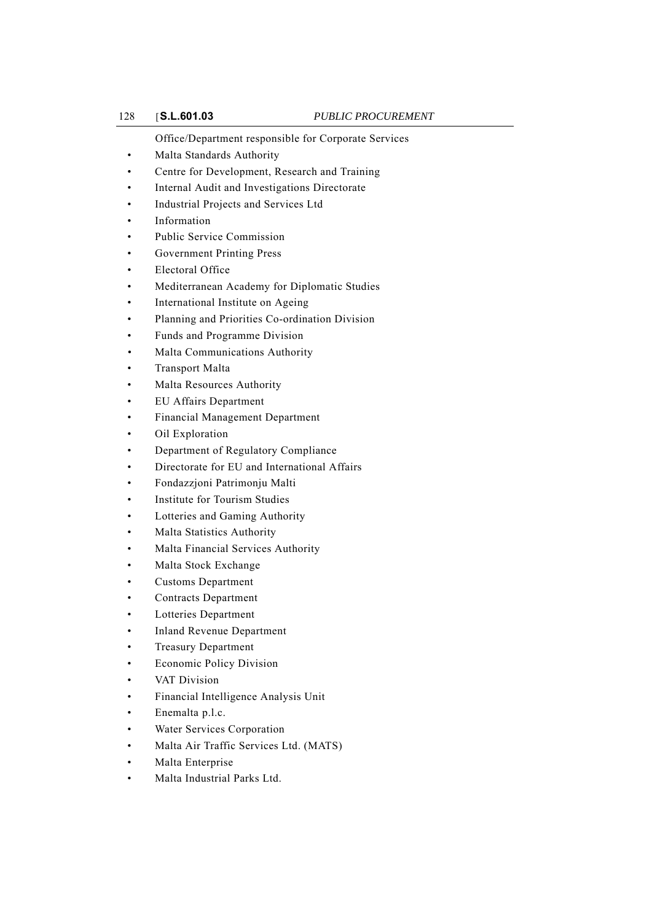Office/Department responsible for Corporate Services

- Malta Standards Authority
- Centre for Development, Research and Training
- Internal Audit and Investigations Directorate
- Industrial Projects and Services Ltd
- **Information**
- Public Service Commission
- Government Printing Press
- Electoral Office
- Mediterranean Academy for Diplomatic Studies
- International Institute on Ageing
- Planning and Priorities Co-ordination Division
- Funds and Programme Division
- Malta Communications Authority
- Transport Malta
- Malta Resources Authority
- EU Affairs Department
- Financial Management Department
- Oil Exploration
- Department of Regulatory Compliance
- Directorate for EU and International Affairs
- Fondazzjoni Patrimonju Malti
- Institute for Tourism Studies
- Lotteries and Gaming Authority
- Malta Statistics Authority
- Malta Financial Services Authority
- Malta Stock Exchange
- Customs Department
- Contracts Department
- Lotteries Department
- Inland Revenue Department
- Treasury Department
- Economic Policy Division
- VAT Division
- Financial Intelligence Analysis Unit
- Enemalta p.l.c.
- Water Services Corporation
- Malta Air Traffic Services Ltd. (MATS)
- Malta Enterprise
- Malta Industrial Parks Ltd.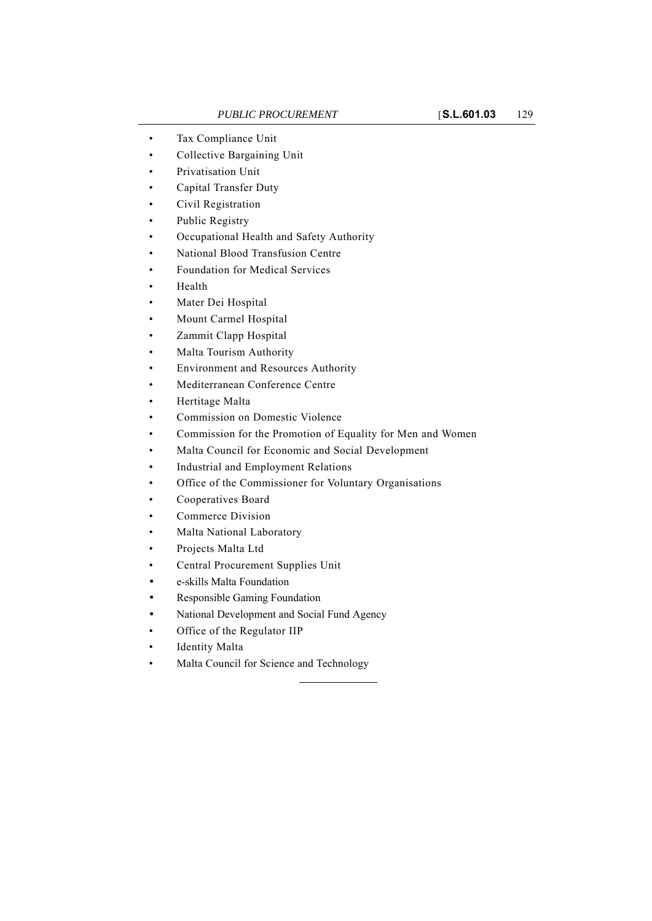- Tax Compliance Unit
- Collective Bargaining Unit
- Privatisation Unit
- Capital Transfer Duty
- Civil Registration
- Public Registry
- Occupational Health and Safety Authority
- National Blood Transfusion Centre
- Foundation for Medical Services
- Health
- Mater Dei Hospital
- Mount Carmel Hospital
- Zammit Clapp Hospital
- Malta Tourism Authority
- Environment and Resources Authority
- Mediterranean Conference Centre
- Hertitage Malta
- Commission on Domestic Violence
- Commission for the Promotion of Equality for Men and Women
- Malta Council for Economic and Social Development
- Industrial and Employment Relations
- Office of the Commissioner for Voluntary Organisations
- Cooperatives Board
- Commerce Division
- Malta National Laboratory
- Projects Malta Ltd
- Central Procurement Supplies Unit
- e-skills Malta Foundation
- Responsible Gaming Foundation
- National Development and Social Fund Agency
- Office of the Regulator IIP
- Identity Malta
- Malta Council for Science and Technology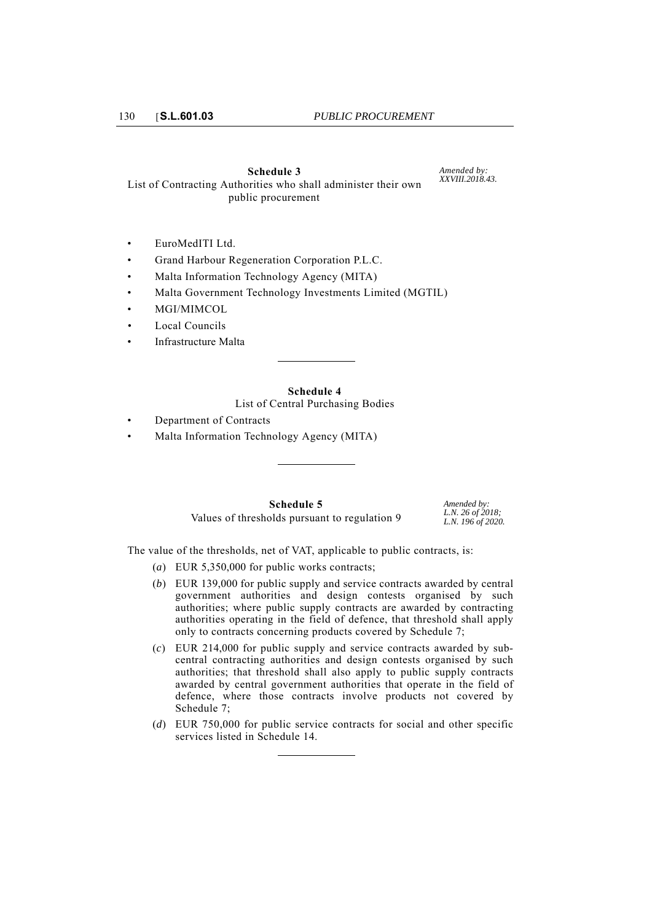#### **Schedule 3**

*Amended by: XXVIII.2018.43.*

List of Contracting Authorities who shall administer their own public procurement

- EuroMedITI Ltd.
- Grand Harbour Regeneration Corporation P.L.C.
- Malta Information Technology Agency (MITA)
- Malta Government Technology Investments Limited (MGTIL)
- MGI/MIMCOL
- Local Councils
- Infrastructure Malta

**Schedule 4** List of Central Purchasing Bodies

- Department of Contracts
- Malta Information Technology Agency (MITA)

**Schedule 5** Values of thresholds pursuant to regulation 9 *Amended by: L.N. 26 of 2018; L.N. 196 of 2020.*

The value of the thresholds, net of VAT, applicable to public contracts, is:

- (*a*) EUR 5,350,000 for public works contracts;
- (*b*) EUR 139,000 for public supply and service contracts awarded by central government authorities and design contests organised by such authorities; where public supply contracts are awarded by contracting authorities operating in the field of defence, that threshold shall apply only to contracts concerning products covered by Schedule 7;
- (*c*) EUR 214,000 for public supply and service contracts awarded by subcentral contracting authorities and design contests organised by such authorities; that threshold shall also apply to public supply contracts awarded by central government authorities that operate in the field of defence, where those contracts involve products not covered by Schedule 7;
- (*d*) EUR 750,000 for public service contracts for social and other specific services listed in Schedule 14.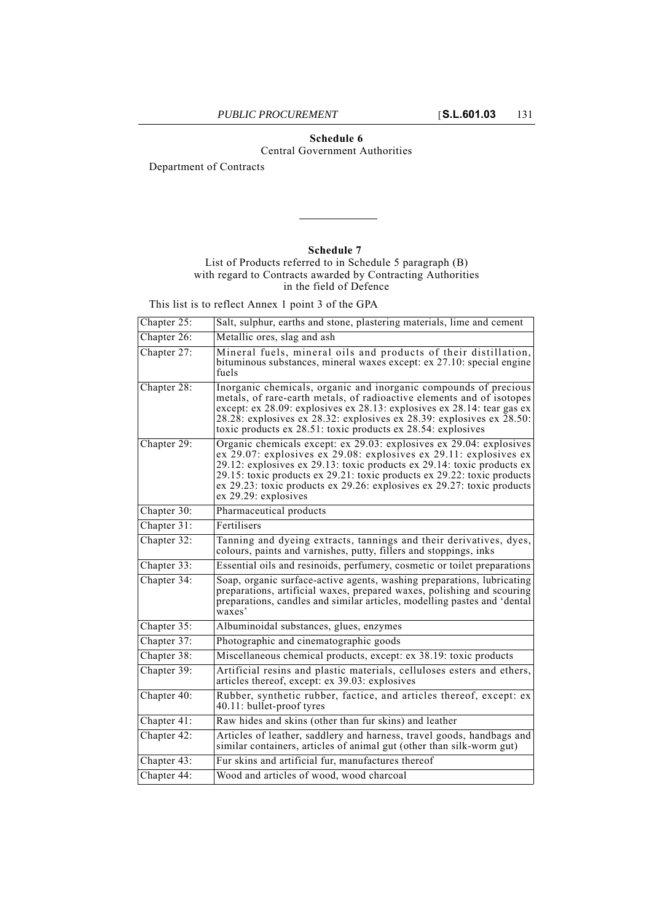## **Schedule 6**

Central Government Authorities

Department of Contracts

## **Schedule 7**

## List of Products referred to in Schedule 5 paragraph (B) with regard to Contracts awarded by Contracting Authorities in the field of Defence

This list is to reflect Annex 1 point 3 of the GPA

| Chapter 25: | Salt, sulphur, earths and stone, plastering materials, lime and cement                                                                                                                                                                                                                                                                                                                              |
|-------------|-----------------------------------------------------------------------------------------------------------------------------------------------------------------------------------------------------------------------------------------------------------------------------------------------------------------------------------------------------------------------------------------------------|
| Chapter 26: | Metallic ores, slag and ash                                                                                                                                                                                                                                                                                                                                                                         |
| Chapter 27: | Mineral fuels, mineral oils and products of their distillation,<br>bituminous substances, mineral waxes except: ex 27.10: special engine<br>fuels                                                                                                                                                                                                                                                   |
| Chapter 28: | Inorganic chemicals, organic and inorganic compounds of precious<br>metals, of rare-earth metals, of radioactive elements and of isotopes<br>except: ex 28.09: explosives ex 28.13: explosives ex 28.14: tear gas ex<br>28.28: explosives ex 28.32: explosives ex 28.39: explosives ex 28.50:<br>toxic products ex 28.51: toxic products ex 28.54: explosives                                       |
| Chapter 29: | Organic chemicals except: ex 29.03: explosives ex 29.04: explosives<br>$ex$ 29.07: explosives $ex$ 29.08: explosives ex 29.11: explosives ex<br>29.12: explosives ex 29.13: toxic products ex 29.14: toxic products ex<br>29.15: toxic products ex 29.21: toxic products ex 29.22: toxic products<br>ex 29.23: toxic products ex 29.26: explosives ex 29.27: toxic products<br>ex 29.29: explosives |
| Chapter 30: | Pharmaceutical products                                                                                                                                                                                                                                                                                                                                                                             |
| Chapter 31: | Fertilisers                                                                                                                                                                                                                                                                                                                                                                                         |
| Chapter 32: | Tanning and dyeing extracts, tannings and their derivatives, dyes,<br>colours, paints and varnishes, putty, fillers and stoppings, inks                                                                                                                                                                                                                                                             |
| Chapter 33: | Essential oils and resinoids, perfumery, cosmetic or toilet preparations                                                                                                                                                                                                                                                                                                                            |
| Chapter 34: | Soap, organic surface-active agents, washing preparations, lubricating<br>preparations, artificial waxes, prepared waxes, polishing and scouring<br>preparations, candles and similar articles, modelling pastes and 'dental<br>waxes'                                                                                                                                                              |
| Chapter 35: | Albuminoidal substances, glues, enzymes                                                                                                                                                                                                                                                                                                                                                             |
| Chapter 37: | Photographic and cinematographic goods                                                                                                                                                                                                                                                                                                                                                              |
| Chapter 38: | Miscellaneous chemical products, except: ex 38.19: toxic products                                                                                                                                                                                                                                                                                                                                   |
| Chapter 39: | Artificial resins and plastic materials, celluloses esters and ethers,<br>articles thereof, except: ex 39.03: explosives                                                                                                                                                                                                                                                                            |
| Chapter 40: | Rubber, synthetic rubber, factice, and articles thereof, except: ex<br>40.11: bullet-proof tyres                                                                                                                                                                                                                                                                                                    |
| Chapter 41: | Raw hides and skins (other than fur skins) and leather                                                                                                                                                                                                                                                                                                                                              |
| Chapter 42: | Articles of leather, saddlery and harness, travel goods, handbags and<br>similar containers, articles of animal gut (other than silk-worm gut)                                                                                                                                                                                                                                                      |
| Chapter 43: | Fur skins and artificial fur, manufactures thereof                                                                                                                                                                                                                                                                                                                                                  |
| Chapter 44: | Wood and articles of wood, wood charcoal                                                                                                                                                                                                                                                                                                                                                            |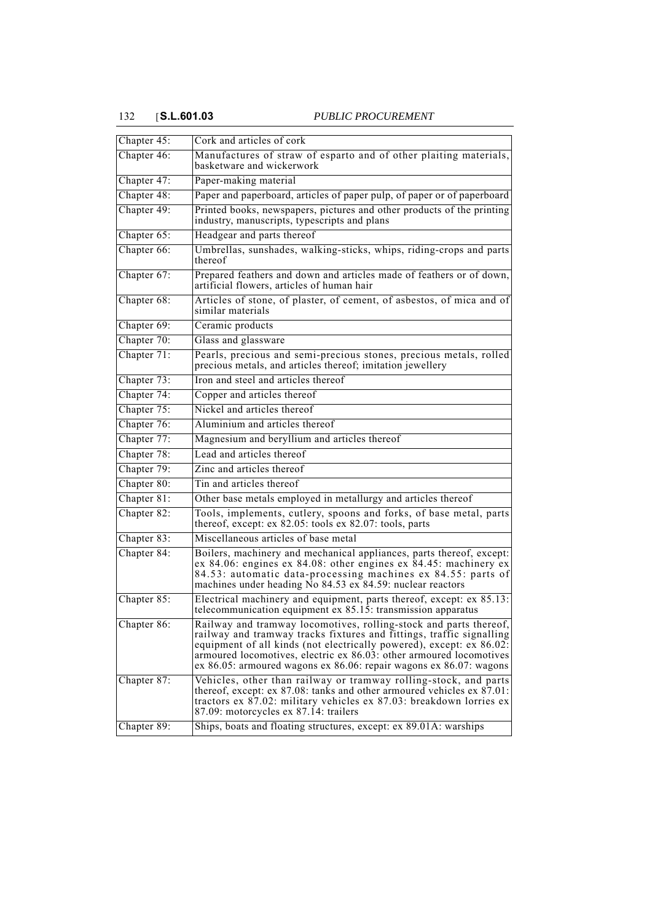# 132 [**S.L.601.03** *PUBLIC PROCUREMENT*

| Chapter 45:               | Cork and articles of cork                                                                                                                                                                                                                                                                                                                                      |
|---------------------------|----------------------------------------------------------------------------------------------------------------------------------------------------------------------------------------------------------------------------------------------------------------------------------------------------------------------------------------------------------------|
| Chapter 46:               | Manufactures of straw of esparto and of other plaiting materials,<br>basketware and wickerwork                                                                                                                                                                                                                                                                 |
| Chapter 47:               | Paper-making material                                                                                                                                                                                                                                                                                                                                          |
| Chapter 48:               | Paper and paperboard, articles of paper pulp, of paper or of paperboard                                                                                                                                                                                                                                                                                        |
| Chapter 49:               | Printed books, newspapers, pictures and other products of the printing<br>industry, manuscripts, typescripts and plans                                                                                                                                                                                                                                         |
| Chapter 65:               | Headgear and parts thereof                                                                                                                                                                                                                                                                                                                                     |
| Chapter 66:               | Umbrellas, sunshades, walking-sticks, whips, riding-crops and parts<br>thereof                                                                                                                                                                                                                                                                                 |
| Chapter $\overline{67}$ : | Prepared feathers and down and articles made of feathers or of down,<br>artificial flowers, articles of human hair                                                                                                                                                                                                                                             |
| Chapter 68:               | Articles of stone, of plaster, of cement, of asbestos, of mica and of<br>similar materials                                                                                                                                                                                                                                                                     |
| Chapter 69:               | Ceramic products                                                                                                                                                                                                                                                                                                                                               |
| Chapter 70:               | Glass and glassware                                                                                                                                                                                                                                                                                                                                            |
| Chapter 71:               | Pearls, precious and semi-precious stones, precious metals, rolled<br>precious metals, and articles thereof; imitation jewellery                                                                                                                                                                                                                               |
| Chapter 73:               | Iron and steel and articles thereof                                                                                                                                                                                                                                                                                                                            |
| Chapter 74:               | Copper and articles thereof                                                                                                                                                                                                                                                                                                                                    |
| Chapter 75:               | Nickel and articles thereof                                                                                                                                                                                                                                                                                                                                    |
| Chapter 76:               | Aluminium and articles thereof                                                                                                                                                                                                                                                                                                                                 |
| Chapter 77:               | Magnesium and beryllium and articles thereof                                                                                                                                                                                                                                                                                                                   |
| Chapter 78:               | Lead and articles thereof                                                                                                                                                                                                                                                                                                                                      |
| Chapter 79:               | Zinc and articles thereof                                                                                                                                                                                                                                                                                                                                      |
| Chapter 80:               | Tin and articles thereof                                                                                                                                                                                                                                                                                                                                       |
| Chapter 81:               | Other base metals employed in metallurgy and articles thereof                                                                                                                                                                                                                                                                                                  |
| Chapter 82:               | Tools, implements, cutlery, spoons and forks, of base metal, parts<br>thereof, except: ex 82.05: tools ex 82.07: tools, parts                                                                                                                                                                                                                                  |
| Chapter 83:               | Miscellaneous articles of base metal                                                                                                                                                                                                                                                                                                                           |
| Chapter 84:               | Boilers, machinery and mechanical appliances, parts thereof, except:<br>ex 84.06: engines ex 84.08: other engines ex $84.45$ : machinery ex<br>84.53: automatic data-processing machines ex 84.55: parts of<br>machines under heading $N_0$ 84.53 ex 84.59: nuclear reactors                                                                                   |
| Chapter 85:               | Electrical machinery and equipment, parts thereof, except: ex 85.13:<br>telecommunication equipment ex 85.15: transmission apparatus                                                                                                                                                                                                                           |
| Chapter 86:               | Railway and tramway locomotives, rolling-stock and parts thereof,<br>railway and tramway tracks fixtures and fittings, traffic signalling<br>equipment of all kinds (not electrically powered), except: ex 86.02:<br>armoured locomotives, electric ex 86.03: other armoured locomotives<br>ex 86.05: armoured wagons ex 86.06: repair wagons ex 86.07: wagons |
| Chapter 87:               | Vehicles, other than railway or tramway rolling-stock, and parts<br>thereof, except: ex $87.08$ : tanks and other armoured vehicles ex $87.01$ :<br>tractors ex 87.02: military vehicles ex 87.03: breakdown lorries ex<br>87.09: motorcycles ex 87.14: trailers                                                                                               |
| Chapter 89:               | Ships, boats and floating structures, except: ex 89.01A: warships                                                                                                                                                                                                                                                                                              |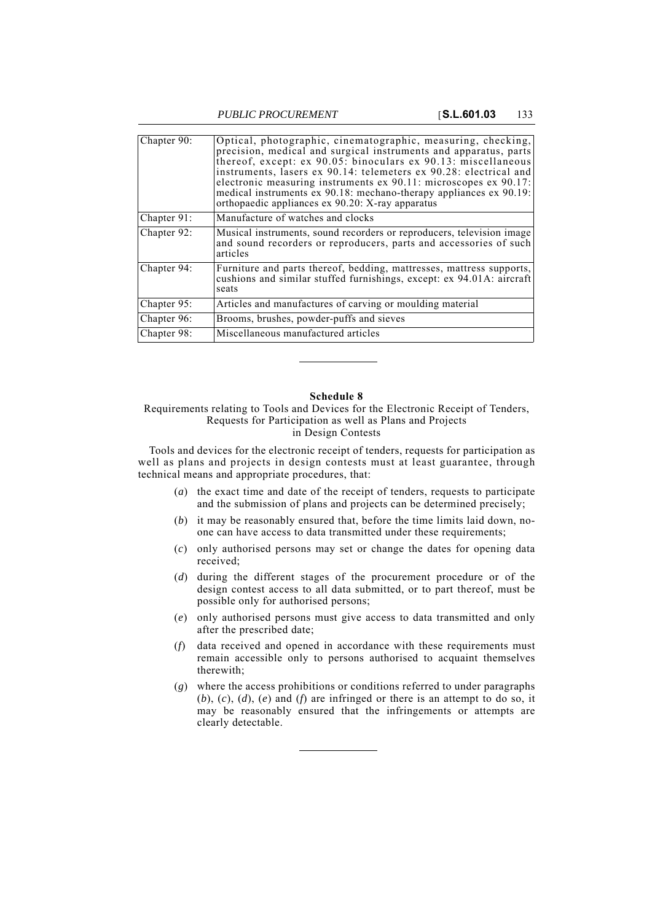*PUBLIC PROCUREMENT* [**S.L.601.03** 133

| Chapter 90: | Optical, photographic, cinematographic, measuring, checking,<br>precision, medical and surgical instruments and apparatus, parts<br>thereof, except: ex 90.05: binoculars ex 90.13: miscellaneous<br>instruments, lasers ex 90.14: telemeters ex 90.28: electrical and<br>electronic measuring instruments ex 90.11: microscopes ex 90.17:<br>medical instruments ex 90.18: mechano-therapy appliances ex 90.19:<br>orthopaedic appliances ex 90.20: X-ray apparatus |
|-------------|----------------------------------------------------------------------------------------------------------------------------------------------------------------------------------------------------------------------------------------------------------------------------------------------------------------------------------------------------------------------------------------------------------------------------------------------------------------------|
| Chapter 91: | Manufacture of watches and clocks                                                                                                                                                                                                                                                                                                                                                                                                                                    |
| Chapter 92: | Musical instruments, sound recorders or reproducers, television image<br>and sound recorders or reproducers, parts and accessories of such<br>articles                                                                                                                                                                                                                                                                                                               |
| Chapter 94: | Furniture and parts thereof, bedding, mattresses, mattress supports,<br>cushions and similar stuffed furnishings, except: ex 94.01A: aircraft<br>seats                                                                                                                                                                                                                                                                                                               |
| Chapter 95: | Articles and manufactures of carving or moulding material                                                                                                                                                                                                                                                                                                                                                                                                            |
| Chapter 96: | Brooms, brushes, powder-puffs and sieves                                                                                                                                                                                                                                                                                                                                                                                                                             |
| Chapter 98: | Miscellaneous manufactured articles                                                                                                                                                                                                                                                                                                                                                                                                                                  |

## **Schedule 8**

Requirements relating to Tools and Devices for the Electronic Receipt of Tenders, Requests for Participation as well as Plans and Projects in Design Contests

Tools and devices for the electronic receipt of tenders, requests for participation as well as plans and projects in design contests must at least guarantee, through technical means and appropriate procedures, that:

- (*a*) the exact time and date of the receipt of tenders, requests to participate and the submission of plans and projects can be determined precisely;
- (*b*) it may be reasonably ensured that, before the time limits laid down, noone can have access to data transmitted under these requirements;
- (*c*) only authorised persons may set or change the dates for opening data received;
- (*d*) during the different stages of the procurement procedure or of the design contest access to all data submitted, or to part thereof, must be possible only for authorised persons;
- (*e*) only authorised persons must give access to data transmitted and only after the prescribed date;
- (*f*) data received and opened in accordance with these requirements must remain accessible only to persons authorised to acquaint themselves therewith;
- (*g*) where the access prohibitions or conditions referred to under paragraphs (*b*), (*c*), (*d*), (*e*) and (*f*) are infringed or there is an attempt to do so, it may be reasonably ensured that the infringements or attempts are clearly detectable.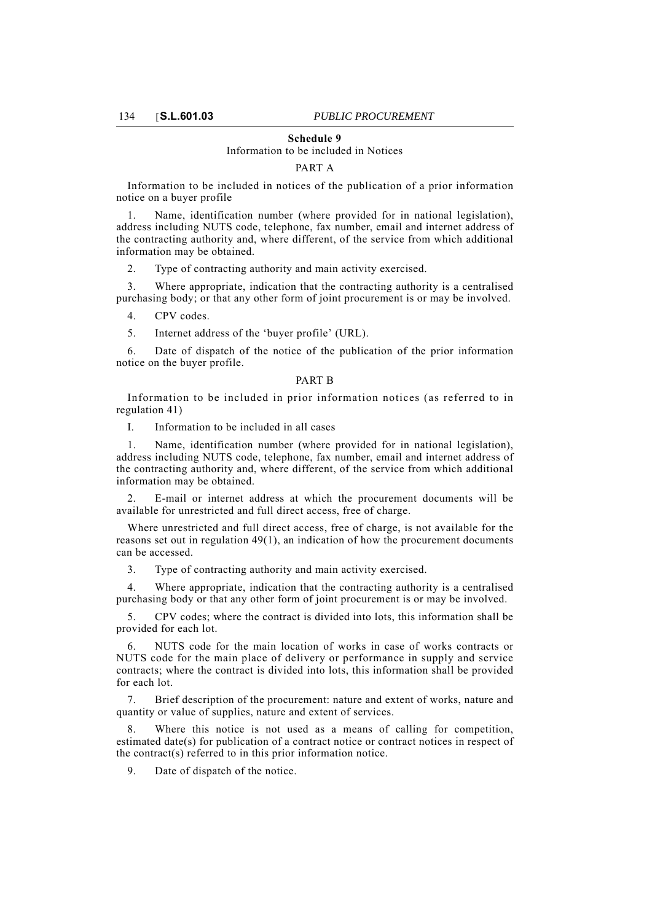### **Schedule 9**

# Information to be included in Notices

#### PART A

Information to be included in notices of the publication of a prior information notice on a buyer profile

1. Name, identification number (where provided for in national legislation), address including NUTS code, telephone, fax number, email and internet address of the contracting authority and, where different, of the service from which additional information may be obtained.

2. Type of contracting authority and main activity exercised.

3. Where appropriate, indication that the contracting authority is a centralised purchasing body; or that any other form of joint procurement is or may be involved.

4. CPV codes.

5. Internet address of the 'buyer profile' (URL).

6. Date of dispatch of the notice of the publication of the prior information notice on the buyer profile.

#### PART B

Information to be included in prior information notices (as referred to in regulation 41)

I. Information to be included in all cases

Name, identification number (where provided for in national legislation), address including NUTS code, telephone, fax number, email and internet address of the contracting authority and, where different, of the service from which additional information may be obtained.

2. E-mail or internet address at which the procurement documents will be available for unrestricted and full direct access, free of charge.

Where unrestricted and full direct access, free of charge, is not available for the reasons set out in regulation 49(1), an indication of how the procurement documents can be accessed.

3. Type of contracting authority and main activity exercised.

4. Where appropriate, indication that the contracting authority is a centralised purchasing body or that any other form of joint procurement is or may be involved.

5. CPV codes; where the contract is divided into lots, this information shall be provided for each lot.

6. NUTS code for the main location of works in case of works contracts or NUTS code for the main place of delivery or performance in supply and service contracts; where the contract is divided into lots, this information shall be provided for each lot.

7. Brief description of the procurement: nature and extent of works, nature and quantity or value of supplies, nature and extent of services.

Where this notice is not used as a means of calling for competition, estimated date(s) for publication of a contract notice or contract notices in respect of the contract(s) referred to in this prior information notice.

9. Date of dispatch of the notice.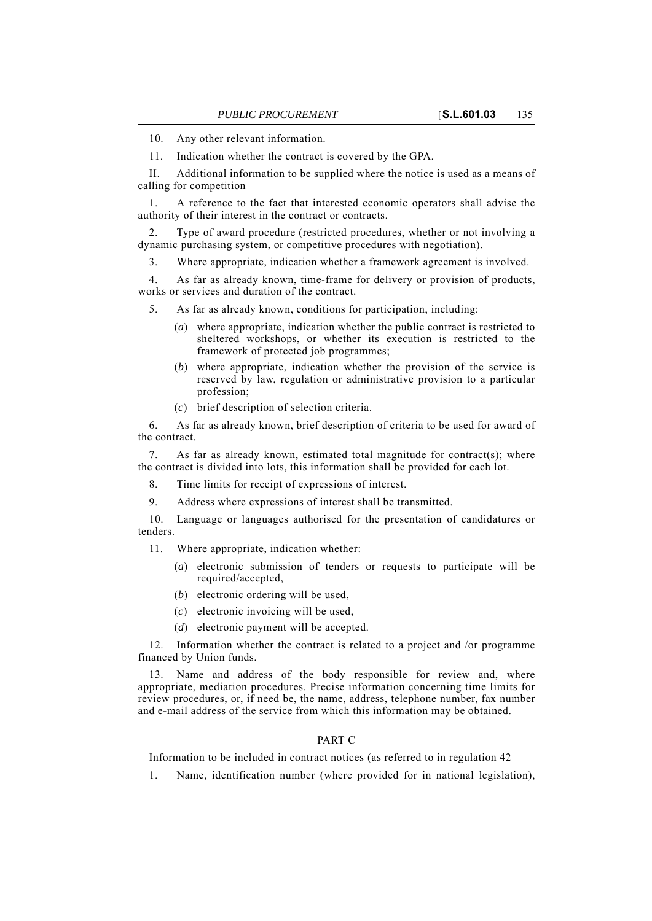10. Any other relevant information.

11. Indication whether the contract is covered by the GPA.

II. Additional information to be supplied where the notice is used as a means of calling for competition

1. A reference to the fact that interested economic operators shall advise the authority of their interest in the contract or contracts.

2. Type of award procedure (restricted procedures, whether or not involving a dynamic purchasing system, or competitive procedures with negotiation).

3. Where appropriate, indication whether a framework agreement is involved.

4. As far as already known, time-frame for delivery or provision of products, works or services and duration of the contract.

5. As far as already known, conditions for participation, including:

- (*a*) where appropriate, indication whether the public contract is restricted to sheltered workshops, or whether its execution is restricted to the framework of protected job programmes;
- (*b*) where appropriate, indication whether the provision of the service is reserved by law, regulation or administrative provision to a particular profession;
- (*c*) brief description of selection criteria.

6. As far as already known, brief description of criteria to be used for award of the contract.

7. As far as already known, estimated total magnitude for contract(s); where the contract is divided into lots, this information shall be provided for each lot.

8. Time limits for receipt of expressions of interest.

9. Address where expressions of interest shall be transmitted.

10. Language or languages authorised for the presentation of candidatures or tenders.

11. Where appropriate, indication whether:

- (*a*) electronic submission of tenders or requests to participate will be required/accepted,
- (*b*) electronic ordering will be used,
- (*c*) electronic invoicing will be used,
- (*d*) electronic payment will be accepted.

12. Information whether the contract is related to a project and /or programme financed by Union funds.

13. Name and address of the body responsible for review and, where appropriate, mediation procedures. Precise information concerning time limits for review procedures, or, if need be, the name, address, telephone number, fax number and e-mail address of the service from which this information may be obtained.

## PART C

Information to be included in contract notices (as referred to in regulation 42

1. Name, identification number (where provided for in national legislation),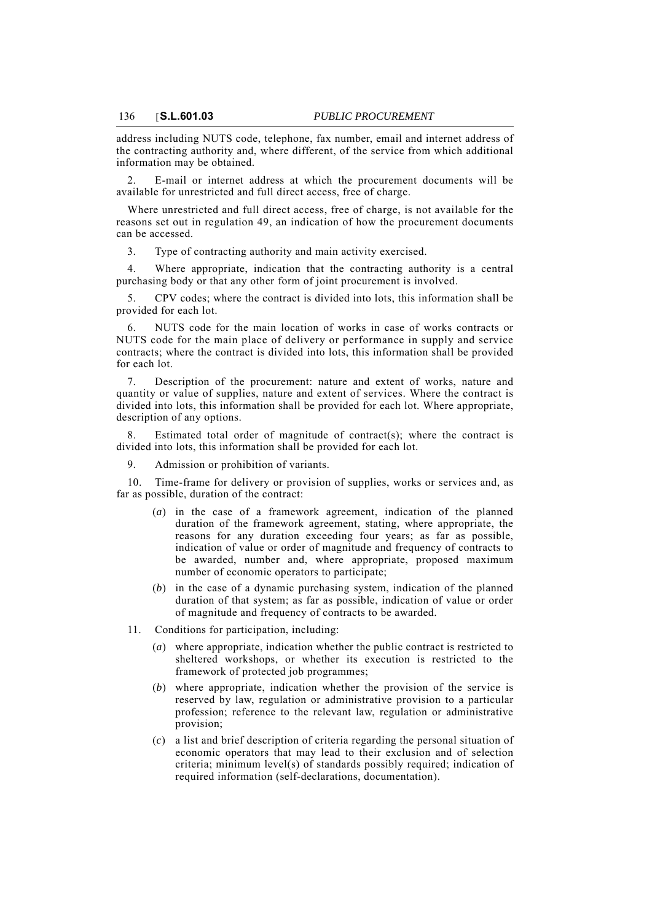address including NUTS code, telephone, fax number, email and internet address of the contracting authority and, where different, of the service from which additional information may be obtained.

2. E-mail or internet address at which the procurement documents will be available for unrestricted and full direct access, free of charge.

Where unrestricted and full direct access, free of charge, is not available for the reasons set out in regulation 49, an indication of how the procurement documents can be accessed.

3. Type of contracting authority and main activity exercised.

4. Where appropriate, indication that the contracting authority is a central purchasing body or that any other form of joint procurement is involved.

5. CPV codes; where the contract is divided into lots, this information shall be provided for each lot.

6. NUTS code for the main location of works in case of works contracts or NUTS code for the main place of delivery or performance in supply and service contracts; where the contract is divided into lots, this information shall be provided for each lot.

7. Description of the procurement: nature and extent of works, nature and quantity or value of supplies, nature and extent of services. Where the contract is divided into lots, this information shall be provided for each lot. Where appropriate, description of any options.

Estimated total order of magnitude of contract(s); where the contract is divided into lots, this information shall be provided for each lot.

9. Admission or prohibition of variants.

10. Time-frame for delivery or provision of supplies, works or services and, as far as possible, duration of the contract:

- (*a*) in the case of a framework agreement, indication of the planned duration of the framework agreement, stating, where appropriate, the reasons for any duration exceeding four years; as far as possible, indication of value or order of magnitude and frequency of contracts to be awarded, number and, where appropriate, proposed maximum number of economic operators to participate;
- (*b*) in the case of a dynamic purchasing system, indication of the planned duration of that system; as far as possible, indication of value or order of magnitude and frequency of contracts to be awarded.
- 11. Conditions for participation, including:
	- (*a*) where appropriate, indication whether the public contract is restricted to sheltered workshops, or whether its execution is restricted to the framework of protected job programmes;
	- (*b*) where appropriate, indication whether the provision of the service is reserved by law, regulation or administrative provision to a particular profession; reference to the relevant law, regulation or administrative provision;
	- (*c*) a list and brief description of criteria regarding the personal situation of economic operators that may lead to their exclusion and of selection criteria; minimum level(s) of standards possibly required; indication of required information (self-declarations, documentation).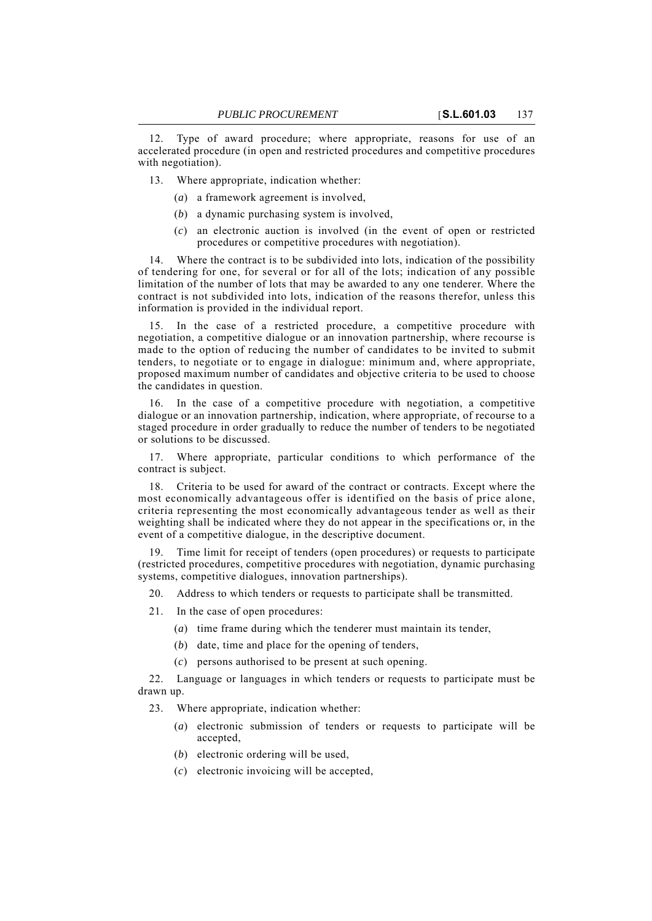12. Type of award procedure; where appropriate, reasons for use of an accelerated procedure (in open and restricted procedures and competitive procedures with negotiation).

13. Where appropriate, indication whether:

- (*a*) a framework agreement is involved,
- (*b*) a dynamic purchasing system is involved,
- (*c*) an electronic auction is involved (in the event of open or restricted procedures or competitive procedures with negotiation).

14. Where the contract is to be subdivided into lots, indication of the possibility of tendering for one, for several or for all of the lots; indication of any possible limitation of the number of lots that may be awarded to any one tenderer. Where the contract is not subdivided into lots, indication of the reasons therefor, unless this information is provided in the individual report.

15. In the case of a restricted procedure, a competitive procedure with negotiation, a competitive dialogue or an innovation partnership, where recourse is made to the option of reducing the number of candidates to be invited to submit tenders, to negotiate or to engage in dialogue: minimum and, where appropriate, proposed maximum number of candidates and objective criteria to be used to choose the candidates in question.

16. In the case of a competitive procedure with negotiation, a competitive dialogue or an innovation partnership, indication, where appropriate, of recourse to a staged procedure in order gradually to reduce the number of tenders to be negotiated or solutions to be discussed.

17. Where appropriate, particular conditions to which performance of the contract is subject.

18. Criteria to be used for award of the contract or contracts. Except where the most economically advantageous offer is identified on the basis of price alone, criteria representing the most economically advantageous tender as well as their weighting shall be indicated where they do not appear in the specifications or, in the event of a competitive dialogue, in the descriptive document.

19. Time limit for receipt of tenders (open procedures) or requests to participate (restricted procedures, competitive procedures with negotiation, dynamic purchasing systems, competitive dialogues, innovation partnerships).

20. Address to which tenders or requests to participate shall be transmitted.

21. In the case of open procedures:

- (*a*) time frame during which the tenderer must maintain its tender,
- (*b*) date, time and place for the opening of tenders,
- (*c*) persons authorised to be present at such opening.

22. Language or languages in which tenders or requests to participate must be drawn up.

23. Where appropriate, indication whether:

- (*a*) electronic submission of tenders or requests to participate will be accepted,
- (*b*) electronic ordering will be used,
- (*c*) electronic invoicing will be accepted,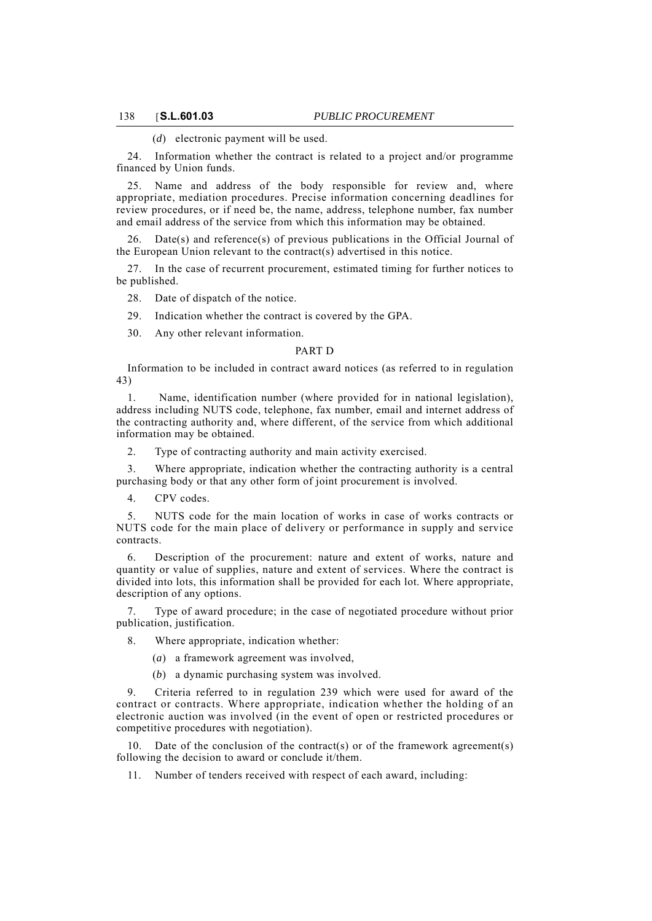(*d*) electronic payment will be used.

24. Information whether the contract is related to a project and/or programme financed by Union funds.

25. Name and address of the body responsible for review and, where appropriate, mediation procedures. Precise information concerning deadlines for review procedures, or if need be, the name, address, telephone number, fax number and email address of the service from which this information may be obtained.

 $Date(s)$  and reference $(s)$  of previous publications in the Official Journal of the European Union relevant to the contract(s) advertised in this notice.

27. In the case of recurrent procurement, estimated timing for further notices to be published.

28. Date of dispatch of the notice.

29. Indication whether the contract is covered by the GPA.

30. Any other relevant information.

### PART D

Information to be included in contract award notices (as referred to in regulation 43)

1. Name, identification number (where provided for in national legislation), address including NUTS code, telephone, fax number, email and internet address of the contracting authority and, where different, of the service from which additional information may be obtained.

2. Type of contracting authority and main activity exercised.

3. Where appropriate, indication whether the contracting authority is a central purchasing body or that any other form of joint procurement is involved.

4. CPV codes.

5. NUTS code for the main location of works in case of works contracts or NUTS code for the main place of delivery or performance in supply and service contracts.

6. Description of the procurement: nature and extent of works, nature and quantity or value of supplies, nature and extent of services. Where the contract is divided into lots, this information shall be provided for each lot. Where appropriate, description of any options.

Type of award procedure; in the case of negotiated procedure without prior publication, justification.

8. Where appropriate, indication whether:

(*a*) a framework agreement was involved,

(*b*) a dynamic purchasing system was involved.

9. Criteria referred to in regulation 239 which were used for award of the contract or contracts. Where appropriate, indication whether the holding of an electronic auction was involved (in the event of open or restricted procedures or competitive procedures with negotiation).

Date of the conclusion of the contract(s) or of the framework agreement(s) following the decision to award or conclude it/them.

11. Number of tenders received with respect of each award, including: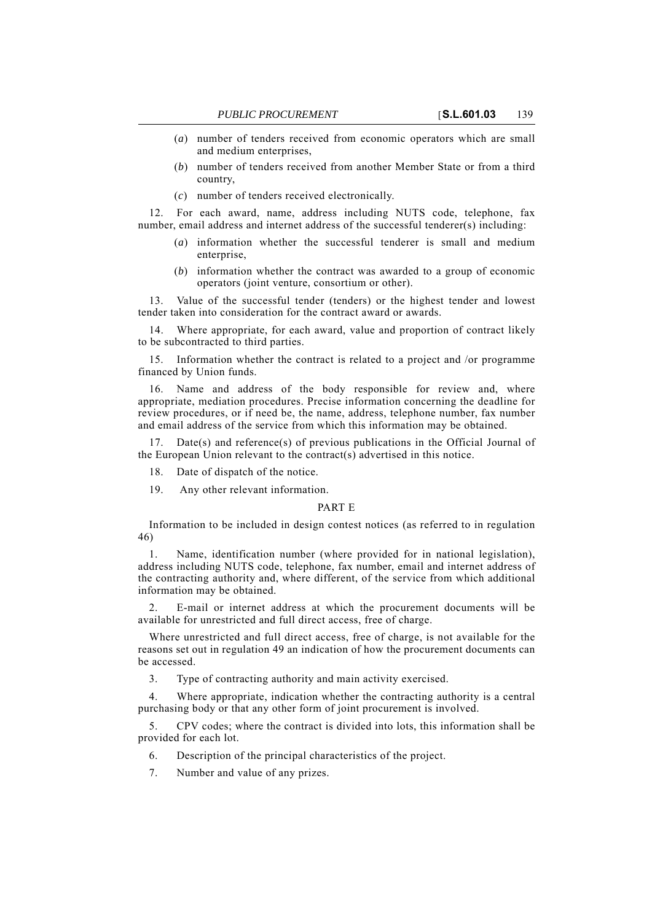- (*a*) number of tenders received from economic operators which are small and medium enterprises,
- (*b*) number of tenders received from another Member State or from a third country,
- (*c*) number of tenders received electronically.

12. For each award, name, address including NUTS code, telephone, fax number, email address and internet address of the successful tenderer(s) including:

- (*a*) information whether the successful tenderer is small and medium enterprise,
- (*b*) information whether the contract was awarded to a group of economic operators (joint venture, consortium or other).

13. Value of the successful tender (tenders) or the highest tender and lowest tender taken into consideration for the contract award or awards.

14. Where appropriate, for each award, value and proportion of contract likely to be subcontracted to third parties.

15. Information whether the contract is related to a project and /or programme financed by Union funds.

16. Name and address of the body responsible for review and, where appropriate, mediation procedures. Precise information concerning the deadline for review procedures, or if need be, the name, address, telephone number, fax number and email address of the service from which this information may be obtained.

17. Date(s) and reference(s) of previous publications in the Official Journal of the European Union relevant to the contract(s) advertised in this notice.

18. Date of dispatch of the notice.

19. Any other relevant information.

## PART E

Information to be included in design contest notices (as referred to in regulation 46)

1. Name, identification number (where provided for in national legislation), address including NUTS code, telephone, fax number, email and internet address of the contracting authority and, where different, of the service from which additional information may be obtained.

2. E-mail or internet address at which the procurement documents will be available for unrestricted and full direct access, free of charge.

Where unrestricted and full direct access, free of charge, is not available for the reasons set out in regulation 49 an indication of how the procurement documents can be accessed.

3. Type of contracting authority and main activity exercised.

4. Where appropriate, indication whether the contracting authority is a central purchasing body or that any other form of joint procurement is involved.

5. CPV codes; where the contract is divided into lots, this information shall be provided for each lot.

- 6. Description of the principal characteristics of the project.
- 7. Number and value of any prizes.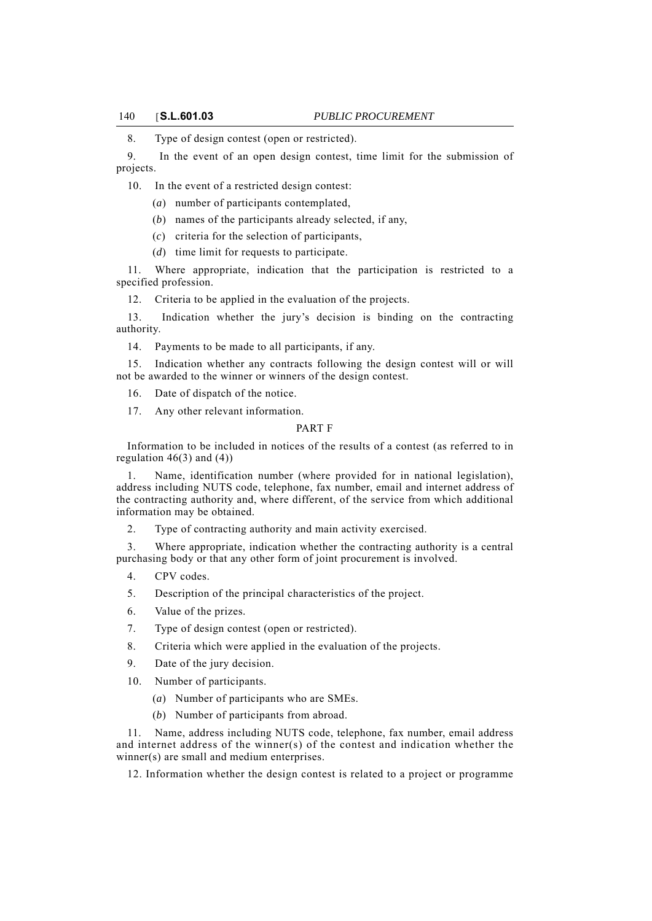8. Type of design contest (open or restricted).

9. In the event of an open design contest, time limit for the submission of projects.

10. In the event of a restricted design contest:

- (*a*) number of participants contemplated,
- (*b*) names of the participants already selected, if any,
- (*c*) criteria for the selection of participants,
- (*d*) time limit for requests to participate.

11. Where appropriate, indication that the participation is restricted to a specified profession.

12. Criteria to be applied in the evaluation of the projects.

13. Indication whether the jury's decision is binding on the contracting authority.

14. Payments to be made to all participants, if any.

15. Indication whether any contracts following the design contest will or will not be awarded to the winner or winners of the design contest.

16. Date of dispatch of the notice.

17. Any other relevant information.

## PART F

Information to be included in notices of the results of a contest (as referred to in regulation  $46(3)$  and  $(4)$ )

1. Name, identification number (where provided for in national legislation), address including NUTS code, telephone, fax number, email and internet address of the contracting authority and, where different, of the service from which additional information may be obtained.

2. Type of contracting authority and main activity exercised.

3. Where appropriate, indication whether the contracting authority is a central purchasing body or that any other form of joint procurement is involved.

- 4. CPV codes.
- 5. Description of the principal characteristics of the project.
- 6. Value of the prizes.
- 7. Type of design contest (open or restricted).
- 8. Criteria which were applied in the evaluation of the projects.
- 9. Date of the jury decision.
- 10. Number of participants.
	- (*a*) Number of participants who are SMEs.
	- (*b*) Number of participants from abroad.

11. Name, address including NUTS code, telephone, fax number, email address and internet address of the winner(s) of the contest and indication whether the winner(s) are small and medium enterprises.

12. Information whether the design contest is related to a project or programme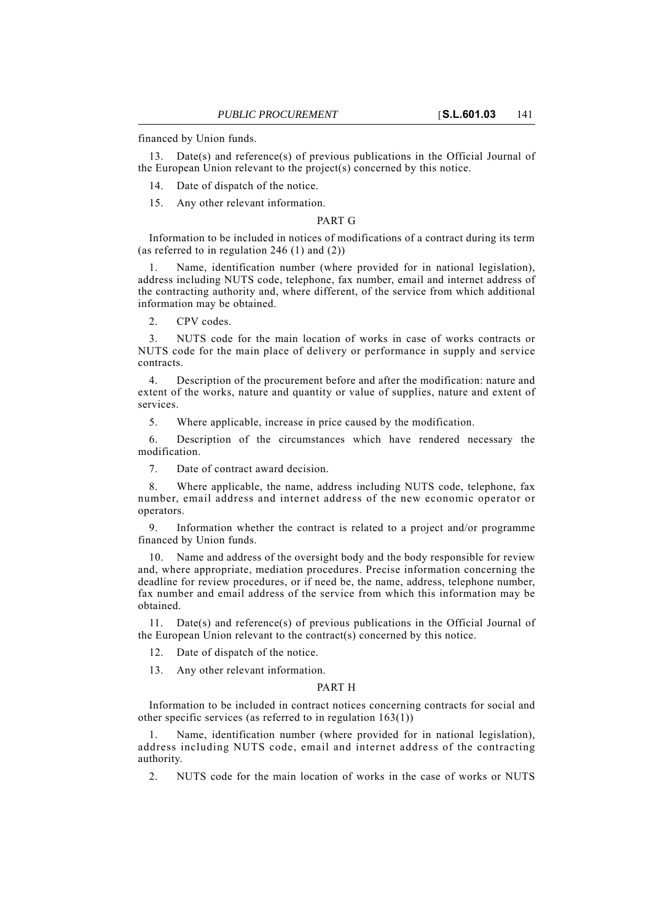financed by Union funds.

13. Date(s) and reference(s) of previous publications in the Official Journal of the European Union relevant to the project(s) concerned by this notice.

14. Date of dispatch of the notice.

15. Any other relevant information.

## PART G

Information to be included in notices of modifications of a contract during its term (as referred to in regulation 246 (1) and (2))

Name, identification number (where provided for in national legislation), address including NUTS code, telephone, fax number, email and internet address of the contracting authority and, where different, of the service from which additional information may be obtained.

2. CPV codes.

3. NUTS code for the main location of works in case of works contracts or NUTS code for the main place of delivery or performance in supply and service contracts.

4. Description of the procurement before and after the modification: nature and extent of the works, nature and quantity or value of supplies, nature and extent of services.

5. Where applicable, increase in price caused by the modification.

6. Description of the circumstances which have rendered necessary the modification.

7. Date of contract award decision.

8. Where applicable, the name, address including NUTS code, telephone, fax number, email address and internet address of the new economic operator or operators.

9. Information whether the contract is related to a project and/or programme financed by Union funds.

10. Name and address of the oversight body and the body responsible for review and, where appropriate, mediation procedures. Precise information concerning the deadline for review procedures, or if need be, the name, address, telephone number, fax number and email address of the service from which this information may be obtained.

11. Date(s) and reference(s) of previous publications in the Official Journal of the European Union relevant to the contract(s) concerned by this notice.

12. Date of dispatch of the notice.

13. Any other relevant information.

## PART H

Information to be included in contract notices concerning contracts for social and other specific services (as referred to in regulation 163(1))

1. Name, identification number (where provided for in national legislation), address including NUTS code, email and internet address of the contracting authority.

2. NUTS code for the main location of works in the case of works or NUTS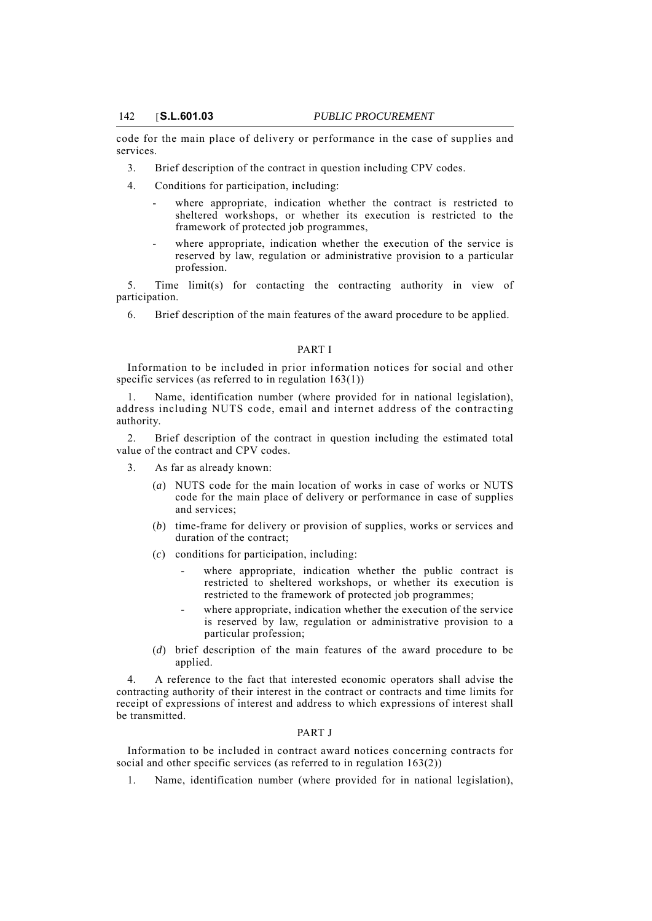code for the main place of delivery or performance in the case of supplies and services.

- 3. Brief description of the contract in question including CPV codes.
- 4. Conditions for participation, including:
	- where appropriate, indication whether the contract is restricted to sheltered workshops, or whether its execution is restricted to the framework of protected job programmes,
	- where appropriate, indication whether the execution of the service is reserved by law, regulation or administrative provision to a particular profession.

5. Time limit(s) for contacting the contracting authority in view of participation.

6. Brief description of the main features of the award procedure to be applied.

## PART I

Information to be included in prior information notices for social and other specific services (as referred to in regulation 163(1))

Name, identification number (where provided for in national legislation), address including NUTS code, email and internet address of the contracting authority.

2. Brief description of the contract in question including the estimated total value of the contract and CPV codes.

- 3. As far as already known:
	- (*a*) NUTS code for the main location of works in case of works or NUTS code for the main place of delivery or performance in case of supplies and services;
	- (*b*) time-frame for delivery or provision of supplies, works or services and duration of the contract;
	- (*c*) conditions for participation, including:
		- where appropriate, indication whether the public contract is restricted to sheltered workshops, or whether its execution is restricted to the framework of protected job programmes;
		- where appropriate, indication whether the execution of the service is reserved by law, regulation or administrative provision to a particular profession;
	- (*d*) brief description of the main features of the award procedure to be applied.

4. A reference to the fact that interested economic operators shall advise the contracting authority of their interest in the contract or contracts and time limits for receipt of expressions of interest and address to which expressions of interest shall be transmitted.

#### PART J

Information to be included in contract award notices concerning contracts for social and other specific services (as referred to in regulation  $163(2)$ )

1. Name, identification number (where provided for in national legislation),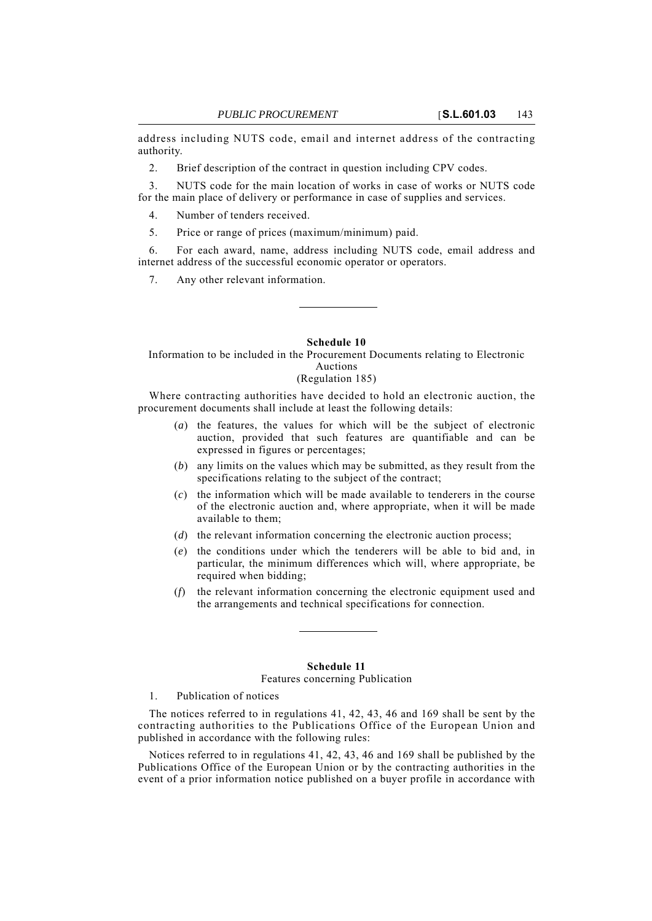address including NUTS code, email and internet address of the contracting authority.

2. Brief description of the contract in question including CPV codes.

3. NUTS code for the main location of works in case of works or NUTS code for the main place of delivery or performance in case of supplies and services.

4. Number of tenders received.

5. Price or range of prices (maximum/minimum) paid.

6. For each award, name, address including NUTS code, email address and internet address of the successful economic operator or operators.

7. Any other relevant information.

#### **Schedule 10**

Information to be included in the Procurement Documents relating to Electronic Auctions

# (Regulation 185)

Where contracting authorities have decided to hold an electronic auction, the procurement documents shall include at least the following details:

- (*a*) the features, the values for which will be the subject of electronic auction, provided that such features are quantifiable and can be expressed in figures or percentages;
- (*b*) any limits on the values which may be submitted, as they result from the specifications relating to the subject of the contract;
- (*c*) the information which will be made available to tenderers in the course of the electronic auction and, where appropriate, when it will be made available to them;
- (*d*) the relevant information concerning the electronic auction process;
- (*e*) the conditions under which the tenderers will be able to bid and, in particular, the minimum differences which will, where appropriate, be required when bidding;
- (*f*) the relevant information concerning the electronic equipment used and the arrangements and technical specifications for connection.

# **Schedule 11**

# Features concerning Publication

1. Publication of notices

The notices referred to in regulations 41, 42, 43, 46 and 169 shall be sent by the contracting authorities to the Publications Office of the European Union and published in accordance with the following rules:

Notices referred to in regulations 41, 42, 43, 46 and 169 shall be published by the Publications Office of the European Union or by the contracting authorities in the event of a prior information notice published on a buyer profile in accordance with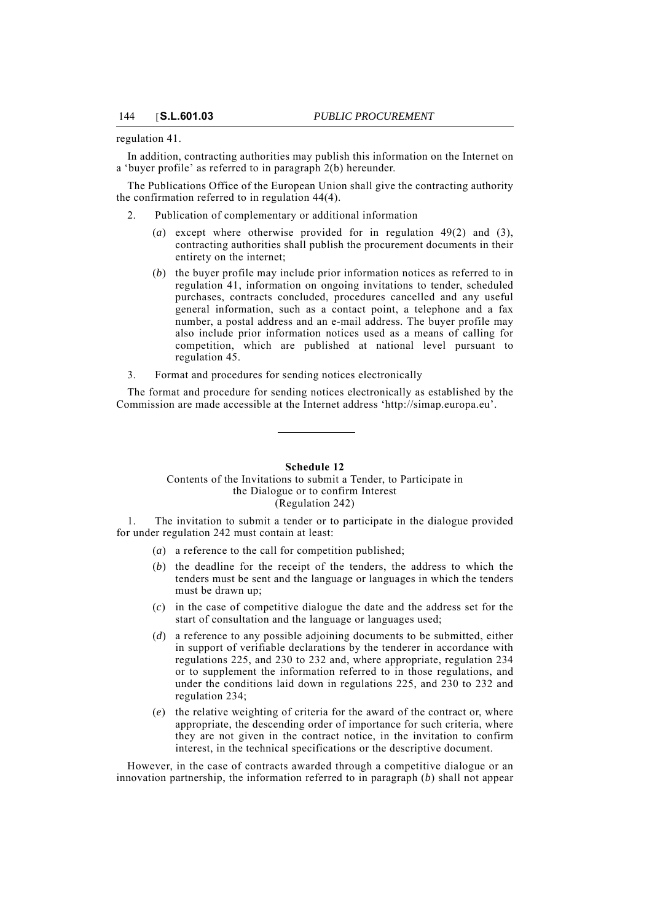regulation 41.

In addition, contracting authorities may publish this information on the Internet on a 'buyer profile' as referred to in paragraph 2(b) hereunder.

The Publications Office of the European Union shall give the contracting authority the confirmation referred to in regulation 44(4).

2. Publication of complementary or additional information

- (*a*) except where otherwise provided for in regulation 49(2) and (3), contracting authorities shall publish the procurement documents in their entirety on the internet;
- (*b*) the buyer profile may include prior information notices as referred to in regulation 41, information on ongoing invitations to tender, scheduled purchases, contracts concluded, procedures cancelled and any useful general information, such as a contact point, a telephone and a fax number, a postal address and an e-mail address. The buyer profile may also include prior information notices used as a means of calling for competition, which are published at national level pursuant to regulation 45.
- 3. Format and procedures for sending notices electronically

The format and procedure for sending notices electronically as established by the Commission are made accessible at the Internet address 'http://simap.europa.eu'.

## **Schedule 12** Contents of the Invitations to submit a Tender, to Participate in the Dialogue or to confirm Interest (Regulation 242)

1. The invitation to submit a tender or to participate in the dialogue provided for under regulation 242 must contain at least:

- (*a*) a reference to the call for competition published;
- (*b*) the deadline for the receipt of the tenders, the address to which the tenders must be sent and the language or languages in which the tenders must be drawn up;
- (*c*) in the case of competitive dialogue the date and the address set for the start of consultation and the language or languages used;
- (*d*) a reference to any possible adjoining documents to be submitted, either in support of verifiable declarations by the tenderer in accordance with regulations 225, and 230 to 232 and, where appropriate, regulation 234 or to supplement the information referred to in those regulations, and under the conditions laid down in regulations 225, and 230 to 232 and regulation 234;
- (*e*) the relative weighting of criteria for the award of the contract or, where appropriate, the descending order of importance for such criteria, where they are not given in the contract notice, in the invitation to confirm interest, in the technical specifications or the descriptive document.

However, in the case of contracts awarded through a competitive dialogue or an innovation partnership, the information referred to in paragraph (*b*) shall not appear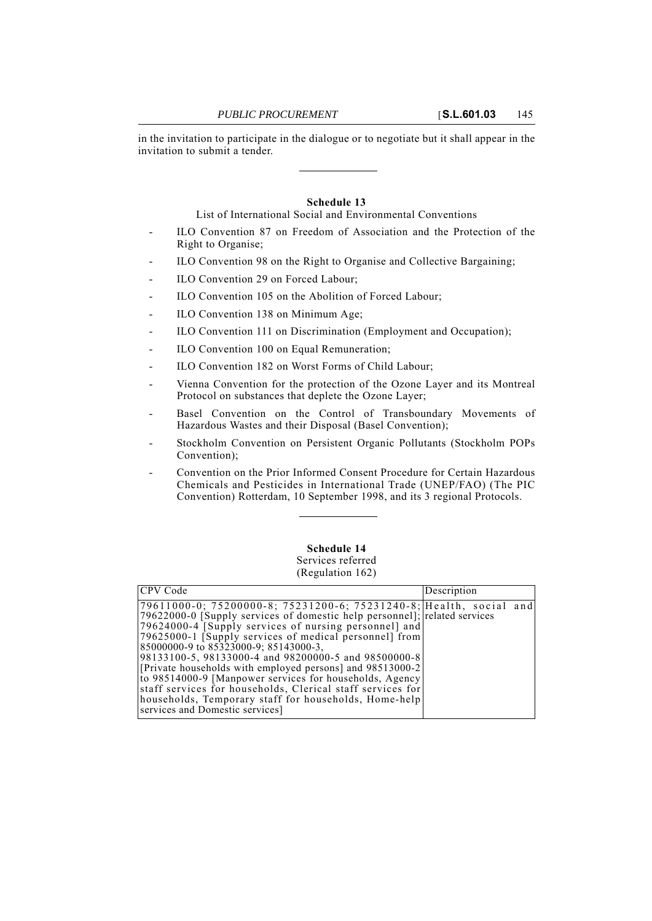in the invitation to participate in the dialogue or to negotiate but it shall appear in the invitation to submit a tender.

### **Schedule 13**

List of International Social and Environmental Conventions

- ILO Convention 87 on Freedom of Association and the Protection of the Right to Organise;
- ILO Convention 98 on the Right to Organise and Collective Bargaining;
- ILO Convention 29 on Forced Labour;
- ILO Convention 105 on the Abolition of Forced Labour;
- ILO Convention 138 on Minimum Age;
- ILO Convention 111 on Discrimination (Employment and Occupation);
- ILO Convention 100 on Equal Remuneration;
- ILO Convention 182 on Worst Forms of Child Labour:
- Vienna Convention for the protection of the Ozone Layer and its Montreal Protocol on substances that deplete the Ozone Layer;
- Basel Convention on the Control of Transboundary Movements of Hazardous Wastes and their Disposal (Basel Convention);
- Stockholm Convention on Persistent Organic Pollutants (Stockholm POPs Convention);
- Convention on the Prior Informed Consent Procedure for Certain Hazardous Chemicals and Pesticides in International Trade (UNEP/FAO) (The PIC Convention) Rotterdam, 10 September 1998, and its 3 regional Protocols.

# **Schedule 14**

### Services referred (Regulation 162)

| CPV Code                                                                                                              | Description |  |
|-----------------------------------------------------------------------------------------------------------------------|-------------|--|
| 79611000-0; 75200000-8; 75231200-6; 75231240-8; Health, social and                                                    |             |  |
| [79622000-0] [Supply services of domestic help personnel]; related services                                           |             |  |
| [79624000-4 [Supply services of nursing personnel] and<br>[79625000-1 [Supply services of medical personnel] from     |             |  |
| 85000000-9 to 85323000-9; 85143000-3,                                                                                 |             |  |
| 98133100-5, 98133000-4 and 98200000-5 and 98500000-8                                                                  |             |  |
| [Private households with employed persons] and 98513000-2                                                             |             |  |
| to 98514000-9 [Manpower services for households, Agency<br>staff services for households, Clerical staff services for |             |  |
| households, Temporary staff for households, Home-help                                                                 |             |  |
| services and Domestic services]                                                                                       |             |  |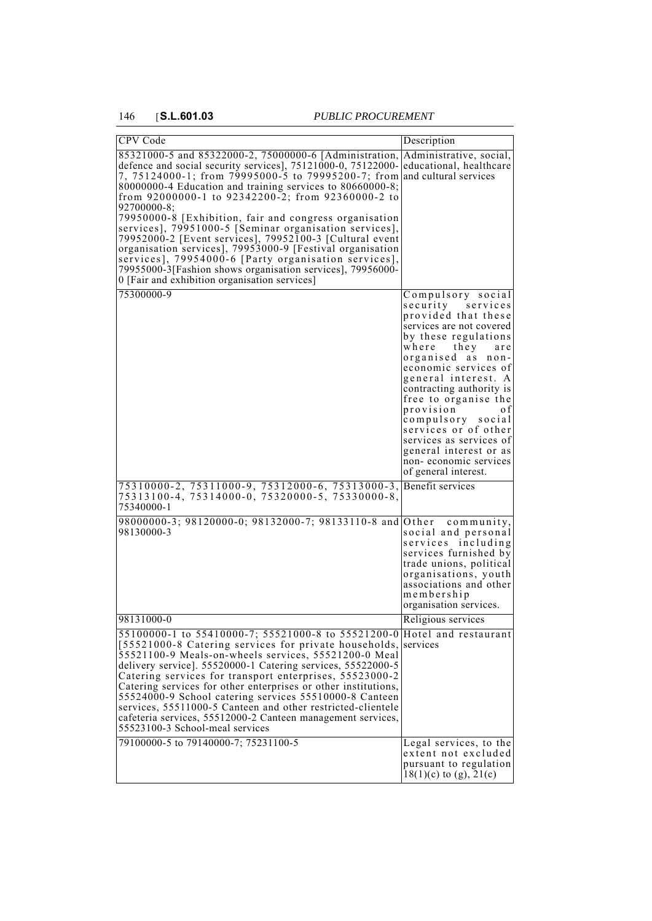| CPV Code                                                                                                                                                                                                                                                                                                                                                                                                                                                                                                                                                                                                                                                                                                                                               | Description                                                                                                                                                                                                                                                                                                                                                                                                                           |
|--------------------------------------------------------------------------------------------------------------------------------------------------------------------------------------------------------------------------------------------------------------------------------------------------------------------------------------------------------------------------------------------------------------------------------------------------------------------------------------------------------------------------------------------------------------------------------------------------------------------------------------------------------------------------------------------------------------------------------------------------------|---------------------------------------------------------------------------------------------------------------------------------------------------------------------------------------------------------------------------------------------------------------------------------------------------------------------------------------------------------------------------------------------------------------------------------------|
| 85321000-5 and 85322000-2, 75000000-6 [Administration,<br>defence and social security services], 75121000-0, 75122000-<br>7, 75124000-1; from 79995000-5 to 79995200-7; from and cultural services<br>80000000-4 Education and training services to 80660000-8;<br>from 92000000-1 to 92342200-2; from 92360000-2 to<br>92700000-8:<br>79950000-8 [Exhibition, fair and congress organisation<br>services], 79951000-5 [Seminar organisation services],<br>79952000-2 [Event services], 79952100-3 [Cultural event<br>organisation services], 79953000-9 [Festival organisation<br>services], 79954000-6 [Party organisation services],<br>79955000-3[Fashion shows organisation services], 79956000-<br>0 [Fair and exhibition organisation services] | Administrative, social,<br>educational, healthcare                                                                                                                                                                                                                                                                                                                                                                                    |
| 75300000-9                                                                                                                                                                                                                                                                                                                                                                                                                                                                                                                                                                                                                                                                                                                                             | Compulsory social<br>security services<br>provided that these<br>services are not covered<br>by these regulations<br>where they<br>are<br>organised as non-<br>economic services of<br>general interest. A<br>contracting authority is<br>free to organise the<br>provision<br>o f<br>compulsory social<br>services or of other<br>services as services of<br>general interest or as<br>non-economic services<br>of general interest. |
| 75310000-2, 75311000-9, 75312000-6, 75313000-3,<br>75313100-4, 75314000-0, 75320000-5, 75330000-8,<br>75340000-1                                                                                                                                                                                                                                                                                                                                                                                                                                                                                                                                                                                                                                       | Benefit services                                                                                                                                                                                                                                                                                                                                                                                                                      |
| 98000000-3; 98120000-0; 98132000-7; 98133110-8 and<br>98130000-3                                                                                                                                                                                                                                                                                                                                                                                                                                                                                                                                                                                                                                                                                       | Other community,<br>social and personal<br>services including<br>services furnished by<br>trade unions, political<br>organisations, youth<br>associations and other<br>membership<br>organisation services.                                                                                                                                                                                                                           |
| 98131000-0                                                                                                                                                                                                                                                                                                                                                                                                                                                                                                                                                                                                                                                                                                                                             | Religious services                                                                                                                                                                                                                                                                                                                                                                                                                    |
| 55100000-1 to 55410000-7; 55521000-8 to 55521200-0 Hotel and restaurant<br>[55521000-8 Catering services for private households,<br>55521100-9 Meals-on-wheels services, 55521200-0 Meal<br>delivery service]. 55520000-1 Catering services, 55522000-5<br>Catering services for transport enterprises, 55523000-2<br>Catering services for other enterprises or other institutions,<br>55524000-9 School catering services 55510000-8 Canteen<br>services, 55511000-5 Canteen and other restricted-clientele<br>cafeteria services, 55512000-2 Canteen management services,<br>55523100-3 School-meal services                                                                                                                                        | services                                                                                                                                                                                                                                                                                                                                                                                                                              |
| 79100000-5 to 79140000-7; 75231100-5                                                                                                                                                                                                                                                                                                                                                                                                                                                                                                                                                                                                                                                                                                                   | Legal services, to the<br>extent not excluded<br>pursuant to regulation<br>$18(1)(c)$ to (g), $21(c)$                                                                                                                                                                                                                                                                                                                                 |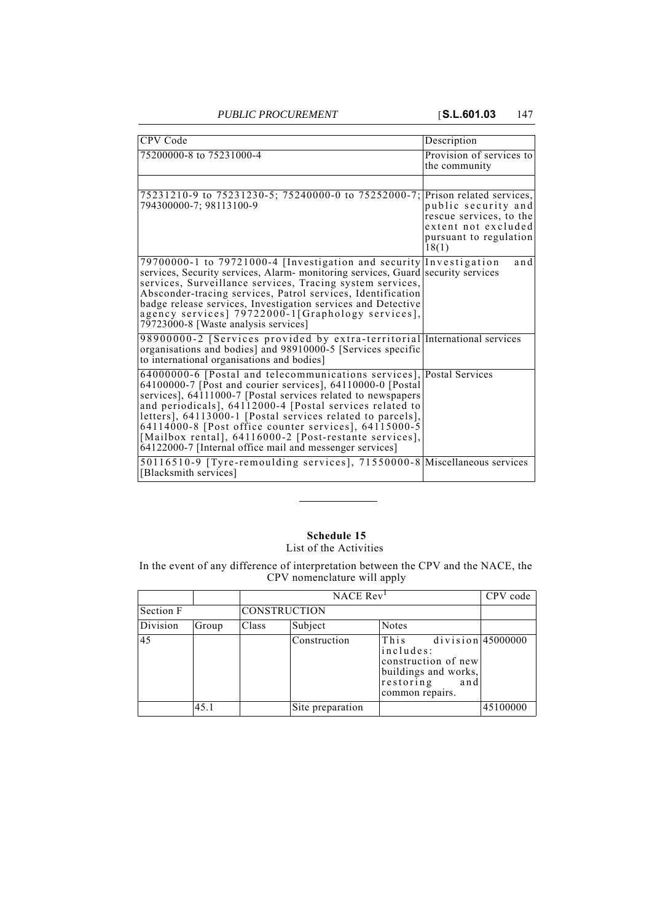| CPV Code                                                                                                                                                                                                                                                                                                                                                                                                                                                                                                       | Description                                                                                              |
|----------------------------------------------------------------------------------------------------------------------------------------------------------------------------------------------------------------------------------------------------------------------------------------------------------------------------------------------------------------------------------------------------------------------------------------------------------------------------------------------------------------|----------------------------------------------------------------------------------------------------------|
| 75200000-8 to 75231000-4                                                                                                                                                                                                                                                                                                                                                                                                                                                                                       | Provision of services to<br>the community                                                                |
| 75231210-9 to 75231230-5; 75240000-0 to 75252000-7; Prison related services,<br>794300000-7; 98113100-9                                                                                                                                                                                                                                                                                                                                                                                                        | public security and<br>rescue services, to the<br>extent not excluded<br>pursuant to regulation<br>18(1) |
| 79700000-1 to 79721000-4 [Investigation and security Investigation<br>services, Security services, Alarm- monitoring services, Guard security services<br>services, Surveillance services, Tracing system services,<br>Absconder-tracing services, Patrol services, Identification<br>badge release services, Investigation services and Detective<br>agency services] 79722000-1[Graphology services],<br>79723000-8 [Waste analysis services]                                                                | and                                                                                                      |
| 98900000-2 [Services provided by extra-territorial International services<br>organisations and bodies] and 98910000-5 [Services specific<br>to international organisations and bodies]                                                                                                                                                                                                                                                                                                                         |                                                                                                          |
| 64000000-6 [Postal and telecommunications services], Postal Services<br>64100000-7 [Post and courier services], 64110000-0 [Postal]<br>services], 64111000-7 [Postal services related to newspapers<br>and periodicals], 64112000-4 [Postal services related to<br>letters], 64113000-1 [Postal services related to parcels],<br>64114000-8 [Post office counter services], $64115000-5$<br>[Mailbox rental], 64116000-2 [Post-restante services],<br>64122000-7 [Internal office mail and messenger services] |                                                                                                          |
| 50116510-9 [Tyre-remoulding services], 71550000-8 Miscellaneous services<br>[Blacksmith services]                                                                                                                                                                                                                                                                                                                                                                                                              |                                                                                                          |

### **Schedule 15** List of the Activities

In the event of any difference of interpretation between the CPV and the NACE, the CPV nomenclature will apply

|           |       |       | NACE Rev <sup>1</sup> |                                                                                                                                |          |
|-----------|-------|-------|-----------------------|--------------------------------------------------------------------------------------------------------------------------------|----------|
| Section F |       |       | <b>CONSTRUCTION</b>   |                                                                                                                                |          |
| Division  | Group | Class | Subject               | <b>Notes</b>                                                                                                                   |          |
| 45        |       |       | Construction          | $division$ 45000000<br>This<br>includes:<br>construction of new<br>buildings and works,<br>restoring<br>and<br>common repairs. |          |
|           | 45.1  |       | Site preparation      |                                                                                                                                | 45100000 |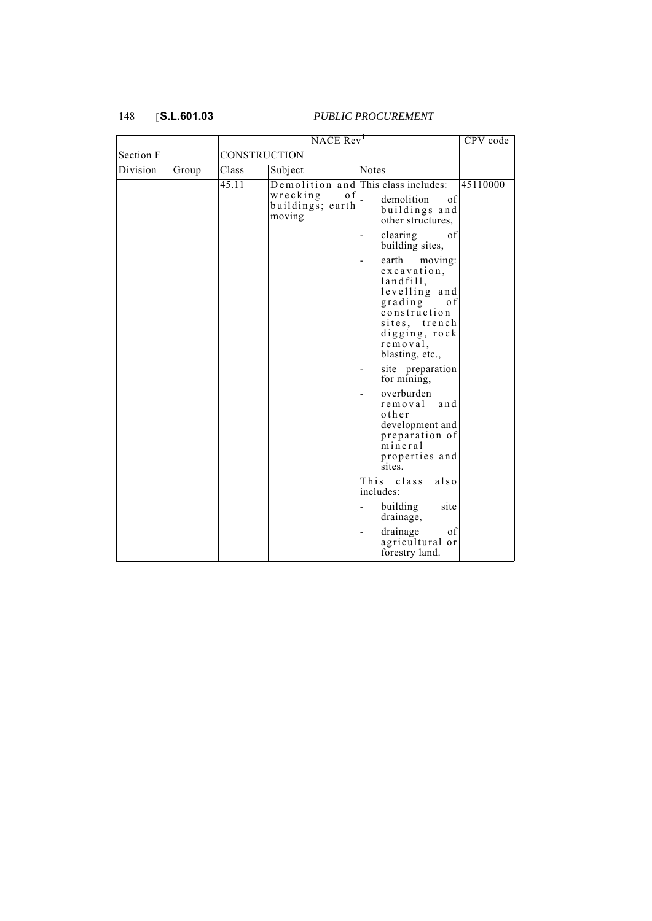|           |       |       | $NACE$ $Rev1$                                          |                                                                                                                                                                                                                                                                                                                                                                                                                                                                                      | CPV code |
|-----------|-------|-------|--------------------------------------------------------|--------------------------------------------------------------------------------------------------------------------------------------------------------------------------------------------------------------------------------------------------------------------------------------------------------------------------------------------------------------------------------------------------------------------------------------------------------------------------------------|----------|
| Section F |       |       | <b>CONSTRUCTION</b>                                    |                                                                                                                                                                                                                                                                                                                                                                                                                                                                                      |          |
| Division  | Group | Class | Subject                                                | Notes                                                                                                                                                                                                                                                                                                                                                                                                                                                                                |          |
|           |       | 45.11 | wrecking<br>of $\vert$ .<br>buildings; earth<br>moving | Demolition and This class includes:<br>demolition<br>of<br>buildings and<br>other structures,<br>clearing<br>of<br>building sites,<br>earth<br>moving:<br>excavation,<br>landfill,<br>levelling and<br>grading<br>o f<br>construction<br>sites, trench<br>digging, rock<br>removal,<br>blasting, etc.,<br>site preparation<br>for mining,<br>overburden<br>removal<br>and<br>other<br>development and<br>preparation of<br>mineral<br>properties and<br>sites.<br>This class<br>also | 45110000 |
|           |       |       |                                                        | includes:<br>building<br>site<br>drainage,                                                                                                                                                                                                                                                                                                                                                                                                                                           |          |
|           |       |       |                                                        | drainage<br>of<br>agricultural or<br>forestry land.                                                                                                                                                                                                                                                                                                                                                                                                                                  |          |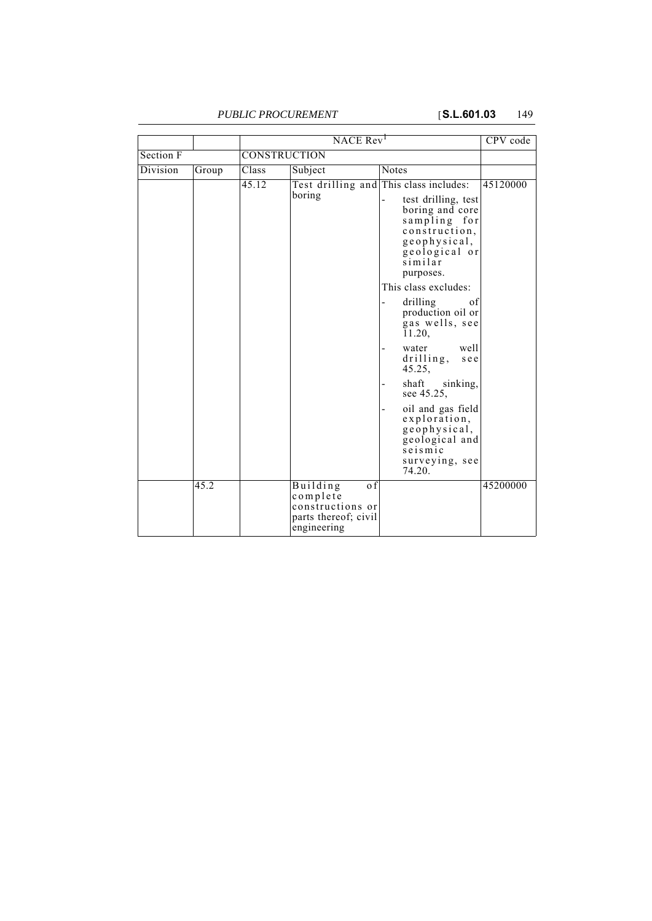|                 |       | NACE Rev <sup>1</sup> |                                                                                        |                                                                                                                                                                                                                                                                                                                                                                                                                                                             | CPV code |  |  |
|-----------------|-------|-----------------------|----------------------------------------------------------------------------------------|-------------------------------------------------------------------------------------------------------------------------------------------------------------------------------------------------------------------------------------------------------------------------------------------------------------------------------------------------------------------------------------------------------------------------------------------------------------|----------|--|--|
| Section F       |       |                       | <b>CONSTRUCTION</b>                                                                    |                                                                                                                                                                                                                                                                                                                                                                                                                                                             |          |  |  |
| <b>Division</b> | Group | Class                 | Subject                                                                                | <b>Notes</b>                                                                                                                                                                                                                                                                                                                                                                                                                                                |          |  |  |
|                 |       | 45.12                 | boring                                                                                 | Test drilling and This class includes:<br>test drilling, test<br>boring and core<br>sampling for<br>construction,<br>geophysical,<br>geological or<br>similar<br>purposes.<br>This class excludes:<br>drilling<br>οf<br>production oil or<br>gas wells, see<br>11.20,<br>well<br>water<br>drilling,<br>see<br>45.25,<br>shaft<br>sinking,<br>see 45.25,<br>oil and gas field<br>exploration,<br>geophysical,<br>geological and<br>seismic<br>surveying, see | 45120000 |  |  |
|                 | 45.2  |                       | Building<br>o f<br>complete<br>constructions or<br>parts thereof; civil<br>engineering | 74.20.                                                                                                                                                                                                                                                                                                                                                                                                                                                      | 45200000 |  |  |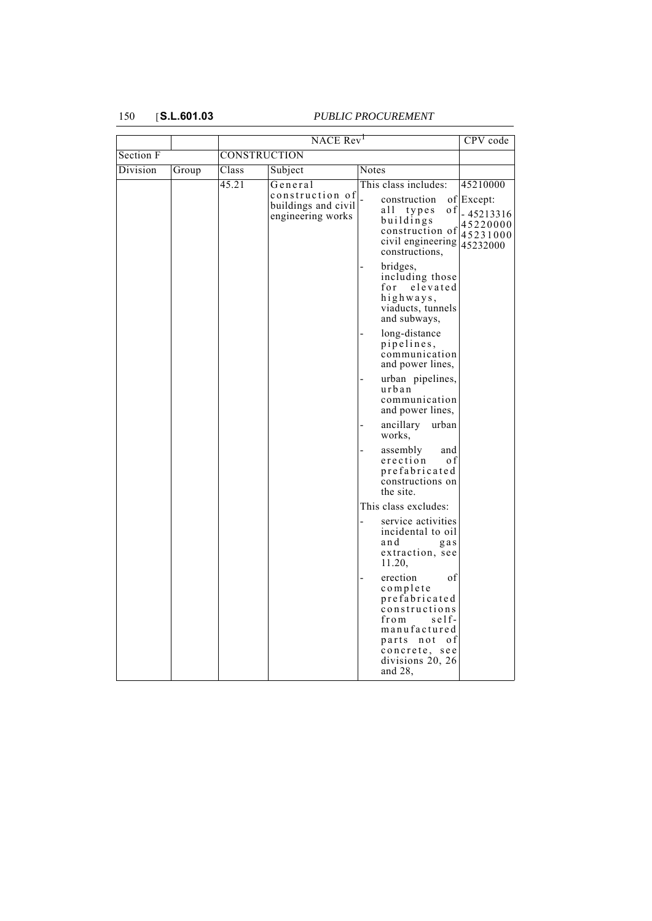|                 |       | NACE Rev <sup>1</sup> |                                                                        |                                                                                                                                                                   | CPV code                                                      |
|-----------------|-------|-----------------------|------------------------------------------------------------------------|-------------------------------------------------------------------------------------------------------------------------------------------------------------------|---------------------------------------------------------------|
| Section F       |       | <b>CONSTRUCTION</b>   |                                                                        |                                                                                                                                                                   |                                                               |
| <b>Division</b> | Group | Class                 | Subject                                                                | <b>Notes</b>                                                                                                                                                      |                                                               |
|                 |       | 45.21                 | General<br>construction of<br>buildings and civil<br>engineering works | This class includes:<br>construction<br>all types<br>o f<br>buildings<br>construction of<br>civil engineering $ 45232000$<br>constructions,                       | 45210000<br>of Except:<br>$-45213316$<br>45220000<br>45231000 |
|                 |       |                       |                                                                        | bridges,<br>including those<br>for<br>elevated<br>highways,<br>viaducts, tunnels<br>and subways,                                                                  |                                                               |
|                 |       |                       |                                                                        | long-distance<br>pipelines,<br>communication<br>and power lines,                                                                                                  |                                                               |
|                 |       |                       |                                                                        | urban pipelines,<br>urban<br>communication<br>and power lines,                                                                                                    |                                                               |
|                 |       |                       |                                                                        | ancillary<br>urban<br>works,                                                                                                                                      |                                                               |
|                 |       |                       |                                                                        | assembly<br>and<br>erection<br>o f<br>prefabricated<br>constructions on<br>the site.                                                                              |                                                               |
|                 |       |                       |                                                                        | This class excludes:                                                                                                                                              |                                                               |
|                 |       |                       |                                                                        | service activities<br>incidental to oil<br>and<br>gas<br>extraction, see<br>11.20,                                                                                |                                                               |
|                 |       |                       |                                                                        | erection<br>οf<br>complete<br>prefabricated<br>constructions<br>from<br>self-<br>manufactured<br>parts not<br>0 f<br>concrete, see<br>divisions 20, 26<br>and 28, |                                                               |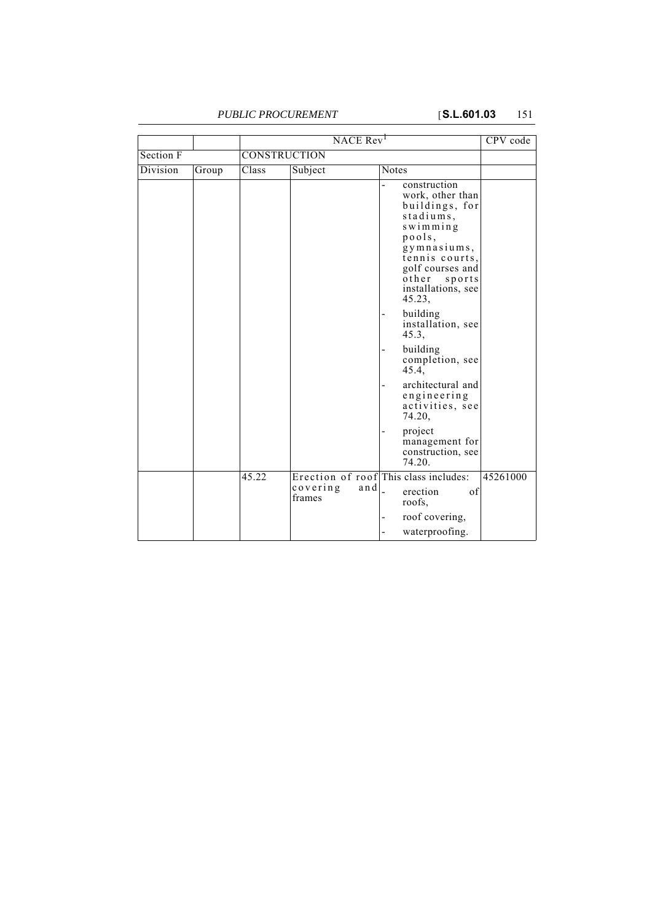|                 |       | NACE Rev <sup>1</sup> |                                |                                                                                                                                                                                                                                                                                                                  | CPV code |
|-----------------|-------|-----------------------|--------------------------------|------------------------------------------------------------------------------------------------------------------------------------------------------------------------------------------------------------------------------------------------------------------------------------------------------------------|----------|
| Section F       |       | CONSTRUCTION          |                                |                                                                                                                                                                                                                                                                                                                  |          |
| <b>Division</b> | Group | Class                 | Subject                        | <b>Notes</b>                                                                                                                                                                                                                                                                                                     |          |
|                 |       |                       |                                | construction<br>work, other than<br>buildings, for<br>stadiums,<br>swimming<br>pools,<br>gymnasiums,<br>tennis courts,<br>golf courses and<br>other sports<br>installations, see<br>45.23,<br>building<br>installation, see<br>45.3,<br>building<br>completion, see<br>45.4,<br>architectural and<br>engineering |          |
|                 |       |                       |                                | activities, see<br>74.20,<br>project<br>management for<br>construction, see<br>74.20.                                                                                                                                                                                                                            |          |
|                 |       | 45.22                 | $\cos$ vering<br>and<br>frames | Erection of roof This class includes:<br>erection<br>of<br>roofs,<br>roof covering,<br>waterproofing.                                                                                                                                                                                                            | 45261000 |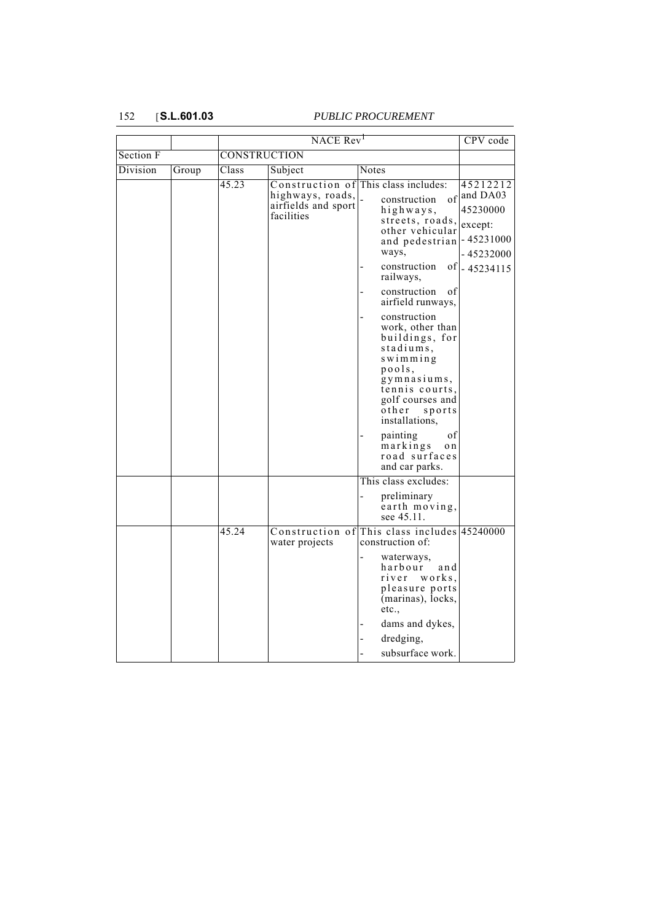|           |       | NACE Rev <sup>1</sup> |                                                                          |                                                                                                                                                                                       | CPV code                                                                                  |
|-----------|-------|-----------------------|--------------------------------------------------------------------------|---------------------------------------------------------------------------------------------------------------------------------------------------------------------------------------|-------------------------------------------------------------------------------------------|
| Section F |       |                       | <b>CONSTRUCTION</b>                                                      |                                                                                                                                                                                       |                                                                                           |
| Division  | Group | Class                 | Subject                                                                  | Notes                                                                                                                                                                                 |                                                                                           |
|           |       | 45.23                 | Construction of<br>highways, roads,<br>airfields and sport<br>facilities | This class includes:<br>of<br>construction<br>highways,<br>streets, roads,<br>other vehicular<br>and pedestrian<br>ways,<br>construction<br>railways,                                 | 45212212<br>and DA03<br>45230000<br>except:<br>$-45231000$<br>- 45232000<br>of - 45234115 |
|           |       |                       |                                                                          | construction<br>οf<br>airfield runways,                                                                                                                                               |                                                                                           |
|           |       |                       |                                                                          | construction<br>work, other than<br>buildings, for<br>stadiums,<br>$s$ wimming<br>pools,<br>gymnasiums,<br>tennis courts,<br>golf courses and<br>$o$ ther<br>sports<br>installations, |                                                                                           |
|           |       |                       |                                                                          | painting<br>οf<br>markings<br>o n<br>road surfaces<br>and car parks.                                                                                                                  |                                                                                           |
|           |       |                       |                                                                          | This class excludes:                                                                                                                                                                  |                                                                                           |
|           |       |                       |                                                                          | preliminary<br>earth moving,<br>see 45.11.                                                                                                                                            |                                                                                           |
|           |       | 45.24                 | Construction of<br>water projects                                        | This class includes 45240000<br>construction of:                                                                                                                                      |                                                                                           |
|           |       |                       |                                                                          | waterways,<br>harbour<br>and<br>river<br>works,<br>pleasure ports<br>(marinas), locks,<br>etc.,                                                                                       |                                                                                           |
|           |       |                       |                                                                          | dams and dykes,                                                                                                                                                                       |                                                                                           |
|           |       |                       |                                                                          | dredging,                                                                                                                                                                             |                                                                                           |
|           |       |                       |                                                                          | subsurface work.                                                                                                                                                                      |                                                                                           |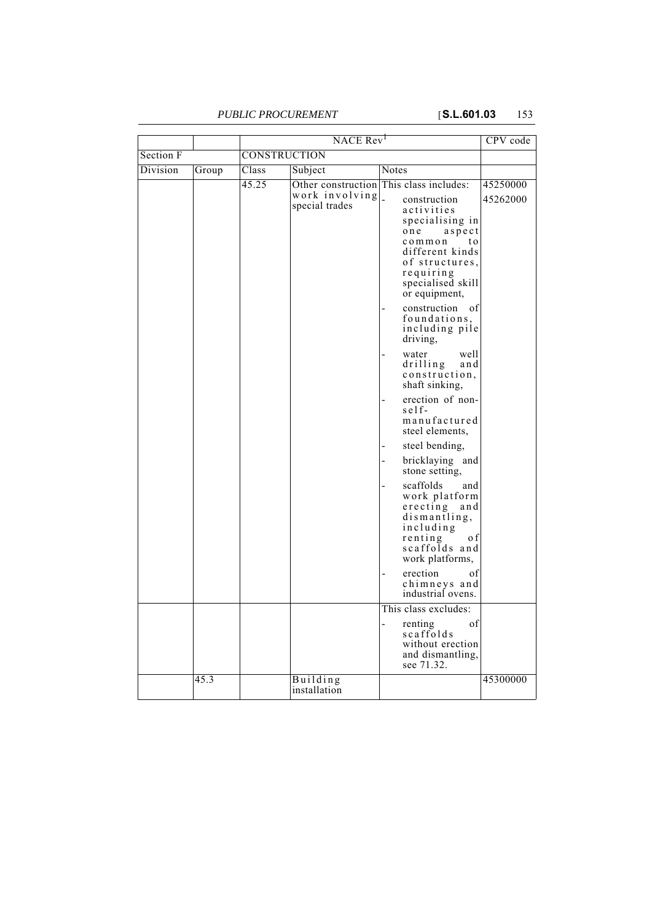|           |       | NACE Rev <sup>1</sup> |                                  |                                                                                                                                                                                                                                                                                                                                                                                                                                                                                                                                                                                                                                                                                                                                        | CPV code             |
|-----------|-------|-----------------------|----------------------------------|----------------------------------------------------------------------------------------------------------------------------------------------------------------------------------------------------------------------------------------------------------------------------------------------------------------------------------------------------------------------------------------------------------------------------------------------------------------------------------------------------------------------------------------------------------------------------------------------------------------------------------------------------------------------------------------------------------------------------------------|----------------------|
| Section F |       | <b>CONSTRUCTION</b>   |                                  |                                                                                                                                                                                                                                                                                                                                                                                                                                                                                                                                                                                                                                                                                                                                        |                      |
| Division  | Group | Class                 | Subject                          | <b>Notes</b>                                                                                                                                                                                                                                                                                                                                                                                                                                                                                                                                                                                                                                                                                                                           |                      |
|           |       | 45.25                 | work involving<br>special trades | Other construction This class includes:<br>$\overline{a}$<br>construction<br>activities<br>specialising in<br>one<br>$a$ spect<br>common<br>t o<br>different kinds<br>of structures,<br>requiring<br>specialised skill<br>or equipment,<br>construction<br>of<br>foundations,<br>including pile<br>driving,<br>water<br>well<br>drilling<br>and<br>construction,<br>shaft sinking,<br>erection of non-<br>$self-$<br>manufactured<br>steel elements,<br>steel bending,<br>bricklaying and<br>stone setting,<br>scaffolds<br>and<br>work platform<br>$\vec{r}$<br>and<br>dismantling,<br>including<br>renting<br>o f<br>scaffolds and<br>work platforms,<br>erection<br>of<br>chimneys and<br>industrial ovens.<br>This class excludes: | 45250000<br>45262000 |
|           |       |                       |                                  | of<br>renting<br>scaffolds<br>without erection<br>and dismantling,<br>see 71.32.                                                                                                                                                                                                                                                                                                                                                                                                                                                                                                                                                                                                                                                       |                      |
|           | 45.3  |                       | Building<br>installation         |                                                                                                                                                                                                                                                                                                                                                                                                                                                                                                                                                                                                                                                                                                                                        | 45300000             |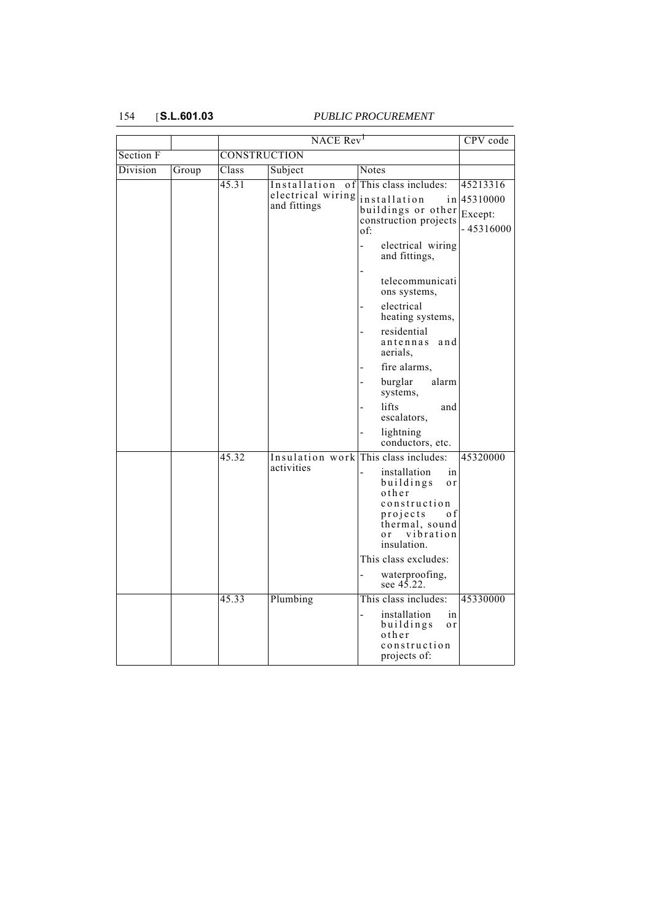|           |       | NACE Rev <sup>1</sup> |                                                          |                                                                                                                                                                                | CPV code                                       |
|-----------|-------|-----------------------|----------------------------------------------------------|--------------------------------------------------------------------------------------------------------------------------------------------------------------------------------|------------------------------------------------|
| Section F |       |                       | <b>CONSTRUCTION</b>                                      |                                                                                                                                                                                |                                                |
| Division  | Group | Class                 | Subject                                                  | Notes                                                                                                                                                                          |                                                |
|           |       | 45.31                 | Installation<br>0 f<br>electrical wiring<br>and fittings | This class includes:<br>installation<br>in<br>buildings or other<br>construction projects<br>of:                                                                               | 45213316<br>45310000<br>Except:<br>$-45316000$ |
|           |       |                       |                                                          | electrical wiring<br>and fittings,                                                                                                                                             |                                                |
|           |       |                       |                                                          | telecommunicati<br>ons systems,                                                                                                                                                |                                                |
|           |       |                       |                                                          | electrical<br>heating systems,                                                                                                                                                 |                                                |
|           |       |                       |                                                          | residential<br>antennas and<br>aerials,                                                                                                                                        |                                                |
|           |       |                       |                                                          | fire alarms,                                                                                                                                                                   |                                                |
|           |       |                       |                                                          | burglar<br>alarm<br>systems,                                                                                                                                                   |                                                |
|           |       |                       |                                                          | lifts<br>and<br>escalators,                                                                                                                                                    |                                                |
|           |       |                       |                                                          | lightning<br>conductors, etc.                                                                                                                                                  |                                                |
|           |       | 45.32                 | activities                                               | Insulation work This class includes:<br>installation<br>in<br>buildings<br>o r<br>other<br>construction<br>projects<br>o f<br>thermal, sound<br>vibration<br>0r<br>insulation. | 45320000                                       |
|           |       |                       |                                                          | This class excludes:                                                                                                                                                           |                                                |
|           |       |                       |                                                          | waterproofing,<br>see $4\bar{5}$ .22.                                                                                                                                          |                                                |
|           |       | 45.33                 | Plumbing                                                 | This class includes:<br>in<br>installation<br>buildings<br>o r<br>other<br>construction<br>projects of:                                                                        | 45330000                                       |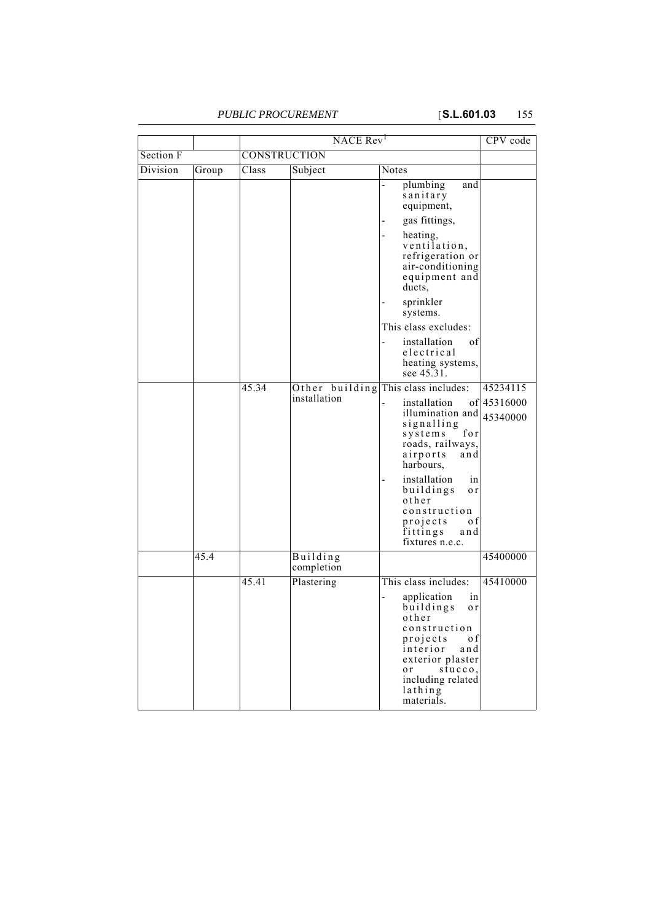|           |       |       | NACE Rev <sup>1</sup>  |                                                                                                                                                                                                                  | CPV code                |
|-----------|-------|-------|------------------------|------------------------------------------------------------------------------------------------------------------------------------------------------------------------------------------------------------------|-------------------------|
| Section F |       |       | <b>CONSTRUCTION</b>    |                                                                                                                                                                                                                  |                         |
| Division  | Group | Class | Subject                | Notes                                                                                                                                                                                                            |                         |
|           |       |       |                        | plumbing<br>and<br>sanitary<br>equipment,<br>gas fittings,                                                                                                                                                       |                         |
|           |       |       |                        | heating,<br>ventilation,<br>refrigeration or<br>air-conditioning<br>equipment and<br>ducts,                                                                                                                      |                         |
|           |       |       |                        | sprinkler<br>systems.                                                                                                                                                                                            |                         |
|           |       |       |                        | This class excludes:                                                                                                                                                                                             |                         |
|           |       |       |                        | installation<br>of<br>electrical<br>heating systems,<br>see 45.31.                                                                                                                                               |                         |
|           |       | 45.34 |                        | Other building This class includes:                                                                                                                                                                              | 45234115                |
|           |       |       | installation           | installation<br>illumination and<br>signalling<br>for<br>systems<br>roads, railways,<br>airports<br>and<br>harbours,                                                                                             | of 45316000<br>45340000 |
|           |       |       |                        | installation<br>in<br>buildings<br>o r<br>other<br>construction<br>projects<br>0 f<br>fittings<br>and<br>fixtures n.e.c.                                                                                         |                         |
|           | 45.4  |       | Building<br>completion |                                                                                                                                                                                                                  | 45400000                |
|           |       | 45.41 | Plastering             | This class includes:<br>application<br>in<br>buildings<br>o r<br>other<br>construction<br>projects<br>o f<br>interior<br>and<br>exterior plaster<br>stucco,<br>o r<br>including related<br>lathing<br>materials. | 45410000                |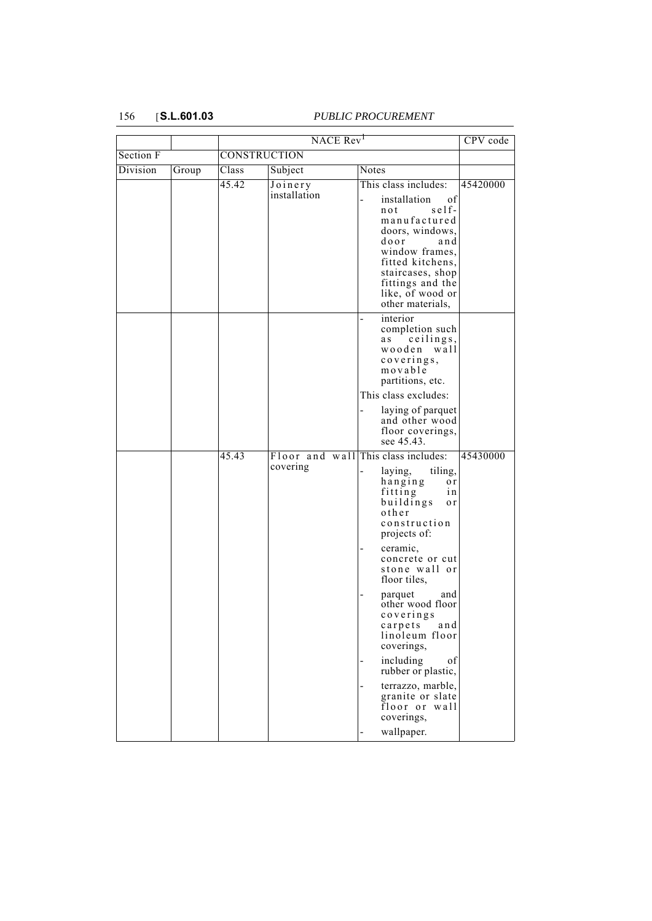| Section F<br>CONSTRUCTION<br>Class<br>Notes<br>Division<br>Subject<br>Group<br>This class includes:<br>45.42<br>Joinery<br>installation<br>installation<br>of<br>$self-$<br>not<br>manufactured<br>doors, windows,<br>door<br>and<br>window frames,<br>fitted kitchens,<br>staircases, shop<br>fittings and the<br>like, of wood or<br>other materials,<br>interior<br>÷,<br>completion such<br>ceilings,<br>a s<br>wooden wall<br>coverings,<br>movable<br>partitions, etc.<br>This class excludes:<br>laying of parquet |          |
|---------------------------------------------------------------------------------------------------------------------------------------------------------------------------------------------------------------------------------------------------------------------------------------------------------------------------------------------------------------------------------------------------------------------------------------------------------------------------------------------------------------------------|----------|
|                                                                                                                                                                                                                                                                                                                                                                                                                                                                                                                           |          |
|                                                                                                                                                                                                                                                                                                                                                                                                                                                                                                                           |          |
|                                                                                                                                                                                                                                                                                                                                                                                                                                                                                                                           | 45420000 |
| and other wood<br>floor coverings,<br>see 45.43.                                                                                                                                                                                                                                                                                                                                                                                                                                                                          |          |
| 45.43<br>Floor and wall<br>This class includes:<br>covering<br>laying,<br>tiling,<br>hanging<br>o r<br>fitting<br>i n<br>buildings<br>o r<br>other<br>construction<br>projects of:<br>ceramic,<br>concrete or cut<br>stone wall or<br>floor tiles,<br>and<br>parquet<br>other wood floor<br>coverings<br>and<br>carpets<br>linoleum floor<br>coverings,<br>including<br>of<br>rubber or plastic,<br>terrazzo, marble,<br>granite or slate<br>floor or wall                                                                | 45430000 |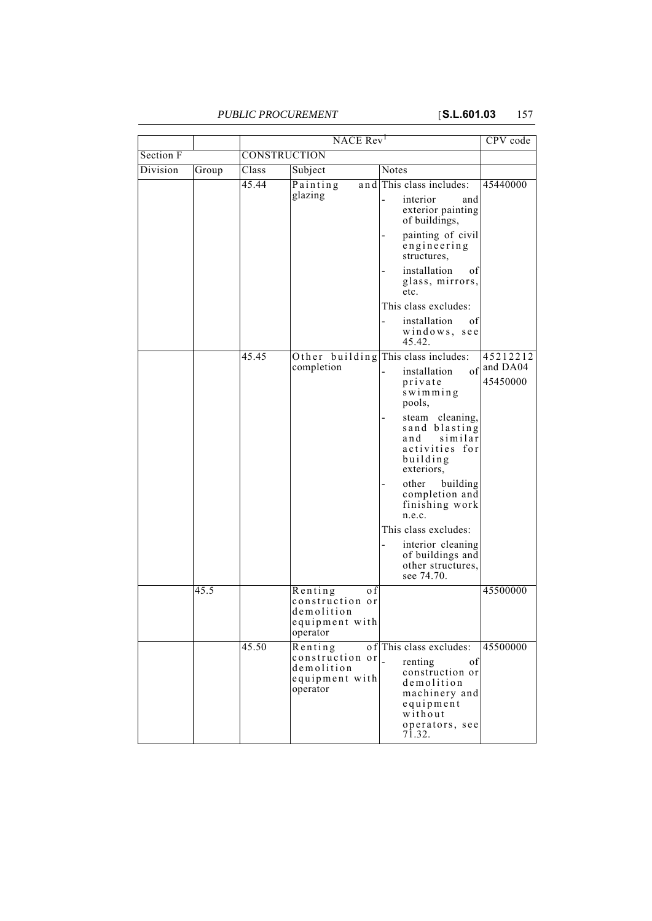|           |       | NACE Rev <sup>1</sup> |                                                                               |                                                                                                                                                             | CPV code                         |
|-----------|-------|-----------------------|-------------------------------------------------------------------------------|-------------------------------------------------------------------------------------------------------------------------------------------------------------|----------------------------------|
| Section F |       | CONSTRUCTION          |                                                                               |                                                                                                                                                             |                                  |
| Division  | Group | Class                 | Subject                                                                       | Notes                                                                                                                                                       |                                  |
|           |       | 45.44                 | Painting<br>glazing                                                           | and This class includes:<br>interior<br>and<br>exterior painting<br>of buildings,                                                                           | 45440000                         |
|           |       |                       |                                                                               | painting of civil<br>engineering<br>structures,                                                                                                             |                                  |
|           |       |                       |                                                                               | installation<br>of<br>glass, mirrors,<br>etc.                                                                                                               |                                  |
|           |       |                       |                                                                               | This class excludes:                                                                                                                                        |                                  |
|           |       |                       |                                                                               | installation<br>οf<br>windows, see<br>45.42.                                                                                                                |                                  |
|           |       | 45.45                 | completion                                                                    | Other building This class includes:<br>of<br>installation<br>private<br>swimming<br>pools,                                                                  | 45212212<br>and DA04<br>45450000 |
|           |       |                       |                                                                               | steam cleaning,<br>sand blasting<br>similar<br>and<br>activities for<br>building<br>exteriors,                                                              |                                  |
|           |       |                       |                                                                               | other<br>building<br>completion and<br>finishing work<br>n.e.c.                                                                                             |                                  |
|           |       |                       |                                                                               | This class excludes:                                                                                                                                        |                                  |
|           |       |                       |                                                                               | interior cleaning<br>of buildings and<br>other structures,<br>see 74.70.                                                                                    |                                  |
|           | 45.5  |                       | Renting<br>o f<br>construction or<br>demolition<br>equipment with<br>operator |                                                                                                                                                             | 45500000                         |
|           |       | 45.50                 | Renting<br>construction or<br>demolition<br>equipment with<br>operator        | of This class excludes:<br>renting<br>οf<br>construction or<br>demolition<br>machinery and<br>equipment<br>without<br>operators, see<br>$7\overline{1}.32.$ | 45500000                         |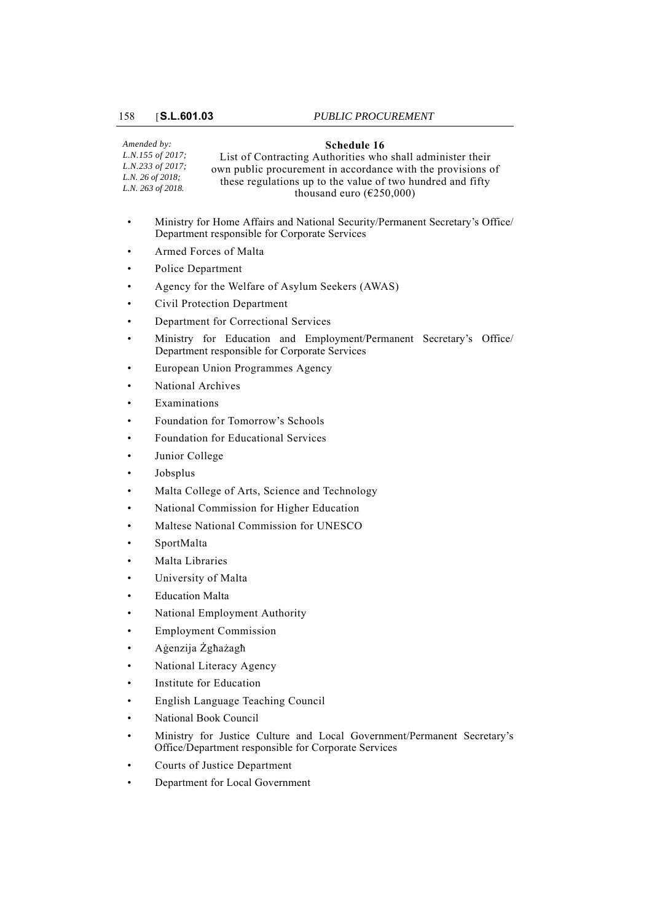### **Schedule 16**

*Amended by: L.N.155 of 2017; L.N.233 of 2017; L.N. 26 of 2018; L.N. 263 of 2018.* List of Contracting Authorities who shall administer their own public procurement in accordance with the provisions of these regulations up to the value of two hundred and fifty thousand euro ( $\epsilon$ 250,000)

- Ministry for Home Affairs and National Security/Permanent Secretary's Office/ Department responsible for Corporate Services
- Armed Forces of Malta
- Police Department
- Agency for the Welfare of Asylum Seekers (AWAS)
- Civil Protection Department
- Department for Correctional Services
- Ministry for Education and Employment/Permanent Secretary's Office/ Department responsible for Corporate Services
- European Union Programmes Agency
- National Archives
- **Examinations**
- Foundation for Tomorrow's Schools
- Foundation for Educational Services
- Junior College
- Jobsplus
- Malta College of Arts, Science and Technology
- National Commission for Higher Education
- Maltese National Commission for UNESCO
- SportMalta
- Malta Libraries
- University of Malta
- **Education Malta**
- National Employment Authority
- Employment Commission
- Aġenzija Żgħażagħ
- National Literacy Agency
- Institute for Education
- English Language Teaching Council
- National Book Council
- Ministry for Justice Culture and Local Government/Permanent Secretary's Office/Department responsible for Corporate Services
- Courts of Justice Department
- Department for Local Government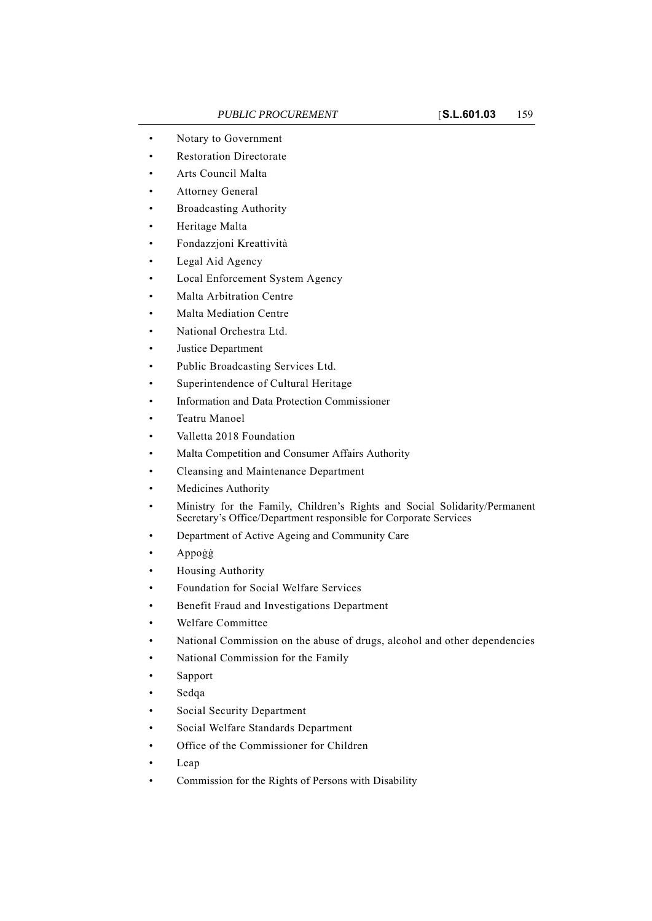- Notary to Government
- Restoration Directorate
- Arts Council Malta
- Attorney General
- Broadcasting Authority
- Heritage Malta
- Fondazzjoni Kreattività
- Legal Aid Agency
- Local Enforcement System Agency
- Malta Arbitration Centre
- Malta Mediation Centre
- National Orchestra Ltd.
- Justice Department
- Public Broadcasting Services Ltd.
- Superintendence of Cultural Heritage
- Information and Data Protection Commissioner
- Teatru Manoel
- Valletta 2018 Foundation
- Malta Competition and Consumer Affairs Authority
- Cleansing and Maintenance Department
- Medicines Authority
- Ministry for the Family, Children's Rights and Social Solidarity/Permanent Secretary's Office/Department responsible for Corporate Services
- Department of Active Ageing and Community Care
- Appoġġ
- Housing Authority
- Foundation for Social Welfare Services
- Benefit Fraud and Investigations Department
- Welfare Committee
- National Commission on the abuse of drugs, alcohol and other dependencies
- National Commission for the Family
- **Sapport**
- Sedqa
- Social Security Department
- Social Welfare Standards Department
- Office of the Commissioner for Children
- Leap
- Commission for the Rights of Persons with Disability